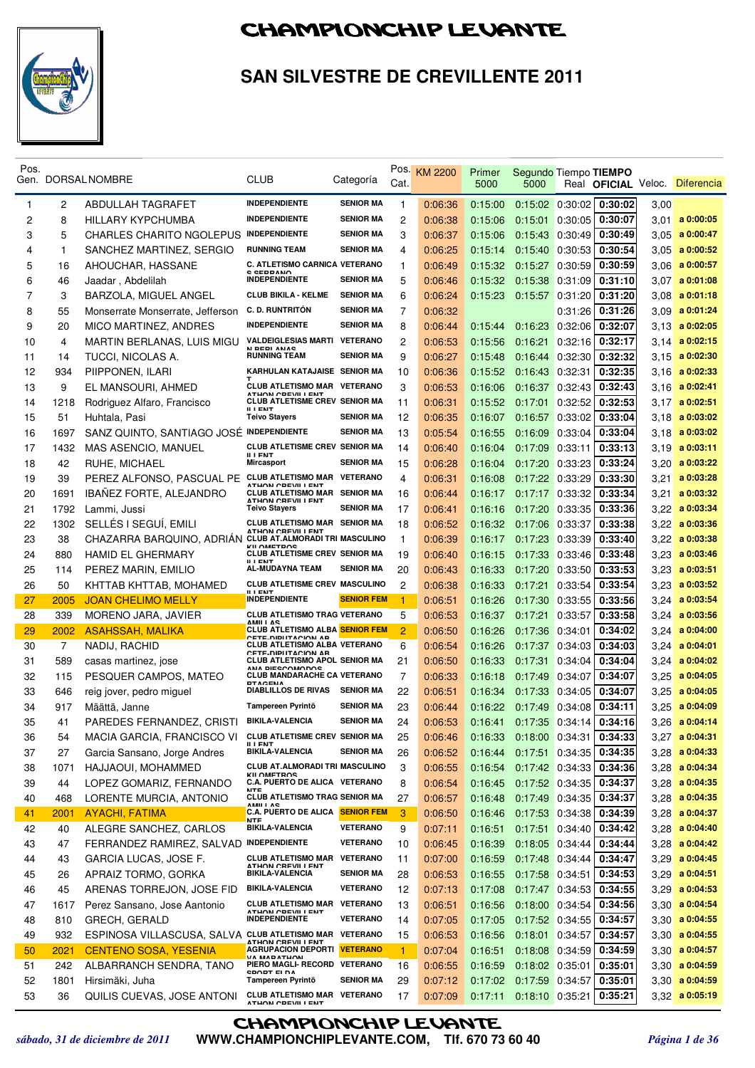

| Pos<br>Gen. |      | <b>DORSALNOMBRE</b>                                      | CLUB                                                              | Categoría         | Cat.           | Pos. KM 2200 | Primer<br>5000 | Segundo Tiempo TIEMPO<br>5000 |         |         |      | Real OFICIAL Veloc. Diferencia |
|-------------|------|----------------------------------------------------------|-------------------------------------------------------------------|-------------------|----------------|--------------|----------------|-------------------------------|---------|---------|------|--------------------------------|
| 1           | 2    | ABDULLAH TAGRAFET                                        | <b>INDEPENDIENTE</b>                                              | <b>SENIOR MA</b>  | 1              | 0:06:36      | 0:15:00        | 0:15:02                       | 0:30:02 | 0:30:02 | 3,00 |                                |
| 2           | 8    | <b>HILLARY KYPCHUMBA</b>                                 | <b>INDEPENDIENTE</b>                                              | <b>SENIOR MA</b>  | 2              | 0:06:38      | 0:15:06        | 0:15:01                       | 0:30:05 | 0:30:07 | 3.01 | a 0:00:05                      |
| 3           | 5    | <b>CHARLES CHARITO NGOLEPUS</b>                          | <b>INDEPENDIENTE</b>                                              | <b>SENIOR MA</b>  | 3              | 0:06:37      | 0:15:06        | 0:15:43                       | 0:30:49 | 0:30:49 | 3,05 | a 0:00:47                      |
| 4           | 1    | SANCHEZ MARTINEZ, SERGIO                                 | <b>RUNNING TEAM</b>                                               | <b>SENIOR MA</b>  | 4              | 0:06:25      | 0:15:14        | 0:15:40                       | 0:30:53 | 0:30:54 | 3,05 | a 0:00:52                      |
| 5           | 16   | AHOUCHAR, HASSANE                                        | C. ATLETISMO CARNICA VETERANO<br><b>C CEDDANO</b>                 |                   | 1              | 0:06:49      | 0:15:32        | 0:15:27                       | 0:30:59 | 0:30:59 | 3,06 | a 0:00:57                      |
| 6           | 46   | Jaadar, Abdelilah                                        | <b>INDEPENDIENTE</b>                                              | <b>SENIOR MA</b>  | 5              | 0:06:46      | 0:15:32        | 0:15:38                       | 0:31:09 | 0:31:10 | 3,07 | a 0:01:08                      |
| 7           | 3    | BARZOLA, MIGUEL ANGEL                                    | <b>CLUB BIKILA - KELME</b>                                        | <b>SENIOR MA</b>  | 6              | 0:06:24      | 0:15:23        | 0:15:57                       | 0:31:20 | 0:31:20 | 3,08 | a 0:01:18                      |
| 8           | 55   | Monserrate Monserrate, Jefferson                         | <b>C. D. RUNTRITÓN</b>                                            | <b>SENIOR MA</b>  | 7              | 0:06:32      |                |                               | 0:31:26 | 0:31:26 | 3,09 | a 0:01:24                      |
| 9           | 20   | MICO MARTINEZ, ANDRES                                    | <b>INDEPENDIENTE</b>                                              | <b>SENIOR MA</b>  | 8              | 0:06:44      | 0:15:44        | 0:16:23 0:32:06               |         | 0:32:07 | 3.13 | a 0:02:05                      |
| 10          | 4    | MARTIN BERLANAS, LUIS MIGU                               | VALDEIGLESIAS MARTI VETERANO<br><b>N DEDI ANAC</b>                |                   | 2              | 0:06:53      | 0:15:56        | 0:16:21                       | 0:32:16 | 0:32:17 | 3,14 | a 0:02:15                      |
| 11          | 14   | TUCCI, NICOLAS A.                                        | <b>RUNNING TEAM</b>                                               | <b>SENIOR MA</b>  | 9              | 0:06:27      | 0:15:48        | 0:16:44                       | 0:32:30 | 0:32:32 | 3.15 | a 0:02:30                      |
| 12          | 934  | PIIPPONEN, ILARI                                         | KARHULAN KATAJAISE SENIOR MA                                      |                   | 10             | 0:06:36      | 0:15:52        | 0:16:43                       | 0:32:31 | 0:32:35 | 3,16 | a 0:02:33                      |
| 13          | 9    | EL MANSOURI, AHMED                                       | CLUB ATLETISMO MAR VETERANO<br>ATHON CREWLL ENT                   |                   | 3              | 0:06:53      | 0:16:06        | 0:16:37                       | 0:32:43 | 0:32:43 | 3,16 | a 0:02:41                      |
| 14          | 1218 | Rodriguez Alfaro, Francisco                              | <b>CLUB ATLETISME CREV SENIOR MA</b><br><b>ILLENT</b>             |                   | 11             | 0:06:31      | 0:15:52        | 0:17:01                       | 0:32:52 | 0:32:53 | 3,17 | a 0:02:51                      |
| 15          | 51   | Huhtala, Pasi                                            | <b>Teivo Stayers</b>                                              | <b>SENIOR MA</b>  | 12             | 0:06:35      | 0:16:07        | 0:16:57                       | 0:33:02 | 0:33:04 | 3.18 | a 0:03:02                      |
| 16          | 1697 | SANZ QUINTO, SANTIAGO JOSÉ INDEPENDIENTE                 |                                                                   | <b>SENIOR MA</b>  | 13             | 0:05:54      | 0:16:55        | 0:16:09                       | 0:33:04 | 0:33:04 | 3.18 | a 0:03:02                      |
| 17          | 1432 | MAS ASENCIO, MANUEL                                      | <b>CLUB ATLETISME CREV SENIOR MA</b><br><b>ILLENT</b>             |                   | 14             | 0:06:40      | 0:16:04        | 0:17:09                       | 0:33:11 | 0:33:13 | 3.19 | a 0:03:11                      |
| 18          | 42   | RUHE, MICHAEL                                            | Mircasport                                                        | <b>SENIOR MA</b>  | 15             | 0:06:28      | 0:16:04        | 0:17:20                       | 0:33:23 | 0:33:24 | 3,20 | a 0:03:22                      |
| 19          | 39   | PEREZ ALFONSO, PASCUAL PE CLUB ATLETISMO MAR VETERANO    | ATHON COEVIL LENT                                                 |                   | 4              | 0:06:31      | 0:16:08        | 0:17:22 0:33:29               |         | 0:33:30 | 3,21 | a 0:03:28                      |
| 20          | 1691 | IBAÑEZ FORTE, ALEJANDRO                                  | <b>CLUB ATLETISMO MAR SENIOR MA</b><br>ATHON COEVILL ENT          |                   | 16             | 0:06:44      | 0:16:17        | 0:17:17 0:33:32               |         | 0:33:34 | 3,21 | a 0:03:32                      |
| 21          | 1792 | Lammi, Jussi                                             | <b>Teivo Stayers</b>                                              | <b>SENIOR MA</b>  | 17             | 0:06:41      | 0:16:16        | 0:17:20                       | 0:33:35 | 0:33:36 | 3,22 | a 0:03:34                      |
| 22          | 1302 | SELLÉS I SEGUÍ, EMILI                                    | CLUB ATLETISMO MAR SENIOR MA<br>ATHON CREVIL LENT                 |                   | 18             | 0:06:52      | 0:16:32        | 0:17:06                       | 0:33:37 | 0:33:38 | 3,22 | a 0:03:36                      |
| 23          | 38   | CHAZARRA BARQUINO, ADRIAN CLUB AT.ALMORADI TRI MASCULINO | KII UNLIBUS                                                       |                   | $\mathbf{1}$   | 0:06:39      | 0:16:17        | 0:17:23                       | 0:33:39 | 0:33:40 | 3,22 | a 0:03:38                      |
| 24          | 880  | <b>HAMID EL GHERMARY</b>                                 | <b>CLUB ATLETISME CREV SENIOR MA</b><br><b>ILLENT</b>             |                   | 19             | 0:06:40      | 0:16:15        | 0:17:33                       | 0:33:46 | 0:33:48 | 3,23 | a 0:03:46                      |
| 25          | 114  | PEREZ MARIN, EMILIO                                      | <b>AL-MUDAYNA TEAM</b>                                            | <b>SENIOR MA</b>  | 20             | 0:06:43      | 0:16:33        | 0:17:20                       | 0:33:50 | 0:33:53 | 3,23 | a 0:03:51                      |
| 26          | 50   | KHTTAB KHTTAB, MOHAMED                                   | <b>CLUB ATLETISME CREV MASCULINO</b><br><b>ILLENT</b>             |                   | $\overline{c}$ | 0:06:38      | 0:16:33        | 0:17:21                       | 0:33:54 | 0:33:54 | 3,23 | a 0:03:52                      |
| 27          | 2005 | <b>JOAN CHELIMO MELLY</b>                                | <b>INDEPENDIENTE</b>                                              | <b>SENIOR FEM</b> | 1              | 0:06:51      | 0:16:26        | 0:17:30                       | 0:33:55 | 0:33:56 | 3,24 | a 0:03:54                      |
| 28          | 339  | MORENO JARA, JAVIER                                      | <b>CLUB ATLETISMO TRAG VETERANO</b><br>AMILIAC                    |                   | 5              | 0:06:53      | 0:16:37        | 0:17:21                       | 0:33:57 | 0:33:58 | 3,24 | a 0:03:56                      |
| 29          | 2002 | <b>ASAHSSAH, MALIKA</b>                                  | CLUB ATLETISMO ALBA <mark>SENIOR FEM</mark><br>CETE DIDITACION AR |                   | $\overline{2}$ | 0:06:50      | 0:16:26        | 0:17:36                       | 0:34:01 | 0:34:02 |      | $3,24$ a 0:04:00               |
| 30          | 7    | NADIJ, RACHID                                            | CLUB ATLETISMO ALBA VETERANO<br>CETE DIDITACION AD                |                   | 6              | 0:06:54      | 0:16:26        | 0:17:37                       | 0:34:03 | 0:34:03 |      | $3,24$ a 0:04:01               |
| 31          | 589  | casas martinez, jose                                     | <b>CLUB ATLETISMO APOL SENIOR MA</b><br>ANA DIECOOMODOC           |                   | 21             | 0:06:50      | 0:16:33        | 0:17:31                       | 0:34:04 | 0:34:04 | 3,24 | a 0:04:02                      |
| 32          | 115  | PESQUER CAMPOS, MATEO                                    | <b>CLUB MANDARACHE CA VETERANO</b><br><b>DTACENA</b>              |                   | $\overline{7}$ | 0:06:33      | 0:16:18        | 0:17:49                       | 0:34:07 | 0:34:07 | 3,25 | a 0:04:05                      |
| 33          | 646  | reig jover, pedro miguel                                 | <b>DIABLILLOS DE RIVAS</b>                                        | <b>SENIOR MA</b>  | 22             | 0:06:51      | 0:16:34        | 0:17:33                       | 0:34:05 | 0:34:07 | 3,25 | a 0:04:05                      |
| 34          | 917  | Määttä, Janne                                            | Tampereen Pyrintö                                                 | <b>SENIOR MA</b>  | 23             | 0:06:44      | 0:16:22        | 0:17:49                       | 0:34:08 | 0:34:11 | 3,25 | a 0:04:09                      |
| 35          | 41   | PAREDES FERNANDEZ, CRISTI                                | <b>BIKILA-VALENCIA</b>                                            | <b>SENIOR MA</b>  | 24             | 0:06:53      | 0:16:41        | 0:17:35                       | 0.34:14 | 0:34:16 |      | 3,26 a 0:04:14                 |
| 36          | 54   | MACIA GARCIA, FRANCISCO VI                               | CLUB ATLETISME CREV SENIOR MA<br><b>ILI ENT</b>                   |                   | 25             | 0:06:46      | 0:16:33        | $0:18:00$ 0:34:31             |         | 0:34:33 |      | 3,27 a 0:04:31                 |
| 37          | 27   | Garcia Sansano, Jorge Andres                             | <b>BIKILA-VALENCIA</b>                                            | <b>SENIOR MA</b>  | 26             | 0:06:52      | 0:16:44        | 0:17:51 0:34:35               |         | 0:34:35 |      | 3,28 a 0:04:33                 |
| 38          | 1071 | HAJJAOUI, MOHAMMED                                       | CLUB AT.ALMORADI TRI MASCULINO<br><b>VII OMETROS</b>              |                   | 3              | 0:06:55      | 0:16:54        | 0:17:42 0:34:33               |         | 0:34:36 |      | 3,28 a 0:04:34                 |
| 39          | 44   | LOPEZ GOMARIZ, FERNANDO                                  | C.A. PUERTO DE ALICA VETERANO<br><b>NTE</b>                       |                   | 8              | 0:06:54      | 0:16:45        | 0:17:52 0:34:35               |         | 0:34:37 |      | 3,28 a 0:04:35                 |
| 40          | 468  | LORENTE MURCIA, ANTONIO                                  | <b>CLUB ATLETISMO TRAG SENIOR MA</b><br>AMILIAC                   |                   | 27             | 0:06:57      | 0:16:48        | 0:17:49 0:34:35               |         | 0:34:37 |      | 3,28 a 0:04:35                 |
| 41          | 2001 | <b>AYACHI, FATIMA</b>                                    | C.A. PUERTO DE ALICA SENIOR FEM<br><b>NTE</b>                     |                   | 3              | 0:06:50      | 0:16:46        | 0:17:53 0:34:38               |         | 0:34:39 |      | 3,28 a 0:04:37                 |
| 42          | 40   | ALEGRE SANCHEZ, CARLOS                                   | BIKIL A-VALENCIA                                                  | <b>VETERANO</b>   | 9              | 0:07:11      | 0:16:51        | 0:17:51 0:34:40               |         | 0:34:42 |      | 3,28 a 0:04:40                 |
| 43          | 47   | FERRANDEZ RAMIREZ, SALVAD INDEPENDIENTE                  |                                                                   | <b>VETERANO</b>   | 10             | 0:06:45      | 0:16:39        | 0:18:05 0:34:44               |         | 0:34:44 |      | 3,28 a 0:04:42                 |
| 44          | 43   | GARCIA LUCAS, JOSE F.                                    | <b>CLUB ATLETISMO MAR</b><br>ATHON CREVIL LENT                    | <b>VETERANO</b>   | 11             | 0:07:00      | 0:16:59        | 0:17:48 0:34:44               |         | 0:34:47 |      | 3,29 a 0:04:45                 |
| 45          | 26   | APRAIZ TORMO, GORKA                                      | <b>BIKILA-VALENCIA</b>                                            | <b>SENIOR MA</b>  | 28             | 0:06:53      | 0:16:55        | 0:17:58 0:34:51               |         | 0:34:53 |      | 3,29 a 0:04:51                 |
| 46          | 45   | ARENAS TORREJON, JOSE FID                                | <b>BIKILA-VALENCIA</b>                                            | <b>VETERANO</b>   | 12             | 0:07:13      | 0.17:08        | 0:17:47 0:34:53               |         | 0:34:55 |      | 3,29 a 0:04:53                 |
| 47          | 1617 | Perez Sansano, Jose Aantonio                             | <b>CLUB ATLETISMO MAR VETERANO</b><br>ATHON ODEVILL ENT           |                   | 13             | 0:06:51      | 0:16:56        | 0:18:00 0:34:54               |         | 0:34:56 |      | 3,30 a 0:04:54                 |
| 48          | 810  | <b>GRECH, GERALD</b>                                     | <b>INDEPENDIENTE</b>                                              | <b>VETERANO</b>   | 14             | 0:07:05      | 0:17:05        | 0:17:52 0:34:55               |         | 0:34:57 |      | 3,30 a 0:04:55                 |
| 49          | 932  | ESPINOSA VILLASCUSA, SALVA CLUB ATLETISMO MAR VETERANO   | ATHON ODEVILL ENT                                                 |                   | 15             | 0:06:53      | 0:16:56        | 0:18:01 0:34:57               |         | 0:34:57 |      | 3,30 a 0:04:55                 |
| 50          | 2021 | <b>CENTENO SOSA, YESENIA</b>                             | <b>AGRUPACION DEPORTI VETERANO</b><br><b>VA MADATHON</b>          |                   | 1              | 0:07:04      | 0:16:51        | 0:18:08 0:34:59               |         | 0:34:59 |      | 3,30 a 0:04:57                 |
| 51          | 242  | ALBARRANCH SENDRA, TANO                                  | PIERO MAGLI- RECORD VETERANO<br>CDODT EI DA                       |                   | 16             | 0:06:55      | 0:16:59        | 0:18:02 0:35:01               |         | 0:35:01 |      | 3,30 a 0:04:59                 |
| 52          | 1801 | Hirsimäki, Juha                                          | Tampereen Pyrintö                                                 | <b>SENIOR MA</b>  | 29             | 0:07:12      | 0:17:02        | 0:17:59 0:34:57               |         | 0:35:01 |      | 3,30 a 0:04:59                 |
| 53          | 36   | QUILIS CUEVAS, JOSE ANTONI                               | CLUB ATLETISMO MAR VETERANO<br>ATHON CREVILL ENT                  |                   | 17             | 0:07:09      | 0:17:11        | 0:18:10 0:35:21               |         | 0:35:21 |      | 3,32 a 0:05:19                 |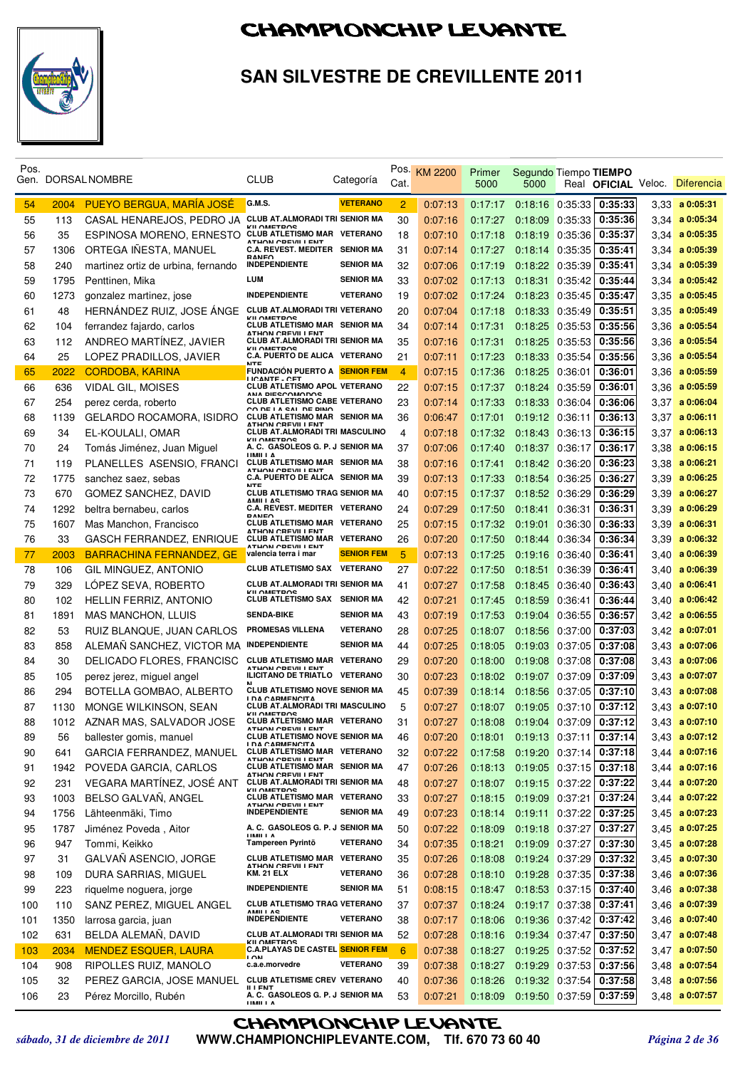

| Pos. |      | Gen. DORSALNOMBRE                  | CLUB                                                               | Categoría         | Cat.            | Pos. KM 2200 | Primer<br>5000 | Segundo Tiempo TIEMPO<br>5000 |         | Real <b>OFICIAL</b> Veloc. |      | Diferencia       |
|------|------|------------------------------------|--------------------------------------------------------------------|-------------------|-----------------|--------------|----------------|-------------------------------|---------|----------------------------|------|------------------|
| 54   | 2004 | PUEYO BERGUA, MARÍA JOSÉ           | G.M.S.                                                             | <b>VETERANO</b>   | 2               | 0:07:13      | 0:17:17        | 0:18:16                       | 0:35:33 | 0:35:33                    |      | 3.33 a 0:05:31   |
| 55   | 113  | CASAL HENAREJOS, PEDRO JA          | CLUB AT.ALMORADI TRI SENIOR MA<br><b>VII OMETROS</b>               |                   | 30              | 0:07:16      | 0:17:27        | 0:18:09                       | 0:35:33 | 0:35:36                    |      | 3,34 a 0:05:34   |
| 56   | 35   | ESPINOSA MORENO, ERNESTO           | CLUB ATLETISMO MAR VETERANO<br>ATHON CREVILL ENT                   |                   | 18              | 0:07:10      | 0:17:18        | 0:18:19                       | 0:35:36 | 0:35:37                    |      | 3,34 a 0:05:35   |
| 57   | 1306 | ORTEGA IÑESTA, MANUEL              | <b>C.A. REVEST. MEDITER</b><br><b>DANEO</b>                        | <b>SENIOR MA</b>  | 31              | 0:07:14      | 0:17:27        | 0:18:14                       | 0:35:35 | 0:35:41                    |      | 3,34 a 0:05:39   |
| 58   | 240  | martinez ortiz de urbina, fernando | <b>INDEPENDIENTE</b>                                               | <b>SENIOR MA</b>  | 32              | 0:07:06      | 0:17:19        | 0:18:22                       | 0:35:39 | 0:35:41                    |      | 3,34 a 0:05:39   |
| 59   | 1795 | Penttinen, Mika                    | LUM                                                                | <b>SENIOR MA</b>  | 33              | 0:07:02      | 0:17:13        | 0:18:31                       | 0:35:42 | 0:35:44                    |      | 3,34 a 0:05:42   |
| 60   | 1273 | gonzalez martinez, jose            | <b>INDEPENDIENTE</b>                                               | <b>VETERANO</b>   | 19              | 0:07:02      | 0:17:24        | 0:18:23                       | 0:35:45 | 0:35:47                    | 3.35 | a 0:05:45        |
| 61   | 48   | HERNÁNDEZ RUIZ, JOSE ÁNGE          | CLUB AT.ALMORADI TRI VETERANO<br><b>VII OMETROS</b>                |                   | 20              | 0:07:04      | 0:17:18        | 0:18:33                       | 0:35:49 | 0:35:51                    | 3,35 | a 0:05:49        |
| 62   | 104  | ferrandez fajardo, carlos          | CLUB ATLETISMO MAR SENIOR MA<br>ATHON CREVIL LENT                  |                   | 34              | 0:07:14      | 0:17:31        | 0:18:25                       | 0:35:53 | 0:35:56                    | 3.36 | a 0:05:54        |
| 63   | 112  | ANDREO MARTÍNEZ, JAVIER            | CLUB AT.ALMORADI TRI SENIOR MA<br><b>VII OMETROS</b>               |                   | 35              | 0:07:16      | 0:17:31        | 0:18:25                       | 0:35:53 | 0:35:56                    | 3.36 | a 0:05:54        |
| 64   | 25   | LOPEZ PRADILLOS, JAVIER            | C.A. PUERTO DE ALICA VETERANO<br><b>NTE</b>                        |                   | 21              | 0:07:11      | 0:17:23        | 0:18:33                       | 0:35:54 | 0:35:56                    | 3.36 | a 0:05:54        |
| 65   | 2022 | <b>CORDOBA, KARINA</b>             | FUNDACIÓN PUERTO A SENIOR FEM<br><b>I ICANTE _ CET</b>             |                   | 4               | 0:07:15      | 0:17:36        | 0:18:25                       | 0:36:01 | 0:36:01                    | 3.36 | a 0:05:59        |
| 66   | 636  | <b>VIDAL GIL, MOISES</b>           | <b>CLUB ATLETISMO APOL VETERANO</b><br>ANA DIESCOMODOS             |                   | 22              | 0.07:15      | 0:17:37        | 0:18:24                       | 0:35:59 | 0:36:01                    | 3.36 | a 0:05:59        |
| 67   | 254  | perez cerda, roberto               | <b>CLUB ATLETISMO CABE VETERANO</b><br>$EXAMPLE 1 A CAL DE DIAN$   |                   | 23              | 0.07:14      | 0:17:33        | 0:18:33                       | 0:36:04 | 0:36:06                    | 3.37 | a 0:06:04        |
| 68   | 1139 | GELARDO ROCAMORA, ISIDRO           | CLUB ATLETISMO MAR SENIOR MA<br>ATHON CREVIL LENT                  |                   | 36              | 0:06:47      | 0:17:01        | 0:19:12 0:36:11               |         | 0:36:13                    | 3.37 | a 0:06:11        |
| 69   | 34   | EL-KOULALI, OMAR                   | CLUB AT.ALMORADI TRI MASCULINO<br><b>KILOMETROS</b>                |                   | 4               | 0:07:18      | 0:17:32        | 0:18:43                       | 0:36:13 | 0:36:15                    | 3.37 | a 0:06:13        |
| 70   | 24   | Tomás Jiménez, Juan Miguel         | A. C. GASOLEOS G. P. J SENIOR MA<br><b>TIMILLA</b>                 |                   | 37              | 0:07:06      | 0:17:40        | 0:18:37                       | 0:36:17 | 0:36:17                    | 3.38 | a 0:06:15        |
| 71   | 119  | PLANELLES ASENSIO, FRANCI          | CLUB ATLETISMO MAR SENIOR MA<br>ATHON CREVIL LENT                  |                   | 38              | 0:07:16      | 0:17:41        | 0:18:42                       | 0:36:20 | 0:36:23                    | 3,38 | a 0:06:21        |
| 72   | 1775 | sanchez saez, sebas                | C.A. PUERTO DE ALICA SENIOR MA<br><b>NTE</b>                       |                   | 39              | 0:07:13      | 0:17:33        | 0:18:54                       | 0:36:25 | 0:36:27                    | 3,39 | a 0:06:25        |
| 73   | 670  | GOMEZ SANCHEZ, DAVID               | <b>CLUB ATLETISMO TRAG SENIOR MA</b><br>AMILLAC                    |                   | 40              | 0:07:15      | 0:17:37        | 0:18:52                       | 0:36:29 | 0:36:29                    | 3,39 | a 0:06:27        |
| 74   | 1292 | beltra bernabeu, carlos            | C.A. REVEST. MEDITER VETERANO<br><b>DANEO</b>                      |                   | 24              | 0:07:29      | 0:17:50        | 0:18:41                       | 0:36:31 | 0:36:31                    | 3,39 | a 0:06:29        |
| 75   | 1607 | Mas Manchon, Francisco             | CLUB ATLETISMO MAR VETERANO<br>ATHON CREVILL ENT                   |                   | 25              | 0:07:15      | 0:17:32        | 0:19:01                       | 0:36:30 | 0:36:33                    | 3,39 | a 0:06:31        |
| 76   | 33   | <b>GASCH FERRANDEZ, ENRIQUE</b>    | CLUB ATLETISMO MAR VETERANO<br>ATHON CREVILL ENT                   |                   | 26              | 0:07:20      | 0:17:50        | 0:18:44                       | 0:36:34 | 0:36:34                    | 3.39 | a 0:06:32        |
| 77   | 2003 | <b>BARRACHINA FERNANDEZ, GE</b>    | valencia terra i mar                                               | <b>SENIOR FEM</b> | 5               | 0:07:13      | 0:17:25        | 0:19:16                       | 0:36:40 | 0:36:41                    | 3,40 | a 0:06:39        |
| 78   | 106  | GIL MINGUEZ, ANTONIO               | CLUB ATLETISMO SAX VETERANO                                        |                   | 27              | 0:07:22      | 0:17:50        | 0:18:51                       | 0:36:39 | 0:36:41                    | 3,40 | a 0:06:39        |
| 79   | 329  | LÓPEZ SEVA, ROBERTO                | CLUB AT.ALMORADI TRI SENIOR MA<br>KII UWETBUS                      |                   | 41              | 0:07:27      | 0:17:58        | 0:18:45                       | 0:36:40 | 0:36:43                    | 3,40 | a 0:06:41        |
| 80   | 102  | <b>HELLIN FERRIZ, ANTONIO</b>      | CLUB ATLETISMO SAX SENIOR MA                                       |                   | 42              | 0:07:21      | 0:17:45        | 0:18:59                       | 0:36:41 | 0:36:44                    | 3.40 | a 0:06:42        |
| 81   | 1891 | <b>MAS MANCHON, LLUIS</b>          | <b>SENDA-BIKE</b>                                                  | <b>SENIOR MA</b>  | 43              | 0:07:19      | 0:17:53        | 0:19:04                       | 0:36:55 | 0:36:57                    | 3.42 | a 0:06:55        |
| 82   | 53   | RUIZ BLANQUE, JUAN CARLOS          | PROMESAS VILLENA                                                   | <b>VETERANO</b>   | 28              | 0:07:25      | 0:18:07        | 0:18:56                       | 0:37:00 | 0:37:03                    |      | 3,42 a 0:07:01   |
| 83   | 858  | ALEMAÑ SANCHEZ, VICTOR MA          | <b>INDEPENDIENTE</b>                                               | <b>SENIOR MA</b>  | 44              | 0:07:25      | 0:18:05        | 0:19:03                       | 0:37:05 | 0:37:08                    |      | 3,43 a 0:07:06   |
| 84   | 30   | DELICADO FLORES, FRANCISC          | CLUB ATLETISMO MAR VETERANO<br>ATHON CREVIL LENT                   |                   | 29              | 0:07:20      | 0:18:00        | 0:19:08                       | 0:37:08 | 0:37:08                    | 3,43 | a 0:07:06        |
| 85   | 105  | perez jerez, miguel angel          | ILICITANO DE TRIATLO VETERANO<br>м                                 |                   | 30              | 0:07:23      | 0:18:02        | 0:19:07                       | 0:37:09 | 0:37:09                    | 3,43 | a 0:07:07        |
| 86   | 294  | BOTELLA GOMBAO, ALBERTO            | CLUB ATLETISMO NOVE SENIOR MA<br><b>I DA CADMENCITA</b>            |                   | 45              | 0:07:39      | 0:18:14        | 0:18:56                       | 0:37:05 | 0:37:10                    | 3,43 | a 0:07:08        |
| 87   | 1130 | MONGE WILKINSON, SEAN              | CLUB AT.ALMORADI TRI MASCULINO<br><b>VII OMETDOS</b>               |                   | 5               | 0:07:27      | 0:18:07        | 0:19:05                       | 0:37:10 | 0:37:12                    |      | 3,43 a 0:07:10   |
| 88   | 1012 | AZNAR MAS, SALVADOR JOSE           | CLUB ATLETISMO MAR VETERANO<br>ATHON ODEVILL ENT                   |                   | 31              | 0:07:27      | 0:18:08        | 0:19:04                       | 0:37:09 | 0:37:12                    |      | 3,43 a 0:07:10   |
| 89   | 56   | ballester gomis, manuel            | CLUB ATLETISMO NOVE SENIOR MA<br><b>I DA CADMENCITA</b>            |                   | 46              | 0:07:20      | 0:18:01        | $0.19:13$ 0:37:11             |         | 0:37:14                    |      | 3,43 a 0:07:12   |
| 90   | 641  | GARCIA FERRANDEZ, MANUEL           | CLUB ATLETISMO MAR VETERANO<br>ATHON CREVILL ENT                   |                   | 32              | 0:07:22      | 0:17:58        | 0:19:20 0:37:14               |         | 0:37:18                    |      | $3,44$ a 0:07:16 |
| 91   | 1942 | POVEDA GARCIA, CARLOS              | CLUB ATLETISMO MAR SENIOR MA<br>ATHON CREVILL ENT                  |                   | 47              | 0:07:26      | 0:18:13        | $0:19:05$ 0:37:15             |         | 0:37:18                    |      | 3,44 a 0:07:16   |
| 92   | 231  | VEGARA MARTÍNEZ, JOSÉ ANT          | CLUB AT.ALMORADI TRI SENIOR MA<br><b>VII OMETDOS</b>               |                   | 48              | 0:07:27      | 0:18:07        | 0:19:15 0:37:22               |         | 0:37:22                    |      | 3,44 a 0:07:20   |
| 93   | 1003 | BELSO GALVAÑ, ANGEL                | <b>CLUB ATLETISMO MAR VETERANO</b><br>ATHON ODEVILL ENT            |                   | 33              | 0:07:27      | 0:18:15        | 0:19:09 0:37:21               |         | 0:37:24                    |      | 3,44 a 0:07:22   |
| 94   | 1756 | Lähteenmäki, Timo                  | <b>INDEPENDIENTE</b>                                               | <b>SENIOR MA</b>  | 49              | 0:07:23      | 0:18:14        | 0:19:11 0:37:22               |         | 0:37:25                    |      | 3,45 a 0:07:23   |
| 95   | 1787 | Jiménez Poveda, Aitor              | A. C. GASOLEOS G. P. J SENIOR MA<br><b>TIMILLA</b>                 |                   | 50              | 0:07:22      | 0:18:09        | 0:19:18 0:37:27               |         | 0:37:27                    |      | 3,45 a 0:07:25   |
| 96   | 947  | Tommi, Keikko                      | Tampereen Pyrintö                                                  | <b>VETERANO</b>   | 34              | 0:07:35      | 0:18:21        | 0:19:09 0:37:27               |         | 0:37:30                    |      | 3,45 a 0:07:28   |
| 97   | 31   | GALVAÑ ASENCIO, JORGE              | CLUB ATLETISMO MAR<br>ATHON CREVIL LENT                            | <b>VETERANO</b>   | 35              | 0:07:26      | 0:18:08        | 0:19:24 0:37:29               |         | 0:37:32                    |      | 3,45 a 0:07:30   |
| 98   | 109  | DURA SARRIAS, MIGUEL               | <b>KM. 21 ELX</b>                                                  | <b>VETERANO</b>   | 36              | 0:07:28      | 0:18:10        | 0:19:28 0:37:35               |         | 0:37:38                    |      | 3,46 a 0:07:36   |
| 99   | 223  | riquelme noguera, jorge            | <b>INDEPENDIENTE</b>                                               | <b>SENIOR MA</b>  | 51              | 0:08:15      | 0:18:47        | $0:18:53$ $0:37:15$           |         | 0:37:40                    |      | 3,46 a 0:07:38   |
| 100  | 110  | SANZ PEREZ, MIGUEL ANGEL           | <b>CLUB ATLETISMO TRAG VETERANO</b><br>AMILIAC                     |                   | 37              | 0:07:37      | 0:18:24        | 0:19:17 0:37:38               |         | 0:37:41                    |      | 3,46 a 0:07:39   |
| 101  | 1350 | larrosa garcia, juan               | <b>INDEPENDIENTE</b>                                               | <b>VETERANO</b>   | 38              | 0:07:17      | 0:18:06        | 0:19:36 0:37:42               |         | 0:37:42                    |      | 3,46 a 0:07:40   |
| 102  | 631  | BELDA ALEMAÑ, DAVID                | CLUB AT.ALMORADI TRI SENIOR MA<br><b>VII OMETDOS</b>               |                   | 52              | 0:07:28      | 0:18:16        | 0:19:34 0:37:47               |         | 0:37:50                    |      | 3,47 a 0:07:48   |
| 103  | 2034 | <b>MENDEZ ESQUER, LAURA</b>        | <b>C.A.PLAYAS DE CASTEL <mark>SENIOR FEM</mark></b><br><b>I ON</b> |                   | $6\phantom{1}6$ | 0:07:38      | 0:18:27        | 0:19:25 0:37:52               |         | 0:37:52                    |      | 3,47 a 0:07:50   |
| 104  | 908  | RIPOLLES RUIZ, MANOLO              | c.a.e.morvedre                                                     | <b>VETERANO</b>   | 39              | 0:07:38      | 0:18:27        | 0:19:29 0:37:53               |         | 0:37:56                    |      | 3,48 a 0:07:54   |
| 105  | 32   | PEREZ GARCIA, JOSE MANUEL          | <b>CLUB ATLETISME CREV VETERANO</b><br><b>ILLENT</b>               |                   | 40              | 0:07:36      | 0:18:26        | 0:19:32 0:37:54               |         | 0:37:58                    |      | 3,48 a 0:07:56   |
| 106  | 23   | Pérez Morcillo, Rubén              | A. C. GASOLEOS G. P. J SENIOR MA<br><b>TIMILLA</b>                 |                   | 53              | 0:07:21      | 0:18:09        |                               |         | 0:19:50 0:37:59 0:37:59    |      | 3,48 a 0:07:57   |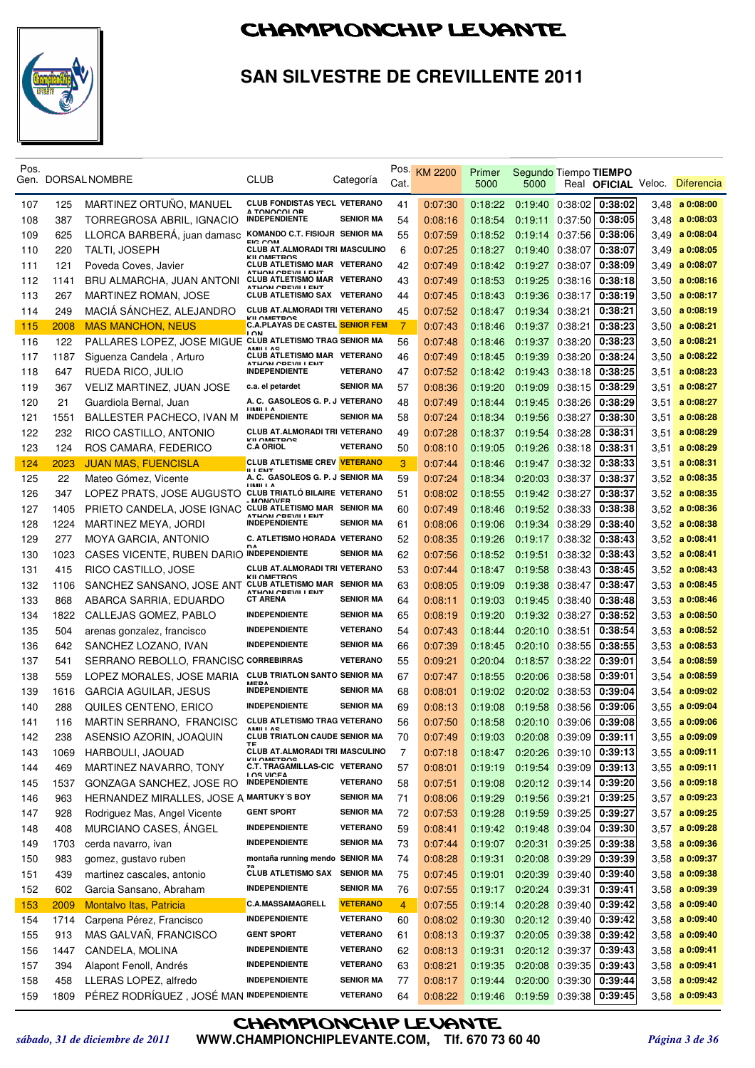

| Pos.<br>Gen. |             | <b>DORSAL NOMBRE</b>                                     | <b>CLUB</b>                                                                 | Categoría        | Cat.           | Pos. KM 2200       | Primer<br>5000     | Segundo Tiempo TIEMPO<br>5000 |                    | Real <b>OFICIAL</b> Veloc. |              | Diferencia                  |
|--------------|-------------|----------------------------------------------------------|-----------------------------------------------------------------------------|------------------|----------------|--------------------|--------------------|-------------------------------|--------------------|----------------------------|--------------|-----------------------------|
| 107          | 125         | MARTINEZ ORTUÑO, MANUEL                                  | <b>CLUB FONDISTAS YECL VETERANO</b><br>A TONOCOL OP                         |                  | 41             | 0:07:30            | 0:18:22            | 0:19:40                       | 0:38:02            | 0:38:02                    |              | $3,48$ a 0:08:00            |
| 108          | 387         | TORREGROSA ABRIL, IGNACIO                                | <b>INDEPENDIENTE</b>                                                        | <b>SENIOR MA</b> | 54             | 0:08:16            | 0:18:54            | 0:19:11                       | 0:37:50            | 0:38:05                    | 3,48         | a 0:08:03                   |
| 109          | 625         | LLORCA BARBERÁ, juan damasc                              | KOMANDO C.T. FISIOJR SENIOR MA<br><b>EIG COM</b>                            |                  | 55             | 0:07:59            | 0:18:52            | 0:19:14                       | 0:37:56            | 0:38:06                    | 3,49         | a 0:08:04                   |
| 110          | 220         | TALTI, JOSEPH                                            | CLUB AT.ALMORADI TRI MASCULINO<br><b>VII OMETROS</b>                        |                  | 6              | 0:07:25            | 0:18:27            | 0:19:40                       | 0:38:07            | 0:38:07                    | 3,49         | a 0:08:05                   |
| 111          | 121         | Poveda Coves, Javier                                     | CLUB ATLETISMO MAR VETERANO<br>ATHON COEVIL LENT                            |                  | 42             | 0:07:49            | 0:18:42            | 0:19:27                       | 0:38:07            | 0:38:09                    | 3,49         | a 0:08:07                   |
| 112          | 1141        | BRU ALMARCHA, JUAN ANTONI                                | CLUB ATLETISMO MAR VETERANO<br><b>ATHON CDEVILL ENT</b>                     |                  | 43             | 0:07:49            | 0:18:53            | 0:19:25                       | 0:38:16            | 0:38:18                    | 3,50         | a 0:08:16                   |
| 113          | 267         | MARTINEZ ROMAN, JOSE                                     | CLUB ATLETISMO SAX VETERANO                                                 |                  | 44             | 0:07:45            | 0:18:43            | 0:19:36                       | 0:38:17            | 0:38:19                    | 3,50         | a 0:08:17                   |
| 114          | 249         | MACIÁ SÁNCHEZ, ALEJANDRO                                 | CLUB AT.ALMORADI TRI VETERANO<br><b>VII OMETROS</b>                         |                  | 45             | 0:07:52            | 0:18:47            | 0:19:34                       | 0:38:21            | 0:38:21                    | 3,50         | a 0:08:19                   |
| 115          | 2008        | <b>MAS MANCHON, NEUS</b>                                 | <b>C.A.PLAYAS DE CASTEL <mark>SENIOR FEM</mark></b><br>וחה ו                |                  | 7              | 0:07:43            | 0:18:46            | 0:19:37                       | 0:38:21            | 0:38:23                    | 3,50         | a 0:08:21                   |
| 116          | 122         | PALLARES LOPEZ, JOSE MIGUE CLUB ATLETISMO TRAG SENIOR MA | AMILIAC<br>CLUB ATLETISMO MAR VETERANO                                      |                  | 56             | 0:07:48            | 0:18:46            | 0:19:37                       | 0:38:20            | 0:38:23<br>0:38:24         | 3,50         | a 0:08:21<br>a 0:08:22      |
| 117<br>118   | 1187<br>647 | Siguenza Candela, Arturo<br>RUEDA RICO, JULIO            | ATHON CREWLL ENT<br><b>INDEPENDIENTE</b>                                    | VETERANO         | 46<br>47       | 0:07:49<br>0:07:52 | 0:18:45<br>0:18:42 | 0:19:39<br>0:19:43            | 0:38:20<br>0:38:18 | 0:38:25                    | 3,50<br>3.51 | a 0:08:23                   |
| 119          | 367         | VELIZ MARTINEZ, JUAN JOSE                                | c.a. el petardet                                                            | <b>SENIOR MA</b> | 57             | 0:08:36            | 0:19:20            | 0:19:09                       | 0:38:15            | 0:38:29                    | 3.51         | a 0:08:27                   |
| 120          | 21          | Guardiola Bernal, Juan                                   | A. C. GASOLEOS G. P. J VETERANO                                             |                  | 48             | 0:07:49            | 0:18:44            | 0:19:45                       | 0:38:26            | 0:38:29                    | 3.51         | a 0:08:27                   |
| 121          | 1551        | BALLESTER PACHECO, IVAN M                                | <b>TIMILLA</b><br><b>INDEPENDIENTE</b>                                      | <b>SENIOR MA</b> | 58             | 0:07:24            | 0:18:34            | 0:19:56                       | 0:38:27            | 0:38:30                    | 3.51         | a 0:08:28                   |
| 122          | 232         | RICO CASTILLO, ANTONIO                                   | CLUB AT.ALMORADI TRI VETERANO                                               |                  | 49             | 0:07:28            | 0:18:37            | 0:19:54                       | 0:38:28            | 0:38:31                    | 3.51         | a 0:08:29                   |
| 123          | 124         | ROS CAMARA, FEDERICO                                     | <b>VII OMETROS</b><br><b>C.A ORIOL</b>                                      | <b>VETERANO</b>  | 50             | 0:08:10            | 0:19:05            | 0:19:26                       | 0:38:18            | 0:38:31                    | 3.51         | a 0:08:29                   |
| 124          | 2023        | <b>JUAN MAS, FUENCISLA</b>                               | <b>CLUB ATLETISME CREV VETERANO</b>                                         |                  | 3              | 0:07:44            | 0:18:46            | 0:19:47                       | 0:38:32            | 0:38:33                    | 3.51         | a 0:08:31                   |
| 125          | 22          | Mateo Gómez, Vicente                                     | <b>II I ENT</b><br>A. C. GASOLEOS G. P. J SENIOR MA                         |                  | 59             | 0:07:24            | 0:18:34            | 0:20:03                       | 0:38:37            | 0:38:37                    | 3,52         | a 0:08:35                   |
| 126          | 347         | LOPEZ PRATS, JOSE AUGUSTO                                | <b>TIMILLA</b><br>CLUB TRIATLÓ BILAIRE VETERANO                             |                  | 51             | 0:08:02            | 0:18:55            | 0:19:42 0:38:27               |                    | 0:38:37                    |              | $3,52$ a 0:08:35            |
| 127          | 1405        | PRIETO CANDELA, JOSE IGNAC                               | <b>MONOVED</b><br>CLUB ATLETISMO MAR SENIOR MA<br>ATHON CREVILL ENT         |                  | 60             | 0:07:49            | 0:18:46            | 0:19:52 0:38:33               |                    | 0:38:38                    |              | $3,52$ a 0:08:36            |
| 128          | 1224        | MARTINEZ MEYA, JORDI                                     | <b>INDEPENDIENTE</b>                                                        | <b>SENIOR MA</b> | 61             | 0:08:06            | 0:19:06            | 0:19:34                       | 0:38:29            | 0:38:40                    |              | $3,52$ a 0:08:38            |
| 129          | 277         | MOYA GARCIA, ANTONIO                                     | C. ATLETISMO HORADA VETERANO<br><b>DA</b>                                   |                  | 52             | 0:08:35            | 0:19:26            | 0:19:17                       | 0:38:32            | 0:38:43                    |              | $3,52$ a 0:08:41            |
| 130          | 1023        | CASES VICENTE, RUBEN DARIO INDEPENDIENTE                 |                                                                             | <b>SENIOR MA</b> | 62             | 0:07:56            | 0:18:52            | 0:19:51                       | 0:38:32            | 0:38:43                    |              | $3,52$ a 0:08:41            |
| 131          | 415         | RICO CASTILLO, JOSE                                      | CLUB AT.ALMORADI TRI VETERANO<br>KII UNLIBUS                                |                  | 53             | 0.07:44            | 0:18:47            | 0:19:58                       | 0:38:43            | 0:38:45                    |              | $3,52$ a 0:08:43            |
| 132          | 1106        | SANCHEZ SANSANO, JOSE ANT                                | CLUB ATLETISMO MAR SENIOR MA<br>ATHON CREVIL LENT                           |                  | 63             | 0:08:05            | 0:19:09            | 0:19:38                       | 0:38:47            | 0:38:47                    |              | $3,53$ a 0:08:45            |
| 133          | 868         | ABARCA SARRIA, EDUARDO                                   | <b>CT ARENA</b>                                                             | <b>SENIOR MA</b> | 64             | 0:08:11            | 0:19:03            | 0:19:45                       | 0:38:40            | 0:38:48                    | 3.53         | a 0:08:46                   |
| 134          | 1822        | CALLEJAS GOMEZ, PABLO                                    | <b>INDEPENDIENTE</b>                                                        | <b>SENIOR MA</b> | 65             | 0:08:19            | 0:19:20            | 0:19:32 0:38:27               |                    | 0:38:52                    |              | 3,53 a 0:08:50              |
| 135          | 504         | arenas gonzalez, francisco                               | <b>INDEPENDIENTE</b>                                                        | <b>VETERANO</b>  | 54             | 0:07:43            | 0:18:44            | 0:20:10                       | 0:38:51            | 0:38:54                    | 3.53         | a 0:08:52                   |
| 136          | 642         | SANCHEZ LOZANO, IVAN                                     | <b>INDEPENDIENTE</b>                                                        | <b>SENIOR MA</b> | 66             | 0:07:39            | 0:18:45            | 0:20:10                       | 0:38:55            | 0:38:55                    | 3.53         | a 0:08:53                   |
| 137          | 541         | SERRANO REBOLLO, FRANCISC CORREBIRRAS                    |                                                                             | VETERANO         | 55             | 0:09:21            | 0:20:04            | 0:18:57                       | 0:38:22            | 0:39:01                    |              | 3,54 a 0:08:59              |
| 138          | 559         | LOPEZ MORALES, JOSE MARIA                                | <b>CLUB TRIATLON SANTO SENIOR MA</b><br><b>MEDA</b><br><b>INDEPENDIENTE</b> | <b>SENIOR MA</b> | 67             | 0.07:47            | 0:18:55            | 0:20:06<br>0:20:02 0:38:53    | 0:38:58            | 0:39:01                    | 3,54         | a 0:08:59                   |
| 139          | 1616        | <b>GARCIA AGUILAR, JESUS</b>                             | <b>INDEPENDIENTE</b>                                                        | <b>SENIOR MA</b> | 68             | 0:08:01            | 0:19:02            |                               |                    | 0:39:04<br>0:39:06         |              | 3,54 a 0:09:02<br>a 0:09:04 |
| 140<br>141   | 288<br>116  | QUILES CENTENO, ERICO<br>MARTIN SERRANO, FRANCISC        | <b>CLUB ATLETISMO TRAG VETERANO</b>                                         |                  | 69<br>56       | 0:08:13<br>0:07:50 | 0:19:08<br>0:18:58 | 0:19:58<br>0:20:10 0:39:06    | 0:38:56            | 0:39:08                    | 3,55         | 3,55 a 0:09:06              |
| 142          | 238         | ASENSIO AZORIN, JOAQUIN                                  | AMII I AC<br><b>CLUB TRIATLON CAUDE SENIOR MA</b>                           |                  | 70             | 0:07:49            | 0:19:03            |                               |                    | 0:20:08 0:39:09 0:39:11    |              | 3,55 a 0:09:09              |
| 143          | 1069        | HARBOULI, JAOUAD                                         | ŦЕ<br>CLUB AT.ALMORADI TRI MASCULINO                                        |                  | 7              | 0:07:18            | 0:18:47            | 0:20:26 0:39:10               |                    | 0:39:13                    |              | 3,55 a 0:09:11              |
| 144          | 469         | MARTINEZ NAVARRO, TONY                                   | <b>VII OMETDOS</b><br>C.T. TRAGAMILLAS-CIC VETERANO                         |                  | 57             | 0:08:01            | 0:19:19            | 0:19:54 0:39:09               |                    | 0:39:13                    |              | 3,55 a 0:09:11              |
| 145          | 1537        | GONZAGA SANCHEZ, JOSE RO                                 | <b>I OC VICEA</b><br><b>INDEPENDIENTE</b>                                   | <b>VETERANO</b>  | 58             | 0:07:51            | 0:19:08            | 0:20:12 0:39:14               |                    | 0:39:20                    |              | 3,56 a 0:09:18              |
| 146          | 963         | HERNANDEZ MIRALLES, JOSE A MARTUKY'S BOY                 |                                                                             | <b>SENIOR MA</b> | 71             | 0:08:06            | 0:19:29            | 0:19:56 0:39:21               |                    | 0:39:25                    |              | 3,57 a 0:09:23              |
| 147          | 928         | Rodriguez Mas, Angel Vicente                             | <b>GENT SPORT</b>                                                           | <b>SENIOR MA</b> | 72             | 0:07:53            | 0:19:28            | 0:19:59 0:39:25               |                    | 0:39:27                    |              | 3,57 a 0:09:25              |
| 148          | 408         | MURCIANO CASES, ÁNGEL                                    | <b>INDEPENDIENTE</b>                                                        | <b>VETERANO</b>  | 59             | 0:08:41            | 0:19:42            | 0:19:48 0:39:04               |                    | 0:39:30                    |              | 3,57 a 0:09:28              |
| 149          | 1703        | cerda navarro, ivan                                      | <b>INDEPENDIENTE</b>                                                        | <b>SENIOR MA</b> | 73             | 0:07:44            | 0:19:07            | 0:20:31 0:39:25               |                    | 0:39:38                    |              | 3,58 a 0:09:36              |
| 150          | 983         | gomez, gustavo ruben                                     | montaña running mendo SENIOR MA                                             |                  | 74             | 0:08:28            | 0:19:31            | 0:20:08 0:39:29               |                    | 0:39:39                    |              | 3,58 a 0:09:37              |
| 151          | 439         | martinez cascales, antonio                               | <b>CLUB ATLETISMO SAX</b>                                                   | <b>SENIOR MA</b> | 75             | 0:07:45            | 0:19:01            | 0:20:39 0:39:40               |                    | 0:39:40                    |              | 3,58 a 0:09:38              |
| 152          | 602         | Garcia Sansano, Abraham                                  | <b>INDEPENDIENTE</b>                                                        | <b>SENIOR MA</b> | 76             | 0:07:55            | 0:19:17            | 0:20:24 0:39:31               |                    | 0:39:41                    |              | 3,58 a 0:09:39              |
| 153          | 2009        | Montalvo Itas, Patricia                                  | <b>C.A.MASSAMAGRELL</b>                                                     | <b>VETERANO</b>  | $\overline{4}$ | 0:07:55            | 0:19:14            | 0:20:28 0:39:40               |                    | 0:39:42                    |              | 3,58 a 0:09:40              |
| 154          | 1714        | Carpena Pérez, Francisco                                 | <b>INDEPENDIENTE</b>                                                        | <b>VETERANO</b>  | 60             | 0:08:02            | 0:19:30            | 0:20:12 0:39:40               |                    | 0:39:42                    |              | 3,58 a 0:09:40              |
| 155          | 913         | MAS GALVAÑ, FRANCISCO                                    | <b>GENT SPORT</b>                                                           | <b>VETERANO</b>  | 61             | 0:08:13            | 0:19:37            | 0:20:05 0:39:38               |                    | 0:39:42                    |              | 3,58 a 0:09:40              |
| 156          | 1447        | CANDELA, MOLINA                                          | <b>INDEPENDIENTE</b>                                                        | <b>VETERANO</b>  | 62             | 0:08:13            | 0:19:31            | 0:20:12 0:39:37               |                    | 0:39:43                    |              | 3,58 a 0:09:41              |
| 157          | 394         | Alapont Fenoll, Andrés                                   | <b>INDEPENDIENTE</b>                                                        | <b>VETERANO</b>  | 63             | 0:08:21            | 0:19:35            | 0:20:08 0:39:35               |                    | 0:39:43                    |              | 3,58 a 0:09:41              |
| 158          | 458         | LLERAS LOPEZ, alfredo                                    | <b>INDEPENDIENTE</b>                                                        | <b>SENIOR MA</b> | 77             | 0:08:17            | 0:19:44            | 0:20:00 0:39:30               |                    | 0:39:44                    |              | 3,58 a 0:09:42              |
| 159          | 1809        | PÉREZ RODRÍGUEZ, JOSÉ MAN INDEPENDIENTE                  |                                                                             | VETERANO         | 64             | 0:08:22            | 0:19:46            |                               |                    | 0:19:59 0:39:38 0:39:45    |              | 3,58 a 0:09:43              |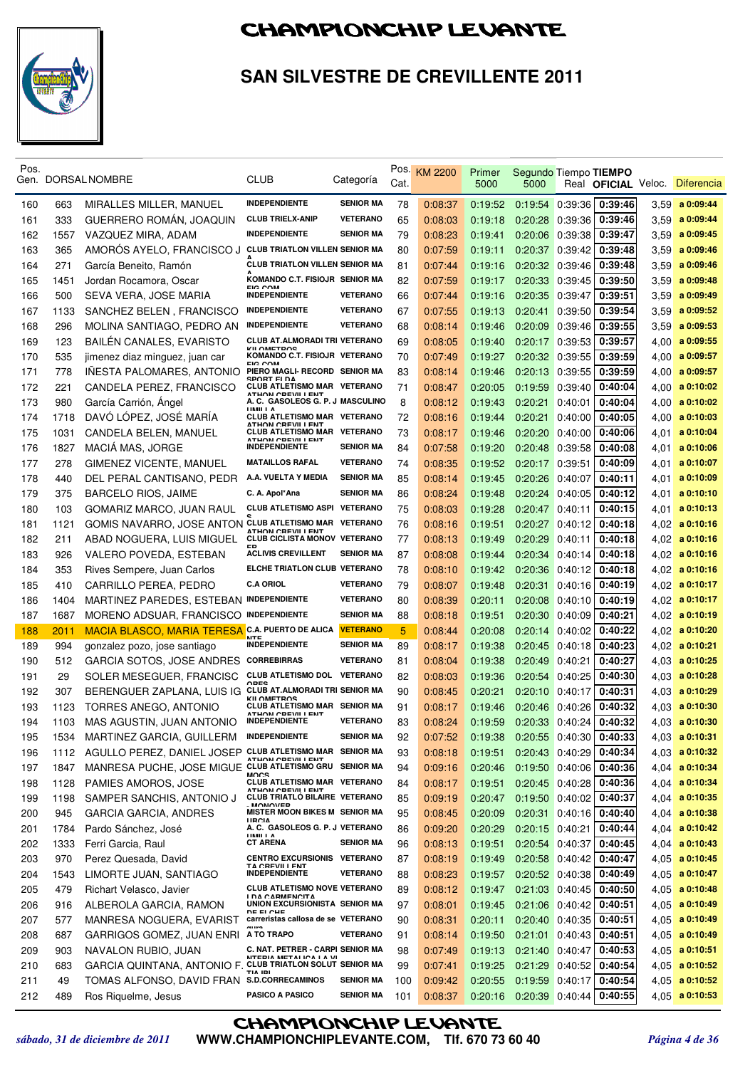

| Pos.<br>Gen. |              | <b>DORSAL NOMBRE</b>                                      | <b>CLUB</b>                                                                          | Categoría        | Cat.     | Pos. KM 2200       | Primer<br>5000     | Segundo Tiempo TIEMPO<br>5000 |                    |                    |              | Real OFICIAL Veloc. Diferencia |
|--------------|--------------|-----------------------------------------------------------|--------------------------------------------------------------------------------------|------------------|----------|--------------------|--------------------|-------------------------------|--------------------|--------------------|--------------|--------------------------------|
| 160          | 663          | MIRALLES MILLER, MANUEL                                   | <b>INDEPENDIENTE</b>                                                                 | <b>SENIOR MA</b> | 78       | 0:08:37            | 0:19:52            | 0:19:54                       | 0:39:36            | 0:39:46            |              | 3,59 a 0:09:44                 |
| 161          | 333          | GUERRERO ROMÁN, JOAQUIN                                   | <b>CLUB TRIELX-ANIP</b>                                                              | <b>VETERANO</b>  | 65       | 0:08:03            | 0:19:18            | 0:20:28                       | 0:39:36            | 0:39:46            | 3.59         | a 0:09:44                      |
| 162          | 1557         | VAZQUEZ MIRA, ADAM                                        | <b>INDEPENDIENTE</b>                                                                 | <b>SENIOR MA</b> | 79       | 0:08:23            | 0:19:41            | 0:20:06 0:39:38               |                    | 0:39:47            | 3,59         | a 0:09:45                      |
| 163          | 365          | AMORÓS AYELO, FRANCISCO J                                 | <b>CLUB TRIATLON VILLEN SENIOR MA</b>                                                |                  | 80       | 0:07:59            | 0:19:11            | 0:20:37                       | 0:39:42            | 0:39:48            | 3,59         | a 0:09:46                      |
| 164          | 271          | García Beneito, Ramón                                     | <b>CLUB TRIATLON VILLEN SENIOR MA</b>                                                |                  | 81       | 0:07:44            | 0:19:16            | 0:20:32 0:39:46               |                    | 0:39:48            | 3,59         | a 0:09:46                      |
| 165          | 1451         | Jordan Rocamora, Oscar                                    | KOMANDO C.T. FISIOJR SENIOR MA<br><b>EIG COM</b>                                     |                  | 82       | 0:07:59            | 0:19:17            | 0:20:33 0:39:45               |                    | 0:39:50            | 3,59         | a 0:09:48                      |
| 166          | 500          | SEVA VERA, JOSE MARIA                                     | <b>INDEPENDIENTE</b>                                                                 | VETERANO         | 66       | 0:07:44            | 0:19:16            | 0:20:35 0:39:47               |                    | 0:39:51            | 3,59         | a 0:09:49                      |
| 167          | 1133         | SANCHEZ BELEN, FRANCISCO                                  | <b>INDEPENDIENTE</b>                                                                 | <b>VETERANO</b>  | 67       | 0:07:55            | 0:19:13            | 0:20:41                       | 0:39:50            | 0:39:54            | 3,59         | a 0:09:52                      |
| 168          | 296          | MOLINA SANTIAGO, PEDRO AN                                 | <b>INDEPENDIENTE</b>                                                                 | <b>VETERANO</b>  | 68       | 0:08:14            | 0:19:46            | 0:20:09                       | 0:39:46            | 0:39:55            | 3,59         | a 0:09:53                      |
| 169          | 123          | BAILÉN CANALES, EVARISTO                                  | CLUB AT.ALMORADI TRI VETERANO<br><b>VII OMETDOS</b>                                  |                  | 69       | 0:08:05            | 0:19:40            | 0:20:17                       | 0:39:53            | 0:39:57            | 4,00         | a 0:09:55                      |
| 170          | 535          | jimenez diaz minguez, juan car                            | KOMANDO C.T. FISIOJR VETERANO<br><b>EIG COM</b>                                      |                  | 70       | 0:07:49            | 0:19:27            | 0:20:32 0:39:55               |                    | 0:39:59            | 4,00         | a 0:09:57                      |
| 171          | 778          | INESTA PALOMARES, ANTONIO                                 | PIERO MAGLI- RECORD SENIOR MA<br>CDODT EI DA                                         |                  | 83       | 0:08:14            | 0:19:46            | 0:20:13                       | 0:39:55            | 0:39:59            | 4,00         | a 0:09:57                      |
| 172          | 221          | CANDELA PEREZ, FRANCISCO                                  | CLUB ATLETISMO MAR VETERANO<br>ATHON CREVILL ENT<br>A. C. GASOLEOS G. P. J MASCULINO |                  | 71       | 0:08:47            | 0:20:05            | 0:19:59                       | 0:39:40            | 0:40:04            | 4,00         | a 0:10:02                      |
| 173          | 980          | García Carrión, Angel<br>DAVÓ LÓPEZ, JOSÉ MARÍA           | <b>TIMILLA</b><br>CLUB ATLETISMO MAR VETERANO                                        |                  | 8        | 0:08:12            | 0:19:43            | 0:20:21                       | 0:40:01            | 0:40:04            | 4,00         | a 0:10:02<br>a 0:10:03         |
| 174<br>175   | 1718         |                                                           | ATHON CREWLL ENT<br><b>CLUB ATLETISMO MAR</b>                                        | <b>VETERANO</b>  | 72<br>73 | 0:08:16            | 0:19:44            | 0:20:21                       | 0:40:00            | 0:40:05<br>0:40:06 | 4,00         | a 0:10:04                      |
| 176          | 1031<br>1827 | CANDELA BELEN, MANUEL<br>MACIÁ MAS, JORGE                 | ATHON CREVILL ENT<br><b>INDEPENDIENTE</b>                                            | <b>SENIOR MA</b> | 84       | 0:08:17<br>0:07:58 | 0:19:46<br>0:19:20 | 0:20:20<br>0:20:48            | 0:40:00<br>0:39:58 | 0:40:08            | 4,01<br>4.01 | a 0:10:06                      |
| 177          | 278          | <b>GIMENEZ VICENTE, MANUEL</b>                            | <b>MATAILLOS RAFAL</b>                                                               | VETERANO         | 74       | 0:08:35            | 0:19:52            | 0:20:17                       | 0:39:51            | 0:40:09            | 4,01         | a 0:10:07                      |
| 178          | 440          | DEL PERAL CANTISANO, PEDR                                 | A.A. VUELTA Y MEDIA                                                                  | <b>SENIOR MA</b> | 85       | 0:08:14            | 0:19:45            | 0:20:26                       | 0:40:07            | 0:40:11            | 4,01         | a 0:10:09                      |
| 179          | 375          | <b>BARCELO RIOS, JAIME</b>                                | C. A. Apol*Ana                                                                       | <b>SENIOR MA</b> | 86       | 0:08:24            | 0:19:48            | 0:20:24                       | 0:40:05            | 0:40:12            | 4,01         | a 0:10:10                      |
| 180          | 103          | GOMARIZ MARCO, JUAN RAUL                                  | CLUB ATLETISMO ASPI VETERANO                                                         |                  | 75       | 0:08:03            | 0:19:28            | 0:20:47                       | 0:40:11            | 0:40:15            | 4,01         | a 0:10:13                      |
| 181          | 1121         | GOMIS NAVARRO, JOSE ANTON CLUB ATLETISMO MAR VETERANO     | c                                                                                    |                  | 76       | 0:08:16            | 0:19:51            | 0:20:27                       | 0:40:12            | 0:40:18            |              | 4,02 a 0:10:16                 |
| 182          | 211          | ABAD NOGUERA, LUIS MIGUEL                                 | ATHON CREVILL ENT<br><b>CLUB CICLISTA MONOV VETERANO</b>                             |                  | 77       | 0:08:13            | 0:19:49            | 0:20:29                       | 0:40:11            | 0:40:18            |              | 4,02 a 0:10:16                 |
| 183          | 926          | VALERO POVEDA, ESTEBAN                                    | ED<br><b>ACLIVIS CREVILLENT</b>                                                      | <b>SENIOR MA</b> | 87       | 0:08:08            | 0:19:44            | 0:20:34                       | 0:40:14            | 0:40:18            |              | 4,02 a 0:10:16                 |
| 184          | 353          | Rives Sempere, Juan Carlos                                | ELCHE TRIATLON CLUB VETERANO                                                         |                  | 78       | 0:08:10            | 0:19:42            | 0:20:36                       | 0:40:12            | 0:40:18            |              | 4,02 a 0:10:16                 |
| 185          | 410          | CARRILLO PEREA, PEDRO                                     | <b>C.A ORIOL</b>                                                                     | VETERANO         | 79       | 0:08:07            | 0:19:48            | 0:20:31                       | 0:40:16            | 0:40:19            |              | $4,02$ a 0:10:17               |
| 186          | 1404         | MARTINEZ PAREDES, ESTEBAN                                 | <b>INDEPENDIENTE</b>                                                                 | <b>VETERANO</b>  | 80       | 0:08:39            | 0:20:11            | 0:20:08                       | 0:40:10            | 0:40:19            |              | $4,02$ a 0:10:17               |
| 187          | 1687         | MORENO ADSUAR, FRANCISCO                                  | <b>INDEPENDIENTE</b>                                                                 | <b>SENIOR MA</b> | 88       | 0:08:18            | 0:19:51            | 0:20:30                       | 0:40:09            | 0:40:21            |              | 4,02 a 0:10:19                 |
| 188          | 2011         | <b>MACIA BLASCO, MARIA TERESA</b>                         | <b>C.A. PUERTO DE ALICA</b>                                                          | <b>VETERANO</b>  | 5        | 0:08:44            | 0:20:08            | 0:20:14                       | 0:40:02            | 0:40:22            |              | 4,02 a 0:10:20                 |
| 189          | 994          | gonzalez pozo, jose santiago                              | <b>NTE</b><br><b>INDEPENDIENTE</b>                                                   | <b>SENIOR MA</b> | 89       | 0:08:17            | 0:19:38            | 0:20:45                       | 0:40:18            | 0:40:23            |              | 4,02 a 0:10:21                 |
| 190          | 512          | GARCIA SOTOS, JOSE ANDRES                                 | <b>CORREBIRRAS</b>                                                                   | VETERANO         | 81       | 0:08:04            | 0:19:38            | 0:20:49                       | 0:40:21            | 0:40:27            |              | 4,03 a 0:10:25                 |
| 191          | 29           | SOLER MESEGUER, FRANCISC                                  | CLUB ATLETISMO DOL VETERANO                                                          |                  | 82       | 0:08:03            | 0:19:36            | 0:20:54                       | 0:40:25            | 0:40:30            | 4,03         | a 0:10:28                      |
| 192          | 307          | BERENGUER ZAPLANA, LUIS IG                                | ODES<br>CLUB AT.ALMORADI TRI SENIOR MA                                               |                  | 90       | 0:08:45            | 0:20:21            | 0:20:10                       | 0:40:17            | 0:40:31            | 4,03         | a 0:10:29                      |
| 193          | 1123         | <b>TORRES ANEGO, ANTONIO</b>                              | <b>VII OMETDOS</b><br>CLUB ATLETISMO MAR SENIOR MA                                   |                  | 91       | 0:08:17            | 0:19:46            | 0:20:46                       | 0:40:26            | 0:40:32            | 4,03         | a 0:10:30                      |
| 194          | 1103         | MAS AGUSTIN, JUAN ANTONIO                                 | ATHON CREVILL ENT<br><b>INDEPENDIENTE</b>                                            | <b>VETERANO</b>  | 83       | 0:08:24            | 0:19:59            | 0:20:33                       | 0:40:24            | 0:40:32            |              | 4,03 a 0:10:30                 |
| 195          | 1534         | MARTINEZ GARCIA, GUILLERM                                 | <b>INDEPENDIENTE</b>                                                                 | <b>SENIOR MA</b> | 92       | 0:07:52            | 0:19:38            | $0:20:55$ 0:40:30             |                    | 0:40:33            |              | 4,03 a 0:10:31                 |
| 196          | 1112         | AGULLO PEREZ, DANIEL JOSEP CLUB ATLETISMO MAR SENIOR MA   | ATHON CREVIL LENT                                                                    |                  | 93       | 0:08:18            | 0:19:51            | 0:20:43 0:40:29               |                    | 0:40:34            |              | 4,03 a 0:10:32                 |
| 197          | 1847         | MANRESA PUCHE, JOSE MIGUE CLUB ATLETISMO GRU              | $M^{\alpha}$                                                                         | <b>SENIOR MA</b> | 94       | 0:09:16            | 0:20:46            | 0:19:50 0:40:06               |                    | 0:40:36            |              | 4,04 a 0:10:34                 |
| 198          | 1128         | PAMIES AMOROS, JOSE                                       | CLUB ATLETISMO MAR VETERANO<br>ATHON CREVILL ENT                                     |                  | 84       | 0:08:17            | 0:19:51            | 0:20:45 0:40:28               |                    | 0:40:36            |              | 4,04 a 0:10:34                 |
| 199          | 1198         | SAMPER SANCHIS, ANTONIO J                                 | <b>CLUB TRIATLO BILAIRE VETERANO</b><br><b>MONOVED</b>                               |                  | 85       | 0:09:19            | 0:20:47            | 0:19:50 0:40:02               |                    | 0:40:37            |              | 4,04 a 0:10:35                 |
| 200          | 945          | GARCIA GARCIA, ANDRES                                     | <b>MISTER MOON BIKES M SENIOR MA</b><br><b>HDCIA</b>                                 |                  | 95       | 0:08:45            | 0:20:09            | 0:20:31 0:40:16               |                    | 0:40:40            |              | 4,04 a 0:10:38                 |
| 201          | 1784         | Pardo Sánchez, José                                       | A. C. GASOLEOS G. P. J VETERANO<br><b>TIMILLA</b>                                    |                  | 86       | 0:09:20            | 0:20:29            | 0:20:15 0:40:21               |                    | 0:40:44            |              | 4,04 a 0:10:42                 |
| 202          | 1333         | Ferri Garcia, Raul                                        | <b>CT ARENA</b>                                                                      | <b>SENIOR MA</b> | 96       | 0:08:13            | 0:19:51            | 0:20:54 0:40:37               |                    | 0:40:45            |              | 4,04 a 0:10:43                 |
| 203          | 970          | Perez Quesada, David                                      | CENTRO EXCURSIONIS VETERANO<br>TA COEVILL ENT                                        |                  | 87       | 0:08:19            | 0:19:49            | 0:20:58 0:40:42               |                    | 0:40:47            |              | 4,05 a 0:10:45                 |
| 204          | 1543         | LIMORTE JUAN, SANTIAGO                                    | <b>INDEPENDIENTE</b>                                                                 | <b>VETERANO</b>  | 88       | 0:08:23            | 0:19:57            | 0:20:52 0:40:38               |                    | 0:40:49            |              | 4,05 a 0:10:47                 |
| 205          | 479          | Richart Velasco, Javier                                   | <b>CLUB ATLETISMO NOVE VETERANO</b><br><b>I DA CADMENCITA</b>                        |                  | 89       | 0:08:12            | 0:19:47            | 0:21:03 0:40:45               |                    | 0:40:50            |              | 4,05 a 0:10:48                 |
| 206          | 916          | ALBEROLA GARCIA, RAMON                                    | UNION EXCURSIONISTA SENIOR MA<br>DE EL CHE                                           |                  | 97       | 0:08:01            | 0:19:45            | 0:21:06 0:40:42               |                    | 0:40:51            |              | 4,05 a 0:10:49                 |
| 207          | 577          | MANRESA NOGUERA, EVARIST                                  | carreristas callosa de se VETERANO<br>aura                                           |                  | 90       | 0:08:31            | 0:20:11            | 0:20:40 0:40:35               |                    | 0:40:51            |              | 4,05 a 0:10:49                 |
| 208          | 687          | GARRIGOS GOMEZ, JUAN ENRI                                 | A TO TRAPO                                                                           | <b>VETERANO</b>  | 91       | 0:08:14            | 0:19:50            | $0:21:01$ 0:40:43             |                    | 0:40:51            |              | 4,05 a 0:10:49                 |
| 209          | 903          | NAVALON RUBIO, JUAN                                       | C. NAT. PETRER - CARPI SENIOR MA<br>NTEDIA METALICA LA VI                            |                  | 98       | 0:07:49            | 0:19:13            | 0:21:40 0:40:47               |                    | 0:40:53            |              | 4,05 a 0:10:51                 |
| 210          | 683          | GARCIA QUINTANA, ANTONIO F. CLUB TRIATLON SOLUT SENIOR MA | <b>TIA IDI</b>                                                                       |                  | 99       | 0:07:41            | 0:19:25            | 0:21:29                       | 0:40:52            | 0:40:54            |              | 4,05 a 0:10:52                 |
| 211          | 49           | TOMAS ALFONSO, DAVID FRAN S.D.CORRECAMINOS                |                                                                                      | <b>SENIOR MA</b> | 100      | 0:09:42            | 0:20:55            | 0:19:59                       | 0:40:17            | 0:40:54            |              | 4,05 a 0:10:52                 |
| 212          | 489          | Ros Riquelme, Jesus                                       | <b>PASICO A PASICO</b>                                                               | <b>SENIOR MA</b> | 101      | 0:08:37            | 0:20:16            | $0:20:39$ 0:40:44             |                    | 0:40:55            |              | 4,05 a 0:10:53                 |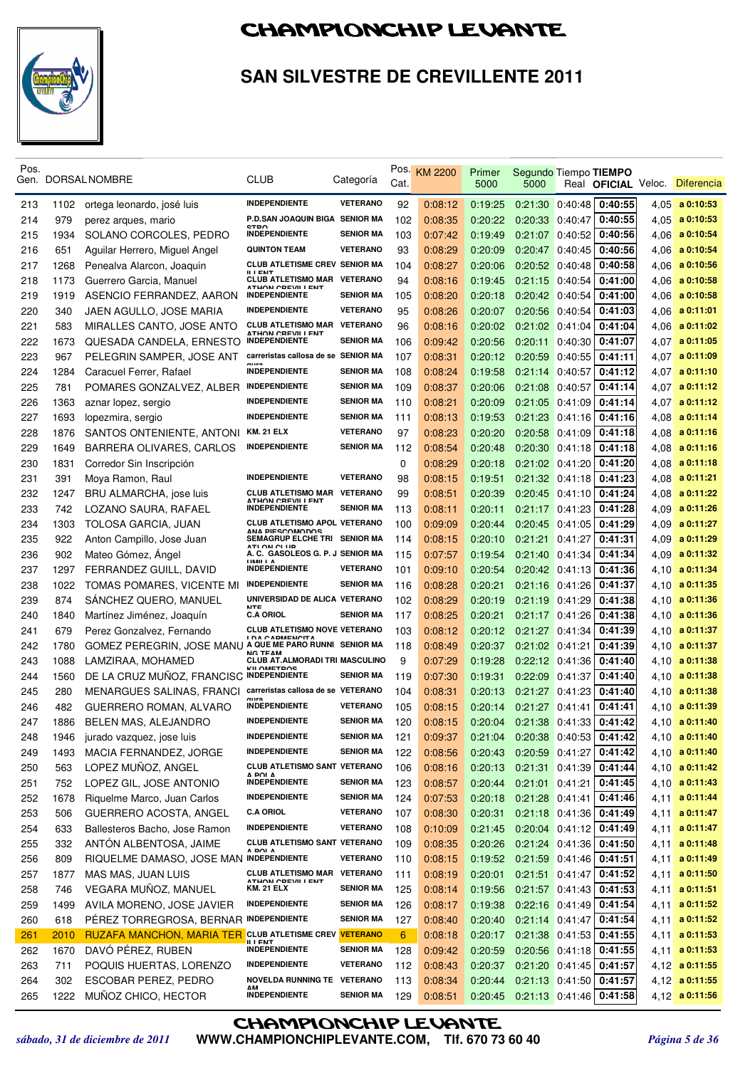

| Pos.<br>Gen. |      | <b>DORSALNOMBRE</b>                                     | <b>CLUB</b>                                                         | Categoría                            | Cat.           | Pos. KM 2200 | Primer<br>5000 | Segundo Tiempo TIEMPO<br>5000 |         | Real <b>OFICIAL</b> Veloc. |      | Diferencia             |
|--------------|------|---------------------------------------------------------|---------------------------------------------------------------------|--------------------------------------|----------------|--------------|----------------|-------------------------------|---------|----------------------------|------|------------------------|
| 213          | 1102 | ortega leonardo, josé luis                              | <b>INDEPENDIENTE</b>                                                | <b>VETERANO</b>                      | 92             | 0:08:12      | 0:19:25        | 0:21:30                       | 0:40:48 | 0:40:55                    |      | $4,05$ a 0:10:53       |
| 214          | 979  | perez arques, mario                                     | P.D.SAN JOAQUIN BIGA SENIOR MA<br><b>STDO</b>                       |                                      | 102            | 0:08:35      | 0:20:22        | 0:20:33                       | 0:40:47 | 0:40:55                    | 4,05 | a 0:10:53              |
| 215          | 1934 | SOLANO CORCOLES, PEDRO                                  | <b>INDEPENDIENTE</b>                                                | <b>SENIOR MA</b>                     | 103            | 0:07:42      | 0:19:49        | 0:21:07                       | 0:40:52 | 0:40:56                    | 4,06 | a 0:10:54              |
| 216          | 651  | Aguilar Herrero, Miguel Angel                           | <b>QUINTON TEAM</b>                                                 | <b>VETERANO</b>                      | 93             | 0:08:29      | 0:20:09        | 0:20:47                       | 0:40:45 | 0:40:56                    | 4,06 | a 0:10:54              |
| 217          | 1268 | Penealva Alarcon, Joaquin                               | <b>CLUB ATLETISME CREV SENIOR MA</b><br><b>ILLENT</b>               |                                      | 104            | 0:08:27      | 0:20:06        | 0:20:52                       | 0:40:48 | 0:40:58                    | 4,06 | a 0:10:56              |
| 218          | 1173 | Guerrero Garcia, Manuel                                 | <b>CLUB ATLETISMO MAR</b><br>ATHON CREWLL ENT                       | <b>VETERANO</b>                      | 94             | 0:08:16      | 0:19:45        | 0:21:15                       | 0:40:54 | 0:41:00                    | 4,06 | a 0:10:58              |
| 219          | 1919 | ASENCIO FERRANDEZ, AARON                                | <b>INDEPENDIENTE</b>                                                | <b>SENIOR MA</b>                     | 105            | 0:08:20      | 0:20:18        | 0:20:42                       | 0:40:54 | 0:41:00                    | 4,06 | a 0:10:58              |
| 220          | 340  | JAEN AGULLO, JOSE MARIA                                 | <b>INDEPENDIENTE</b>                                                | VETERANO                             | 95             | 0:08:26      | 0:20:07        | 0:20:56                       | 0:40:54 | 0:41:03                    | 4,06 | a 0:11:01              |
| 221          | 583  | MIRALLES CANTO, JOSE ANTO                               | <b>CLUB ATLETISMO MAR</b><br>ATHON CREVILL ENT                      | <b>VETERANO</b>                      | 96             | 0:08:16      | 0:20:02        | 0:21:02                       | 0:41:04 | 0:41:04                    | 4,06 | a 0:11:02              |
| 222          | 1673 | QUESADA CANDELA, ERNESTO                                | <b>INDEPENDIENTE</b>                                                | <b>SENIOR MA</b>                     | 106            | 0:09:42      | 0:20:56        | 0:20:11                       | 0:40:30 | 0:41:07                    | 4,07 | a 0:11:05              |
| 223          | 967  | PELEGRIN SAMPER, JOSE ANT                               | carreristas callosa de se SENIOR MA                                 |                                      | 107            | 0:08:31      | 0:20:12        | 0:20:59                       | 0:40:55 | 0:41:11                    | 4,07 | a 0:11:09              |
| 224          | 1284 | Caracuel Ferrer, Rafael                                 | <b>INDEPENDIENTE</b>                                                | <b>SENIOR MA</b>                     | 108            | 0:08:24      | 0:19:58        | 0:21:14                       | 0:40:57 | 0:41:12                    | 4,07 | a 0:11:10              |
| 225          | 781  | POMARES GONZALVEZ, ALBER                                | <b>INDEPENDIENTE</b>                                                | <b>SENIOR MA</b>                     | 109            | 0:08:37      | 0:20:06        | 0:21:08                       | 0:40:57 | 0:41:14                    | 4,07 | a 0:11:12              |
| 226          | 1363 | aznar lopez, sergio                                     | <b>INDEPENDIENTE</b>                                                | <b>SENIOR MA</b>                     | 110            | 0:08:21      | 0:20:09        | 0:21:05                       | 0:41:09 | 0:41:14                    | 4,07 | a 0:11:12              |
| 227          | 1693 | lopezmira, sergio                                       | <b>INDEPENDIENTE</b>                                                | <b>SENIOR MA</b>                     | 111            | 0:08:13      | 0:19:53        | 0:21:23                       | 0:41:16 | 0:41:16                    | 4,08 | a 0:11:14              |
| 228          | 1876 | SANTOS ONTENIENTE, ANTONI                               | <b>KM. 21 ELX</b>                                                   | <b>VETERANO</b>                      | 97             | 0:08:23      | 0:20:20        | 0:20:58                       | 0:41:09 | 0:41:18                    | 4,08 | a 0:11:16              |
| 229          | 1649 | BARRERA OLIVARES, CARLOS                                | <b>INDEPENDIENTE</b>                                                | <b>SENIOR MA</b>                     | 112            | 0:08:54      | 0:20:48        | 0:20:30                       | 0:41:18 | 0:41:18                    | 4,08 | a 0:11:16              |
| 230          | 1831 | Corredor Sin Inscripción                                |                                                                     |                                      | 0              | 0:08:29      | 0:20:18        | 0:21:02                       | 0:41:20 | 0:41:20                    | 4,08 | a 0:11:18              |
| 231          | 391  | Moya Ramon, Raul                                        | <b>INDEPENDIENTE</b>                                                | <b>VETERANO</b>                      | 98             | 0:08:15      | 0:19:51        | $0:21:32$ $0:41:18$           |         | 0:41:23                    | 4,08 | a 0:11:21              |
| 232          | 1247 | BRU ALMARCHA, jose luis                                 | <b>CLUB ATLETISMO MAR</b><br>ATHON CREVIL LENT                      | <b>VETERANO</b>                      | 99             | 0:08:51      | 0:20:39        | 0:20:45                       | 0:41:10 | 0:41:24                    | 4,08 | a 0:11:22              |
| 233          | 742  | LOZANO SAURA, RAFAEL                                    | <b>INDEPENDIENTE</b>                                                | <b>SENIOR MA</b>                     | 113            | 0:08:11      | 0:20:11        | 0:21:17 0:41:23               |         | 0:41:28                    | 4,09 | a 0:11:26              |
| 234          | 1303 | TOLOSA GARCIA, JUAN                                     | <b>CLUB ATLETISMO APOL VETERANO</b><br>ANA DIFSCOMODOS              |                                      | 100            | 0:09:09      | 0:20:44        | 0:20:45                       | 0:41:05 | 0:41:29                    | 4,09 | a 0:11:27              |
| 235          | 922  | Anton Campillo, Jose Juan                               | SEMAGRUP ELCHE TRI SENIOR MA<br>ATI ON OI HR                        |                                      | 114            | 0:08:15      | 0:20:10        | 0:21:21                       | 0:41:27 | 0:41:31                    | 4,09 | a 0:11:29              |
| 236          | 902  | Mateo Gómez, Angel                                      | A. C. GASOLEOS G. P. J SENIOR MA<br><b>TIMILLA</b>                  |                                      | 115            | 0:07:57      | 0:19:54        | 0:21:40                       | 0:41:34 | 0:41:34                    | 4,09 | a 0:11:32              |
| 237          | 1297 | FERRANDEZ GUILL, DAVID                                  | <b>INDEPENDIENTE</b>                                                | <b>VETERANO</b>                      | 101            | 0:09:10      | 0:20:54        | 0:20:42                       | 0.41:13 | 0:41:36                    | 4,10 | a 0:11:34              |
| 238          | 1022 | TOMAS POMARES, VICENTE MI                               | <b>INDEPENDIENTE</b>                                                | <b>SENIOR MA</b>                     | 116            | 0:08:28      | 0:20:21        | 0:21:16                       | 0:41:26 | 0:41:37                    | 4,10 | a 0:11:35              |
| 239          | 874  | SANCHEZ QUERO, MANUEL                                   | UNIVERSIDAD DE ALICA VETERANO<br><b>NTF</b>                         |                                      | 102            | 0:08:29      | 0:20:19        | 0:21:19                       | 0:41:29 | 0:41:38                    | 4,10 | a 0:11:36              |
| 240          | 1840 | Martínez Jiménez, Joaquín                               | <b>C.A ORIOL</b>                                                    | <b>SENIOR MA</b>                     | 117            | 0:08:25      | 0:20:21        | 0:21:17 0:41:26               |         | 0:41:38                    | 4,10 | a 0:11:36              |
| 241          | 679  | Perez Gonzalvez, Fernando                               | <b>CLUB ATLETISMO NOVE VETERANO</b><br><b>I DA CADMENCITA</b>       |                                      | 103            | 0:08:12      | 0:20:12        | 0:21:27                       | 0:41:34 | 0:41:39                    | 4,10 | a 0:11:37              |
| 242          | 1780 | GOMEZ PEREGRIN, JOSE MANU A QUE ME PARO RUNNI SENIOR MA | MC TEAM                                                             |                                      | 118            | 0:08:49      | 0:20:37        | 0:21:02                       | 0:41:21 | 0:41:39                    | 4,10 | a 0:11:37              |
| 243          | 1088 | LAMZIRAA, MOHAMED                                       | CLUB AT.ALMORADI TRI MASCULINO<br><b>VII OMETROS</b>                |                                      | 9              | 0:07:29      | 0:19:28        | 0:22:12 0:41:36               |         | 0:41:40                    | 4,10 | a 0:11:38              |
| 244          | 1560 | DE LA CRUZ MUÑOZ, FRANCISC INDEPENDIENTE                |                                                                     | <b>SENIOR MA</b>                     | 119            | 0:07:30      | 0:19:31        | 0:22:09                       | 0:41:37 | 0:41:40                    | 4.10 | a 0:11:38              |
| 245          | 280  | MENARGUES SALINAS, FRANCI                               | carreristas callosa de se VETERANO<br>aura                          |                                      | 104            | 0:08:31      | 0:20:13        | 0:21:27                       | 0:41:23 | 0:41:40                    | 4.10 | a 0:11:38              |
| 246          | 482  | <b>GUERRERO ROMAN, ALVARO</b>                           | <b>INDEPENDIENTE</b>                                                | VETERANO                             | 105            | 0:08:15      | 0:20:14        | 0:21:27                       | 0:41:41 | 0:41:41                    | 4.10 | a 0:11:39              |
| 247          | 1886 | BELEN MAS, ALEJANDRO                                    | <b>INDEPENDIENTE</b>                                                | <b>SENIOR MA</b>                     | 120            | 0:08:15      | 0:20:04        | 0:21:38                       | 0:41:33 | 0:41:42                    |      | 4.10 a 0:11:40         |
| 248          | 1946 | jurado vazquez, jose luis                               | <b>INDEPENDIENTE</b>                                                | <b>SENIOR MA</b>                     | 121            | 0:09:37      | 0:21:04        | $0:20:38$ 0:40:53             |         | 0:41:42                    |      | 4,10 a 0:11:40         |
| 249          | 1493 | MACIA FERNANDEZ, JORGE                                  | <b>INDEPENDIENTE</b>                                                | <b>SENIOR MA</b>                     | 122            | 0:08:56      | 0:20:43        | 0:20:59 0:41:27               |         | 0:41:42                    |      | 4,10 a 0:11:40         |
| 250          | 563  | LOPEZ MUÑOZ, ANGEL                                      | <b>CLUB ATLETISMO SANT VETERANO</b><br>$A$ DOI A                    |                                      | 106            | 0:08:16      | 0:20:13        | 0:21:31 0:41:39               |         | 0:41:44                    |      | 4,10 a 0:11:42         |
| 251          | 752  | LOPEZ GIL, JOSE ANTONIO                                 | <b>INDEPENDIENTE</b>                                                | <b>SENIOR MA</b>                     | 123            | 0:08:57      | 0:20:44        | 0:21:01 0:41:21               |         | 0:41:45                    |      | 4,10 a 0:11:43         |
| 252          | 1678 | Riquelme Marco, Juan Carlos                             | <b>INDEPENDIENTE</b>                                                | <b>SENIOR MA</b>                     | 124            | 0:07:53      | 0:20:18        | 0:21:28 0:41:41               |         | 0:41:46                    | 4,11 | a 0:11:44              |
| 253          | 506  | <b>GUERRERO ACOSTA, ANGEL</b>                           | <b>C.A ORIOL</b>                                                    | <b>VETERANO</b><br><b>VETERANO</b>   | 107            | 0:08:30      | 0:20:31        | 0:21:18 0:41:36               |         | 0:41:49                    | 4,11 | a 0:11:47              |
| 254          | 633  | Ballesteros Bacho, Jose Ramon                           | <b>INDEPENDIENTE</b><br><b>CLUB ATLETISMO SANT VETERANO</b>         |                                      | 108            | 0:10:09      | 0:21:45        | 0:20:04 0:41:12               |         | 0:41:49                    | 4,11 | a 0:11:47              |
| 255          | 332  | ANTÓN ALBENTOSA, JAIME                                  | $A$ DOI A                                                           |                                      | 109            | 0:08:35      | 0:20:26        | 0:21:24 0:41:36               |         | 0:41:50                    | 4,11 | a 0:11:48              |
| 256          | 809  | RIQUELME DAMASO, JOSE MAN                               | <b>INDEPENDIENTE</b>                                                | <b>VETERANO</b>                      | 110            | 0:08:15      | 0:19:52        | 0:21:59 0:41:46               |         | 0:41:51                    | 4,11 | a 0:11:49              |
| 257          | 1877 | MAS MAS, JUAN LUIS                                      | <b>CLUB ATLETISMO MAR</b><br>ATHON ODEVILL ENT<br><b>KM. 21 ELX</b> | <b>VETERANO</b>                      | 111            | 0:08:19      | 0:20:01        | 0:21:51 0:41:47               |         | 0:41:52                    | 4,11 | a 0:11:50              |
| 258          | 746  | VEGARA MUÑOZ, MANUEL                                    | <b>INDEPENDIENTE</b>                                                | <b>SENIOR MA</b><br><b>SENIOR MA</b> | 125            | 0:08:14      | 0:19:56        | 0:21:57 0:41:43               |         | 0:41:53                    | 4,11 | a 0:11:51              |
| 259          | 1499 | AVILA MORENO, JOSE JAVIER                               |                                                                     | <b>SENIOR MA</b>                     | 126            | 0:08:17      | 0:19:38        | 0:22:16 0:41:49               |         | 0:41:54                    | 4,11 | a 0:11:52<br>a 0:11:52 |
| 260          | 618  | PÉREZ TORREGROSA, BERNAR INDEPENDIENTE                  | <b>CLUB ATLETISME CREV VETERANO</b>                                 |                                      | 127            | 0:08:40      | 0:20:40        | 0:21:14 0:41:47               |         | 0:41:54                    | 4,11 | a 0:11:53              |
| 261          | 2010 | RUZAFA MANCHON, MARIA TER                               | <b>ILLENT</b><br><b>INDEPENDIENTE</b>                               | <b>SENIOR MA</b>                     | $6\phantom{1}$ | 0:08:18      | 0:20:17        | 0:21:38 0:41:53               |         | 0:41:55                    | 4,11 | a 0:11:53              |
| 262          | 1670 | DAVÓ PÉREZ, RUBEN                                       | <b>INDEPENDIENTE</b>                                                | <b>VETERANO</b>                      | 128            | 0:09:42      | 0:20:59        | 0:20:56 0:41:18               |         | 0:41:55<br>0:41:57         | 4,11 | 4,12 a 0:11:55         |
| 263          | 711  | POQUIS HUERTAS, LORENZO                                 | <b>NOVELDA RUNNING TE</b>                                           | <b>VETERANO</b>                      | 112            | 0:08:43      | 0:20:37        | 0:21:20 0:41:45               |         | 0:41:57                    |      | 4,12 a 0:11:55         |
| 264          | 302  | ESCOBAR PEREZ, PEDRO                                    | <b>INDEPENDIENTE</b>                                                | <b>SENIOR MA</b>                     | 113            | 0:08:34      | 0:20:44        | 0:21:13 0:41:50               |         | 0:41:58                    |      | 4,12 a 0:11:56         |
| 265          | 1222 | MUÑOZ CHICO, HECTOR                                     |                                                                     |                                      | 129            | 0:08:51      | 0:20:45        | 0:21:13 0:41:46               |         |                            |      |                        |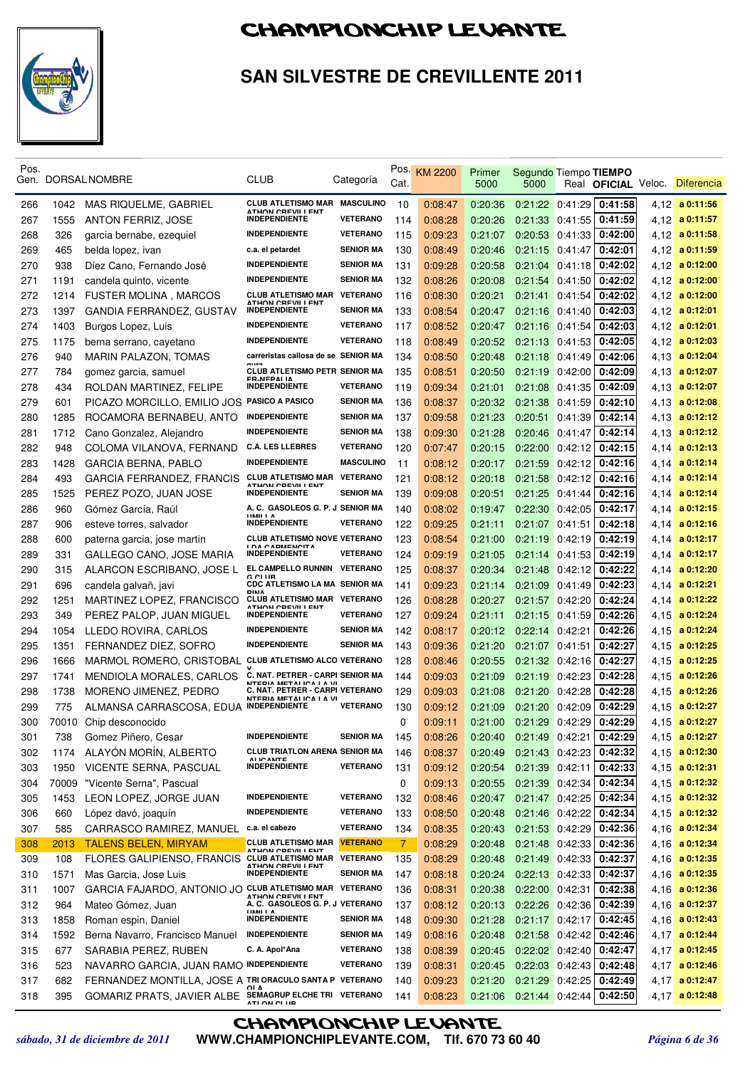

| Pos.<br>Gen. |            | <b>DORSAL NOMBRE</b>                                    | <b>CLUB</b>                                                   | Categoría        | Cat.           | Pos. KM 2200       | Primer<br>5000     | Segundo Tiempo TIEMPO<br>5000      |         |                    |      | Real OFICIAL Veloc. Diferencia   |
|--------------|------------|---------------------------------------------------------|---------------------------------------------------------------|------------------|----------------|--------------------|--------------------|------------------------------------|---------|--------------------|------|----------------------------------|
| 266          | 1042       | MAS RIQUELME, GABRIEL                                   | <b>CLUB ATLETISMO MAR MASCULINO</b><br>ATHON ODEVILL ENT      |                  | 10             | 0:08:47            | 0:20:36            | 0:21:22 0:41:29                    |         | 0:41:58            |      | 4.12 a 0:11:56                   |
| 267          | 1555       | <b>ANTON FERRIZ, JOSE</b>                               | <b>INDEPENDIENTE</b>                                          | <b>VETERANO</b>  | 114            | 0:08:28            | 0:20:26            | 0:21:33 0:41:55                    |         | 0:41:59            |      | 4.12 a 0:11:57                   |
| 268          | 326        | garcia bernabe, ezequiel                                | <b>INDEPENDIENTE</b>                                          | <b>VETERANO</b>  | 115            | 0:09:23            | 0:21:07            | 0:20:53 0:41:33                    |         | 0:42:00            |      | 4.12 a 0:11:58                   |
| 269          | 465        | belda lopez, ivan                                       | c.a. el petardet                                              | <b>SENIOR MA</b> | 130            | 0:08:49            | 0:20:46            | 0:21:15                            | 0.41.47 | 0:42:01            |      | 4.12 a 0:11:59                   |
| 270          | 938        | Díez Cano, Fernando José                                | <b>INDEPENDIENTE</b>                                          | <b>SENIOR MA</b> | 131            | 0:09:28            | 0:20:58            | 0:21:04                            | 0:41:18 | 0:42:02            |      | 4,12 a 0:12:00                   |
| 271          | 1191       | candela quinto, vicente                                 | <b>INDEPENDIENTE</b>                                          | <b>SENIOR MA</b> | 132            | 0:08:26            | 0:20:08            | 0:21:54                            | 0:41:50 | 0:42:02            |      | 4,12 a 0:12:00                   |
| 272          | 1214       | <b>FUSTER MOLINA, MARCOS</b>                            | <b>CLUB ATLETISMO MAR</b><br>ATHON ODEVILL ENT                | <b>VETERANO</b>  | 116            | 0:08:30            | 0:20:21            | 0:21:41                            | 0:41:54 | 0:42:02            |      | 4,12 a 0:12:00                   |
| 273          | 1397       | GANDIA FERRANDEZ, GUSTAV                                | <b>INDEPENDIENTE</b>                                          | <b>SENIOR MA</b> | 133            | 0:08:54            | 0:20:47            | 0:21:16                            | 0:41:40 | 0:42:03            |      | 4,12 a 0:12:01                   |
| 274          | 1403       | Burgos Lopez, Luis                                      | <b>INDEPENDIENTE</b>                                          | <b>VETERANO</b>  | 117            | 0:08:52            | 0:20:47            | 0:21:16 0:41:54                    |         | 0:42:03            |      | 4,12 a 0:12:01                   |
| 275          | 1175       | berna serrano, cayetano                                 | <b>INDEPENDIENTE</b>                                          | <b>VETERANO</b>  | 118            | 0:08:49            | 0:20:52            | 0:21:13 0:41:53                    |         | 0:42:05            |      | 4,12 a 0:12:03                   |
| 276          | 940        | <b>MARIN PALAZON, TOMAS</b>                             | carreristas callosa de se SENIOR MA<br>aura                   |                  | 134            | 0:08:50            | 0:20:48            | 0:21:18                            | 0:41:49 | 0:42:06            | 4,13 | a 0:12:04                        |
| 277          | 784        | gomez garcia, samuel                                    | CLUB ATLETISMO PETR SENIOR MA<br><b>CD_NCDAI IA</b>           |                  | 135            | 0:08:51            | 0:20:50            | 0:21:19                            | 0:42:00 | 0:42:09            | 4,13 | a 0:12:07                        |
| 278          | 434        | ROLDAN MARTINEZ, FELIPE                                 | <b>INDEPENDIENTE</b>                                          | <b>VETERANO</b>  | 119            | 0:09:34            | 0:21:01            | 0:21:08                            | 0:41:35 | 0:42:09            |      | 4.13 a 0:12:07                   |
| 279          | 601        | PICAZO MORCILLO, EMILIO JOS PASICO A PASICO             |                                                               | <b>SENIOR MA</b> | 136            | 0:08:37            | 0:20:32            | 0:21:38                            | 0:41:59 | 0:42:10            | 4,13 | a 0:12:08                        |
| 280          | 1285       | ROCAMORA BERNABEU, ANTO                                 | <b>INDEPENDIENTE</b>                                          | <b>SENIOR MA</b> | 137            | 0:09:58            | 0:21:23            | 0:20:51                            | 0:41:39 | 0:42:14            | 4,13 | a 0:12:12                        |
| 281          | 1712       | Cano Gonzalez, Alejandro                                | <b>INDEPENDIENTE</b>                                          | <b>SENIOR MA</b> | 138            | 0:09:30            | 0:21:28            | 0:20:46                            | 0:41:47 | 0:42:14            | 4,13 | a 0:12:12                        |
| 282          | 948        | COLOMA VILANOVA, FERNAND                                | <b>C.A. LES LLEBRES</b>                                       | <b>VETERANO</b>  | 120            | 0:07:47            | 0:20:15            | 0:22:00                            | 0:42:12 | 0:42:15            |      | 4.14 a 0:12:13                   |
| 283          | 1428       | <b>GARCIA BERNA, PABLO</b>                              | <b>INDEPENDIENTE</b>                                          | <b>MASCULINO</b> | 11             | 0:08:12            | 0:20:17            | 0:21:59                            | 0:42:12 | 0:42:16            |      | 4.14 a 0:12:14                   |
| 284          | 493        | <b>GARCIA FERRANDEZ, FRANCIS</b>                        | <b>CLUB ATLETISMO MAR</b><br>ATHON CREVILL ENT                | <b>VETERANO</b>  | 121            | 0:08:12            | 0:20:18            | 0:21:58                            | 0:42:12 | 0:42:16            |      | 4.14 a 0:12:14                   |
| 285          | 1525       | PEREZ POZO, JUAN JOSE                                   | <b>INDEPENDIENTE</b>                                          | <b>SENIOR MA</b> | 139            | 0:09:08            | 0:20:51            | 0:21:25                            | 0:41:44 | 0:42:16            |      | 4.14 a 0:12:14                   |
| 286          | 960        | Gómez García, Raúl                                      | A. C. GASOLEOS G. P. J SENIOR MA<br><b>TIMILLA</b>            |                  | 140            | 0:08:02            | 0:19:47            | 0:22:30                            | 0:42:05 | 0:42:17            |      | 4.14 a 0:12:15                   |
| 287          | 906        | esteve torres, salvador                                 | <b>INDEPENDIENTE</b>                                          | <b>VETERANO</b>  | 122            | 0:09:25            | 0:21:11            | 0:21:07                            | 0:41:51 | 0:42:18            |      | 4.14 a 0:12:16                   |
| 288          | 600        | paterna garcia, jose martin                             | <b>CLUB ATLETISMO NOVE VETERANO</b><br><b>I DA CARMENCITA</b> |                  | 123            | 0:08:54            | 0:21:00            | 0:21:19                            | 0:42:19 | 0:42:19            |      | 4.14 a 0:12:17                   |
| 289          | 331        | GALLEGO CANO, JOSE MARIA                                | <b>INDEPENDIENTE</b>                                          | <b>VETERANO</b>  | 124            | 0:09:19            | 0:21:05            | 0:21:14                            | 0:41:53 | 0:42:19            |      | 4.14 a 0:12:17                   |
| 290          | 315        | ALARCON ESCRIBANO, JOSE L                               | EL CAMPELLO RUNNIN VETERANO<br>G CLUB                         |                  | 125            | 0:08:37            | 0:20:34            | 0:21:48                            | 0:42:12 | 0:42:22            |      | 4.14 a 0:12:20                   |
| 291          | 696        | candela galvañ, javi                                    | CDC ATLETISMO LA MA SENIOR MA<br>RINA                         |                  | 141            | 0:09:23            | 0:21:14            | 0:21:09                            | 0:41:49 | 0:42:23            |      | 4,14 a 0:12:21                   |
| 292          | 1251       | MARTINEZ LOPEZ, FRANCISCO                               | CLUB ATLETISMO MAR VETERANO<br>ATHON CREVILL ENT              |                  | 126            | 0:08:28            | 0:20:27            | 0:21:57 0:42:20                    |         | 0:42:24            |      | 4.14 a 0:12:22                   |
| 293          | 349        | PEREZ PALOP, JUAN MIGUEL                                | <b>INDEPENDIENTE</b>                                          | <b>VETERANO</b>  | 127            | 0:09:24            | 0:21:11            | 0:21:15                            | 0:41:59 | 0:42:26            | 4,15 | a 0:12:24                        |
| 294          | 1054       | LLEDO ROVIRA, CARLOS                                    | <b>INDEPENDIENTE</b>                                          | <b>SENIOR MA</b> | 142            | 0:08:17            | 0:20:12            | 0:22:14                            | 0:42:21 | 0:42:26            | 4,15 | a 0:12:24                        |
| 295          | 1351       | FERNANDEZ DIEZ, SOFRO                                   | <b>INDEPENDIENTE</b>                                          | <b>SENIOR MA</b> | 143            | 0:09:36            | 0:21:20            | 0:21:07                            | 0:41:51 | 0:42:27            | 4,15 | a 0:12:25                        |
| 296          | 1666       | MARMOL ROMERO, CRISTOBAL CLUB ATLETISMO ALCO VETERANO   |                                                               |                  | 128            | 0:08:46            | 0:20:55            | 0:21:32                            | 0:42:16 | 0:42:27            | 4,15 | a 0:12:25                        |
| 297          | 1741       | MENDIOLA MORALES, CARLOS                                | C. NAT. PETRER - CARPI SENIOR MA<br>NTEDIA METALICA LA VI     |                  | 144            | 0:09:03            | 0:21:09            | 0:21:19                            | 0:42:23 | 0:42:28            | 4,15 | a 0:12:26                        |
| 298          | 1738       | MORENO JIMENEZ, PEDRO                                   | C. NAT. PETRER - CARPI VETERANO<br>NTEDIA METALICA LA VI      |                  | 129            | 0:09:03            | 0:21:08            | 0:21:20                            | 0:42:28 | 0:42:28            | 4,15 | a 0:12:26                        |
| 299          | 775        | ALMANSA CARRASCOSA, EDUA                                | <b>INDEPENDIENTE</b>                                          | <b>VETERANO</b>  | 130            | 0:09:12            | 0:21:09            | 0:21:20                            | 0:42:09 | 0:42:29            | 4,15 | a 0:12:27                        |
| 300          | 70010      | Chip desconocido                                        | <b>INDEPENDIENTE</b>                                          | <b>SENIOR MA</b> | 0              | 0:09:11            | 0:21:00            | 0:21:29                            | 0:42:29 | 0:42:29            |      | 4,15 a 0:12:27                   |
| 301          | 738        | Gomez Piñero, Cesar                                     | <b>CLUB TRIATLON ARENA SENIOR MA</b>                          |                  | 145            | 0:08:26            | 0:20:40            | 0:21:49 0:42:21                    |         | 0:42:29            | 4,15 | a 0:12:27                        |
| 302          | 1174       | ALAYÓN MORÍN, ALBERTO                                   | AL IC ANTE<br><b>INDEPENDIENTE</b>                            | <b>VETERANO</b>  | 146            | 0:08:37            | 0:20:49            | 0:21:43 0:42:23                    |         | 0:42:32            |      | 4,15 a 0:12:30                   |
| 303          | 1950       | VICENTE SERNA, PASCUAL                                  |                                                               |                  | 131            | 0:09:12            | 0:20:54            | 0:21:39 0:42:11                    |         | 0:42:33<br>0:42:34 |      | 4,15 a 0:12:31<br>4,15 a 0:12:32 |
| 304          | 70009      | "Vicente Serna", Pascual<br>LEON LOPEZ, JORGE JUAN      | <b>INDEPENDIENTE</b>                                          | <b>VETERANO</b>  | 0              | 0:09:13            | 0:20:55<br>0:20:47 | 0:21:39 0:42:34<br>0:21:47 0:42:25 |         | 0:42:34            |      | 4,15 a 0:12:32                   |
| 305          | 1453       |                                                         | <b>INDEPENDIENTE</b>                                          | <b>VETERANO</b>  | 132            | 0:08:46            | 0:20:48            | 0:21:46 0:42:22                    |         | 0:42:34            |      | 4,15 a 0:12:32                   |
| 306          | 660<br>585 | López davó, joaquín<br>CARRASCO RAMIREZ, MANUEL         | c.a. el cabezo                                                | <b>VETERANO</b>  | 133<br>134     | 0:08:50            |                    | 0:21:53 0:42:29                    |         | 0:42:36            |      | 4,16 a 0:12:34                   |
| 307<br>308   | 2013       | <b>TALENS BELEN, MIRYAM</b>                             | <b>CLUB ATLETISMO MAR</b>                                     | <b>VETERANO</b>  | $\overline{7}$ | 0:08:35<br>0:08:29 | 0:20:43<br>0:20:48 | 0:21:48 0:42:33                    |         | 0:42:36            |      | 4,16 a 0:12:34                   |
| 309          | 108        | FLORES GALIPIENSO, FRANCIS                              | ATHON CREVILL ENT<br><b>CLUB ATLETISMO MAR</b>                | <b>VETERANO</b>  | 135            | 0:08:29            | 0:20:48            | 0:21:49 0:42:33                    |         | 0:42:37            |      | 4,16 a 0:12:35                   |
| 310          | 1571       | Mas Garcia, Jose Luis                                   | ATHON CREVILL ENT<br><b>INDEPENDIENTE</b>                     | <b>SENIOR MA</b> | 147            | 0:08:18            | 0:20:24            | 0:22:13 0:42:33                    |         | 0:42:37            |      | 4,16 a 0:12:35                   |
| 311          | 1007       | GARCIA FAJARDO, ANTONIO JO CLUB ATLETISMO MAR VETERANO  |                                                               |                  | 136            | 0:08:31            | 0:20:38            | 0:22:00 0:42:31                    |         | 0:42:38            |      | 4,16 a 0:12:36                   |
| 312          | 964        | Mateo Gómez, Juan                                       | ATHON ODEVILL ENT<br>A. C. GASOLEOS G. P. J VETERANO          |                  | 137            | 0:08:12            | 0:20:13            | 0:22:26 0:42:36                    |         | 0:42:39            |      | 4,16 a 0:12:37                   |
| 313          | 1858       | Roman espin, Daniel                                     | <b>TIMBEL A</b><br><b>INDEPENDIENTE</b>                       | <b>SENIOR MA</b> | 148            | 0:09:30            | 0:21:28            | 0:21:17 0:42:17                    |         | 0:42:45            |      | 4,16 a 0:12:43                   |
| 314          | 1592       | Berna Navarro, Francisco Manuel                         | <b>INDEPENDIENTE</b>                                          | <b>SENIOR MA</b> | 149            | 0:08:16            | 0:20:48            | $0:21:58$ $0:42:42$                |         | 0:42:46            |      | 4,17 a 0:12:44                   |
| 315          | 677        | SARABIA PEREZ, RUBEN                                    | C. A. Apol*Ana                                                | <b>VETERANO</b>  | 138            | 0:08:39            | 0:20:45            | 0:22:02 0:42:40                    |         | 0:42:47            |      | 4,17 a 0:12:45                   |
| 316          | 523        | NAVARRO GARCIA, JUAN RAMO INDEPENDIENTE                 |                                                               | <b>VETERANO</b>  | 139            | 0:08:31            | 0:20:45            | 0:22:03 0:42:43                    |         | 0:42:48            |      | 4,17 a 0:12:46                   |
| 317          | 682        | FERNANDEZ MONTILLA, JOSE A TRI ORACULO SANTA P VETERANO |                                                               |                  | 140            | 0:09:23            | 0:21:20            | 0:21:29                            | 0:42:25 | 0:42:49            |      | 4,17 a 0:12:47                   |
| 318          | 395        | GOMARIZ PRATS, JAVIER ALBE                              | $\sim$<br>SEMAGRUP ELCHE TRI VETERANO<br>ATI ON OI HD         |                  | 141            | 0:08:23            | 0:21:06            | $0:21:44$ 0:42:44                  |         | 0:42:50            |      | 4,17 a 0:12:48                   |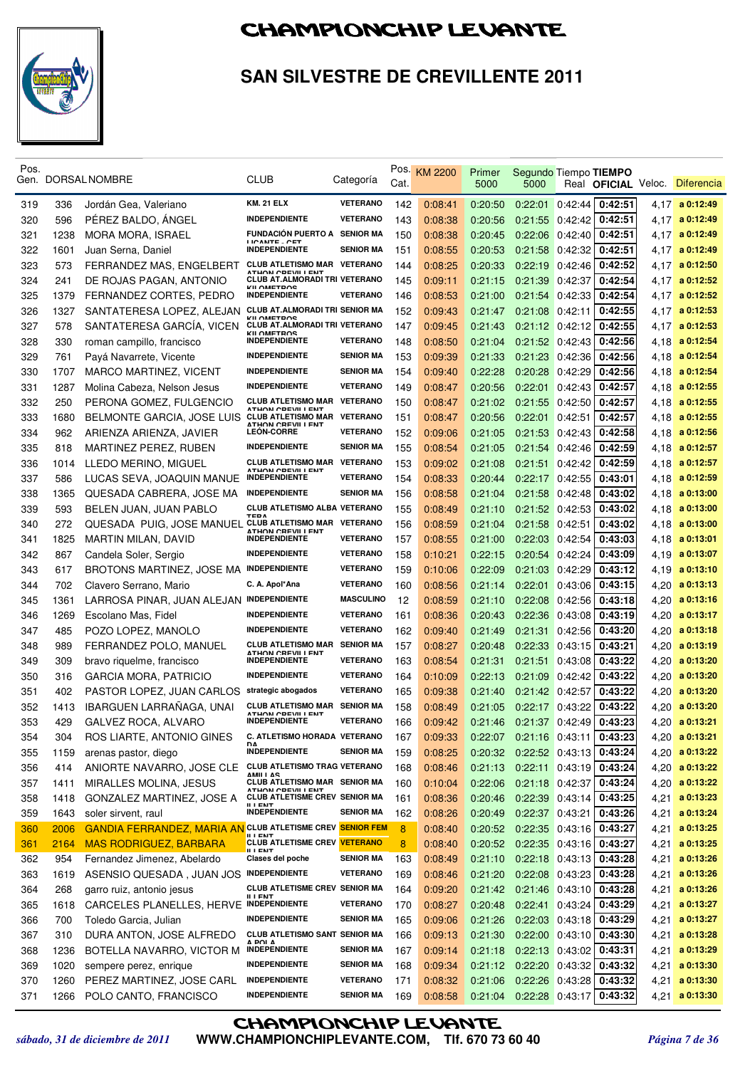

| Pos.<br>Gen. |             | <b>DORSAL NOMBRE</b>                                             | CLUB                                                       | Categoría                          | Cat.       | Pos. KM 2200       | Primer<br>5000     | Segundo Tiempo TIEMPO<br>5000          |         | Real <b>OFICIAL</b> Veloc. |      | Diferencia                  |
|--------------|-------------|------------------------------------------------------------------|------------------------------------------------------------|------------------------------------|------------|--------------------|--------------------|----------------------------------------|---------|----------------------------|------|-----------------------------|
| 319          | 336         | Jordán Gea, Valeriano                                            | <b>KM. 21 ELX</b>                                          | <b>VETERANO</b>                    | 142        | 0:08:41            | 0:20:50            | 0:22:01                                | 0:42:44 | 0:42:51                    |      | 4.17 a 0:12:49              |
| 320          | 596         | PÉREZ BALDO, ÁNGEL                                               | <b>INDEPENDIENTE</b>                                       | <b>VETERANO</b>                    | 143        | 0:08:38            | 0:20:56            | 0:21:55                                | 0:42:42 | 0:42:51                    | 4,17 | a 0:12:49                   |
| 321          | 1238        | <b>MORA MORA, ISRAEL</b>                                         | <b>FUNDACIÓN PUERTO A</b><br><b>I ICANTE _ CET</b>         | <b>SENIOR MA</b>                   | 150        | 0:08:38            | 0:20:45            | 0:22:06                                | 0:42:40 | 0:42:51                    | 4,17 | a 0:12:49                   |
| 322          | 1601        | Juan Serna, Daniel                                               | <b>INDEPENDIENTE</b>                                       | <b>SENIOR MA</b>                   | 151        | 0:08:55            | 0:20:53            | 0:21:58                                | 0:42:32 | 0:42:51                    | 4,17 | a 0:12:49                   |
| 323          | 573         | FERRANDEZ MAS, ENGELBERT                                         | CLUB ATLETISMO MAR VETERANO<br>ATHON COEVIL LENT           |                                    | 144        | 0:08:25            | 0:20:33            | 0:22:19                                | 0:42:46 | 0:42:52                    | 4,17 | a 0:12:50                   |
| 324          | 241         | DE ROJAS PAGAN, ANTONIO                                          | CLUB AT.ALMORADI TRI VETERANO<br><b>VII OMETDOS</b>        |                                    | 145        | 0:09:11            | 0:21:15            | 0:21:39                                | 0:42:37 | 0:42:54                    | 4,17 | a 0:12:52                   |
| 325          | 1379        | FERNANDEZ CORTES, PEDRO                                          | <b>INDEPENDIENTE</b>                                       | <b>VETERANO</b>                    | 146        | 0:08:53            | 0:21:00            | 0:21:54                                | 0:42:33 | 0:42:54                    | 4,17 | a 0:12:52                   |
| 326          | 1327        | SANTATERESA LOPEZ, ALEJAN CLUB AT.ALMORADI TRI SENIOR MA         | <b>VII OMETDOS</b>                                         |                                    | 152        | 0:09:43            | 0:21:47            | 0:21:08                                | 0:42:11 | 0:42:55                    | 4,17 | a 0:12:53                   |
| 327          | 578         | SANTATERESA GARCÍA, VICEN                                        | <b>CLUB AT.ALMORADI TRI VETERANO</b><br><b>VII OMETDOS</b> |                                    | 147        | 0:09:45            | 0:21:43            | 0:21:12                                | 0:42:12 | 0:42:55                    | 4,17 | a 0:12:53                   |
| 328          | 330         | roman campillo, francisco                                        | <b>INDEPENDIENTE</b>                                       | <b>VETERANO</b>                    | 148        | 0:08:50            | 0:21:04            | 0:21:52                                | 0:42:43 | 0:42:56                    | 4.18 | a 0:12:54                   |
| 329          | 761         | Payá Navarrete, Vicente                                          | <b>INDEPENDIENTE</b>                                       | <b>SENIOR MA</b>                   | 153        | 0:09:39            | 0:21:33            | 0:21:23                                | 0:42:36 | 0:42:56                    | 4,18 | a 0:12:54                   |
| 330          | 1707        | MARCO MARTINEZ, VICENT                                           | <b>INDEPENDIENTE</b>                                       | <b>SENIOR MA</b>                   | 154        | 0:09:40            | 0:22:28            | 0:20:28                                | 0:42:29 | 0:42:56                    | 4,18 | a 0:12:54                   |
| 331          | 1287        | Molina Cabeza, Nelson Jesus                                      | <b>INDEPENDIENTE</b>                                       | <b>VETERANO</b>                    | 149        | 0:08:47            | 0:20:56            | 0:22:01                                | 0:42:43 | 0:42:57                    | 4,18 | a 0:12:55                   |
| 332          | 250         | PERONA GOMEZ, FULGENCIO                                          | <b>CLUB ATLETISMO MAR</b><br>ATHON CREVILL ENT             | <b>VETERANO</b>                    | 150        | 0:08:47            | 0:21:02            | 0:21:55                                | 0:42:50 | 0:42:57                    | 4,18 | a 0:12:55                   |
| 333          | 1680        | <b>BELMONTE GARCIA, JOSE LUIS</b>                                | <b>CLUB ATLETISMO MAR</b><br>ATHON ODEVILL ENT             | <b>VETERANO</b>                    | 151        | 0:08:47            | 0:20:56            | 0:22:01                                | 0:42:51 | 0:42:57                    | 4,18 | a 0:12:55                   |
| 334          | 962         | ARIENZA ARIENZA, JAVIER                                          | <b>LEON-CORRE</b>                                          | <b>VETERANO</b>                    | 152        | 0:09:06            | 0:21:05            | 0:21:53                                | 0:42:43 | 0:42:58                    | 4,18 | a 0:12:56                   |
| 335          | 818         | MARTINEZ PEREZ, RUBEN                                            | <b>INDEPENDIENTE</b>                                       | <b>SENIOR MA</b>                   | 155        | 0:08:54            | 0:21:05            | 0:21:54                                | 0:42:46 | 0:42:59                    | 4,18 | a 0:12:57                   |
| 336          | 1014        | LLEDO MERINO, MIGUEL                                             | <b>CLUB ATLETISMO MAR</b><br>ATHON CREVILL ENT             | <b>VETERANO</b>                    | 153        | 0:09:02            | 0:21:08            | 0:21:51                                | 0:42:42 | 0:42:59                    | 4,18 | a 0:12:57                   |
| 337          | 586         | LUCAS SEVA, JOAQUIN MANUE                                        | <b>INDEPENDIENTE</b>                                       | <b>VETERANO</b>                    | 154        | 0:08:33            | 0:20:44            | 0:22:17                                | 0:42:55 | 0:43:01                    | 4.18 | a 0:12:59                   |
| 338          | 1365        | QUESADA CABRERA, JOSE MA                                         | <b>INDEPENDIENTE</b>                                       | <b>SENIOR MA</b>                   | 156        | 0:08:58            | 0:21:04            | 0:21:58                                | 0:42:48 | 0:43:02                    | 4.18 | a 0:13:00                   |
| 339          | 593         | BELEN JUAN, JUAN PABLO                                           | <b>CLUB ATLETISMO ALBA VETERANO</b><br>TFRA                |                                    | 155        | 0:08:49            | 0:21:10            | 0:21:52                                | 0:42:53 | 0:43:02                    | 4.18 | a 0:13:00                   |
| 340          | 272         | QUESADA PUIG, JOSE MANUEL                                        | CLUB ATLETISMO MAR VETERANO<br>ATHON CREVILL ENT           |                                    | 156        | 0:08:59            | 0:21:04            | 0:21:58                                | 0:42:51 | 0:43:02                    | 4.18 | a 0:13:00                   |
| 341          | 1825        | MARTIN MILAN, DAVID                                              | <b>INDEPENDIENTE</b>                                       | <b>VETERANO</b>                    | 157        | 0:08:55            | 0:21:00            | 0:22:03                                | 0:42:54 | 0:43:03                    | 4.18 | a 0:13:01                   |
| 342          | 867         | Candela Soler, Sergio                                            | <b>INDEPENDIENTE</b>                                       | <b>VETERANO</b>                    | 158        | 0:10:21            | 0:22:15            | 0:20:54                                | 0:42:24 | 0:43:09                    | 4,19 | a 0:13:07                   |
| 343          | 617         | BROTONS MARTINEZ, JOSE MA                                        | <b>INDEPENDIENTE</b>                                       | <b>VETERANO</b>                    | 159        | 0:10:06            | 0:22:09            | 0:21:03                                | 0:42:29 | 0:43:12                    | 4,19 | a 0:13:10                   |
| 344          | 702         | Clavero Serrano, Mario                                           | C. A. Apol*Ana                                             | <b>VETERANO</b>                    | 160        | 0:08:56            | 0:21:14            | 0:22:01                                | 0:43:06 | 0:43:15                    | 4,20 | a 0:13:13                   |
| 345          | 1361        | LARROSA PINAR, JUAN ALEJAN                                       | INDEPENDIENTE                                              | <b>MASCULINO</b>                   | 12         | 0:08:59            | 0:21:10            | 0:22:08                                | 0:42:56 | 0:43:18                    | 4,20 | a 0:13:16                   |
| 346          | 1269        | Escolano Mas, Fidel                                              | <b>INDEPENDIENTE</b>                                       | <b>VETERANO</b>                    | 161        | 0:08:36            | 0:20:43            | 0:22:36                                | 0:43:08 | 0:43:19                    | 4,20 | a 0:13:17                   |
| 347          | 485         | POZO LOPEZ, MANOLO                                               | <b>INDEPENDIENTE</b>                                       | <b>VETERANO</b>                    | 162        | 0:09:40            | 0:21:49            | 0:21:31                                | 0:42:56 | 0:43:20                    | 4,20 | a 0:13:18                   |
| 348          | 989         | FERRANDEZ POLO, MANUEL                                           | <b>CLUB ATLETISMO MAR</b><br>ATHON CREWLL ENT              | <b>SENIOR MA</b>                   | 157        | 0:08:27            | 0:20:48            | 0:22:33                                | 0:43:15 | 0:43:21                    | 4,20 | a 0:13:19                   |
| 349          | 309         | bravo riguelme, francisco                                        | <b>INDEPENDIENTE</b><br><b>INDEPENDIENTE</b>               | <b>VETERANO</b>                    | 163        | 0:08:54            | 0:21:31            | 0:21:51                                | 0:43:08 | 0:43:22                    | 4,20 | a 0:13:20                   |
| 350          | 316         | <b>GARCIA MORA, PATRICIO</b>                                     |                                                            | <b>VETERANO</b><br><b>VETERANO</b> | 164        | 0:10:09            | 0:22:13            | 0:21:09                                | 0:42:42 | 0:43:22                    | 4,20 | a 0:13:20                   |
| 351          | 402         | PASTOR LOPEZ, JUAN CARLOS                                        | strategic abogados<br><b>CLUB ATLETISMO MAR SENIOR MA</b>  |                                    | 165        | 0:09:38            | 0:21:40            | 0:21:42                                | 0:42:57 | 0:43:22                    | 4,20 | a 0:13:20                   |
| 352          | 1413        | IBARGUEN LARRAÑAGA, UNAI                                         | ATHON ODEVILL ENT<br><b>INDEPENDIENTE</b>                  | <b>VETERANO</b>                    | 158        | 0:08:49            | 0:21:05            | 0:22:17                                | 0:43:22 | 0:43:22<br>0:43:23         | 4.20 | a 0:13:20<br>4,20 a 0:13:21 |
| 353          | 429         | GALVEZ ROCA, ALVARO<br>ROS LIARTE, ANTONIO GINES                 | C. ATLETISMO HORADA VETERANO                               |                                    | 166        | 0:09:42            | 0:21:46            | 0:21:37                                | 0:42:49 | 0:43:23                    |      | 4,20 a 0:13:21              |
| 354<br>355   | 304<br>1159 | arenas pastor, diego                                             | n۸<br><b>INDEPENDIENTE</b>                                 | <b>SENIOR MA</b>                   | 167<br>159 | 0:09:33<br>0:08:25 | 0:22:07<br>0:20:32 | $0:21:16$ 0:43:11<br>$0:22:52$ 0:43:13 |         | 0:43:24                    | 4,20 | a 0:13:22                   |
| 356          | 414         | ANIORTE NAVARRO, JOSE CLE                                        | <b>CLUB ATLETISMO TRAG VETERANO</b>                        |                                    | 168        | 0:08:46            | 0:21:13            | 0:22:11 0:43:19                        |         | 0:43:24                    |      | 4,20 a 0:13:22              |
| 357          | 1411        | MIRALLES MOLINA, JESUS                                           | AMILIAC<br>CLUB ATLETISMO MAR SENIOR MA                    |                                    | 160        | 0:10:04            | 0:22:06            | 0:21:18 0:42:37                        |         | 0:43:24                    |      | 4,20 a 0:13:22              |
| 358          | 1418        | <b>GONZALEZ MARTINEZ, JOSE A</b>                                 | ATHON COEVIL LENT<br>CLUB ATLETISME CREV SENIOR MA         |                                    | 161        | 0:08:36            | 0:20:46            | 0:22:39 0:43:14                        |         | 0:43:25                    | 4,21 | a 0:13:23                   |
| 359          | 1643        | soler sirvent, raul                                              | <b>II I CNT</b><br><b>INDEPENDIENTE</b>                    | <b>SENIOR MA</b>                   | 162        | 0:08:26            | 0:20:49            | 0:22:37 0:43:21                        |         | 0:43:26                    | 4,21 | a 0:13:24                   |
| 360          | 2006        | <b>GANDIA FERRANDEZ, MARIA AN CLUB ATLETISME CREV SENIOR FEM</b> |                                                            |                                    | 8          | 0:08:40            | 0:20:52            | 0:22:35 0:43:16                        |         | 0:43:27                    | 4,21 | a 0:13:25                   |
| 361          | 2164        | <b>MAS RODRIGUEZ, BARBARA</b>                                    | <b>ILLENT</b><br><b>CLUB ATLETISME CREV VETERANO</b>       |                                    | 8          | 0:08:40            | 0:20:52            | 0:22:35 0:43:16                        |         | 0:43:27                    | 4,21 | a 0:13:25                   |
| 362          | 954         | Fernandez Jimenez, Abelardo                                      | <b>II I CNT</b><br>Clases del poche                        | <b>SENIOR MA</b>                   | 163        | 0:08:49            | 0:21:10            | $0:22:18$ 0:43:13                      |         | 0:43:28                    | 4,21 | a 0:13:26                   |
| 363          | 1619        | ASENSIO QUESADA, JUAN JOS INDEPENDIENTE                          |                                                            | <b>VETERANO</b>                    | 169        | 0:08:46            | 0:21:20            | 0:22:08 0:43:23                        |         | 0:43:28                    | 4,21 | a 0:13:26                   |
| 364          | 268         | garro ruiz, antonio jesus                                        | CLUB ATLETISME CREV SENIOR MA                              |                                    | 164        | 0:09:20            | 0:21:42            | 0:21:46 0:43:10                        |         | 0:43:28                    | 4,21 | a 0:13:26                   |
| 365          | 1618        | CARCELES PLANELLES, HERVE INDEPENDIENTE                          | <b>ILLENT</b>                                              | <b>VETERANO</b>                    | 170        | 0:08:27            | 0:20:48            | 0:22:41 0:43:24                        |         | 0:43:29                    | 4,21 | a 0:13:27                   |
| 366          | 700         | Toledo Garcia, Julian                                            | <b>INDEPENDIENTE</b>                                       | <b>SENIOR MA</b>                   | 165        | 0:09:06            | 0:21:26            | $0:22:03$ $0:43:18$                    |         | 0:43:29                    | 4,21 | a 0:13:27                   |
| 367          | 310         | DURA ANTON, JOSE ALFREDO                                         | CLUB ATLETISMO SANT SENIOR MA                              |                                    | 166        | 0:09:13            | 0:21:30            | 0:22:00 0:43:10                        |         | 0:43:30                    | 4,21 | a 0:13:28                   |
| 368          | 1236        | BOTELLA NAVARRO, VICTOR M                                        | $A$ DOI A<br><b>INDEPENDIENTE</b>                          | <b>SENIOR MA</b>                   | 167        | 0:09:14            | 0:21:18            | 0:22:13 0:43:02                        |         | 0:43:31                    | 4,21 | a 0:13:29                   |
| 369          | 1020        | sempere perez, enrique                                           | <b>INDEPENDIENTE</b>                                       | <b>SENIOR MA</b>                   | 168        | 0:09:34            | 0:21:12            | 0:22:20                                | 0:43:32 | 0:43:32                    | 4,21 | a 0:13:30                   |
| 370          | 1260        | PEREZ MARTINEZ, JOSE CARL                                        | INDEPENDIENTE                                              | <b>VETERANO</b>                    | 171        | 0:08:32            | 0:21:06            | 0:22:26                                | 0:43:28 | 0:43:32                    | 4,21 | a 0:13:30                   |
| 371          | 1266        | POLO CANTO, FRANCISCO                                            | <b>INDEPENDIENTE</b>                                       | <b>SENIOR MA</b>                   | 169        | 0:08:58            | 0:21:04            | 0:22:28 0:43:17                        |         | 0:43:32                    | 4,21 | a 0:13:30                   |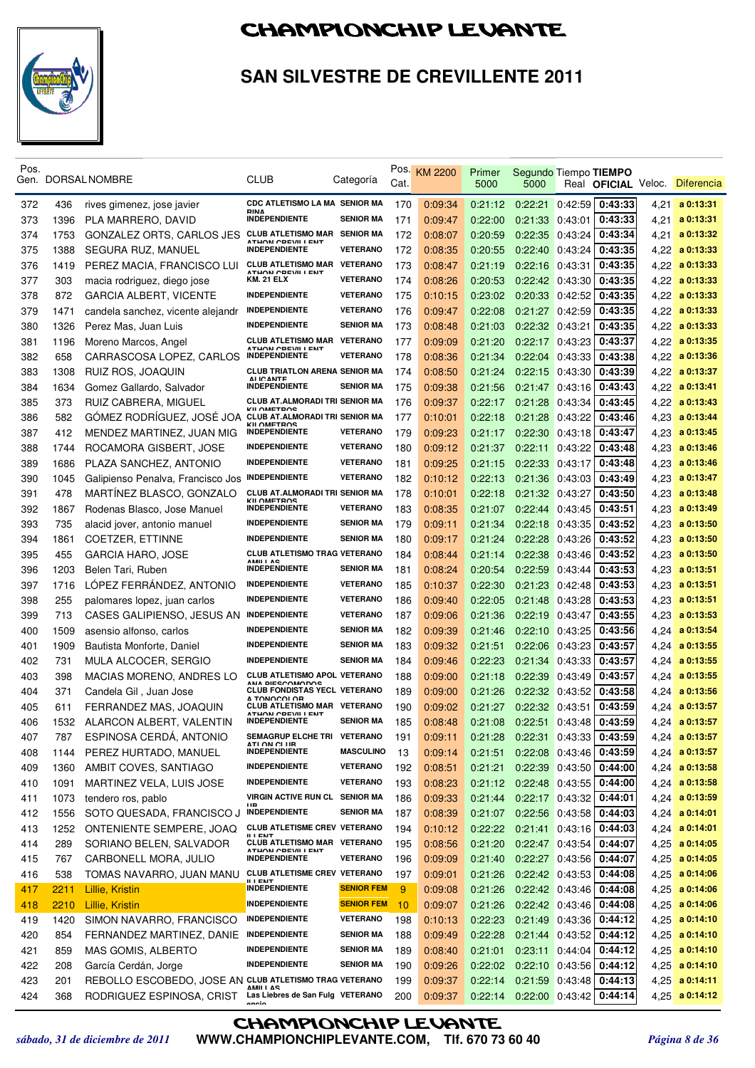

| Pos.<br>Gen. |      | <b>DORSALNOMBRE</b>                                    | <b>CLUB</b>                                                 | Categoría         | Cat. | Pos. KM 2200 | Primer<br>5000 | Segundo Tiempo TIEMPO<br>5000 |         | Real <b>OFICIAL</b> Veloc. |      | Diferencia     |
|--------------|------|--------------------------------------------------------|-------------------------------------------------------------|-------------------|------|--------------|----------------|-------------------------------|---------|----------------------------|------|----------------|
| 372          | 436  | rives gimenez, jose javier                             | CDC ATLETISMO LA MA SENIOR MA                               |                   | 170  | 0:09:34      | 0:21:12        | 0:22:21                       | 0:42:59 | 0:43:33                    | 4,21 | a 0:13:31      |
| 373          | 1396 | PLA MARRERO, DAVID                                     | DINA<br><b>INDEPENDIENTE</b>                                | <b>SENIOR MA</b>  | 171  | 0:09:47      | 0:22:00        | 0:21:33                       | 0:43:01 | 0:43:33                    | 4,21 | a 0:13:31      |
| 374          | 1753 | <b>GONZALEZ ORTS, CARLOS JES</b>                       | <b>CLUB ATLETISMO MAR</b>                                   | <b>SENIOR MA</b>  | 172  | 0:08:07      | 0:20:59        | 0:22:35                       | 0:43:24 | 0:43:34                    | 4,21 | a 0:13:32      |
| 375          | 1388 | SEGURA RUZ, MANUEL                                     | ATHON COEVILL ENT<br><b>INDEPENDIENTE</b>                   | <b>VETERANO</b>   | 172  | 0:08:35      | 0:20:55        | 0:22:40                       | 0:43:24 | 0:43:35                    | 4,22 | a 0:13:33      |
| 376          | 1419 | PEREZ MACIA, FRANCISCO LUI                             | <b>CLUB ATLETISMO MAR</b>                                   | <b>VETERANO</b>   | 173  | 0:08:47      | 0:21:19        | 0:22:16                       | 0:43:31 | 0:43:35                    | 4,22 | a 0:13:33      |
| 377          | 303  | macia rodriguez, diego jose                            | ATHON ODEVILLENT<br><b>KM. 21 ELX</b>                       | <b>VETERANO</b>   | 174  | 0:08:26      | 0:20:53        | 0:22:42 0:43:30               |         | 0:43:35                    | 4,22 | a 0:13:33      |
| 378          | 872  | <b>GARCIA ALBERT, VICENTE</b>                          | <b>INDEPENDIENTE</b>                                        | <b>VETERANO</b>   | 175  | 0:10:15      | 0:23:02        | 0:20:33                       | 0:42:52 | 0:43:35                    | 4,22 | a 0:13:33      |
| 379          | 1471 | candela sanchez, vicente alejandr                      | <b>INDEPENDIENTE</b>                                        | <b>VETERANO</b>   | 176  | 0:09:47      | 0:22:08        | 0:21:27                       | 0:42:59 | 0:43:35                    | 4,22 | a 0:13:33      |
| 380          | 1326 | Perez Mas, Juan Luis                                   | <b>INDEPENDIENTE</b>                                        | <b>SENIOR MA</b>  | 173  | 0:08:48      | 0:21:03        | 0:22:32                       | 0:43:21 | 0:43:35                    | 4,22 | a 0:13:33      |
| 381          | 1196 | Moreno Marcos, Angel                                   | <b>CLUB ATLETISMO MAR</b><br>ATHON CREVILL ENT              | <b>VETERANO</b>   | 177  | 0:09:09      | 0:21:20        | 0:22:17                       | 0:43:23 | 0:43:37                    | 4,22 | a 0:13:35      |
| 382          | 658  | CARRASCOSA LOPEZ, CARLOS                               | <b>INDEPENDIENTE</b>                                        | <b>VETERANO</b>   | 178  | 0:08:36      | 0:21:34        | 0:22:04                       | 0:43:33 | 0:43:38                    | 4,22 | a 0:13:36      |
| 383          | 1308 | RUIZ ROS, JOAQUIN                                      | <b>CLUB TRIATLON ARENA SENIOR MA</b><br>AL IC ANTE          |                   | 174  | 0:08:50      | 0:21:24        | 0:22:15                       | 0:43:30 | 0:43:39                    | 4,22 | a 0:13:37      |
| 384          | 1634 | Gomez Gallardo, Salvador                               | <b>INDEPENDIENTE</b>                                        | SENIOR MA         | 175  | 0:09:38      | 0:21:56        | 0:21:47                       | 0:43:16 | 0:43:43                    | 4,22 | a 0:13:41      |
| 385          | 373  | RUIZ CABRERA, MIGUEL                                   | CLUB AT.ALMORADI TRI SENIOR MA<br><b>VII OMETROS</b>        |                   | 176  | 0:09:37      | 0:22:17        | 0:21:28                       | 0:43:34 | 0:43:45                    | 4,22 | a 0:13:43      |
| 386          | 582  | GÓMEZ RODRÍGUEZ, JOSÉ JOA                              | <b>CLUB AT.ALMORADI TRI SENIOR MA</b><br><b>VII OMETROS</b> |                   | 177  | 0:10:01      | 0:22:18        | 0:21:28                       | 0:43:22 | 0:43:46                    | 4,23 | a 0:13:44      |
| 387          | 412  | MENDEZ MARTINEZ, JUAN MIG                              | <b>INDEPENDIENTE</b>                                        | VETERANO          | 179  | 0:09:23      | 0:21:17        | 0:22:30                       | 0:43:18 | 0:43:47                    | 4,23 | a 0:13:45      |
| 388          | 1744 | ROCAMORA GISBERT, JOSE                                 | <b>INDEPENDIENTE</b>                                        | <b>VETERANO</b>   | 180  | 0:09:12      | 0:21:37        | 0:22:11                       | 0:43:22 | 0:43:48                    | 4,23 | a 0:13:46      |
| 389          | 1686 | PLAZA SANCHEZ, ANTONIO                                 | <b>INDEPENDIENTE</b>                                        | <b>VETERANO</b>   | 181  | 0:09:25      | 0:21:15        | 0:22:33                       | 0:43:17 | 0:43:48                    | 4,23 | a 0:13:46      |
| 390          | 1045 | Galipienso Penalva, Francisco Jos                      | <b>INDEPENDIENTE</b>                                        | <b>VETERANO</b>   | 182  | 0:10:12      | 0:22:13        | 0:21:36                       | 0:43:03 | 0:43:49                    | 4,23 | a 0:13:47      |
| 391          | 478  | MARTINEZ BLASCO, GONZALO                               | <b>CLUB AT.ALMORADI TRI SENIOR MA</b><br><b>VII OMETROS</b> |                   | 178  | 0:10:01      | 0:22:18        | 0:21:32 0:43:27               |         | 0:43:50                    | 4,23 | a 0:13:48      |
| 392          | 1867 | Rodenas Blasco, Jose Manuel                            | <b>INDEPENDIENTE</b>                                        | <b>VETERANO</b>   | 183  | 0:08:35      | 0:21:07        | 0:22:44                       | 0:43:45 | 0:43:51                    | 4,23 | a 0:13:49      |
| 393          | 735  | alacid jover, antonio manuel                           | <b>INDEPENDIENTE</b>                                        | <b>SENIOR MA</b>  | 179  | 0:09:11      | 0:21:34        | 0:22:18                       | 0:43:35 | 0:43:52                    | 4,23 | a 0:13:50      |
| 394          | 1861 | COETZER, ETTINNE                                       | <b>INDEPENDIENTE</b>                                        | <b>SENIOR MA</b>  | 180  | 0:09:17      | 0:21:24        | 0:22:28                       | 0:43:26 | 0:43:52                    | 4,23 | a 0:13:50      |
| 395          | 455  | GARCIA HARO, JOSE                                      | <b>CLUB ATLETISMO TRAG VETERANO</b><br>AMII I AC            |                   | 184  | 0:08:44      | 0:21:14        | 0:22:38                       | 0:43:46 | 0:43:52                    | 4,23 | a 0:13:50      |
| 396          | 1203 | Belen Tari, Ruben                                      | <b>INDEPENDIENTE</b>                                        | <b>SENIOR MA</b>  | 181  | 0:08:24      | 0:20:54        | 0:22:59                       | 0:43:44 | 0:43:53                    | 4,23 | a 0:13:51      |
| 397          | 1716 | LÓPEZ FERRÁNDEZ, ANTONIO                               | <b>INDEPENDIENTE</b>                                        | <b>VETERANO</b>   | 185  | 0:10:37      | 0:22:30        | 0:21:23                       | 0:42:48 | 0:43:53                    | 4,23 | a 0:13:51      |
| 398          | 255  | palomares lopez, juan carlos                           | <b>INDEPENDIENTE</b>                                        | <b>VETERANO</b>   | 186  | 0:09:40      | 0:22:05        | 0:21:48                       | 0:43:28 | 0:43:53                    | 4,23 | a 0:13:51      |
| 399          | 713  | CASES GALIPIENSO, JESUS AN                             | <b>INDEPENDIENTE</b>                                        | <b>VETERANO</b>   | 187  | 0:09:06      | 0:21:36        | 0:22:19                       | 0:43:47 | 0:43:55                    | 4,23 | a 0:13:53      |
| 400          | 1509 | asensio alfonso, carlos                                | <b>INDEPENDIENTE</b>                                        | <b>SENIOR MA</b>  | 182  | 0:09:39      | 0:21:46        | 0:22:10                       | 0:43:25 | 0:43:56                    |      | 4,24 a 0:13:54 |
| 401          | 1909 | Bautista Monforte, Daniel                              | <b>INDEPENDIENTE</b>                                        | <b>SENIOR MA</b>  | 183  | 0:09:32      | 0:21:51        | 0:22:06                       | 0:43:23 | 0:43:57                    |      | 4,24 a 0:13:55 |
| 402          | 731  | MULA ALCOCER, SERGIO                                   | <b>INDEPENDIENTE</b>                                        | <b>SENIOR MA</b>  | 184  | 0:09:46      | 0:22:23        | 0:21:34                       | 0:43:33 | 0:43:57                    |      | 4,24 a 0:13:55 |
| 403          | 398  | MACIAS MORENO, ANDRES LO                               | <b>CLUB ATLETISMO APOL VETERANO</b><br>ANA DIECOOMODOC      |                   | 188  | 0:09:00      | 0:21:18        | 0:22:39                       | 0:43:49 | 0:43:57                    | 4,24 | a 0:13:55      |
| 404          | 371  | Candela Gil, Juan Jose                                 | <b>CLUB FONDISTAS YECL VETERANO</b><br>A TONOCOL OP         |                   | 189  | 0:09:00      | 0:21:26        | 0:22:32                       | 0:43:52 | 0:43:58                    |      | 4,24 a 0:13:56 |
| 405          | 611  | FERRANDEZ MAS, JOAQUIN                                 | CLUB ATLETISMO MAR VETERANO<br>ATHON CREVILL ENT            |                   | 190  | 0:09:02      | 0:21:27        | 0:22:32                       | 0.43:51 | 0:43:59                    |      | 4,24 a 0:13:57 |
| 406          | 1532 | ALARCON ALBERT, VALENTIN                               | <b>INDEPENDIENTE</b>                                        | <b>SENIOR MA</b>  | 185  | 0:08:48      | 0:21:08        | 0:22:51                       | 0:43:48 | 0:43:59                    |      | 4,24 a 0:13:57 |
| 407          | 787  | ESPINOSA CERDA, ANTONIO                                | SEMAGRUP ELCHE TRI VETERANO<br>ATI ON OI HD                 |                   | 191  | 0:09:11      | 0:21:28        | $0:22:31$ 0:43:33             |         | 0:43:59                    |      | 4,24 a 0:13:57 |
| 408          | 1144 | PEREZ HURTADO, MANUEL                                  | <b>INDEPENDIENTE</b>                                        | <b>MASCULINO</b>  | 13   | 0:09:14      | 0:21:51        | 0:22:08 0:43:46               |         | 0:43:59                    |      | 4,24 a 0:13:57 |
| 409          | 1360 | AMBIT COVES, SANTIAGO                                  | <b>INDEPENDIENTE</b>                                        | <b>VETERANO</b>   | 192  | 0:08:51      | 0:21:21        | 0:22:39 0:43:50               |         | 0:44:00                    |      | 4,24 a 0:13:58 |
| 410          | 1091 | MARTINEZ VELA, LUIS JOSE                               | <b>INDEPENDIENTE</b>                                        | <b>VETERANO</b>   | 193  | 0:08:23      | 0:21:12        | 0:22:48 0:43:55               |         | 0:44:00                    |      | 4,24 a 0:13:58 |
| 411          | 1073 | tendero ros, pablo                                     | VIRGIN ACTIVE RUN CL SENIOR MA<br><b>IID</b>                |                   | 186  | 0:09:33      | 0:21:44        | 0:22:17 0:43:32               |         | 0:44:01                    |      | 4,24 a 0:13:59 |
| 412          | 1556 | SOTO QUESADA, FRANCISCO J INDEPENDIENTE                |                                                             | <b>SENIOR MA</b>  | 187  | 0:08:39      | 0:21:07        | 0:22:56 0:43:58               |         | 0:44:03                    |      | 4,24 a 0:14:01 |
| 413          | 1252 | ONTENIENTE SEMPERE, JOAQ                               | <b>CLUB ATLETISME CREV VETERANO</b><br><b>ILLENT</b>        |                   | 194  | 0:10:12      | 0:22:22        | 0:21:41 0:43:16               |         | 0:44:03                    |      | 4,24 a 0:14:01 |
| 414          | 289  | SORIANO BELEN, SALVADOR                                | CLUB ATLETISMO MAR VETERANO<br>ATHON ODEVILL ENT            |                   | 195  | 0:08:56      | 0:21:20        | 0:22:47 0:43:54               |         | 0:44:07                    |      | 4,25 a 0:14:05 |
| 415          | 767  | CARBONELL MORA, JULIO                                  | <b>INDEPENDIENTE</b>                                        | <b>VETERANO</b>   | 196  | 0:09:09      | 0:21:40        | 0:22:27 0:43:56               |         | 0:44:07                    |      | 4,25 a 0:14:05 |
| 416          | 538  | TOMAS NAVARRO, JUAN MANU                               | CLUB ATLETISME CREV VETERANO<br><b>ILLENT</b>               |                   | 197  | 0:09:01      | 0:21:26        | 0:22:42 0:43:53               |         | 0:44:08                    |      | 4,25 a 0:14:06 |
| 417          | 2211 | <b>Lillie, Kristin</b>                                 | <b>INDEPENDIENTE</b>                                        | <b>SENIOR FEM</b> | 9    | 0:09:08      | 0:21:26        | 0:22:42 0:43:46               |         | 0:44:08                    |      | 4,25 a 0:14:06 |
| 418          | 2210 | <b>Lillie, Kristin</b>                                 | <b>INDEPENDIENTE</b>                                        | <b>SENIOR FEM</b> | 10   | 0:09:07      | 0:21:26        | 0:22:42 0:43:46               |         | 0:44:08                    |      | 4,25 a 0:14:06 |
| 419          | 1420 | SIMON NAVARRO, FRANCISCO                               | <b>INDEPENDIENTE</b>                                        | <b>VETERANO</b>   | 198  | 0:10:13      | 0:22:23        | 0:21:49 0:43:36               |         | 0:44:12                    |      | 4,25 a 0:14:10 |
| 420          | 854  | FERNANDEZ MARTINEZ, DANIE                              | <b>INDEPENDIENTE</b>                                        | SENIOR MA         | 188  | 0:09:49      | 0:22:28        | 0:21:44 0:43:52               |         | 0:44:12                    |      | 4,25 a 0:14:10 |
| 421          | 859  | MAS GOMIS, ALBERTO                                     | <b>INDEPENDIENTE</b>                                        | <b>SENIOR MA</b>  | 189  | 0:08:40      | 0:21:01        | 0:23:11 0:44:04               |         | 0:44:12                    |      | 4,25 a 0:14:10 |
| 422          | 208  | García Cerdán, Jorge                                   | <b>INDEPENDIENTE</b>                                        | <b>SENIOR MA</b>  | 190  | 0:09:26      | 0:22:02        | 0:22:10 0:43:56               |         | 0:44:12                    |      | 4,25 a 0:14:10 |
| 423          | 201  | REBOLLO ESCOBEDO, JOSE AN CLUB ATLETISMO TRAG VETERANO | <b>AMILIAC</b>                                              |                   | 199  | 0:09:37      | 0:22:14        | 0:21:59 0:43:48               |         | 0:44:13                    |      | 4,25 a 0:14:11 |
| 424          | 368  | RODRIGUEZ ESPINOSA, CRIST                              | Las Liebres de San Fulg VETERANO<br>anaia                   |                   | 200  | 0:09:37      | 0:22:14        | $0:22:00$ 0:43:42             |         | 0:44:14                    |      | 4,25 a 0:14:12 |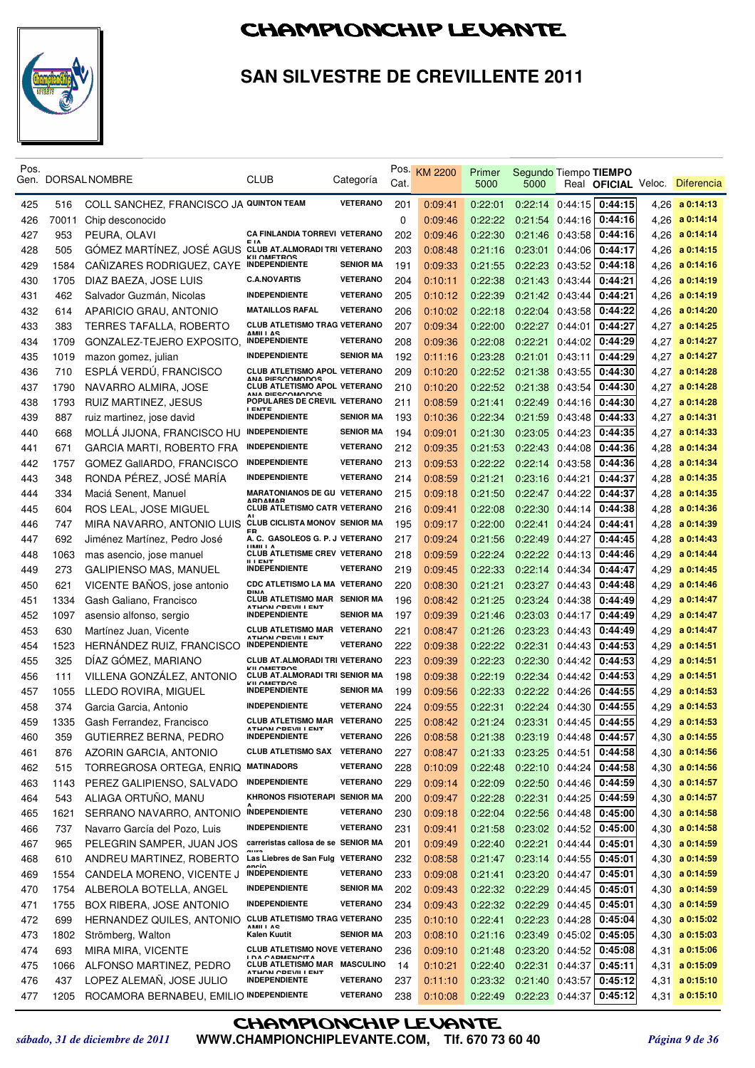

| Pos.<br>Gen. |            | <b>DORSALNOMBRE</b>                              | <b>CLUB</b>                                                   | Categoría        | Cat.        | Pos. KM 2200       | Primer<br>5000     | Segundo Tiempo TIEMPO<br>5000 |                    |                    |              | Real OFICIAL Veloc. Diferencia |
|--------------|------------|--------------------------------------------------|---------------------------------------------------------------|------------------|-------------|--------------------|--------------------|-------------------------------|--------------------|--------------------|--------------|--------------------------------|
| 425          | 516        | COLL SANCHEZ, FRANCISCO JA QUINTON TEAM          |                                                               | <b>VETERANO</b>  | 201         | 0:09:41            | 0:22:01            | 0:22:14                       | 0:44:15            | 0:44:15            |              | 4,26 a 0:14:13                 |
| 426          | 70011      | Chip desconocido                                 |                                                               |                  | $\mathbf 0$ | 0:09:46            | 0:22:22            | 0:21:54                       | 0:44:16            | 0:44:16            | 4,26         | a 0:14:14                      |
| 427          | 953        | PEURA, OLAVI                                     | CA FINLANDIA TORREVI VETERANO<br><b>EIA</b>                   |                  | 202         | 0:09:46            | 0:22:30            | 0:21:46                       | 0:43:58            | 0:44:16            | 4,26         | a 0:14:14                      |
| 428          | 505        | GÓMEZ MARTÍNEZ, JOSÉ AGUS                        | CLUB AT.ALMORADI TRI VETERANO<br><b>VII OMETDOS</b>           |                  | 203         | 0:08:48            | 0:21:16            | 0:23:01                       | 0:44:06            | 0:44:17            | 4,26         | a 0:14:15                      |
| 429          | 1584       | CAÑIZARES RODRIGUEZ, CAYE                        | <b>INDEPENDIENTE</b>                                          | <b>SENIOR MA</b> | 191         | 0:09:33            | 0:21:55            | 0:22:23                       | 0:43:52            | 0:44:18            | 4,26         | a 0:14:16                      |
| 430          | 1705       | DIAZ BAEZA, JOSE LUIS                            | <b>C.A.NOVARTIS</b>                                           | <b>VETERANO</b>  | 204         | 0:10:11            | 0:22:38            | 0:21:43                       | 0.43:44            | 0:44:21            | 4,26         | a 0:14:19                      |
| 431          | 462        | Salvador Guzmán, Nicolas                         | <b>INDEPENDIENTE</b>                                          | <b>VETERANO</b>  | 205         | 0:10:12            | 0:22:39            | 0:21:42                       | 0.43:44            | 0:44:21            | 4,26         | a 0:14:19                      |
| 432          | 614        | APARICIO GRAU, ANTONIO                           | <b>MATAILLOS RAFAL</b>                                        | <b>VETERANO</b>  | 206         | 0:10:02            | 0:22:18            | 0:22:04                       | 0:43:58            | 0:44:22            | 4,26         | a 0:14:20                      |
| 433          | 383        | <b>TERRES TAFALLA, ROBERTO</b>                   | <b>CLUB ATLETISMO TRAG VETERANO</b><br>AMILIAC                |                  | 207         | 0:09:34            | 0:22:00            | 0:22:27                       | 0:44:01            | 0:44:27            | 4,27         | a 0:14:25                      |
| 434          | 1709       | GONZALEZ-TEJERO EXPOSITO,                        | <b>INDEPENDIENTE</b>                                          | <b>VETERANO</b>  | 208         | 0:09:36            | 0:22:08            | 0:22:21                       | 0:44:02            | 0:44:29            | 4,27         | a 0:14:27                      |
| 435          | 1019       | mazon gomez, julian                              | <b>INDEPENDIENTE</b>                                          | <b>SENIOR MA</b> | 192         | 0:11:16            | 0:23:28            | 0:21:01                       | 0:43:11            | 0:44:29            | 4,27         | a 0:14:27                      |
| 436          | 710        | ESPLÁ VERDÚ, FRANCISCO                           | CLUB ATLETISMO APOL VETERANO<br>ANA DIECOOMODOC               |                  | 209         | 0:10:20            | 0:22:52            | 0:21:38                       | 0:43:55            | 0:44:30            | 4,27         | a 0:14:28                      |
| 437          | 1790       | NAVARRO ALMIRA, JOSE                             | CLUB ATLETISMO APOL VETERANO<br>ANA DIECOOMODOC               |                  | 210         | 0:10:20            | 0:22:52            | 0:21:38                       | 0:43:54            | 0:44:30            | 4,27         | a 0:14:28                      |
| 438          | 1793       | RUIZ MARTINEZ, JESUS                             | POPULARES DE CREVIL VETERANO<br><b>I ENTE</b>                 |                  | 211         | 0:08:59            | 0:21:41            | 0:22:49                       | 0:44:16            | 0:44:30            | 4,27         | a 0:14:28                      |
| 439          | 887        | ruiz martinez, jose david                        | <b>INDEPENDIENTE</b>                                          | <b>SENIOR MA</b> | 193         | 0:10:36            | 0:22:34            | 0:21:59                       | 0:43:48            | 0:44:33            | 4,27         | a 0:14:31                      |
| 440          | 668        | MOLLÁ JIJONA, FRANCISCO HU                       | <b>INDEPENDIENTE</b>                                          | <b>SENIOR MA</b> | 194         | 0:09:01            | 0:21:30            | 0:23:05                       | 0:44:23            | 0:44:35            | 4,27         | a 0:14:33                      |
| 441          | 671        | <b>GARCIA MARTI, ROBERTO FRA</b>                 | <b>INDEPENDIENTE</b>                                          | <b>VETERANO</b>  | 212         | 0:09:35            | 0:21:53            | 0:22:43                       | 0:44:08            | 0:44:36            | 4,28         | a 0:14:34                      |
| 442          | 1757       | GOMEZ GallARDO, FRANCISCO                        | <b>INDEPENDIENTE</b>                                          | <b>VETERANO</b>  | 213         | 0:09:53            | 0:22:22            | 0:22:14                       | 0:43:58            | 0:44:36            | 4,28         | a 0:14:34                      |
| 443          | 348        | RONDA PÉREZ, JOSÉ MARÍA                          | <b>INDEPENDIENTE</b>                                          | <b>VETERANO</b>  | 214         | 0:08:59            | 0:21:21            | 0:23:16                       | 0:44:21            | 0:44:37            | 4,28         | a 0:14:35                      |
| 444          | 334        | Maciá Senent, Manuel                             | <b>MARATONIANOS DE GU VETERANO</b><br><b>ADDAMAD</b>          |                  | 215         | 0:09:18            | 0:21:50            | 0:22:47 0:44:22               |                    | 0:44:37            | 4,28         | a 0:14:35                      |
| 445          | 604        | ROS LEAL, JOSE MIGUEL                            | <b>CLUB ATLETISMO CATR VETERANO</b><br>Δ١                     |                  | 216         | 0:09:41            | 0:22:08            | 0:22:30                       | 0:44:14            | 0:44:38            | 4,28         | a 0:14:36                      |
| 446          | 747        | MIRA NAVARRO, ANTONIO LUIS                       | CLUB CICLISTA MONOV SENIOR MA<br>ER                           |                  | 195         | 0:09:17            | 0:22:00            | 0:22:41                       | 0:44:24            | 0:44:41            | 4,28         | a 0:14:39                      |
| 447          | 692        | Jiménez Martínez, Pedro José                     | A. C. GASOLEOS G. P. J VETERANO<br><b>IMILLA</b>              |                  | 217         | 0:09:24            | 0:21:56            | 0:22:49                       | 0:44:27            | 0:44:45            | 4,28         | a 0:14:43                      |
| 448          | 1063       | mas asencio, jose manuel                         | <b>CLUB ATLETISME CREV VETERANO</b><br><b>ILLENT</b>          |                  | 218         | 0:09:59            | 0:22:24            | 0:22:22                       | 0:44:13            | 0:44:46            | 4,29         | a 0:14:44                      |
| 449          | 273        | GALIPIENSO MAS, MANUEL                           | <b>INDEPENDIENTE</b>                                          | <b>VETERANO</b>  | 219         | 0:09:45            | 0:22:33            | 0:22:14                       | 0:44:34            | 0:44:47            | 4,29         | a 0:14:45                      |
| 450          | 621        | VICENTE BAÑOS, jose antonio                      | CDC ATLETISMO LA MA VETERANO<br>RINA                          |                  | 220         | 0:08:30            | 0:21:21            | 0:23:27 0:44:43               |                    | 0:44:48            | 4,29         | a 0:14:46                      |
| 451          | 1334       | Gash Galiano, Francisco                          | CLUB ATLETISMO MAR SENIOR MA<br>ATHON CREVILL ENT             | <b>SENIOR MA</b> | 196         | 0:08:42            | 0:21:25            | 0:23:24                       | 0:44:38            | 0:44:49            | 4,29         | a 0:14:47                      |
| 452          | 1097       | asensio alfonso, sergio                          | <b>INDEPENDIENTE</b><br>CLUB ATLETISMO MAR VETERANO           |                  | 197         | 0:09:39            | 0:21:46            | 0:23:03                       | 0:44:17            | 0:44:49            | 4,29         | a 0:14:47                      |
| 453          | 630        | Martínez Juan, Vicente                           | ATHON CREVILL ENT<br><b>INDEPENDIENTE</b>                     | <b>VETERANO</b>  | 221         | 0:08:47            | 0:21:26            | 0:23:23                       | 0:44:43            | 0:44:49            | 4,29         | a 0:14:47                      |
| 454<br>455   | 1523       | HERNÁNDEZ RUIZ, FRANCISCO<br>DÍAZ GÓMEZ, MARIANO | CLUB AT.ALMORADI TRI VETERANO                                 |                  | 222<br>223  | 0:09:38            | 0:22:22            | 0:22:31                       | 0:44:43            | 0:44:53<br>0:44:53 | 4,29         | a 0:14:51<br>a 0:14:51         |
| 456          | 325<br>111 | VILLENA GONZÁLEZ, ANTONIO                        | <b>KII UNETDUC</b><br>CLUB AT.ALMORADI TRI SENIOR MA          |                  | 198         | 0:09:39            | 0:22:23<br>0:22:19 | 0:22:30                       | 0:44:42<br>0:44:42 | 0:44:53            | 4,29         | a 0:14:51                      |
| 457          | 1055       | LLEDO ROVIRA, MIGUEL                             | <b>VII OMETROS</b><br><b>INDEPENDIENTE</b>                    | <b>SENIOR MA</b> | 199         | 0:09:38<br>0:09:56 | 0:22:33            | 0:22:34<br>0:22:22            | 0:44:26            | 0:44:55            | 4,29<br>4,29 | a 0:14:53                      |
| 458          | 374        | Garcia Garcia, Antonio                           | <b>INDEPENDIENTE</b>                                          | <b>VETERANO</b>  | 224         | 0:09:55            | 0:22:31            | 0:22:24                       | 0:44:30            | 0:44:55            | 4,29         | a 0:14:53                      |
| 459          | 1335       | Gash Ferrandez, Francisco                        | <b>CLUB ATLETISMO MAR VETERANO</b>                            |                  | 225         | 0:08:42            | 0:21:24            | 0:23:31                       | 0:44:45            | 0:44:55            |              | 4,29 a 0:14:53                 |
| 460          | 359        | <b>GUTIERREZ BERNA, PEDRO</b>                    | ATHON COEVILL ENT<br><b>INDEPENDIENTE</b>                     | <b>VETERANO</b>  | 226         | 0:08:58            | 0:21:38            | $0:23:19$ 0:44:48             |                    | 0:44:57            | 4,30         | a 0:14:55                      |
| 461          | 876        | AZORIN GARCIA, ANTONIO                           | <b>CLUB ATLETISMO SAX</b>                                     | <b>VETERANO</b>  | 227         | 0:08:47            | 0:21:33            | 0:23:25 0:44:51               |                    | 0:44:58            |              | 4,30 a 0:14:56                 |
| 462          | 515        | TORREGROSA ORTEGA, ENRIQ                         | <b>MATINADORS</b>                                             | <b>VETERANO</b>  | 228         | 0:10:09            | 0:22:48            | 0:22:10 0:44:24               |                    | 0:44:58            |              | 4,30 a 0:14:56                 |
| 463          | 1143       | PEREZ GALIPIENSO, SALVADO                        | <b>INDEPENDIENTE</b>                                          | <b>VETERANO</b>  | 229         | 0:09:14            | 0:22:09            | 0:22:50 0:44:46               |                    | 0:44:59            |              | 4,30 a 0:14:57                 |
| 464          | 543        | ALIAGA ORTUÑO, MANU                              | KHRONOS FISIOTERAPI SENIOR MA                                 |                  | 200         | 0:09:47            | 0:22:28            | 0:22:31                       | 0:44:25            | 0:44:59            |              | 4,30 a 0:14:57                 |
| 465          | 1621       | SERRANO NAVARRO, ANTONIO                         | <b>INDEPENDIENTE</b>                                          | <b>VETERANO</b>  | 230         | 0:09:18            | 0:22:04            | 0:22:56 0:44:48               |                    | 0:45:00            |              | 4,30 a 0:14:58                 |
| 466          | 737        | Navarro García del Pozo, Luis                    | <b>INDEPENDIENTE</b>                                          | <b>VETERANO</b>  | 231         | 0:09:41            | 0:21:58            | 0:23:02 0:44:52               |                    | 0:45:00            |              | 4,30 a 0:14:58                 |
| 467          | 965        | PELEGRIN SAMPER, JUAN JOS                        | carreristas callosa de se SENIOR MA                           |                  | 201         | 0:09:49            | 0:22:40            | 0:22:21 0:44:44               |                    | 0:45:01            |              | 4,30 a 0:14:59                 |
| 468          | 610        | ANDREU MARTINEZ, ROBERTO                         | <b>ALLES</b><br>Las Liebres de San Fulg VETERANO              |                  | 232         | 0:08:58            | 0:21:47            | 0:23:14 0:44:55               |                    | 0:45:01            |              | 4,30 a 0:14:59                 |
| 469          | 1554       | CANDELA MORENO, VICENTE J                        | anaia<br><b>INDEPENDIENTE</b>                                 | <b>VETERANO</b>  | 233         | 0:09:08            | 0:21:41            | 0:23:20 0:44:47               |                    | 0:45:01            |              | 4,30 a 0:14:59                 |
| 470          | 1754       | ALBEROLA BOTELLA, ANGEL                          | <b>INDEPENDIENTE</b>                                          | <b>SENIOR MA</b> | 202         | 0:09:43            | 0:22:32            | 0:22:29 0:44:45               |                    | 0:45:01            |              | 4,30 a 0:14:59                 |
| 471          | 1755       | <b>BOX RIBERA, JOSE ANTONIO</b>                  | <b>INDEPENDIENTE</b>                                          | <b>VETERANO</b>  | 234         | 0:09:43            | 0:22:32            | 0:22:29 0:44:45               |                    | 0:45:01            |              | 4,30 a 0:14:59                 |
| 472          | 699        | HERNANDEZ QUILES, ANTONIO                        | <b>CLUB ATLETISMO TRAG VETERANO</b><br>AMILIAC                |                  | 235         | 0:10:10            | 0:22:41            | 0:22:23 0:44:28               |                    | 0:45:04            |              | 4,30 a 0:15:02                 |
| 473          | 1802       | Strömberg, Walton                                | Kalen Kuutit                                                  | <b>SENIOR MA</b> | 203         | 0:08:10            | 0:21:16            | 0:23:49 0:45:02               |                    | 0:45:05            |              | 4,30 a 0:15:03                 |
| 474          | 693        | MIRA MIRA, VICENTE                               | <b>CLUB ATLETISMO NOVE VETERANO</b><br><b>I DA CADMENCITA</b> |                  | 236         | 0:09:10            | 0:21:48            | 0:23:20 0:44:52               |                    | 0:45:08            | 4,31         | a 0:15:06                      |
| 475          | 1066       | ALFONSO MARTINEZ, PEDRO                          | <b>CLUB ATLETISMO MAR</b><br>ATHON CREVILL ENT                | <b>MASCULINO</b> | 14          | 0:10:21            | 0:22:40            | 0:22:31                       | 0:44:37            | 0:45:11            | 4,31         | a 0:15:09                      |
| 476          | 437        | LOPEZ ALEMAÑ, JOSE JULIO                         | <b>INDEPENDIENTE</b>                                          | <b>VETERANO</b>  | 237         | 0:11:10            | 0:23:32            | 0:21:40 0:43:57               |                    | 0:45:12            | 4,31         | a 0:15:10                      |
| 477          | 1205       | ROCAMORA BERNABEU, EMILIO INDEPENDIENTE          |                                                               | <b>VETERANO</b>  | 238         | 0:10:08            | 0:22:49            | 0:22:23 0:44:37               |                    | 0:45:12            | 4,31         | a 0:15:10                      |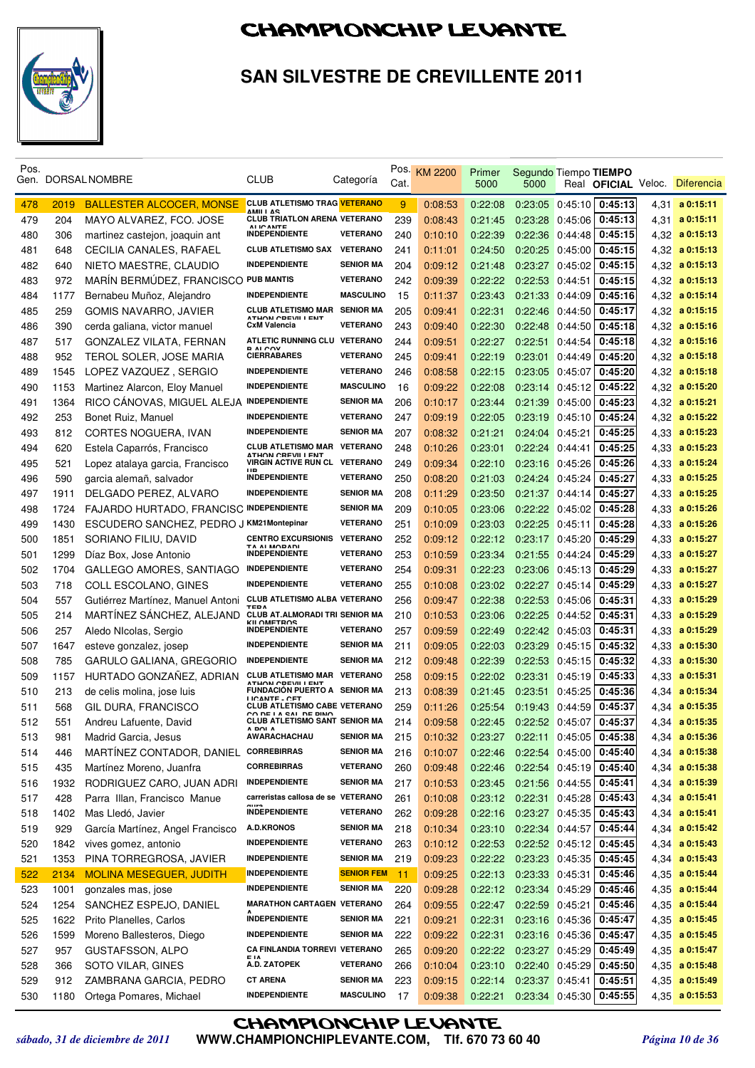

| Pos. |      | Gen. DORSALNOMBRE                        | CLUB                                                             | Categoría         | Cat. | Pos. KM 2200 | Primer<br>5000 | Segundo Tiempo TIEMPO<br>5000 |         | Real <b>OFICIAL</b> Veloc. |      | Diferencia     |
|------|------|------------------------------------------|------------------------------------------------------------------|-------------------|------|--------------|----------------|-------------------------------|---------|----------------------------|------|----------------|
| 478  | 2019 | <b>BALLESTER ALCOCER, MONSE</b>          | <b>CLUB ATLETISMO TRAG VETERANO</b><br>AMILIAC                   |                   | 9    | 0:08:53      | 0:22:08        | 0:23:05                       | 0:45:10 | 0:45:13                    |      | 4,31 a 0:15:11 |
| 479  | 204  | MAYO ALVAREZ, FCO. JOSE                  | <b>CLUB TRIATLON ARENA VETERANO</b><br>ALICANTE                  |                   | 239  | 0:08:43      | 0:21:45        | 0:23:28                       | 0:45:06 | 0:45:13                    | 4,31 | a 0:15:11      |
| 480  | 306  | martinez castejon, joaquin ant           | <b>INDEPENDIENTE</b>                                             | <b>VETERANO</b>   | 240  | 0:10:10      | 0:22:39        | 0:22:36                       | 0:44:48 | 0:45:15                    | 4,32 | a 0:15:13      |
| 481  | 648  | CECILIA CANALES, RAFAEL                  | <b>CLUB ATLETISMO SAX</b>                                        | <b>VETERANO</b>   | 241  | 0:11:01      | 0:24:50        | 0:20:25                       | 0:45:00 | 0:45:15                    | 4,32 | a 0:15:13      |
| 482  | 640  | NIETO MAESTRE, CLAUDIO                   | <b>INDEPENDIENTE</b>                                             | <b>SENIOR MA</b>  | 204  | 0:09:12      | 0:21:48        | 0:23:27                       | 0.45:02 | 0:45:15                    | 4,32 | a 0:15:13      |
| 483  | 972  | MARÍN BERMÚDEZ, FRANCISCO PUB MANTIS     |                                                                  | <b>VETERANO</b>   | 242  | 0:09:39      | 0:22:22        | 0:22:53                       | 0:44:51 | 0:45:15                    | 4,32 | a 0:15:13      |
| 484  | 1177 | Bernabeu Muñoz, Alejandro                | <b>INDEPENDIENTE</b>                                             | <b>MASCULINO</b>  | 15   | 0:11:37      | 0:23:43        | 0:21:33                       | 0.44:09 | 0:45:16                    | 4,32 | a 0:15:14      |
| 485  | 259  | <b>GOMIS NAVARRO, JAVIER</b>             | CLUB ATLETISMO MAR SENIOR MA<br>ATHON COEVILL ENT                |                   | 205  | 0:09:41      | 0:22:31        | 0:22:46                       | 0:44:50 | 0:45:17                    | 4,32 | a 0:15:15      |
| 486  | 390  | cerda galiana, victor manuel             | CxM Valencia                                                     | <b>VETERANO</b>   | 243  | 0:09:40      | 0:22:30        | 0:22:48                       | 0:44:50 | 0:45:18                    | 4,32 | a 0:15:16      |
| 487  | 517  | GONZALEZ VILATA, FERNAN                  | ATLETIC RUNNING CLU VETERANO<br><b>PALCOV</b>                    |                   | 244  | 0:09:51      | 0:22:27        | 0:22:51                       | 0:44:54 | 0:45:18                    | 4,32 | a 0:15:16      |
| 488  | 952  | TEROL SOLER, JOSE MARIA                  | <b>CIERRABARES</b>                                               | <b>VETERANO</b>   | 245  | 0:09:41      | 0:22:19        | 0:23:01                       | 0:44:49 | 0:45:20                    | 4,32 | a 0:15:18      |
| 489  | 1545 | LOPEZ VAZQUEZ, SERGIO                    | <b>INDEPENDIENTE</b>                                             | <b>VETERANO</b>   | 246  | 0:08:58      | 0:22:15        | 0:23:05                       | 0:45:07 | 0:45:20                    | 4,32 | a 0:15:18      |
| 490  | 1153 | Martinez Alarcon, Eloy Manuel            | <b>INDEPENDIENTE</b>                                             | <b>MASCULINO</b>  | 16   | 0:09:22      | 0:22:08        | 0:23:14                       | 0:45:12 | 0:45:22                    | 4,32 | a 0:15:20      |
| 491  | 1364 | RICO CÁNOVAS, MIGUEL ALEJA               | <b>INDEPENDIENTE</b>                                             | <b>SENIOR MA</b>  | 206  | 0:10:17      | 0:23:44        | 0:21:39                       | 0:45:00 | 0:45:23                    | 4,32 | a 0:15:21      |
| 492  | 253  | Bonet Ruiz, Manuel                       | <b>INDEPENDIENTE</b>                                             | <b>VETERANO</b>   | 247  | 0:09:19      | 0:22:05        | 0:23:19                       | 0:45:10 | 0:45:24                    | 4,32 | a 0:15:22      |
| 493  | 812  | CORTES NOGUERA, IVAN                     | <b>INDEPENDIENTE</b>                                             | <b>SENIOR MA</b>  | 207  | 0:08:32      | 0:21:21        | 0:24:04                       | 0:45:21 | 0:45:25                    | 4,33 | a 0:15:23      |
| 494  | 620  | Estela Caparrós, Francisco               | CLUB ATLETISMO MAR VETERANO<br>ATHON COEVIL LENT                 |                   | 248  | 0:10:26      | 0:23:01        | 0:22:24                       | 0:44:41 | 0:45:25                    | 4,33 | a 0:15:23      |
| 495  | 521  | Lopez atalaya garcia, Francisco          | VIRGIN ACTIVE RUN CL VETERANO<br>11D                             |                   | 249  | 0:09:34      | 0:22:10        | 0:23:16                       | 0:45:26 | 0:45:26                    | 4,33 | a 0:15:24      |
| 496  | 590  | garcia alemañ, salvador                  | <b>INDEPENDIENTE</b>                                             | <b>VETERANO</b>   | 250  | 0:08:20      | 0:21:03        | 0:24:24 0:45:24               |         | 0:45:27                    | 4,33 | a 0:15:25      |
| 497  | 1911 | DELGADO PEREZ, ALVARO                    | <b>INDEPENDIENTE</b>                                             | <b>SENIOR MA</b>  | 208  | 0:11:29      | 0:23:50        | 0:21:37 0:44:14               |         | 0:45:27                    | 4,33 | a 0:15:25      |
| 498  | 1724 | FAJARDO HURTADO, FRANCISC INDEPENDIENTE  |                                                                  | <b>SENIOR MA</b>  | 209  | 0:10:05      | 0:23:06        | 0:22:22                       | 0.45:02 | 0:45:28                    | 4,33 | a 0:15:26      |
| 499  | 1430 | ESCUDERO SANCHEZ, PEDRO J KM21Montepinar |                                                                  | <b>VETERANO</b>   | 251  | 0:10:09      | 0:23:03        | 0:22:25                       | 0:45:11 | 0:45:28                    | 4,33 | a 0:15:26      |
| 500  | 1851 | SORIANO FILIU, DAVID                     | <b>CENTRO EXCURSIONIS</b><br>TA AI MORADI                        | <b>VETERANO</b>   | 252  | 0:09:12      | 0:22:12        | 0:23:17 0:45:20               |         | 0:45:29                    | 4,33 | a 0:15:27      |
| 501  | 1299 | Díaz Box, Jose Antonio                   | <b>INDEPENDIENTE</b>                                             | <b>VETERANO</b>   | 253  | 0:10:59      | 0:23:34        | 0:21:55                       | 0:44:24 | 0:45:29                    | 4,33 | a 0:15:27      |
| 502  | 1704 | GALLEGO AMORES, SANTIAGO                 | <b>INDEPENDIENTE</b>                                             | <b>VETERANO</b>   | 254  | 0:09:31      | 0:22:23        | 0:23:06                       | 0:45:13 | 0:45:29                    | 4,33 | a 0:15:27      |
| 503  | 718  | COLL ESCOLANO, GINES                     | <b>INDEPENDIENTE</b>                                             | <b>VETERANO</b>   | 255  | 0:10:08      | 0:23:02        | 0:22:27                       | 0.45:14 | 0:45:29                    | 4,33 | a 0:15:27      |
| 504  | 557  | Gutiérrez Martínez, Manuel Antoni        | CLUB ATLETISMO ALBA VETERANO<br><b>TERA</b>                      |                   | 256  | 0:09:47      | 0:22:38        | 0:22:53                       | 0:45:06 | 0:45:31                    | 4,33 | a 0:15:29      |
| 505  | 214  | MARTÍNEZ SÁNCHEZ, ALEJAND                | CLUB AT.ALMORADI TRI SENIOR MA<br><b>KII UNETDUG</b>             |                   | 210  | 0:10:53      | 0:23:06        | 0:22:25                       | 0:44:52 | 0:45:31                    | 4,33 | a 0:15:29      |
| 506  | 257  | Aledo NIcolas, Sergio                    | <b>INDEPENDIENTE</b>                                             | <b>VETERANO</b>   | 257  | 0:09:59      | 0:22:49        | 0:22:42                       | 0.45:03 | 0:45:31                    | 4,33 | a 0:15:29      |
| 507  | 1647 | esteve gonzalez, josep                   | <b>INDEPENDIENTE</b>                                             | <b>SENIOR MA</b>  | 211  | 0:09:05      | 0:22:03        | 0:23:29                       | 0:45:15 | 0:45:32                    | 4,33 | a 0:15:30      |
| 508  | 785  | GARULO GALIANA, GREGORIO                 | <b>INDEPENDIENTE</b>                                             | <b>SENIOR MA</b>  | 212  | 0:09:48      | 0:22:39        | 0:22:53                       | 0:45:15 | 0:45:32                    | 4,33 | a 0:15:30      |
| 509  | 1157 | HURTADO GONZAÑEZ, ADRIAN                 | CLUB ATLETISMO MAR VETERANO<br>ATHON CREVIL LENT                 |                   | 258  | 0:09:15      | 0:22:02        | 0:23:31                       | 0:45:19 | 0:45:33                    | 4,33 | a 0:15:31      |
| 510  | 213  | de celis molina, jose luis               | <b>FUNDACIÓN PUERTO A SENIOR MA</b><br><b>I ICANTE _ CET</b>     |                   | 213  | 0:08:39      | 0:21:45        | 0:23:51                       | 0:45:25 | 0:45:36                    | 4,34 | a 0:15:34      |
| 511  | 568  | GIL DURA, FRANCISCO                      | <b>CLUB ATLETISMO CABE VETERANO</b><br>$\sim$ DE I A CAI DE DINA |                   | 259  | 0:11:26      | 0:25:54        | 0:19:43                       | 0:44:59 | 0:45:37                    |      | 4,34 a 0:15:35 |
| 512  | 551  | Andreu Lafuente, David                   | <b>CLUB ATLETISMO SANT SENIOR MA</b><br><b>ADOIA</b>             |                   | 214  | 0:09:58      | 0:22:45        | 0:22:52                       | 0.45:07 | 0:45:37                    |      | 4,34 a 0:15:35 |
| 513  | 981  | Madrid Garcia, Jesus                     | AWARACHACHAU                                                     | <b>SENIOR MA</b>  | 215  | 0:10:32      | 0:23:27        | $0:22:11$ 0:45:05             |         | 0:45:38                    |      | 4,34 a 0:15:36 |
| 514  | 446  | MARTÍNEZ CONTADOR, DANIEL                | <b>CORREBIRRAS</b>                                               | <b>SENIOR MA</b>  | 216  | 0:10:07      | 0:22:46        | 0:22:54                       | 0:45:00 | 0:45:40                    |      | 4,34 a 0:15:38 |
| 515  | 435  | Martínez Moreno, Juanfra                 | <b>CORREBIRRAS</b>                                               | <b>VETERANO</b>   | 260  | 0:09:48      | 0:22:46        | 0:22:54 0:45:19               |         | 0:45:40                    |      | 4,34 a 0:15:38 |
| 516  | 1932 | RODRIGUEZ CARO, JUAN ADRI                | <b>INDEPENDIENTE</b>                                             | <b>SENIOR MA</b>  | 217  | 0:10:53      | 0:23:45        | 0:21:56 0:44:55               |         | 0:45:41                    |      | 4,34 a 0:15:39 |
| 517  | 428  | Parra Illan, Francisco Manue             | carreristas callosa de se VETERANO                               |                   | 261  | 0:10:08      | 0:23:12        | 0:22:31 0:45:28               |         | 0:45:43                    |      | 4,34 a 0:15:41 |
| 518  | 1402 | Mas Lledó, Javier                        | <b>INDEPENDIENTE</b>                                             | <b>VETERANO</b>   | 262  | 0:09:28      | 0:22:16        | 0:23:27 0:45:35               |         | 0:45:43                    |      | 4,34 a 0:15:41 |
| 519  | 929  | García Martínez, Angel Francisco         | <b>A.D.KRONOS</b>                                                | <b>SENIOR MA</b>  | 218  | 0:10:34      | 0:23:10        | 0:22:34 0:44:57               |         | 0:45:44                    |      | 4,34 a 0:15:42 |
| 520  | 1842 | vives gomez, antonio                     | <b>INDEPENDIENTE</b>                                             | <b>VETERANO</b>   | 263  | 0:10:12      | 0:22:53        | 0:22:52 0:45:12               |         | 0:45:45                    |      | 4,34 a 0:15:43 |
| 521  | 1353 | PINA TORREGROSA, JAVIER                  | INDEPENDIENTE                                                    | <b>SENIOR MA</b>  | 219  | 0:09:23      | 0:22:22        | 0:23:23 0:45:35               |         | 0:45:45                    |      | 4,34 a 0:15:43 |
| 522  | 2134 | <b>MOLINA MESEGUER, JUDITH</b>           | INDEPENDIENTE                                                    | <b>SENIOR FEM</b> | 11   | 0:09:25      | 0:22:13        | 0:23:33 0:45:31               |         | 0:45:46                    |      | 4,35 a 0:15:44 |
| 523  | 1001 | gonzales mas, jose                       | <b>INDEPENDIENTE</b>                                             | <b>SENIOR MA</b>  | 220  | 0:09:28      | 0:22:12        | 0:23:34 0:45:29               |         | 0:45:46                    |      | 4,35 a 0:15:44 |
| 524  | 1254 | SANCHEZ ESPEJO, DANIEL                   | <b>MARATHON CARTAGEN VETERANO</b>                                |                   | 264  | 0:09:55      | 0:22:47        | 0:22:59                       | 0:45:21 | 0:45:46                    |      | 4,35 a 0:15:44 |
| 525  | 1622 | Prito Planelles, Carlos                  | <b>INDEPENDIENTE</b>                                             | <b>SENIOR MA</b>  | 221  | 0:09:21      | 0:22:31        | 0:23:16 0:45:36               |         | 0:45:47                    |      | 4,35 a 0:15:45 |
| 526  | 1599 | Moreno Ballesteros, Diego                | <b>INDEPENDIENTE</b>                                             | <b>SENIOR MA</b>  | 222  | 0:09:22      | 0:22:31        | 0:23:16 0:45:36               |         | 0:45:47                    |      | 4,35 a 0:15:45 |
| 527  | 957  | GUSTAFSSON, ALPO                         | CA FINLANDIA TORREVI VETERANO                                    |                   | 265  | 0:09:20      | 0:22:22        | 0:23:27 0:45:29               |         | 0:45:49                    |      | 4,35 a 0:15:47 |
| 528  | 366  | SOTO VILAR, GINES                        | A.D. ZATOPEK                                                     | <b>VETERANO</b>   | 266  | 0:10:04      | 0:23:10        | 0:22:40                       | 0:45:29 | 0:45:50                    |      | 4,35 a 0:15:48 |
| 529  | 912  | ZAMBRANA GARCIA, PEDRO                   | <b>CT ARENA</b>                                                  | <b>SENIOR MA</b>  | 223  | 0:09:15      | 0:22:14        | 0:23:37 0:45:41               |         | 0:45:51                    | 4,35 | a 0:15:49      |
| 530  | 1180 | Ortega Pomares, Michael                  | <b>INDEPENDIENTE</b>                                             | <b>MASCULINO</b>  | 17   | 0:09:38      | 0:22:21        |                               |         | 0:23:34 0:45:30 0:45:55    |      | 4,35 a 0:15:53 |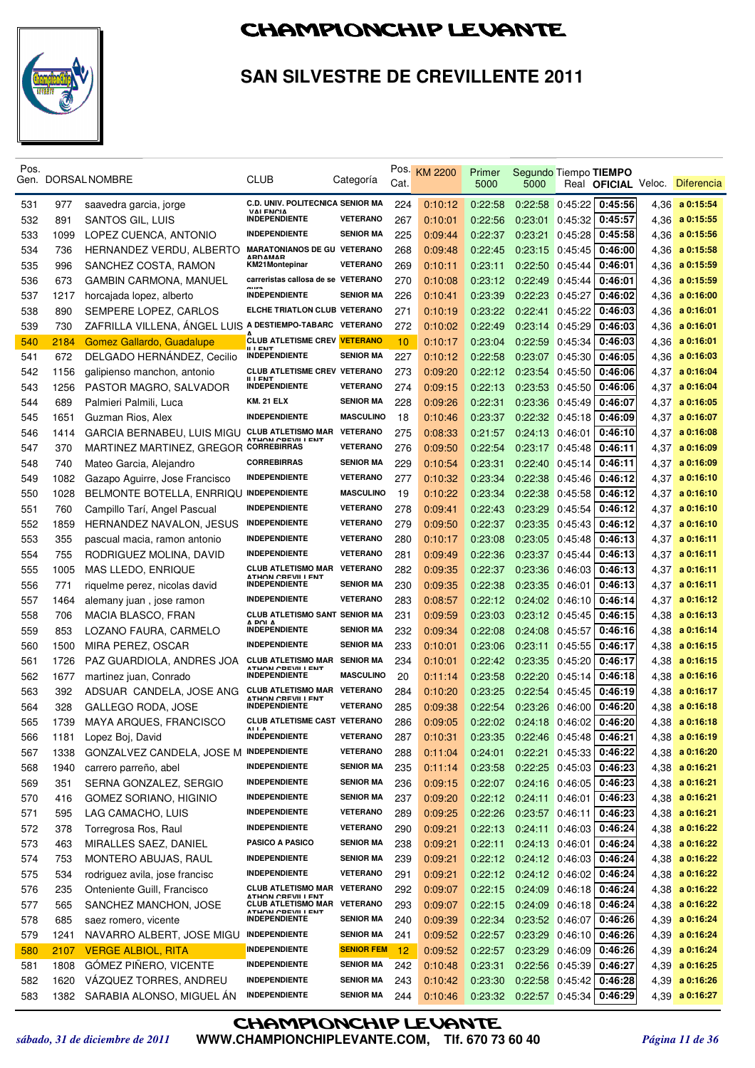

| Pos.<br>Gen. |              | <b>DORSAL NOMBRE</b>                                     | <b>CLUB</b>                                            | Categoría                            | Cat.       | Pos. KM 2200       | Primer<br>5000     | Segundo Tiempo TIEMPO<br>5000 |                    | Real <b>OFICIAL</b> Veloc. |              | Diferencia             |
|--------------|--------------|----------------------------------------------------------|--------------------------------------------------------|--------------------------------------|------------|--------------------|--------------------|-------------------------------|--------------------|----------------------------|--------------|------------------------|
| 531          | 977          | saavedra garcia, jorge                                   | C.D. UNIV. POLITECNICA SENIOR MA<br><b>VALEMOIA</b>    |                                      | 224        | 0:10:12            | 0:22:58            | 0:22:58                       | 0:45:22            | 0:45:56                    |              | 4,36 a 0:15:54         |
| 532          | 891          | <b>SANTOS GIL, LUIS</b>                                  | <b>INDEPENDIENTE</b>                                   | <b>VETERANO</b>                      | 267        | 0:10:01            | 0:22:56            | 0:23:01                       | 0:45:32            | 0:45:57                    | 4,36         | a 0:15:55              |
| 533          | 1099         | LOPEZ CUENCA, ANTONIO                                    | <b>INDEPENDIENTE</b>                                   | <b>SENIOR MA</b>                     | 225        | 0:09:44            | 0:22:37            | 0:23:21                       | 0:45:28            | 0:45:58                    | 4,36         | a 0:15:56              |
| 534          | 736          | HERNANDEZ VERDU, ALBERTO                                 | MARATONIANOS DE GU VETERANO<br><b>ADDAMAD</b>          |                                      | 268        | 0:09:48            | 0:22:45            | 0:23:15                       | 0:45:45            | 0:46:00                    | 4,36         | a 0:15:58              |
| 535          | 996          | SANCHEZ COSTA, RAMON                                     | KM21Montepinar                                         | <b>VETERANO</b>                      | 269        | 0:10:11            | 0:23:11            | 0:22:50                       | 0:45:44            | 0:46:01                    | 4,36         | a 0:15:59              |
| 536          | 673          | <b>GAMBIN CARMONA, MANUEL</b>                            | carreristas callosa de se VETERANO<br>51122            |                                      | 270        | 0:10:08            | 0:23:12            | 0:22:49                       | 0:45:44            | 0:46:01                    | 4,36         | a 0:15:59              |
| 537          | 1217         | horcajada lopez, alberto                                 | <b>INDEPENDIENTE</b>                                   | <b>SENIOR MA</b>                     | 226        | 0:10:41            | 0:23:39            | 0:22:23                       | 0:45:27            | 0:46:02                    | 4,36         | a 0:16:00              |
| 538          | 890          | SEMPERE LOPEZ, CARLOS                                    | ELCHE TRIATLON CLUB VETERANO                           |                                      | 271        | 0:10:19            | 0:23:22            | 0:22:41                       | 0:45:22            | 0:46:03                    | 4,36         | a 0:16:01              |
| 539          | 730          | ZAFRILLA VILLENA, ÁNGEL LUIS A DESTIEMPO-TABARC VETERANO |                                                        |                                      | 272        | 0:10:02            | 0:22:49            | 0:23:14                       | 0:45:29            | 0:46:03                    | 4,36         | a 0:16:01              |
| 540          | 2184         | Gomez Gallardo, Guadalupe                                | <b>CLUB ATLETISME CREV VETERANO</b><br><b>II I CNT</b> |                                      | 10         | 0:10:17            | 0:23:04            | 0:22:59                       | 0:45:34            | 0:46:03                    | 4,36         | a 0:16:01              |
| 541          | 672          | DELGADO HERNÁNDEZ, Cecilio                               | <b>INDEPENDIENTE</b>                                   | <b>SENIOR MA</b>                     | 227        | 0:10:12            | 0:22:58            | 0:23:07                       | 0:45:30            | 0:46:05                    | 4,36         | a 0:16:03              |
| 542          | 1156         | galipienso manchon, antonio                              | CLUB ATLETISME CREV VETERANO<br><b>ILLENT</b>          |                                      | 273        | 0:09:20            | 0:22:12            | 0:23:54                       | 0:45:50            | 0:46:06                    | 4,37         | a 0:16:04              |
| 543          | 1256         | PASTOR MAGRO, SALVADOR                                   | <b>INDEPENDIENTE</b>                                   | <b>VETERANO</b>                      | 274        | 0:09:15            | 0:22:13            | 0:23:53                       | 0:45:50            | 0:46:06                    | 4,37         | a 0:16:04              |
| 544          | 689          | Palmieri Palmili, Luca                                   | <b>KM. 21 ELX</b><br><b>INDEPENDIENTE</b>              | <b>SENIOR MA</b><br><b>MASCULINO</b> | 228        | 0:09:26            | 0:22:31            | 0:23:36                       | 0:45:49            | 0:46:07                    | 4,37         | a 0:16:05<br>a 0:16:07 |
| 545<br>546   | 1651<br>1414 | Guzman Rios, Alex<br>GARCIA BERNABEU, LUIS MIGU          | <b>CLUB ATLETISMO MAR</b>                              | <b>VETERANO</b>                      | 18<br>275  | 0:10:46<br>0:08:33 | 0:23:37<br>0:21:57 | 0:22:32<br>0:24:13            | 0:45:18<br>0:46:01 | 0:46:09<br>0:46:10         | 4,37         | a 0:16:08              |
| 547          | 370          | MARTINEZ MARTINEZ, GREGOR CORREBIRRAS                    | ATHON CREVILL ENT                                      | <b>VETERANO</b>                      | 276        | 0:09:50            | 0:22:54            | 0:23:17                       | 0:45:48            | 0:46:11                    | 4,37<br>4,37 | a 0:16:09              |
| 548          | 740          | Mateo Garcia, Alejandro                                  | <b>CORREBIRRAS</b>                                     | <b>SENIOR MA</b>                     | 229        | 0:10:54            | 0:23:31            | 0:22:40                       | 0:45:14            | 0:46:11                    | 4,37         | a 0:16:09              |
| 549          | 1082         | Gazapo Aguirre, Jose Francisco                           | <b>INDEPENDIENTE</b>                                   | <b>VETERANO</b>                      | 277        | 0:10:32            | 0:23:34            | 0:22:38                       | 0:45:46            | 0:46:12                    | 4,37         | a 0:16:10              |
| 550          | 1028         | BELMONTE BOTELLA, ENRRIQU INDEPENDIENTE                  |                                                        | <b>MASCULINO</b>                     | 19         | 0:10:22            | 0:23:34            | 0:22:38                       | 0:45:58            | 0:46:12                    | 4,37         | a 0:16:10              |
| 551          | 760          | Campillo Tarí, Angel Pascual                             | <b>INDEPENDIENTE</b>                                   | <b>VETERANO</b>                      | 278        | 0:09:41            | 0:22:43            | 0:23:29                       | 0:45:54            | 0:46:12                    | 4,37         | a 0:16:10              |
| 552          | 1859         | HERNANDEZ NAVALON, JESUS                                 | <b>INDEPENDIENTE</b>                                   | <b>VETERANO</b>                      | 279        | 0:09:50            | 0:22:37            | 0:23:35                       | 0:45:43            | 0:46:12                    | 4,37         | a 0:16:10              |
| 553          | 355          | pascual macia, ramon antonio                             | <b>INDEPENDIENTE</b>                                   | <b>VETERANO</b>                      | 280        | 0:10:17            | 0:23:08            | 0:23:05                       | 0:45:48            | 0:46:13                    | 4,37         | a 0:16:11              |
| 554          | 755          | RODRIGUEZ MOLINA, DAVID                                  | <b>INDEPENDIENTE</b>                                   | <b>VETERANO</b>                      | 281        | 0:09:49            | 0:22:36            | 0:23:37                       | 0:45:44            | 0:46:13                    | 4,37         | a 0:16:11              |
| 555          | 1005         | MAS LLEDO, ENRIQUE                                       | <b>CLUB ATLETISMO MAR</b>                              | <b>VETERANO</b>                      | 282        | 0:09:35            | 0:22:37            | 0:23:36                       | 0:46:03            | 0:46:13                    | 4,37         | a 0:16:11              |
| 556          | 771          | riquelme perez, nicolas david                            | ATHON CREVILL ENT<br><b>INDEPENDIENTE</b>              | <b>SENIOR MA</b>                     | 230        | 0:09:35            | 0:22:38            | 0:23:35                       | 0:46:01            | 0:46:13                    | 4,37         | a 0:16:11              |
| 557          | 1464         | alemany juan, jose ramon                                 | <b>INDEPENDIENTE</b>                                   | <b>VETERANO</b>                      | 283        | 0:08:57            | 0:22:12            | 0:24:02                       | 0:46:10            | 0:46:14                    | 4,37         | a 0:16:12              |
| 558          | 706          | MACIA BLASCO, FRAN                                       | <b>CLUB ATLETISMO SANT SENIOR MA</b>                   |                                      | 231        | 0:09:59            | 0:23:03            | 0:23:12 0:45:45               |                    | 0:46:15                    | 4,38         | a 0:16:13              |
| 559          | 853          | LOZANO FAURA, CARMELO                                    | ADNIA<br><b>INDEPENDIENTE</b>                          | <b>SENIOR MA</b>                     | 232        | 0:09:34            | 0:22:08            | 0:24:08                       | 0:45:57            | 0:46:16                    | 4,38         | a 0:16:14              |
| 560          | 1500         | MIRA PEREZ, OSCAR                                        | <b>INDEPENDIENTE</b>                                   | <b>SENIOR MA</b>                     | 233        | 0:10:01            | 0:23:06            | 0:23:11                       | 0:45:55            | 0:46:17                    | 4,38         | a 0:16:15              |
| 561          | 1726         | PAZ GUARDIOLA, ANDRES JOA                                | <b>CLUB ATLETISMO MAR</b><br>ATHON COEVILL ENT         | <b>SENIOR MA</b>                     | 234        | 0:10:01            | 0:22:42            | 0:23:35                       | 0:45:20            | 0:46:17                    | 4,38         | a 0:16:15              |
| 562          | 1677         | martinez juan, Conrado                                   | <b>INDEPENDIENTE</b>                                   | <b>MASCULINO</b>                     | 20         | 0:11:14            | 0:23:58            | 0:22:20                       | 0:45:14            | 0:46:18                    | 4,38         | a 0:16:16              |
| 563          | 392          | ADSUAR CANDELA, JOSE ANG                                 | <b>CLUB ATLETISMO MAR</b><br>ATHON COEVILL ENT         | <b>VETERANO</b>                      | 284        | 0:10:20            | 0:23:25            | 0:22:54                       | 0:45:45            | 0:46:19                    | 4,38         | a 0:16:17              |
| 564          | 328          | GALLEGO RODA, JOSE                                       | <b>INDEPENDIENTE</b>                                   | <b>VETERANO</b>                      | 285        | 0:09:38            | 0:22:54            | 0:23:26                       | 0:46:00            | 0:46:20                    | 4,38         | a 0:16:18              |
| 565          | 1739         | MAYA ARQUES, FRANCISCO                                   | CLUB ATLETISME CAST VETERANO<br><b>AII A</b>           |                                      | 286        | 0:09:05            | 0:22:02            | 0:24:18                       | 0:46:02            | 0:46:20                    |              | 4,38 a 0:16:18         |
| 566          | 1181         | Lopez Boj, David                                         | <b>INDEPENDIENTE</b>                                   | VETERANO                             | 287        | 0:10:31            | 0:23:35            | 0:22:46 0:45:48               |                    | 0:46:21                    | 4,38         | a 0:16:19              |
| 567          | 1338         | GONZALVEZ CANDELA, JOSE M                                | <b>INDEPENDIENTE</b>                                   | <b>VETERANO</b>                      | 288        | 0:11:04            | 0:24:01            | 0:22:21                       | 0:45:33            | 0:46:22                    | 4,38         | a 0:16:20              |
| 568          | 1940         | carrero parreño, abel                                    | <b>INDEPENDIENTE</b>                                   | <b>SENIOR MA</b>                     | 235        | 0:11:14            | 0:23:58            | 0:22:25 0:45:03               |                    | 0:46:23                    | 4,38         | a 0:16:21              |
| 569          | 351          | SERNA GONZALEZ, SERGIO                                   | <b>INDEPENDIENTE</b>                                   | <b>SENIOR MA</b>                     | 236        | 0:09:15            | 0:22:07            | 0:24:16 0:46:05               |                    | 0:46:23                    | 4,38         | a 0:16:21              |
| 570          | 416          | GOMEZ SORIANO, HIGINIO                                   | <b>INDEPENDIENTE</b>                                   | <b>SENIOR MA</b>                     | 237        | 0:09:20            | 0:22:12            | 0:24:11                       | 0:46:01            | 0:46:23                    | 4,38         | a 0:16:21              |
| 571          | 595          | LAG CAMACHO, LUIS                                        | <b>INDEPENDIENTE</b>                                   | <b>VETERANO</b>                      | 289        | 0:09:25            | 0:22:26            | 0:23:57 0:46:11               |                    | 0:46:23                    | 4,38         | a 0:16:21              |
| 572          | 378          | Torregrosa Ros, Raul                                     | <b>INDEPENDIENTE</b>                                   | <b>VETERANO</b><br><b>SENIOR MA</b>  | 290        | 0:09:21            | 0:22:13            | 0:24:11                       | 0:46:03            | 0:46:24                    | 4,38         | a 0:16:22              |
| 573          | 463          | MIRALLES SAEZ, DANIEL                                    | PASICO A PASICO<br><b>INDEPENDIENTE</b>                | <b>SENIOR MA</b>                     | 238        | 0:09:21            | 0:22:11            | 0:24:13 0:46:01               |                    | 0:46:24                    | 4,38         | a 0:16:22<br>a 0:16:22 |
| 574          | 753          | MONTERO ABUJAS, RAUL                                     | <b>INDEPENDIENTE</b>                                   | <b>VETERANO</b>                      | 239        | 0.09.21            | 0:22:12            | 0:24:12 0:46:03               |                    | 0:46:24                    | 4,38         |                        |
| 575          | 534          | rodriguez avila, jose francisc                           | CLUB ATLETISMO MAR VETERANO                            |                                      | 291        | 0:09:21            | 0:22:12            | 0:24:12 0:46:02               | 0.46:18            | 0:46:24<br>0:46:24         | 4,38         | a 0:16:22<br>a 0:16:22 |
| 576<br>577   | 235<br>565   | Onteniente Guill, Francisco<br>SANCHEZ MANCHON, JOSE     | ATHON ODEVILL ENT<br><b>CLUB ATLETISMO MAR</b>         | <b>VETERANO</b>                      | 292<br>293 | 0:09:07<br>0:09:07 | 0:22:15<br>0:22:15 | 0:24:09<br>0:24:09            | 0:46:18            | 0:46:24                    | 4,38<br>4,38 | a 0:16:22              |
| 578          | 685          | saez romero, vicente                                     | ATHON ODEVILL ENT<br><b>INDEPENDIENTE</b>              | <b>SENIOR MA</b>                     | 240        | 0:09:39            | 0:22:34            | 0:23:52 0:46:07               |                    | 0:46:26                    | 4,39         | a 0:16:24              |
| 579          | 1241         | NAVARRO ALBERT, JOSE MIGU                                | <b>INDEPENDIENTE</b>                                   | <b>SENIOR MA</b>                     | 241        | 0:09:52            | 0:22:57            | 0:23:29 0:46:10               |                    | 0:46:26                    | 4,39         | a 0:16:24              |
| 580          | 2107         | <b>VERGE ALBIOL, RITA</b>                                | <b>INDEPENDIENTE</b>                                   | <b>SENIOR FEM</b>                    | 12         | 0:09:52            | 0:22:57            | 0:23:29                       | 0:46:09            | 0:46:26                    | 4,39         | a 0:16:24              |
| 581          | 1808         | GÓMEZ PIÑERO, VICENTE                                    | <b>INDEPENDIENTE</b>                                   | <b>SENIOR MA</b>                     | 242        | 0:10:48            | 0:23:31            | 0:22:56 0:45:39               |                    | 0:46:27                    | 4,39         | a 0:16:25              |
| 582          | 1620         | VÁZQUEZ TORRES, ANDREU                                   | <b>INDEPENDIENTE</b>                                   | <b>SENIOR MA</b>                     | 243        | 0:10:42            | 0:23:30            | 0:22:58 0:45:42               |                    | 0:46:28                    | 4,39         | a 0:16:26              |
| 583          | 1382         | SARABIA ALONSO, MIGUEL ÁN                                | <b>INDEPENDIENTE</b>                                   | <b>SENIOR MA</b>                     | 244        | 0:10:46            | 0:23:32            | $0:22:57$ 0:45:34             |                    | 0:46:29                    | 4,39         | a 0:16:27              |
|              |              |                                                          |                                                        |                                      |            |                    |                    |                               |                    |                            |              |                        |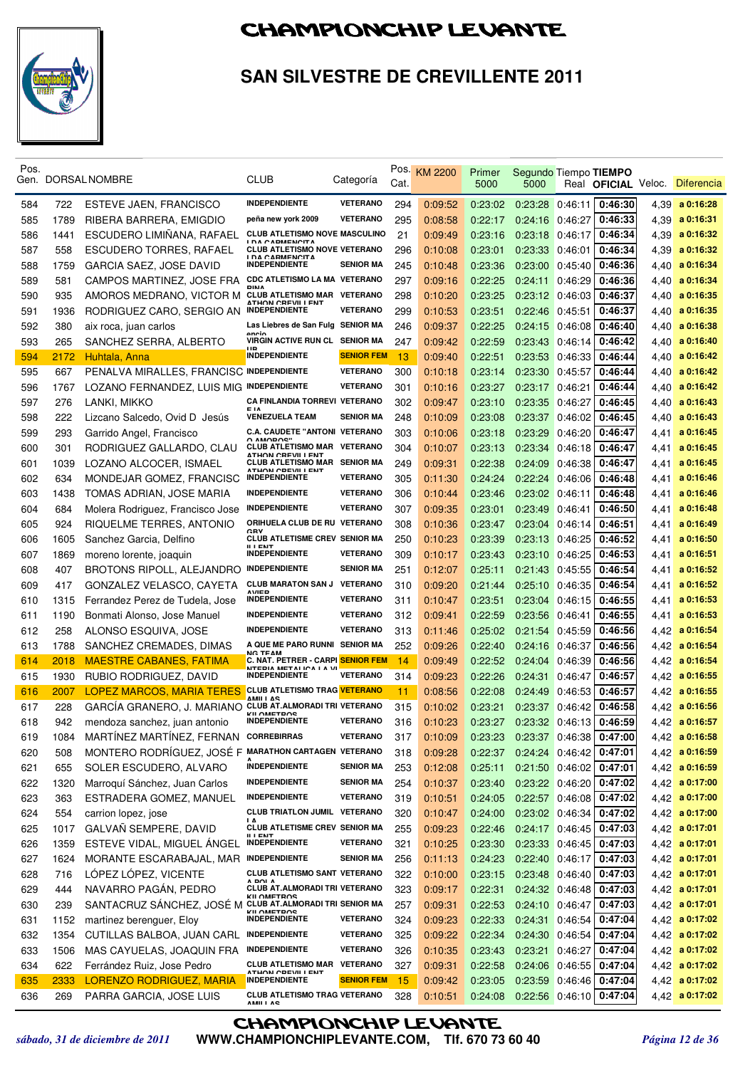

| Pos.<br>Gen. |             | <b>DORSAL NOMBRE</b>                                          | <b>CLUB</b>                                                    | Categoría                   | Cat.       | Pos. KM 2200       | Primer<br>5000     | Segundo Tiempo TIEMPO<br>5000 |                    | Real <b>OFICIAL</b> Veloc. |              | Diferencia                       |
|--------------|-------------|---------------------------------------------------------------|----------------------------------------------------------------|-----------------------------|------------|--------------------|--------------------|-------------------------------|--------------------|----------------------------|--------------|----------------------------------|
| 584          | 722         | ESTEVE JAEN, FRANCISCO                                        | <b>INDEPENDIENTE</b>                                           | <b>VETERANO</b>             | 294        | 0:09:52            | 0:23:02            | 0:23:28                       | 0:46:11            | 0:46:30                    | 4,39         | a 0:16:28                        |
| 585          | 1789        | RIBERA BARRERA, EMIGDIO                                       | peña new york 2009                                             | VETERANO                    | 295        | 0:08:58            | 0:22:17            | 0:24:16                       | 0:46:27            | 0:46:33                    | 4,39         | a 0:16:31                        |
| 586          | 1441        | ESCUDERO LIMIÑANA, RAFAEL                                     | <b>CLUB ATLETISMO NOVE MASCULINO</b><br><b>I DA CAPMENCITA</b> |                             | 21         | 0:09:49            | 0:23:16            | 0:23:18                       | 0:46:17            | 0:46:34                    | 4,39         | a 0:16:32                        |
| 587          | 558         | <b>ESCUDERO TORRES, RAFAEL</b>                                | <b>CLUB ATLETISMO NOVE VETERANO</b><br><b>I DA CADMENCITA</b>  |                             | 296        | 0:10:08            | 0:23:01            | 0:23:33                       | 0:46:01            | 0:46:34                    | 4,39         | a 0:16:32                        |
| 588          | 1759        | <b>GARCIA SAEZ, JOSE DAVID</b>                                | <b>INDEPENDIENTE</b>                                           | <b>SENIOR MA</b>            | 245        | 0:10:48            | 0:23:36            | 0:23:00                       | 0:45:40            | 0:46:36                    | 4,40         | a 0:16:34                        |
| 589          | 581         | CAMPOS MARTINEZ, JOSE FRA                                     | CDC ATLETISMO LA MA VETERANO<br>DINA                           |                             | 297        | 0:09:16            | 0:22:25            | 0:24:11                       | 0:46:29            | 0:46:36                    | 4,40         | a 0:16:34                        |
| 590          | 935         | AMOROS MEDRANO, VICTOR M                                      | CLUB ATLETISMO MAR VETERANO<br>ATHON CREVILL ENT               |                             | 298        | 0:10:20            | 0:23:25            | 0:23:12                       | 0:46:03            | 0:46:37                    | 4,40         | a 0:16:35                        |
| 591          | 1936        | RODRIGUEZ CARO, SERGIO AN                                     | <b>INDEPENDIENTE</b>                                           | <b>VETERANO</b>             | 299        | 0:10:53            | 0:23:51            | 0:22:46                       | 0:45:51            | 0:46:37                    | 4,40         | a 0:16:35                        |
| 592          | 380         | aix roca, juan carlos                                         | Las Liebres de San Fulg SENIOR MA<br>onoio                     |                             | 246        | 0:09:37            | 0:22:25            | 0:24:15                       | 0:46:08            | 0:46:40                    | 4,40         | a 0:16:38                        |
| 593          | 265         | SANCHEZ SERRA, ALBERTO                                        | VIRGIN ACTIVE RUN CL SENIOR MA<br><b>IID</b>                   |                             | 247        | 0:09:42            | 0:22:59            | 0:23:43                       | 0:46:14            | 0:46:42                    | 4,40         | a 0:16:40                        |
| 594          | 2172        | Huhtala, Anna                                                 | <b>INDEPENDIENTE</b>                                           | <b>SENIOR FEM</b>           | 13         | 0:09:40            | 0:22:51            | 0:23:53                       | 0:46:33            | 0:46:44                    | 4,40         | a 0:16:42                        |
| 595          | 667         | PENALVA MIRALLES, FRANCISC INDEPENDIENTE                      |                                                                | VETERANO                    | 300        | 0:10:18            | 0:23:14            | 0:23:30                       | 0:45:57            | 0:46:44                    | 4,40         | a 0:16:42                        |
| 596          | 1767        | LOZANO FERNANDEZ, LUIS MIG INDEPENDIENTE                      |                                                                | VETERANO                    | 301        | 0:10:16            | 0:23:27            | 0:23:17                       | 0:46:21            | 0:46:44                    | 4,40         | a 0:16:42                        |
| 597          | 276         | LANKI, MIKKO                                                  | CA FINLANDIA TORREVI VETERANO<br>EIA                           |                             | 302        | 0:09:47            | 0:23:10            | 0:23:35                       | 0:46:27            | 0:46:45                    | 4,40         | a 0:16:43                        |
| 598          | 222         | Lizcano Salcedo, Ovid D Jesús                                 | <b>VENEZUELA TEAM</b>                                          | SENIOR MA                   | 248        | 0:10:09            | 0:23:08            | 0:23:37                       | 0:46:02            | 0:46:45                    | 4,40         | a 0:16:43                        |
| 599          | 293         | Garrido Angel, Francisco                                      | C.A. CAUDETE "ANTONI VETERANO<br>O AMOROS"                     |                             | 303        | 0:10:06            | 0:23:18            | 0:23:29                       | 0:46:20            | 0:46:47                    | 4,41         | a 0:16:45                        |
| 600          | 301         | RODRIGUEZ GALLARDO, CLAU                                      | CLUB ATLETISMO MAR VETERANO<br>ATHON CREWLL ENT                |                             | 304        | 0:10:07            | 0:23:13            | 0:23:34                       | 0:46:18            | 0:46:47                    | 4,41         | a 0:16:45                        |
| 601          | 1039        | LOZANO ALCOCER, ISMAEL                                        | <b>CLUB ATLETISMO MAR</b><br>ATHON CREWLL ENT                  | <b>SENIOR MA</b>            | 249        | 0:09:31            | 0:22:38            | 0:24:09                       | 0:46:38            | 0:46:47                    | 4,41         | a 0:16:45                        |
| 602          | 634         | MONDEJAR GOMEZ, FRANCISC                                      | <b>INDEPENDIENTE</b><br><b>INDEPENDIENTE</b>                   | VETERANO                    | 305        | 0:11:30            | 0:24:24            | 0:22:24                       | 0:46:06            | 0:46:48                    | 4,41         | a 0:16:46                        |
| 603          | 1438        | TOMAS ADRIAN, JOSE MARIA                                      | <b>INDEPENDIENTE</b>                                           | VETERANO<br>VETERANO        | 306        | 0:10:44            | 0:23:46            | 0:23:02                       | 0:46:11            | 0:46:48                    | 4,41         | a 0:16:46                        |
| 604<br>605   | 684<br>924  | Molera Rodriguez, Francisco Jose<br>RIQUELME TERRES, ANTONIO  | ORIHUELA CLUB DE RU VETERANO                                   |                             | 307<br>308 | 0:09:35            | 0:23:01<br>0:23:47 | 0:23:49                       | 0:46:41            | 0:46:50<br>0:46:51         | 4,41         | a 0:16:48<br>a 0:16:49           |
| 606          | 1605        | Sanchez Garcia, Delfino                                       | GRV<br>CLUB ATLETISME CREV SENIOR MA                           |                             | 250        | 0:10:36<br>0:10:23 | 0:23:39            | 0:23:04<br>0:23:13            | 0:46:14<br>0:46:25 | 0:46:52                    | 4,41<br>4,41 | a 0:16:50                        |
| 607          | 1869        | moreno lorente, joaquin                                       | <b>ILLENT</b><br><b>INDEPENDIENTE</b>                          | VETERANO                    | 309        | 0:10:17            | 0:23:43            | 0:23:10                       | 0:46:25            | 0:46:53                    | 4,41         | a 0:16:51                        |
| 608          | 407         | <b>BROTONS RIPOLL, ALEJANDRO</b>                              | <b>INDEPENDIENTE</b>                                           | <b>SENIOR MA</b>            | 251        | 0:12:07            | 0:25:11            | 0:21:43                       | 0:45:55            | 0:46:54                    | 4,41         | a 0:16:52                        |
| 609          | 417         | GONZALEZ VELASCO, CAYETA                                      | <b>CLUB MARATON SAN J</b>                                      | <b>VETERANO</b>             | 310        | 0:09:20            | 0:21:44            | 0:25:10                       | 0:46:35            | 0:46:54                    | 4,41         | a 0:16:52                        |
| 610          | 1315        | Ferrandez Perez de Tudela, Jose                               | <b>AVIER</b><br><b>INDEPENDIENTE</b>                           | VETERANO                    | 311        | 0:10:47            | 0:23:51            | 0:23:04                       | 0:46:15            | 0:46:55                    | 4,41         | a 0:16:53                        |
| 611          | 1190        | Bonmati Alonso, Jose Manuel                                   | <b>INDEPENDIENTE</b>                                           | VETERANO                    | 312        | 0:09:41            | 0:22:59            | 0:23:56                       | 0:46:41            | 0:46:55                    | 4,41         | a 0:16:53                        |
| 612          | 258         | ALONSO ESQUIVA, JOSE                                          | <b>INDEPENDIENTE</b>                                           | VETERANO                    | 313        | 0:11:46            | 0:25:02            | 0:21:54                       | 0:45:59            | 0:46:56                    | 4,42         | a 0:16:54                        |
| 613          | 1788        | SANCHEZ CREMADES, DIMAS                                       | A QUE ME PARO RUNNI SENIOR MA                                  |                             | 252        | 0:09:26            | 0:22:40            | 0:24:16                       | 0:46:37            | 0:46:56                    | 4,42         | a 0:16:54                        |
| 614          | 2018        | <b>MAESTRE CABANES, FATIMA</b>                                | <b>NC TEAM</b><br><b>C. NAT. PETRER - CARPI SENIOR FEM</b>     |                             | 14         | 0:09:49            | 0:22:52            | 0:24:04                       | 0:46:39            | 0:46:56                    | 4,42         | a 0:16:54                        |
| 615          | 1930        | RUBIO RODRIGUEZ, DAVID                                        | NITEDIA METALICA LA VI<br><b>INDEPENDIENTE</b>                 | <b>VETERANO</b>             | 314        | 0:09:23            | 0:22:26            | 0:24:31                       | 0:46:47            | 0:46:57                    | 4,42         | a 0:16:55                        |
| 616          | 2007        | <b>LOPEZ MARCOS, MARIA TERES</b>                              | <b>CLUB ATLETISMO TRAG VETERANO</b><br>AMILIAC                 |                             | 11         | 0:08:56            | 0:22:08            | 0:24:49                       | 0:46:53            | 0:46:57                    | 4,42         | a 0:16:55                        |
| 617          | 228         | GARCÍA GRANERO, J. MARIANO                                    | CLUB AT.ALMORADI TRI VETERANO<br><b>VII OMETDOS</b>            |                             | 315        | 0:10:02            | 0:23:21            | 0:23:37                       | 0:46:42            | 0:46:58                    | 4,42         | a 0:16:56                        |
| 618          | 942         | mendoza sanchez, juan antonio                                 | <b>INDEPENDIENTE</b>                                           | <b>VETERANO</b>             | 316        | 0:10:23            | 0:23:27            | 0:23:32                       | 0:46:13            | 0:46:59                    |              | 4,42 a 0:16:57                   |
| 619          | 1084        | MARTÍNEZ MARTÍNEZ, FERNAN                                     | <b>CORREBIRRAS</b>                                             | <b>VETERANO</b>             | 317        | 0:10:09            | 0:23:23            | 0:23:37 0:46:38               |                    | 0:47:00                    |              | 4,42 a 0:16:58                   |
| 620          | 508         | MONTERO RODRÍGUEZ, JOSÉ F                                     | <b>MARATHON CARTAGEN VETERANO</b>                              |                             | 318        | 0:09:28            | 0:22:37            | 0:24:24 0:46:42               |                    | 0:47:01                    |              | 4,42 a 0:16:59                   |
| 621          | 655         | SOLER ESCUDERO, ALVARO                                        | <b>INDEPENDIENTE</b>                                           | <b>SENIOR MA</b>            | 253        | 0:12:08            | 0:25:11            | $0:21:50$ 0:46:02             |                    | 0:47:01                    |              | 4,42 a 0:16:59                   |
| 622          | 1320        | Marroquí Sánchez, Juan Carlos                                 | <b>INDEPENDIENTE</b>                                           | <b>SENIOR MA</b>            | 254        | 0:10:37            | 0:23:40            | 0:23:22 0:46:20               |                    | 0:47:02                    |              | 4,42 a 0:17:00                   |
| 623          | 363         | ESTRADERA GOMEZ, MANUEL                                       | <b>INDEPENDIENTE</b>                                           | <b>VETERANO</b>             | 319        | 0:10:51            | 0:24:05            | 0:22:57 0:46:08               |                    | 0:47:02                    |              | 4,42 a 0:17:00                   |
| 624          | 554         | carrion lopez, jose                                           | CLUB TRIATLON JUMIL VETERANO<br>$\mathbf{A}$                   |                             | 320        | 0:10:47            | 0:24:00            | 0:23:02 0:46:34               |                    | 0:47:02                    |              | 4,42 a 0:17:00                   |
| 625          | 1017        | GALVAÑ SEMPERE, DAVID                                         | CLUB ATLETISME CREV SENIOR MA<br><b>ILL CAT</b>                |                             | 255        | 0:09:23            | 0:22:46            | 0:24:17 0:46:45               |                    | 0:47:03                    |              | 4,42 a 0:17:01                   |
| 626          | 1359        | ESTEVE VIDAL, MIGUEL ÁNGEL                                    | <b>INDEPENDIENTE</b>                                           | <b>VETERANO</b>             | 321        | 0:10:25            | 0:23:30            | 0:23:33 0:46:45               |                    | 0:47:03                    |              | 4,42 a 0:17:01                   |
| 627          | 1624        | MORANTE ESCARABAJAL, MAR                                      | <b>INDEPENDIENTE</b>                                           | <b>SENIOR MA</b>            | 256        | 0:11:13            | 0:24:23            | 0:22:40 0:46:17               |                    | 0:47:03                    |              | 4,42 a 0:17:01                   |
| 628          | 716         | LÓPEZ LÓPEZ, VICENTE                                          | <b>CLUB ATLETISMO SANT VETERANO</b><br>A DOI A                 |                             | 322        | 0:10:00            | 0:23:15            | 0:23:48 0:46:40               |                    | 0:47:03                    |              | 4,42 a 0:17:01                   |
| 629          | 444         | NAVARRO PAGÁN, PEDRO                                          | <b>CLUB AT.ALMORADI TRI VETERANO</b><br><b>KII UNETDUG</b>     |                             | 323        | 0:09:17            | 0:22:31            | 0:24:32 0:46:48               |                    | 0:47:03                    |              | 4,42 a 0:17:01                   |
| 630          | 239         | SANTACRUZ SÁNCHEZ, JOSÉ M                                     | CLUB AT.ALMORADI TRI SENIOR MA<br><b>VII UNETDUC</b>           |                             | 257        | 0:09:31            | 0:22:53            | 0:24:10 0:46:47               |                    | 0:47:03                    |              | 4,42 a 0:17:01                   |
| 631          | 1152        | martinez berenguer, Eloy                                      | <b>INDEPENDIENTE</b>                                           | VETERANO                    | 324        | 0:09:23            | 0:22:33            | 0:24:31                       | 0:46:54            | 0:47:04                    |              | 4,42 a 0:17:02                   |
| 632          | 1354        | CUTILLAS BALBOA, JUAN CARL                                    | <b>INDEPENDIENTE</b><br><b>INDEPENDIENTE</b>                   | VETERANO<br><b>VETERANO</b> | 325        | 0:09:22            | 0:22:34            | 0:24:30 0:46:54               |                    | 0:47:04                    |              | 4,42 a 0:17:02<br>4,42 a 0:17:02 |
| 633          | 1506        | MAS CAYUELAS, JOAQUIN FRA                                     | <b>CLUB ATLETISMO MAR</b>                                      | <b>VETERANO</b>             | 326        | 0:10:35            | 0:23:43            | 0:23:21                       | 0:46:27            | 0:47:04<br>0:47:04         |              | 4,42 a 0:17:02                   |
| 634<br>635   | 622<br>2333 | Ferrández Ruiz, Jose Pedro<br><b>LORENZO RODRIGUEZ, MARIA</b> | ATHON CREVILL ENT<br><b>INDEPENDIENTE</b>                      | <b>SENIOR FEM</b>           | 327<br>15  | 0:09:31<br>0:09:42 | 0:22:58<br>0:23:05 | 0:24:06<br>0:23:59            | 0:46:55<br>0:46:46 | 0:47:04                    |              | 4,42 a 0:17:02                   |
|              |             |                                                               | <b>CLUB ATLETISMO TRAG VETERANO</b>                            |                             | 328        |                    |                    |                               |                    | 0:47:04                    |              | 4,42 a 0:17:02                   |
| 636          | 269         | PARRA GARCIA, JOSE LUIS                                       | AMILIAC                                                        |                             |            | 0:10:51            | 0:24:08            | $0:22:56$ 0:46:10             |                    |                            |              |                                  |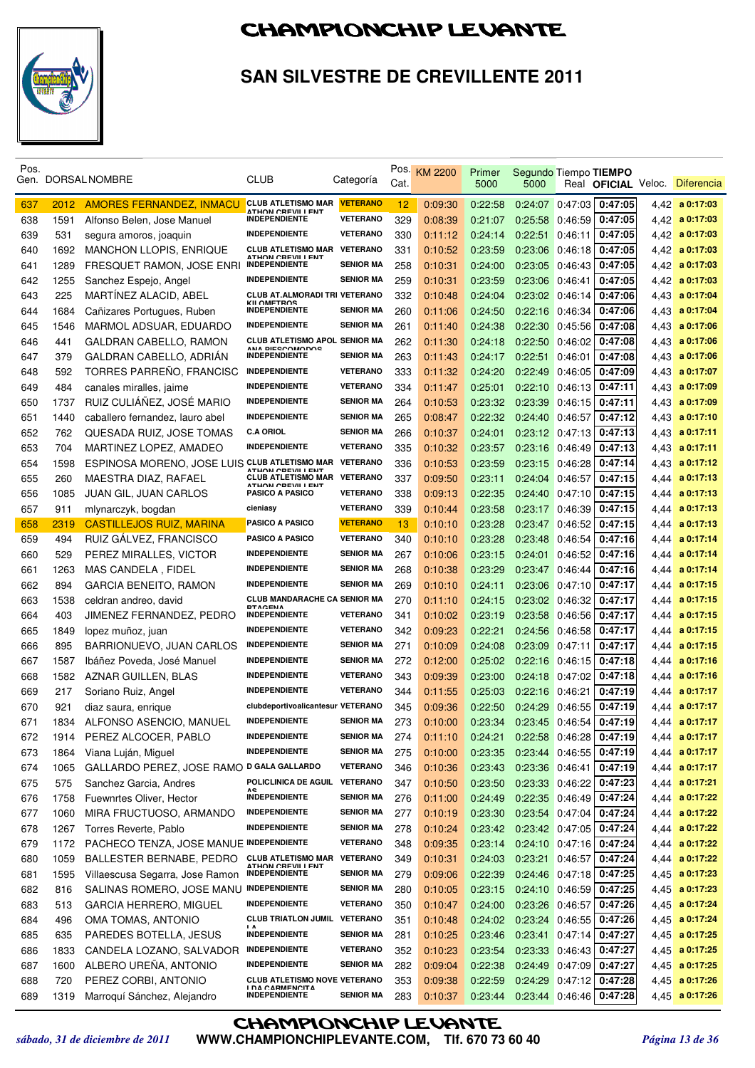

| Pos.<br>Gen. |            | <b>DORSALNOMBRE</b>                                              | CLUB                                                | Categoría                          | Cat.       | Pos. KM 2200       | Primer<br>5000     | Segundo Tiempo TIEMPO<br>5000      |                    | Real <b>OFICIAL</b> Veloc. |      | Diferencia                       |
|--------------|------------|------------------------------------------------------------------|-----------------------------------------------------|------------------------------------|------------|--------------------|--------------------|------------------------------------|--------------------|----------------------------|------|----------------------------------|
| 637          | 2012       | AMORES FERNANDEZ, INMACU                                         | <b>CLUB ATLETISMO MAR</b><br>ATHON CREVILL ENT      | <b>VETERANO</b>                    | 12         | 0:09:30            | 0:22:58            | 0:24:07                            | 0:47:03            | 0:47:05                    |      | 4,42 a 0:17:03                   |
| 638          | 1591       | Alfonso Belen, Jose Manuel                                       | <b>INDEPENDIENTE</b>                                | <b>VETERANO</b>                    | 329        | 0:08:39            | 0:21:07            | 0:25:58                            | 0:46:59            | 0:47:05                    | 4.42 | a 0:17:03                        |
| 639          | 531        | segura amoros, joaguin                                           | <b>INDEPENDIENTE</b>                                | <b>VETERANO</b>                    | 330        | 0:11:12            | 0:24:14            | 0:22:51                            | 0:46:11            | 0:47:05                    | 4.42 | a 0:17:03                        |
| 640          | 1692       | <b>MANCHON LLOPIS, ENRIQUE</b>                                   | <b>CLUB ATLETISMO MAR</b><br>ATHON CREVILL ENT      | <b>VETERANO</b>                    | 331        | 0:10:52            | 0:23:59            | 0:23:06                            | 0:46:18            | 0:47:05                    | 4,42 | a 0:17:03                        |
| 641          | 1289       | FRESQUET RAMON, JOSE ENRI                                        | <b>INDEPENDIENTE</b>                                | <b>SENIOR MA</b>                   | 258        | 0:10:31            | 0:24:00            | 0:23:05                            | 0:46:43            | 0:47:05                    | 4.42 | a 0:17:03                        |
| 642          | 1255       | Sanchez Espejo, Angel                                            | <b>INDEPENDIENTE</b>                                | <b>SENIOR MA</b>                   | 259        | 0:10:31            | 0:23:59            | 0:23:06                            | 0:46:41            | 0:47:05                    | 4.42 | a 0:17:03                        |
| 643          | 225        | MARTÍNEZ ALACID, ABEL                                            | CLUB AT.ALMORADI TRI VETERANO<br><b>VII OMETROS</b> |                                    | 332        | 0:10:48            | 0:24:04            | 0:23:02                            | 0.46:14            | 0:47:06                    | 4,43 | a 0:17:04                        |
| 644          | 1684       | Cañizares Portugues, Ruben                                       | <b>INDEPENDIENTE</b>                                | <b>SENIOR MA</b>                   | 260        | 0:11:06            | 0:24:50            | 0:22:16                            | 0:46:34            | 0:47:06                    | 4,43 | a 0:17:04                        |
| 645          | 1546       | MARMOL ADSUAR, EDUARDO                                           | <b>INDEPENDIENTE</b>                                | <b>SENIOR MA</b>                   | 261        | 0:11:40            | 0:24:38            | 0:22:30                            | 0:45:56            | 0:47:08                    | 4,43 | a 0:17:06                        |
| 646          | 441        | GALDRAN CABELLO, RAMON                                           | CLUB ATLETISMO APOL SENIOR MA<br>ANA DIECOOMODOC    |                                    | 262        | 0:11:30            | 0:24:18            | 0:22:50                            | 0:46:02            | 0:47:08                    | 4,43 | a 0:17:06                        |
| 647          | 379        | GALDRAN CABELLO, ADRIAN                                          | <b>INDEPENDIENTE</b>                                | <b>SENIOR MA</b>                   | 263        | 0:11:43            | 0:24:17            | 0:22:51                            | 0:46:01            | 0:47:08                    | 4,43 | a 0:17:06                        |
| 648          | 592        | TORRES PARREÑO, FRANCISC                                         | <b>INDEPENDIENTE</b>                                | <b>VETERANO</b>                    | 333        | 0:11:32            | 0:24:20            | 0:22:49                            | 0:46:05            | 0:47:09                    | 4,43 | a 0:17:07                        |
| 649          | 484        | canales miralles, jaime                                          | <b>INDEPENDIENTE</b>                                | <b>VETERANO</b>                    | 334        | 0:11:47            | 0:25:01            | 0:22:10                            | 0:46:13            | 0:47:11                    | 4,43 | a 0:17:09                        |
| 650          | 1737       | RUIZ CULIÁÑEZ, JOSÉ MARIO                                        | <b>INDEPENDIENTE</b>                                | <b>SENIOR MA</b>                   | 264        | 0:10:53            | 0:23:32            | 0:23:39                            | 0:46:15            | 0:47:11                    | 4,43 | a 0:17:09                        |
| 651          | 1440       | caballero fernandez, lauro abel                                  | <b>INDEPENDIENTE</b>                                | <b>SENIOR MA</b>                   | 265        | 0:08:47            | 0:22:32            | 0:24:40                            | 0:46:57            | 0:47:12                    | 4,43 | a 0:17:10                        |
| 652          | 762        | QUESADA RUIZ, JOSE TOMAS                                         | <b>C.A ORIOL</b>                                    | <b>SENIOR MA</b>                   | 266        | 0:10:37            | 0:24:01            | 0:23:12                            | 0.47:13            | 0:47:13                    | 4,43 | a 0:17:11                        |
| 653          | 704        | MARTINEZ LOPEZ, AMADEO                                           | <b>INDEPENDIENTE</b>                                | <b>VETERANO</b>                    | 335        | 0:10:32            | 0:23:57            | 0:23:16                            | 0:46:49            | 0:47:13                    | 4,43 | a 0:17:11                        |
| 654          | 1598       | ESPINOSA MORENO, JOSE LUIS CLUB ATLETISMO MAR                    | ATHON CREVILL ENT                                   | <b>VETERANO</b>                    | 336        | 0:10:53            | 0:23:59            | 0:23:15                            | 0:46:28            | 0:47:14                    | 4,43 | a 0:17:12                        |
| 655          | 260        | MAESTRA DIAZ, RAFAEL                                             | CLUB ATLETISMO MAR<br>ATHON CREVILL ENT             | <b>VETERANO</b>                    | 337        | 0:09:50            | 0:23:11            | 0:24:04                            | 0:46:57            | 0:47:15                    | 4,44 | a 0:17:13                        |
| 656          | 1085       | <b>JUAN GIL, JUAN CARLOS</b>                                     | <b>PASICO A PASICO</b>                              | <b>VETERANO</b>                    | 338        | 0:09:13            | 0:22:35            | 0:24:40                            | 0:47:10            | 0:47:15                    | 4,44 | a 0:17:13                        |
| 657          | 911        | mlynarczyk, bogdan                                               | cieniasy                                            | <b>VETERANO</b>                    | 339        | 0:10:44            | 0:23:58            | 0:23:17                            | 0:46:39            | 0:47:15                    | 4,44 | a 0:17:13                        |
| 658          | 2319       | <b>CASTILLEJOS RUIZ, MARINA</b>                                  | <b>PASICO A PASICO</b>                              | <b>VETERANO</b>                    | 13         | 0:10:10            | 0:23:28            | 0:23:47                            | 0:46:52            | 0:47:15                    | 4,44 | a 0:17:13                        |
| 659          | 494        | RUIZ GÁLVEZ, FRANCISCO                                           | <b>PASICO A PASICO</b>                              | <b>VETERANO</b>                    | 340        | 0:10:10            | 0:23:28            | 0:23:48                            | 0:46:54            | 0:47:16                    | 4,44 | a 0:17:14                        |
| 660          | 529        | PEREZ MIRALLES, VICTOR                                           | <b>INDEPENDIENTE</b>                                | <b>SENIOR MA</b>                   | 267        | 0:10:06            | 0:23:15            | 0:24:01                            | 0:46:52            | 0:47:16                    |      | 4,44 a 0:17:14                   |
| 661          | 1263       | MAS CANDELA, FIDEL                                               | <b>INDEPENDIENTE</b>                                | <b>SENIOR MA</b>                   | 268        | 0:10:38            | 0:23:29            | 0:23:47                            | 0:46:44            | 0:47:16                    |      | 4,44 a 0:17:14                   |
| 662          | 894        | <b>GARCIA BENEITO, RAMON</b>                                     | <b>INDEPENDIENTE</b>                                | <b>SENIOR MA</b>                   | 269        | 0:10:10            | 0:24:11            | 0:23:06                            | 0:47:10            | 0:47:17                    | 4,44 | a 0:17:15                        |
| 663          | 1538       | celdran andreo, david                                            | CLUB MANDARACHE CA SENIOR MA<br><b>RTACENA</b>      |                                    | 270        | 0:11:10            | 0:24:15            | 0:23:02                            | 0:46:32            | 0:47:17                    | 4,44 | a 0:17:15                        |
| 664          | 403        | JIMENEZ FERNANDEZ, PEDRO                                         | <b>INDEPENDIENTE</b>                                | <b>VETERANO</b>                    | 341        | 0:10:02            | 0:23:19            | 0:23:58                            | 0:46:56            | 0:47:17                    |      | 4,44 a 0:17:15                   |
| 665          | 1849       | lopez muñoz, juan                                                | <b>INDEPENDIENTE</b>                                | <b>VETERANO</b>                    | 342        | 0:09:23            | 0:22:21            | 0:24:56                            | 0:46:58            | 0:47:17                    |      | 4,44 a 0:17:15                   |
| 666          | 895        | BARRIONUEVO, JUAN CARLOS                                         | <b>INDEPENDIENTE</b>                                | <b>SENIOR MA</b>                   | 271        | 0:10:09            | 0:24:08            | 0:23:09                            | 0:47:11            | 0:47:17                    | 4,44 | a 0:17:15                        |
| 667          | 1587       | Ibáñez Poveda, José Manuel                                       | <b>INDEPENDIENTE</b>                                | <b>SENIOR MA</b>                   | 272        | 0:12:00            | 0:25:02            | 0:22:16                            | 0:46:15            | 0:47:18                    |      | 4,44 a 0:17:16                   |
| 668          | 1582       | AZNAR GUILLEN, BLAS                                              | <b>INDEPENDIENTE</b>                                | <b>VETERANO</b>                    | 343        | 0:09:39            | 0:23:00            | 0:24:18                            | 0:47:02            | 0:47:18                    |      | 4,44 a 0:17:16                   |
| 669          | 217        | Soriano Ruiz, Angel                                              | <b>INDEPENDIENTE</b>                                | <b>VETERANO</b>                    | 344        | 0:11:55            | 0:25:03            | 0:22:16                            | 0:46:21            | 0:47:19                    |      | 4.44 a 0:17:17                   |
| 670          | 921        | diaz saura, enrique                                              | clubdeportivoalicantesur VETERANO                   |                                    | 345        | 0:09:36            | 0:22:50            | 0:24:29                            | 0:46:55            | 0:47:19                    |      | 4,44 a 0:17:17                   |
| 671          | 1834       | ALFONSO ASENCIO, MANUEL                                          | <b>INDEPENDIENTE</b>                                | <b>SENIOR MA</b>                   | 273        | 0:10:00            | 0:23:34            | 0:23:45                            | 0:46:54            | 0:47:19                    |      | 4,44 a 0:17:17                   |
| 672          | 1914       | PEREZ ALCOCER, PABLO                                             | INDEPENDIENTE                                       | <b>SENIOR MA</b>                   | 274        | 0:11:10            | 0:24:21            | 0:22:58 0:46:28                    |                    | 0:47:19                    |      | 4,44 a 0:17:17                   |
| 673          | 1864       | Viana Luján, Miguel                                              | <b>INDEPENDIENTE</b>                                | <b>SENIOR MA</b>                   | 275        | 0:10:00            | 0:23:35            | 0:23:44                            | 0:46:55            | 0:47:19                    |      | 4,44 a 0:17:17                   |
| 674          | 1065       | GALLARDO PEREZ, JOSE RAMO D GALA GALLARDO                        | POLICLINICA DE AGUIL                                | <b>VETERANO</b><br><b>VETERANO</b> | 346        | 0:10:36            | 0:23:43            | 0:23:36 0:46:41                    |                    | 0:47:19                    |      | 4,44 a 0:17:17                   |
| 675          | 575        | Sanchez Garcia, Andres                                           | <b>INDEPENDIENTE</b>                                | <b>SENIOR MA</b>                   | 347        | 0:10:50            | 0:23:50            | 0:23:33                            | 0.46:22            | 0:47:23                    |      | 4,44 a 0:17:21                   |
| 676          | 1758       | Fuewnrtes Oliver, Hector                                         | <b>INDEPENDIENTE</b>                                | <b>SENIOR MA</b>                   | 276        | 0:11:00            | 0:24:49            | 0:22:35                            | 0:46:49            | 0:47:24                    |      | 4,44 a 0:17:22<br>4,44 a 0:17:22 |
| 677          | 1060       | MIRA FRUCTUOSO, ARMANDO                                          | <b>INDEPENDIENTE</b>                                | <b>SENIOR MA</b>                   | 277        | 0:10:19            | 0:23:30            | 0:23:54 0:47:04                    |                    | 0:47:24<br>0:47:24         |      | 4,44 a 0:17:22                   |
| 678          | 1267       | Torres Reverte, Pablo<br>PACHECO TENZA, JOSE MANUE INDEPENDIENTE |                                                     | <b>VETERANO</b>                    | 278<br>348 | 0:10:24            | 0:23:42<br>0:23:14 | 0:23:42 0:47:05<br>0:24:10 0:47:16 |                    | 0:47:24                    |      | 4,44 a 0:17:22                   |
| 679          | 1172       |                                                                  | <b>CLUB ATLETISMO MAR</b>                           | <b>VETERANO</b>                    | 349        | 0:09:35<br>0:10:31 | 0:24:03            | 0:23:21                            |                    | 0:47:24                    |      | 4,44 a 0:17:22                   |
| 680          | 1059       | BALLESTER BERNABE, PEDRO                                         | ATHON COEVIL LENT<br><b>INDEPENDIENTE</b>           | <b>SENIOR MA</b>                   | 279        |                    | 0:22:39            | 0:24:46 0:47:18                    | 0:46:57            | 0:47:25                    |      | 4,45 a 0:17:23                   |
| 681          | 1595       | Villaescusa Segarra, Jose Ramon<br>SALINAS ROMERO, JOSE MANU     | <b>INDEPENDIENTE</b>                                | <b>SENIOR MA</b>                   |            | 0:09:06            | 0:23:15            | 0:24:10                            |                    | 0:47:25                    |      | 4,45 a 0:17:23                   |
| 682<br>683   | 816<br>513 | <b>GARCIA HERRERO, MIGUEL</b>                                    | <b>INDEPENDIENTE</b>                                | <b>VETERANO</b>                    | 280<br>350 | 0:10:05<br>0:10:47 | 0:24:00            | 0:23:26                            | 0:46:59<br>0:46:57 | 0:47:26                    |      | 4,45 a 0:17:24                   |
| 684          | 496        | OMA TOMAS, ANTONIO                                               | <b>CLUB TRIATLON JUMIL</b>                          | <b>VETERANO</b>                    | 351        | 0:10:48            | 0:24:02            | 0:23:24 0:46:55                    |                    | 0:47:26                    |      | 4,45 a 0:17:24                   |
| 685          | 635        | PAREDES BOTELLA, JESUS                                           | <b>INDEPENDIENTE</b>                                | <b>SENIOR MA</b>                   | 281        | 0:10:25            | 0:23:46            | 0:23:41 0:47:14                    |                    | 0:47:27                    |      | 4,45 a 0:17:25                   |
| 686          | 1833       | CANDELA LOZANO, SALVADOR                                         | <b>INDEPENDIENTE</b>                                | <b>VETERANO</b>                    | 352        | 0:10:23            | 0:23:54            | 0:23:33                            | 0:46:43            | 0:47:27                    |      | 4,45 a 0:17:25                   |
| 687          | 1600       | ALBERO UREÑA, ANTONIO                                            | <b>INDEPENDIENTE</b>                                | <b>SENIOR MA</b>                   | 282        | 0:09:04            | 0:22:38            | 0:24:49                            | 0:47:09            | 0:47:27                    |      | 4,45 a 0:17:25                   |
| 688          | 720        | PEREZ CORBI, ANTONIO                                             | <b>CLUB ATLETISMO NOVE VETERANO</b>                 |                                    | 353        | 0:09:38            | 0:22:59            | 0:24:29                            | 0:47:12            | 0:47:28                    | 4,45 | a 0:17:26                        |
| 689          | 1319       | Marroquí Sánchez, Alejandro                                      | <b>I DA CADMENCITA</b><br><b>INDEPENDIENTE</b>      | <b>SENIOR MA</b>                   | 283        | 0:10:37            | 0:23:44            | 0:23:44                            |                    | 0:46:46 0:47:28            |      | 4,45 a 0:17:26                   |
|              |            |                                                                  |                                                     |                                    |            |                    |                    |                                    |                    |                            |      |                                  |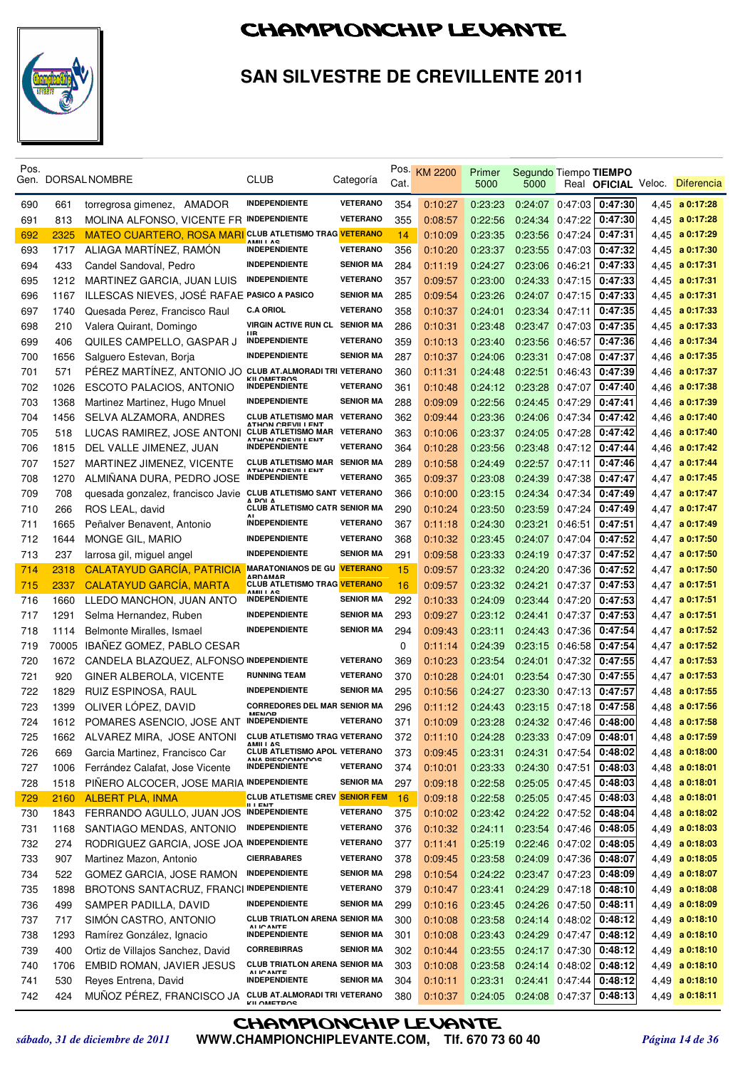

| Pos.<br>Gen. |              | <b>DORSALNOMBRE</b>                                      | <b>CLUB</b>                                                                | Categoría                           | Cat.       | Pos. KM 2200       | Primer<br>5000     | Segundo Tiempo TIEMPO<br>5000      |                    | Real <b>OFICIAL</b> Veloc. |              | Diferencia             |
|--------------|--------------|----------------------------------------------------------|----------------------------------------------------------------------------|-------------------------------------|------------|--------------------|--------------------|------------------------------------|--------------------|----------------------------|--------------|------------------------|
| 690          | 661          | torregrosa gimenez, AMADOR                               | <b>INDEPENDIENTE</b>                                                       | <b>VETERANO</b>                     | 354        | 0:10:27            | 0:23:23            | 0:24:07                            | 0:47:03            | 0:47:30                    |              | 4,45 a 0:17:28         |
| 691          | 813          | MOLINA ALFONSO, VICENTE FR INDEPENDIENTE                 |                                                                            | <b>VETERANO</b>                     | 355        | 0:08:57            | 0:22:56            | 0:24:34                            | 0:47:22            | 0:47:30                    | 4,45         | a 0:17:28              |
| 692          | 2325         | <b>MATEO CUARTERO, ROSA MAR</b>                          | <b>CLUB ATLETISMO TRAG VETERANO</b><br>AMILIAC                             |                                     | 14         | 0:10:09            | 0:23:35            | 0:23:56                            | 0:47:24            | 0:47:31                    | 4,45         | a 0:17:29              |
| 693          | 1717         | ALIAGA MARTÍNEZ, RAMÓN                                   | <b>INDEPENDIENTE</b>                                                       | <b>VETERANO</b>                     | 356        | 0:10:20            | 0:23:37            | 0:23:55                            | 0:47:03            | 0:47:32                    | 4,45         | a 0:17:30              |
| 694          | 433          | Candel Sandoval, Pedro                                   | <b>INDEPENDIENTE</b>                                                       | <b>SENIOR MA</b>                    | 284        | 0:11:19            | 0:24:27            | 0:23:06                            | 0:46:21            | 0:47:33                    | 4,45         | a 0:17:31              |
| 695          | 1212         | MARTINEZ GARCIA, JUAN LUIS                               | <b>INDEPENDIENTE</b>                                                       | <b>VETERANO</b>                     | 357        | 0:09:57            | 0:23:00            | 0:24:33                            | 0:47:15            | 0:47:33                    | 4,45         | a 0:17:31              |
| 696          | 1167         | ILLESCAS NIEVES, JOSÉ RAFAE PASICO A PASICO              |                                                                            | <b>SENIOR MA</b>                    | 285        | 0:09:54            | 0:23:26            | 0:24:07                            | 0:47:15            | 0:47:33                    | 4,45         | a 0:17:31              |
| 697          | 1740         | Quesada Perez, Francisco Raul                            | <b>C.A ORIOL</b>                                                           | <b>VETERANO</b>                     | 358        | 0:10:37            | 0:24:01            | 0:23:34                            | 0:47:11            | 0:47:35                    | 4,45         | a 0:17:33              |
| 698          | 210          | Valera Quirant, Domingo                                  | <b>VIRGIN ACTIVE RUN CL</b><br><b>IID</b>                                  | <b>SENIOR MA</b>                    | 286        | 0:10:31            | 0:23:48            | 0:23:47                            | 0:47:03            | 0:47:35                    | 4,45         | a 0:17:33              |
| 699          | 406          | QUILES CAMPELLO, GASPAR J                                | <b>INDEPENDIENTE</b>                                                       | <b>VETERANO</b>                     | 359        | 0:10:13            | 0:23:40            | 0:23:56                            | 0:46:57            | 0:47:36                    | 4,46         | a 0:17:34              |
| 700          | 1656         | Salguero Estevan, Borja                                  | <b>INDEPENDIENTE</b>                                                       | <b>SENIOR MA</b>                    | 287        | 0:10:37            | 0:24:06            | 0:23:31                            | 0:47:08            | 0:47:37                    | 4,46         | a 0:17:35              |
| 701          | 571          | PÉREZ MARTÍNEZ, ANTONIO JO CLUB AT.ALMORADI TRI VETERANO | <b>VII OMETROS</b>                                                         |                                     | 360        | 0:11:31            | 0:24:48            | 0:22:51                            | 0:46:43            | 0:47:39                    | 4,46         | a 0:17:37              |
| 702          | 1026         | ESCOTO PALACIOS, ANTONIO                                 | <b>INDEPENDIENTE</b>                                                       | <b>VETERANO</b>                     | 361        | 0:10:48            | 0:24:12            | 0:23:28                            | 0:47:07            | 0:47:40                    | 4,46         | a 0:17:38              |
| 703          | 1368         | Martinez Martinez, Hugo Mnuel                            | <b>INDEPENDIENTE</b>                                                       | <b>SENIOR MA</b>                    | 288        | 0:09:09            | 0:22:56            | 0:24:45                            | 0:47:29            | 0:47:41                    | 4,46         | a 0:17:39              |
| 704          | 1456         | SELVA ALZAMORA, ANDRES                                   | <b>CLUB ATLETISMO MAR</b><br>ATHON CREWLL ENT<br><b>CLUB ATLETISMO MAR</b> | <b>VETERANO</b><br><b>VETERANO</b>  | 362        | 0:09:44            | 0:23:36            | 0:24:06                            | 0:47:34<br>0:47:28 | 0:47:42                    | 4,46         | a 0:17:40              |
| 705<br>706   | 518          | LUCAS RAMIREZ, JOSE ANTONI                               | ATHON COEVILL ENT<br><b>INDEPENDIENTE</b>                                  | VETERANO                            | 363<br>364 | 0:10:06            | 0:23:37            | 0:24:05                            |                    | 0:47:42<br>0:47:44         | 4,46         | a 0:17:40<br>a 0:17:42 |
| 707          | 1815<br>1527 | DEL VALLE JIMENEZ, JUAN<br>MARTINEZ JIMENEZ, VICENTE     | <b>CLUB ATLETISMO MAR</b>                                                  | <b>SENIOR MA</b>                    | 289        | 0:10:28<br>0:10:58 | 0:23:56<br>0:24:49 | 0:23:48<br>0:22:57                 | 0:47:12<br>0:47:11 | 0:47:46                    | 4,46<br>4,47 | a 0:17:44              |
| 708          | 1270         | ALMIÑANA DURA, PEDRO JOSE                                | ATHON COEVILL ENT<br><b>INDEPENDIENTE</b>                                  | <b>VETERANO</b>                     | 365        | 0:09:37            | 0:23:08            | 0:24:39                            | 0:47:38            | 0:47:47                    | 4,47         | a 0:17:45              |
| 709          | 708          | quesada gonzalez, francisco Javie                        | <b>CLUB ATLETISMO SANT VETERANO</b>                                        |                                     | 366        | 0:10:00            | 0:23:15            | 0:24:34                            | 0:47:34            | 0:47:49                    | 4,47         | a 0:17:47              |
| 710          | 266          | ROS LEAL, david                                          | ADOIA<br><b>CLUB ATLETISMO CATR SENIOR MA</b>                              |                                     | 290        | 0:10:24            | 0:23:50            | 0:23:59                            | 0:47:24            | 0:47:49                    | 4,47         | a 0:17:47              |
| 711          | 1665         | Peñalver Benavent, Antonio                               | ΔI<br><b>INDEPENDIENTE</b>                                                 | <b>VETERANO</b>                     | 367        | 0:11:18            | 0:24:30            | 0:23:21                            | 0:46:51            | 0:47:51                    | 4,47         | a 0:17:49              |
| 712          | 1644         | MONGE GIL, MARIO                                         | <b>INDEPENDIENTE</b>                                                       | <b>VETERANO</b>                     | 368        | 0:10:32            | 0:23:45            | 0:24:07                            | 0:47:04            | 0:47:52                    | 4,47         | a 0:17:50              |
| 713          | 237          | larrosa gil, miguel angel                                | <b>INDEPENDIENTE</b>                                                       | <b>SENIOR MA</b>                    | 291        | 0:09:58            | 0:23:33            | 0:24:19                            | 0:47:37            | 0:47:52                    | 4,47         | a 0:17:50              |
| 714          | 2318         | <b>CALATAYUD GARCÍA, PATRICIA</b>                        | <b>MARATONIANOS DE GU VETERANO</b>                                         |                                     | 15         | 0:09:57            | 0:23:32            | 0:24:20                            | 0:47:36            | 0:47:52                    | 4,47         | a 0:17:50              |
| 715          | 2337         | <b>CALATAYUD GARCÍA, MARTA</b>                           | <b>ARDAMAR</b><br><b>CLUB ATLETISMO TRAG VETERANO</b>                      |                                     | 16         | 0:09:57            | 0:23:32            | 0:24:21                            | 0:47:37            | 0:47:53                    | 4,47         | a 0:17:51              |
| 716          | 1660         | LLEDO MANCHON, JUAN ANTO                                 | <b>AMILIAC</b><br><b>INDEPENDIENTE</b>                                     | <b>SENIOR MA</b>                    | 292        | 0:10:33            | 0:24:09            | 0:23:44                            | 0:47:20            | 0:47:53                    | 4,47         | a 0:17:51              |
| 717          | 1291         | Selma Hernandez, Ruben                                   | <b>INDEPENDIENTE</b>                                                       | <b>SENIOR MA</b>                    | 293        | 0:09:27            | 0:23:12            | 0:24:41                            | 0:47:37            | 0:47:53                    | 4,47         | a 0:17:51              |
| 718          | 1114         | Belmonte Miralles, Ismael                                | <b>INDEPENDIENTE</b>                                                       | <b>SENIOR MA</b>                    | 294        | 0:09:43            | 0:23:11            | 0:24:43                            | 0:47:36            | 0:47:54                    | 4,47         | a 0:17:52              |
| 719          | 70005        | IBAÑEZ GOMEZ, PABLO CESAR                                |                                                                            |                                     | 0          | 0:11:14            | 0:24:39            | 0:23:15                            | 0:46:58            | 0:47:54                    | 4,47         | a 0:17:52              |
| 720          | 1672         | CANDELA BLAZQUEZ, ALFONSO INDEPENDIENTE                  |                                                                            | <b>VETERANO</b>                     | 369        | 0:10:23            | 0:23:54            | 0:24:01                            | 0:47:32            | 0:47:55                    | 4,47         | a 0:17:53              |
| 721          | 920          | GINER ALBEROLA, VICENTE                                  | <b>RUNNING TEAM</b>                                                        | <b>VETERANO</b>                     | 370        | 0:10:28            | 0:24:01            | 0:23:54                            | 0:47:30            | 0:47:55                    | 4,47         | a 0:17:53              |
| 722          | 1829         | RUIZ ESPINOSA, RAUL                                      | <b>INDEPENDIENTE</b>                                                       | <b>SENIOR MA</b>                    | 295        | 0:10:56            | 0:24:27            | 0:23:30                            | 0:47:13            | 0:47:57                    | 4,48         | a 0:17:55              |
| 723          | 1399         | OLIVER LÓPEZ, DAVID                                      | <b>CORREDORES DEL MAR SENIOR MA</b><br><b>MENOP</b>                        |                                     | 296        | 0:11:12            | 0:24:43            | 0:23:15                            | 0:47:18            | 0:47:58                    | 4,48         | a 0:17:56              |
| 724          | 1612         | POMARES ASENCIO, JOSE ANT                                | <b>INDEPENDIENTE</b>                                                       | <b>VETERANO</b>                     | 371        | 0:10:09            | 0:23:28            | 0:24:32 0:47:46                    |                    | 0:48:00                    | 4,48         | a 0:17:58              |
| 725          | 1662         | ALVAREZ MIRA, JOSE ANTONI                                | <b>CLUB ATLETISMO TRAG VETERANO</b><br>AMILIAC                             |                                     | 372        | 0:11:10            | 0:24:28            | 0:23:33 0:47:09                    |                    | 0:48:01                    | 4,48         | a 0:17:59              |
| 726          | 669          | Garcia Martinez, Francisco Car                           | CLUB ATLETISMO APOL VETERANO<br>ANA DIESCOMODOS                            |                                     | 373        | 0:09:45            | 0:23:31            | 0:24:31 0:47:54                    |                    | 0:48:02                    | 4,48         | a 0:18:00              |
| 727          | 1006         | Ferrández Calafat, Jose Vicente                          | <b>INDEPENDIENTE</b>                                                       | <b>VETERANO</b>                     | 374        | 0:10:01            | 0:23:33            | 0:24:30 0:47:51                    |                    | 0:48:03                    | 4,48         | a 0:18:01              |
| 728          | 1518         | PIÑERO ALCOCER, JOSE MARIA INDEPENDIENTE                 |                                                                            | <b>SENIOR MA</b>                    | 297        | 0:09:18            | 0:22:58            | 0:25:05 0:47:45                    |                    | 0:48:03                    | 4,48         | a 0:18:01              |
| 729          | 2160         | <b>ALBERT PLA, INMA</b>                                  | <b>CLUB ATLETISME CREV SENIOR FEM</b><br><b>ILLENT</b>                     |                                     | 16         | 0:09:18            | 0:22:58            | 0:25:05 0:47:45                    |                    | 0:48:03                    | 4,48         | a 0:18:01              |
| 730          | 1843         | FERRANDO AGULLO, JUAN JOS INDEPENDIENTE                  |                                                                            | <b>VETERANO</b>                     | 375        | 0:10:02            | 0:23:42            | 0:24:22 0:47:52                    |                    | 0:48:04                    | 4,48         | a 0:18:02              |
| 731          | 1168         | SANTIAGO MENDAS, ANTONIO                                 | <b>INDEPENDIENTE</b>                                                       | <b>VETERANO</b>                     | 376        | 0:10:32            | 0:24:11            | 0:23:54 0:47:46                    |                    | 0:48:05                    | 4,49         | a 0:18:03              |
| 732          | 274          | RODRIGUEZ GARCIA, JOSE JOA                               | <b>INDEPENDIENTE</b>                                                       | <b>VETERANO</b>                     | 377        | 0:11:41            | 0:25:19            | 0:22:46 0:47:02                    |                    | 0:48:05                    | 4,49         | a 0:18:03              |
| 733          | 907          | Martinez Mazon, Antonio                                  | <b>CIERRABARES</b>                                                         | <b>VETERANO</b>                     | 378        | 0:09:45            | 0:23:58            | 0:24:09 0:47:36                    |                    | 0:48:07                    | 4,49         | a 0:18:05              |
| 734          | 522          | GOMEZ GARCIA, JOSE RAMON                                 | <b>INDEPENDIENTE</b>                                                       | <b>SENIOR MA</b>                    | 298        | 0:10:54            | 0:24:22            | 0:23:47 0:47:23                    |                    | 0:48:09                    | 4,49         | a 0:18:07              |
| 735          | 1898         | <b>BROTONS SANTACRUZ, FRANCI</b>                         | <b>INDEPENDIENTE</b><br><b>INDEPENDIENTE</b>                               | <b>VETERANO</b><br><b>SENIOR MA</b> | 379        | 0:10:47            | 0:23:41            | $0:24:29$ 0:47:18                  |                    | 0:48:10<br>0:48:11         | 4,49         | a 0:18:08<br>a 0:18:09 |
| 736<br>737   | 499          | SAMPER PADILLA, DAVID<br>SIMÓN CASTRO, ANTONIO           | <b>CLUB TRIATLON ARENA SENIOR MA</b>                                       |                                     | 299<br>300 | 0:10:16            | 0:23:45<br>0:23:58 | 0:24:26 0:47:50<br>0:24:14 0:48:02 |                    | 0:48:12                    | 4,49         | a 0:18:10              |
| 738          | 717<br>1293  | Ramírez González, Ignacio                                | AL IC ANTE<br><b>INDEPENDIENTE</b>                                         | <b>SENIOR MA</b>                    | 301        | 0:10:08<br>0:10:08 | 0:23:43            | 0:24:29 0:47:47                    |                    | 0:48:12                    | 4,49<br>4,49 | a 0:18:10              |
| 739          | 400          | Ortiz de Villajos Sanchez, David                         | <b>CORREBIRRAS</b>                                                         | <b>SENIOR MA</b>                    | 302        | 0:10:44            | 0:23:55            | 0:24:17 0:47:30                    |                    | 0:48:12                    | 4,49         | a 0:18:10              |
| 740          | 1706         | EMBID ROMAN, JAVIER JESUS                                | <b>CLUB TRIATLON ARENA SENIOR MA</b>                                       |                                     | 303        | 0:10:08            | 0:23:58            | 0:24:14 0:48:02                    |                    | 0:48:12                    | 4,49         | a 0:18:10              |
| 741          | 530          | Reyes Entrena, David                                     | AL IC ANTE<br><b>INDEPENDIENTE</b>                                         | <b>SENIOR MA</b>                    | 304        | 0:10:11            | 0:23:31            | 0:24:41 0:47:44                    |                    | 0:48:12                    | 4,49         | a 0:18:10              |
| 742          | 424          | MUÑOZ PÉREZ, FRANCISCO JA                                | CLUB AT.ALMORADI TRI VETERANO                                              |                                     | 380        | 0:10:37            | 0:24:05            | 0:24:08 0:47:37                    |                    | 0:48:13                    |              | 4,49 a 0:18:11         |
|              |              |                                                          | <b>VII OMETDOS</b>                                                         |                                     |            |                    |                    |                                    |                    |                            |              |                        |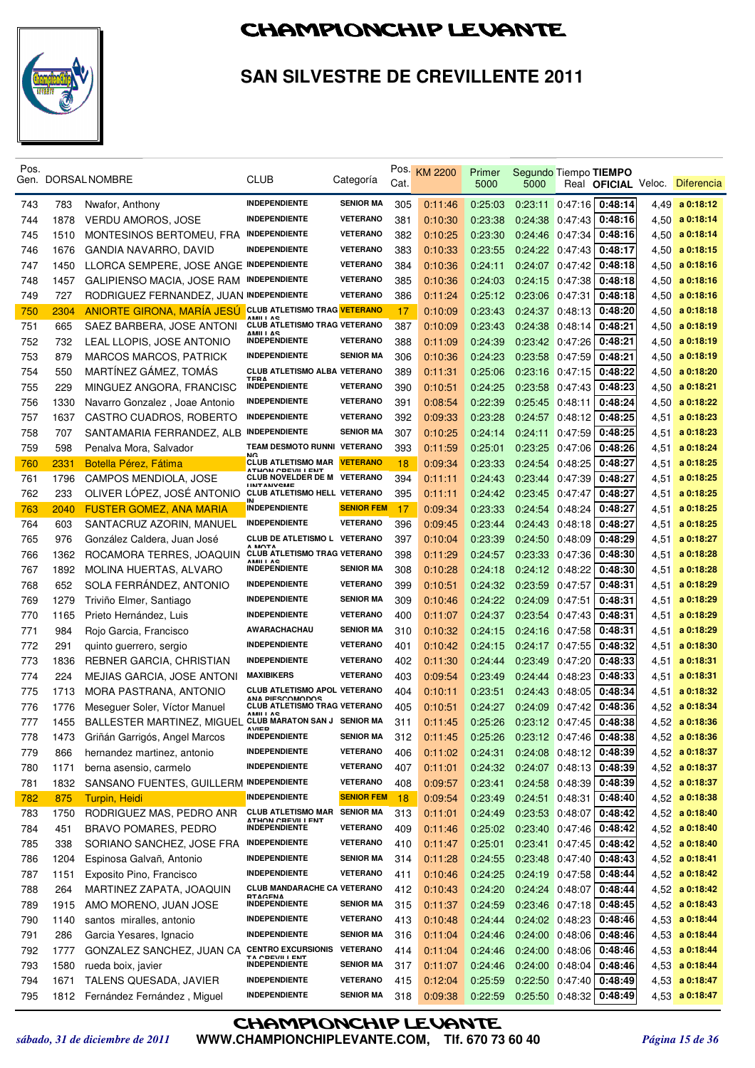

| Pos<br>Gen. |             | <b>DORSALNOMBRE</b>                                     | <b>CLUB</b>                                            | Categoría                           | Cat.       | Pos. KM 2200       | Primer<br>5000     | Segundo Tiempo TIEMPO<br>5000 |                    |                    |              | Real OFICIAL Veloc. Diferencia |
|-------------|-------------|---------------------------------------------------------|--------------------------------------------------------|-------------------------------------|------------|--------------------|--------------------|-------------------------------|--------------------|--------------------|--------------|--------------------------------|
| 743         | 783         | Nwafor, Anthony                                         | <b>INDEPENDIENTE</b>                                   | <b>SENIOR MA</b>                    | 305        | 0:11:46            | 0:25:03            | 0:23:11                       | 0:47:16            | 0:48:14            |              | 4,49 a 0:18:12                 |
| 744         | 1878        | <b>VERDU AMOROS, JOSE</b>                               | <b>INDEPENDIENTE</b>                                   | <b>VETERANO</b>                     | 381        | 0:10:30            | 0:23:38            | 0:24:38                       | 0.47:43            | 0:48:16            | 4,50         | a 0:18:14                      |
| 745         | 1510        | MONTESINOS BERTOMEU, FRA                                | <b>INDEPENDIENTE</b>                                   | <b>VETERANO</b>                     | 382        | 0:10:25            | 0:23:30            | 0:24:46                       | 0:47:34            | 0:48:16            | 4,50         | a 0:18:14                      |
| 746         | 1676        | <b>GANDIA NAVARRO, DAVID</b>                            | <b>INDEPENDIENTE</b>                                   | <b>VETERANO</b>                     | 383        | 0:10:33            | 0:23:55            | 0:24:22 0:47:43               |                    | 0:48:17            | 4,50         | a 0:18:15                      |
| 747         | 1450        | LLORCA SEMPERE, JOSE ANGE INDEPENDIENTE                 |                                                        | <b>VETERANO</b>                     | 384        | 0:10:36            | 0:24:11            | 0:24:07 0:47:42               |                    | 0:48:18            | 4,50         | a 0:18:16                      |
| 748         | 1457        | GALIPIENSO MACIA, JOSE RAM                              | <b>INDEPENDIENTE</b>                                   | <b>VETERANO</b>                     | 385        | 0:10:36            | 0:24:03            | 0:24:15                       | 0:47:38            | 0:48:18            | 4,50         | a 0:18:16                      |
| 749         | 727         | RODRIGUEZ FERNANDEZ, JUAN INDEPENDIENTE                 |                                                        | <b>VETERANO</b>                     | 386        | 0:11:24            | 0:25:12            | 0:23:06                       | 0.47:31            | 0:48:18            | 4,50         | a 0:18:16                      |
| 750         | 2304        | ANIORTE GIRONA, MARÍA JESÚ                              | <b>CLUB ATLETISMO TRAG VETERANO</b><br>AMILIAC         |                                     | 17         | 0:10:09            | 0:23:43            | 0:24:37 0:48:13               |                    | 0:48:20            | 4,50         | a 0:18:18                      |
| 751         | 665         | SAEZ BARBERA, JOSE ANTONI                               | <b>CLUB ATLETISMO TRAG VETERANO</b><br>AMILIAC         |                                     | 387        | 0:10:09            | 0:23:43            | 0:24:38                       | 0:48:14            | 0:48:21            | 4,50         | a 0:18:19                      |
| 752         | 732         | LEAL LLOPIS, JOSE ANTONIO                               | <b>INDEPENDIENTE</b>                                   | <b>VETERANO</b>                     | 388        | 0:11:09            | 0:24:39            | 0:23:42 0:47:26               |                    | 0:48:21            | 4,50         | a 0:18:19                      |
| 753         | 879         | <b>MARCOS MARCOS, PATRICK</b>                           | <b>INDEPENDIENTE</b>                                   | <b>SENIOR MA</b>                    | 306        | 0:10:36            | 0:24:23            | 0:23:58                       | 0.47:59            | 0:48:21            | 4,50         | a 0:18:19                      |
| 754         | 550         | MARTÍNEZ GÁMEZ, TOMÁS                                   | CLUB ATLETISMO ALBA VETERANO<br><b>TEDA</b>            |                                     | 389        | 0:11:31            | 0:25:06            | 0:23:16 0:47:15               |                    | 0:48:22            | 4,50         | a 0:18:20                      |
| 755         | 229         | MINGUEZ ANGORA, FRANCISC                                | <b>INDEPENDIENTE</b>                                   | <b>VETERANO</b>                     | 390        | 0:10:51            | 0:24:25            | 0:23:58                       | 0:47:43            | 0:48:23            | 4,50         | a 0:18:21                      |
| 756         | 1330        | Navarro Gonzalez, Joae Antonio                          | <b>INDEPENDIENTE</b>                                   | <b>VETERANO</b>                     | 391        | 0:08:54            | 0:22:39            | 0:25:45                       | 0:48:11            | 0:48:24            | 4,50         | a 0:18:22                      |
| 757         | 1637        | CASTRO CUADROS, ROBERTO                                 | <b>INDEPENDIENTE</b>                                   | <b>VETERANO</b>                     | 392        | 0:09:33            | 0:23:28            | 0:24:57 0:48:12               |                    | 0:48:25            | 4,51         | a 0:18:23                      |
| 758         | 707         | SANTAMARIA FERRANDEZ, ALB INDEPENDIENTE                 |                                                        | <b>SENIOR MA</b>                    | 307        | 0:10:25            | 0:24:14            | 0:24:11                       | 0:47:59            | 0:48:25            | 4,51         | a 0:18:23                      |
| 759         | 598         | Penalva Mora, Salvador                                  | TEAM DESMOTO RUNNI VETERANO<br><b>NC</b>               |                                     | 393        | 0:11:59            | 0:25:01            | 0:23:25                       | 0:47:06            | 0:48:26            | 4,51         | a 0:18:24                      |
| 760         | 2331        | Botella Pérez, Fátima                                   | <b>CLUB ATLETISMO MAR</b><br>ATHON COEVILL ENT         | <b>VETERANO</b>                     | 18         | 0:09:34            | 0:23:33            | 0:24:54                       | 0:48:25            | 0:48:27            | 4,51         | a 0:18:25                      |
| 761         | 1796        | CAMPOS MENDIOLA, JOSE                                   | CLUB NOVELDER DE M VETERANO<br><b>IINTANVOME</b>       |                                     | 394        | 0:11:11            | 0:24:43            | 0:23:44                       | 0:47:39            | 0:48:27            | 4,51         | a 0:18:25                      |
| 762         | 233         | OLIVER LÓPEZ, JOSÉ ANTONIO                              | CLUB ATLETISMO HELL VETERANO<br>IM                     |                                     | 395        | 0:11:11            | 0:24:42            | 0:23:45                       | 0:47:47            | 0:48:27            | 4,51         | a 0:18:25                      |
| 763         | 2040        | <b>FUSTER GOMEZ, ANA MARIA</b>                          | <b>INDEPENDIENTE</b>                                   | <b>SENIOR FEM</b>                   | 17         | 0:09:34            | 0:23:33            | 0:24:54                       | 0:48:24            | 0:48:27            | 4,51         | a 0:18:25                      |
| 764         | 603         | SANTACRUZ AZORIN, MANUEL                                | <b>INDEPENDIENTE</b>                                   | <b>VETERANO</b>                     | 396        | 0:09:45            | 0:23:44            | 0:24:43                       | 0:48:18            | 0:48:27            | 4,51         | a 0:18:25                      |
| 765         | 976         | González Caldera, Juan José                             | CLUB DE ATLETISMO L VETERANO<br>A MOTA                 |                                     | 397        | 0:10:04            | 0:23:39            | 0:24:50                       | 0:48:09            | 0:48:29            | 4,51         | a 0:18:27                      |
| 766         | 1362        | ROCAMORA TERRES, JOAQUIN                                | <b>CLUB ATLETISMO TRAG VETERANO</b><br><b>AMILIAS</b>  |                                     | 398        | 0:11:29            | 0:24:57            | 0:23:33                       | 0:47:36            | 0:48:30            | 4,51         | a 0:18:28                      |
| 767         | 1892        | MOLINA HUERTAS, ALVARO                                  | <b>INDEPENDIENTE</b>                                   | <b>SENIOR MA</b>                    | 308        | 0:10:28            | 0:24:18            | 0:24:12 0:48:22               |                    | 0:48:30            | 4,51         | a 0:18:28                      |
| 768         | 652         | SOLA FERRÁNDEZ, ANTONIO                                 | <b>INDEPENDIENTE</b>                                   | <b>VETERANO</b>                     | 399        | 0:10:51            | 0:24:32            | 0:23:59                       | 0:47:57            | 0:48:31            | 4,51         | a 0:18:29                      |
| 769         | 1279        | Triviño Elmer, Santiago                                 | <b>INDEPENDIENTE</b><br><b>INDEPENDIENTE</b>           | <b>SENIOR MA</b><br><b>VETERANO</b> | 309        | 0:10:46            | 0:24:22            | 0:24:09                       | 0:47:51            | 0:48:31            | 4,51         | a 0:18:29                      |
| 770         | 1165        | Prieto Hernández, Luis                                  | AWARACHACHAU                                           | <b>SENIOR MA</b>                    | 400        | 0:11:07            | 0:24:37            | 0:23:54                       | 0:47:43            | 0:48:31            | 4,51         | a 0:18:29                      |
| 771<br>772  | 984         | Rojo Garcia, Francisco                                  | <b>INDEPENDIENTE</b>                                   | <b>VETERANO</b>                     | 310        | 0:10:32            | 0:24:15<br>0:24:15 | 0:24:16<br>0:24:17 0:47:55    | 0:47:58            | 0:48:31<br>0:48:32 | 4,51         | a 0:18:29<br>a 0:18:30         |
| 773         | 291<br>1836 | quinto guerrero, sergio                                 | <b>INDEPENDIENTE</b>                                   | <b>VETERANO</b>                     | 401<br>402 | 0:10:42<br>0:11:30 | 0:24:44            | 0:23:49                       | 0:47:20            | 0:48:33            | 4,51         | a 0:18:31                      |
| 774         |             | REBNER GARCIA, CHRISTIAN                                | <b>MAXIBIKERS</b>                                      | <b>VETERANO</b>                     | 403        |                    | 0:23:49            |                               |                    | 0:48:33            | 4,51         | a 0:18:31                      |
| 775         | 224<br>1713 | MEJIAS GARCIA, JOSE ANTONI                              | CLUB ATLETISMO APOL VETERANO                           |                                     | 404        | 0:09:54<br>0:10:11 | 0:23:51            | 0:24:44<br>0:24:43            | 0:48:23<br>0:48:05 | 0:48:34            | 4,51<br>4,51 | a 0:18:32                      |
| 776         | 1776        | MORA PASTRANA, ANTONIO<br>Mesequer Soler, Víctor Manuel | ANA DIESCOMODOS<br><b>CLUB ATLETISMO TRAG VETERANO</b> |                                     | 405        | 0:10:51            | 0:24:27            | 0:24:09                       | 0:47:42            | 0:48:36            | 4,52         | a 0:18:34                      |
| 777         | 1455        | BALLESTER MARTINEZ, MIGUEL CLUB MARATON SAN J SENIOR MA | AMILIAC                                                |                                     | 311        | 0:11:45            | 0:25:26            | 0:23:12 0:47:45               |                    | 0:48:38            |              | 4,52 a 0:18:36                 |
| 778         | 1473        | Griñán Garrigós, Angel Marcos                           | <b>AVICD</b><br><b>INDEPENDIENTE</b>                   | <b>SENIOR MA</b>                    | 312        | 0:11:45            | 0:25:26            | 0:23:12 0:47:46               |                    | 0:48:38            | 4,52         | a 0:18:36                      |
| 779         | 866         | hernandez martinez, antonio                             | <b>INDEPENDIENTE</b>                                   | <b>VETERANO</b>                     | 406        | 0:11:02            | 0:24:31            | 0:24:08                       | 0:48:12            | 0:48:39            | 4,52         | a 0:18:37                      |
| 780         | 1171        | berna asensio, carmelo                                  | <b>INDEPENDIENTE</b>                                   | <b>VETERANO</b>                     | 407        | 0:11:01            | 0:24:32            | 0:24:07 0:48:13               |                    | 0:48:39            |              | 4,52 a 0:18:37                 |
| 781         | 1832        | SANSANO FUENTES, GUILLERM                               | <b>INDEPENDIENTE</b>                                   | <b>VETERANO</b>                     | 408        | 0:09:57            | 0:23:41            | 0:24:58 0:48:39               |                    | 0:48:39            |              | 4,52 a 0:18:37                 |
| 782         | 875         | <b>Turpin, Heidi</b>                                    | <b>INDEPENDIENTE</b>                                   | <b>SENIOR FEM</b>                   | 18         | 0:09:54            | 0:23:49            | 0:24:51 0:48:31               |                    | 0:48:40            |              | 4,52 a 0:18:38                 |
| 783         | 1750        | RODRIGUEZ MAS, PEDRO ANR                                | <b>CLUB ATLETISMO MAR</b>                              | <b>SENIOR MA</b>                    | 313        | 0:11:01            | 0:24:49            | 0:23:53 0:48:07               |                    | 0:48:42            |              | 4,52 a 0:18:40                 |
| 784         | 451         | <b>BRAVO POMARES, PEDRO</b>                             | ATHON CREWLL ENT<br><b>INDEPENDIENTE</b>               | <b>VETERANO</b>                     | 409        | 0:11:46            | 0:25:02            | 0:23:40 0:47:46               |                    | 0:48:42            |              | 4,52 a 0:18:40                 |
| 785         | 338         | SORIANO SANCHEZ, JOSE FRA                               | <b>INDEPENDIENTE</b>                                   | <b>VETERANO</b>                     | 410        | 0:11:47            | 0:25:01            | 0:23:41 0:47:45               |                    | 0:48:42            |              | 4,52 a 0:18:40                 |
| 786         | 1204        | Espinosa Galvañ, Antonio                                | <b>INDEPENDIENTE</b>                                   | <b>SENIOR MA</b>                    | 314        | 0:11:28            | 0:24:55            | 0:23:48 0:47:40               |                    | 0:48:43            |              | 4,52 a 0:18:41                 |
| 787         | 1151        | Exposito Pino, Francisco                                | <b>INDEPENDIENTE</b>                                   | <b>VETERANO</b>                     | 411        | 0:10:46            | 0:24:25            | 0:24:19 0:47:58               |                    | 0:48:44            |              | 4,52 a 0:18:42                 |
| 788         | 264         | MARTINEZ ZAPATA, JOAQUIN                                | CLUB MANDARACHE CA VETERANO                            |                                     | 412        | 0:10:43            | 0:24:20            | 0:24:24 0:48:07               |                    | 0:48:44            |              | 4,52 a 0:18:42                 |
| 789         | 1915        | AMO MORENO, JUAN JOSE                                   | <b>DTACEMA</b><br><b>INDEPENDIENTE</b>                 | <b>SENIOR MA</b>                    | 315        | 0:11:37            | 0:24:59            | 0:23:46 0:47:18               |                    | 0:48:45            |              | 4,52 a 0:18:43                 |
| 790         | 1140        | santos miralles, antonio                                | <b>INDEPENDIENTE</b>                                   | <b>VETERANO</b>                     | 413        | 0:10:48            | 0:24:44            | 0:24:02 0:48:23               |                    | 0:48:46            | 4,53         | a 0:18:44                      |
| 791         | 286         | Garcia Yesares, Ignacio                                 | <b>INDEPENDIENTE</b>                                   | <b>SENIOR MA</b>                    | 316        | 0:11:04            | 0:24:46            | 0:24:00 0:48:06               |                    | 0:48:46            | 4,53         | a 0:18:44                      |
| 792         | 1777        | GONZALEZ SANCHEZ, JUAN CA                               | <b>CENTRO EXCURSIONIS</b>                              | <b>VETERANO</b>                     | 414        | 0:11:04            | 0:24:46            | 0:24:00 0:48:06               |                    | 0:48:46            | 4,53         | a 0:18:44                      |
| 793         | 1580        | rueda boix, javier                                      | TA COEVILI ENT<br><b>INDEPENDIENTE</b>                 | <b>SENIOR MA</b>                    | 317        | 0:11:07            | 0:24:46            | 0:24:00 0:48:04               |                    | 0:48:46            | 4,53         | a 0:18:44                      |
| 794         | 1671        | TALENS QUESADA, JAVIER                                  | <b>INDEPENDIENTE</b>                                   | <b>VETERANO</b>                     | 415        | 0:12:04            | 0:25:59            | 0:22:50 0:47:40               |                    | 0:48:49            | 4,53         | a 0:18:47                      |
| 795         | 1812        | Fernández Fernández, Miguel                             | <b>INDEPENDIENTE</b>                                   | <b>SENIOR MA</b>                    | 318        | 0:09:38            | 0:22:59            | 0:25:50 0:48:32               |                    | 0:48:49            |              | 4,53 a 0:18:47                 |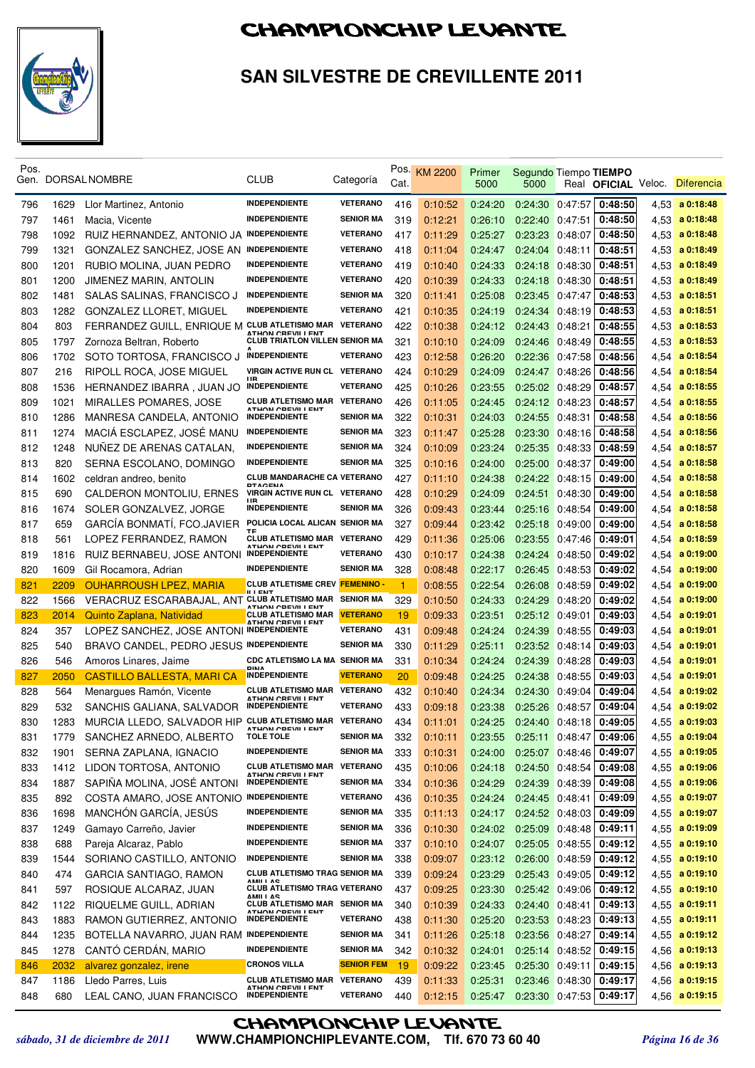

| Pos.<br>Gen. |              | <b>DORSAL NOMBRE</b>                                   | <b>CLUB</b>                                          | Categoría                            | Cat.       | Pos. KM 2200       | Primer<br>5000     | Segundo Tiempo TIEMPO<br>5000 |                    |                    |      | Real OFICIAL Veloc. Diferencia   |
|--------------|--------------|--------------------------------------------------------|------------------------------------------------------|--------------------------------------|------------|--------------------|--------------------|-------------------------------|--------------------|--------------------|------|----------------------------------|
| 796          | 1629         | Llor Martinez, Antonio                                 | <b>INDEPENDIENTE</b>                                 | <b>VETERANO</b>                      | 416        | 0:10:52            | 0:24:20            | 0:24:30                       | 0:47:57            | 0:48:50            |      | 4,53 a 0:18:48                   |
| 797          | 1461         | Macia, Vicente                                         | <b>INDEPENDIENTE</b>                                 | <b>SENIOR MA</b>                     | 319        | 0:12:21            | 0:26:10            | 0:22:40                       | 0:47:51            | 0:48:50            |      | 4,53 a 0:18:48                   |
| 798          | 1092         | RUIZ HERNANDEZ, ANTONIO JA                             | <b>INDEPENDIENTE</b>                                 | VETERANO                             | 417        | 0:11:29            | 0:25:27            | 0:23:23                       | 0:48:07            | 0:48:50            | 4,53 | a 0:18:48                        |
| 799          | 1321         | GONZALEZ SANCHEZ, JOSE AN                              | <b>INDEPENDIENTE</b>                                 | <b>VETERANO</b>                      | 418        | 0:11:04            | 0:24:47            | 0:24:04                       | 0:48:11            | 0:48:51            | 4,53 | a 0:18:49                        |
| 800          | 1201         | RUBIO MOLINA, JUAN PEDRO                               | <b>INDEPENDIENTE</b>                                 | VETERANO                             | 419        | 0:10:40            | 0:24:33            | 0:24:18                       | 0:48:30            | 0:48:51            | 4,53 | a 0:18:49                        |
| 801          | 1200         | JIMENEZ MARIN, ANTOLIN                                 | <b>INDEPENDIENTE</b>                                 | VETERANO                             | 420        | 0:10:39            | 0:24:33            | 0:24:18                       | 0:48:30            | 0:48:51            | 4,53 | a 0:18:49                        |
| 802          | 1481         | SALAS SALINAS, FRANCISCO J                             | <b>INDEPENDIENTE</b>                                 | <b>SENIOR MA</b>                     | 320        | 0:11:41            | 0:25:08            | 0:23:45                       | 0:47:47            | 0:48:53            | 4,53 | a 0:18:51                        |
| 803          | 1282         | GONZALEZ LLORET, MIGUEL                                | <b>INDEPENDIENTE</b>                                 | VETERANO                             | 421        | 0:10:35            | 0:24:19            | 0:24:34                       | 0:48:19            | 0:48:53            | 4,53 | a 0:18:51                        |
| 804          | 803          | FERRANDEZ GUILL, ENRIQUE M                             | <b>CLUB ATLETISMO MAR</b><br>ATHON COEVILL ENT       | <b>VETERANO</b>                      | 422        | 0:10:38            | 0:24:12            | 0:24:43                       | 0:48:21            | 0:48:55            | 4,53 | a 0:18:53                        |
| 805          | 1797         | Zornoza Beltran, Roberto                               | <b>CLUB TRIATLON VILLEN SENIOR MA</b>                |                                      | 321        | 0:10:10            | 0:24:09            | 0:24:46                       | 0:48:49            | 0:48:55            | 4,53 | a 0:18:53                        |
| 806          | 1702         | SOTO TORTOSA, FRANCISCO J                              | <b>INDEPENDIENTE</b>                                 | VETERANO                             | 423        | 0:12:58            | 0:26:20            | 0:22:36                       | 0:47:58            | 0:48:56            |      | 4,54 a 0:18:54                   |
| 807          | 216          | RIPOLL ROCA, JOSE MIGUEL                               | VIRGIN ACTIVE RUN CL VETERANO<br><b>IID</b>          |                                      | 424        | 0:10:29            | 0:24:09            | 0:24:47                       | 0:48:26            | 0:48:56            |      | 4,54 a 0:18:54                   |
| 808          | 1536         | HERNANDEZ IBARRA, JUAN JO                              | <b>INDEPENDIENTE</b>                                 | VETERANO                             | 425        | 0:10:26            | 0:23:55            | 0:25:02                       | 0:48:29            | 0:48:57            |      | 4,54 a 0:18:55                   |
| 809          | 1021         | MIRALLES POMARES, JOSE                                 | <b>CLUB ATLETISMO MAR</b><br>ATHON CREWLL ENT        | <b>VETERANO</b>                      | 426        | 0:11:05            | 0:24:45            | 0:24:12 0:48:23               |                    | 0:48:57            |      | 4,54 a 0:18:55                   |
| 810          | 1286         | MANRESA CANDELA, ANTONIO                               | <b>INDEPENDIENTE</b>                                 | <b>SENIOR MA</b>                     | 322        | 0:10:31            | 0:24:03            | 0:24:55                       | 0:48:31            | 0:48:58            |      | 4,54 a 0:18:56                   |
| 811          | 1274         | MACIÁ ESCLAPEZ, JOSÉ MANU                              | <b>INDEPENDIENTE</b>                                 | <b>SENIOR MA</b>                     | 323        | 0:11:47            | 0:25:28            | 0:23:30                       | 0:48:16            | 0:48:58            |      | 4,54 a 0:18:56                   |
| 812          | 1248         | NUÑEZ DE ARENAS CATALAN,                               | <b>INDEPENDIENTE</b>                                 | <b>SENIOR MA</b>                     | 324        | 0:10:09            | 0:23:24            | 0:25:35                       | 0:48:33            | 0:48:59            |      | 4,54 a 0:18:57                   |
| 813          | 820          | SERNA ESCOLANO, DOMINGO                                | <b>INDEPENDIENTE</b>                                 | <b>SENIOR MA</b>                     | 325        | 0:10:16            | 0:24:00            | 0:25:00                       | 0:48:37            | 0:49:00            |      | 4,54 a 0:18:58                   |
| 814          | 1602         | celdran andreo, benito                                 | <b>CLUB MANDARACHE CA VETERANO</b><br><b>DTACEMA</b> |                                      | 427        | 0:11:10            | 0:24:38            | 0:24:22                       | 0:48:15            | 0:49:00            |      | 4,54 a 0:18:58                   |
| 815          | 690          | CALDERON MONTOLIU, ERNES                               | VIRGIN ACTIVE RUN CL VETERANO<br><b>IID</b>          |                                      | 428        | 0:10:29            | 0:24:09            | 0:24:51                       | 0:48:30            | 0:49:00            |      | 4,54 a 0:18:58                   |
| 816          | 1674         | SOLER GONZALVEZ, JORGE                                 | <b>INDEPENDIENTE</b>                                 | <b>SENIOR MA</b>                     | 326        | 0:09:43            | 0:23:44            | 0:25:16                       | 0:48:54            | 0:49:00            |      | 4,54 a 0:18:58                   |
| 817          | 659          | GARCÍA BONMATÍ, FCO.JAVIER                             | POLICIA LOCAL ALICAN SENIOR MA<br>ŦΕ                 |                                      | 327        | 0:09:44            | 0:23:42            | 0:25:18                       | 0:49:00            | 0:49:00            |      | 4,54 a 0:18:58                   |
| 818          | 561          | LOPEZ FERRANDEZ, RAMON                                 | <b>CLUB ATLETISMO MAR</b><br>ATHON CREVILLENT        | VETERANO                             | 429        | 0:11:36            | 0:25:06            | 0:23:55                       | 0:47:46            | 0:49:01            |      | 4,54 a 0:18:59                   |
| 819          | 1816         | RUIZ BERNABEU, JOSE ANTONI                             | <b>INDEPENDIENTE</b><br><b>INDEPENDIENTE</b>         | VETERANO<br><b>SENIOR MA</b>         | 430<br>328 | 0:10:17            | 0:24:38            | 0:24:24                       | 0:48:50            | 0:49:02<br>0:49:02 |      | 4,54 a 0:19:00<br>4,54 a 0:19:00 |
| 820<br>821   | 1609<br>2209 | Gil Rocamora, Adrian<br><b>OUHARROUSH LPEZ, MARIA</b>  | <b>CLUB ATLETISME CREV FEMENINO -</b>                |                                      | 1          | 0:08:48<br>0:08:55 | 0:22:17<br>0:22:54 | 0:26:45<br>0:26:08            | 0:48:53<br>0:48:59 | 0:49:02            |      | 4,54 a 0:19:00                   |
| 822          | 1566         | VERACRUZ ESCARABAJAL, ANT CLUB ATLETISMO MAR SENIOR MA | <b>ILLENT</b>                                        |                                      | 329        | 0:10:50            | 0:24:33            | 0:24:29                       | 0:48:20            | 0:49:02            |      | 4,54 a 0:19:00                   |
| 823          | 2014         | Quinto Zaplana, Natividad                              | ATHON CREVILL ENT<br><b>CLUB ATLETISMO MAR</b>       | <b>VETERANO</b>                      | 19         | 0:09:33            | 0:23:51            | 0:25:12                       | 0:49:01            | 0:49:03            |      | 4,54 a 0:19:01                   |
| 824          | 357          | LOPEZ SANCHEZ, JOSE ANTONI INDEPENDIENTE               | ATHON ODEVILL ENT                                    | VETERANO                             | 431        | 0:09:48            | 0:24:24            | 0:24:39                       | 0:48:55            | 0:49:03            |      | 4,54 a 0:19:01                   |
| 825          | 540          | BRAVO CANDEL, PEDRO JESUS INDEPENDIENTE                |                                                      | <b>SENIOR MA</b>                     | 330        | 0:11:29            | 0:25:11            | 0:23:52                       | 0:48:14            | 0:49:03            |      | 4,54 a 0:19:01                   |
| 826          | 546          | Amoros Linares, Jaime                                  | CDC ATLETISMO LA MA SENIOR MA                        |                                      | 331        | 0:10:34            | 0:24:24            | 0:24:39                       | 0:48:28            | 0:49:03            |      | 4,54 a 0:19:01                   |
| 827          | 2050         | <b>CASTILLO BALLESTA, MARI CA</b>                      | <b>DIMA</b><br><b>INDEPENDIENTE</b>                  | <b>VETERANO</b>                      | 20         | 0:09:48            | 0:24:25            | 0:24:38                       | 0:48:55            | 0:49:03            | 4,54 | a 0:19:01                        |
| 828          | 564          | Menargues Ramón, Vicente                               | CLUB ATLETISMO MAR VETERANO                          |                                      | 432        | 0:10:40            | 0:24:34            | 0:24:30                       | 0:49:04            | 0:49:04            |      | 4,54 a 0:19:02                   |
| 829          | 532          | SANCHIS GALIANA, SALVADOR                              | ATHON CREVILL ENT<br><b>INDEPENDIENTE</b>            | VETERANO                             | 433        | 0:09:18            | 0:23:38            | 0:25:26                       | 0:48:57            | 0:49:04            | 4,54 | a 0:19:02                        |
| 830          | 1283         | MURCIA LLEDO, SALVADOR HIP CLUB ATLETISMO MAR VETERANO |                                                      |                                      | 434        | 0:11:01            | 0:24:25            | 0:24:40                       | 0:48:18            | 0:49:05            |      | 4,55 a 0:19:03                   |
| 831          | 1779         | SANCHEZ ARNEDO, ALBERTO                                | ATHON COEVILL ENT<br><b>TOLE TOLE</b>                | <b>SENIOR MA</b>                     | 332        | 0:10:11            | 0:23:55            | $0:25:11$ 0:48:47             |                    | 0:49:06            |      | 4,55 a 0:19:04                   |
| 832          | 1901         | SERNA ZAPLANA, IGNACIO                                 | <b>INDEPENDIENTE</b>                                 | <b>SENIOR MA</b>                     | 333        | 0:10:31            | 0:24:00            | 0:25:07 0:48:46               |                    | 0:49:07            |      | 4,55 a 0:19:05                   |
| 833          | 1412         | LIDON TORTOSA, ANTONIO                                 | <b>CLUB ATLETISMO MAR</b><br>ATHON ODEVILL ENT       | <b>VETERANO</b>                      | 435        | 0:10:06            | 0:24:18            | 0:24:50 0:48:54               |                    | 0:49:08            |      | 4,55 a 0:19:06                   |
| 834          | 1887         | SAPIÑA MOLINA, JOSÉ ANTONI                             | <b>INDEPENDIENTE</b>                                 | <b>SENIOR MA</b>                     | 334        | 0:10:36            | 0:24:29            | 0:24:39 0:48:39               |                    | 0:49:08            |      | 4,55 a 0:19:06                   |
| 835          | 892          | COSTA AMARO, JOSE ANTONIO                              | <b>INDEPENDIENTE</b>                                 | <b>VETERANO</b>                      | 436        | 0:10:35            | 0:24:24            | 0:24:45 0:48:41               |                    | 0:49:09            |      | 4,55 a 0:19:07                   |
| 836          | 1698         | MANCHÓN GARCÍA, JESÚS                                  | <b>INDEPENDIENTE</b>                                 | <b>SENIOR MA</b>                     | 335        | 0:11:13            | 0:24:17            | 0:24:52 0:48:03               |                    | 0:49:09            |      | 4,55 a 0:19:07                   |
| 837          | 1249         | Gamayo Carreño, Javier                                 | <b>INDEPENDIENTE</b>                                 | <b>SENIOR MA</b>                     | 336        | 0:10:30            | 0:24:02            | 0:25:09 0:48:48               |                    | 0:49:11            |      | 4,55 a 0:19:09                   |
| 838          | 688          | Pareja Alcaraz, Pablo                                  | <b>INDEPENDIENTE</b>                                 | <b>SENIOR MA</b>                     | 337        | 0:10:10            | 0:24:07            | 0:25:05 0:48:55               |                    | 0:49:12            |      | 4,55 a 0:19:10                   |
| 839          | 1544         | SORIANO CASTILLO, ANTONIO                              | <b>INDEPENDIENTE</b>                                 | <b>SENIOR MA</b>                     | 338        | 0:09:07            | 0:23:12            | 0:26:00 0:48:59               |                    | 0:49:12            |      | 4,55 a 0:19:10                   |
| 840          | 474          | GARCIA SANTIAGO, RAMON                                 | <b>CLUB ATLETISMO TRAG SENIOR MA</b><br>AMILIAC      |                                      | 339        | 0:09:24            | 0:23:29            | 0:25:43 0:49:05               |                    | 0:49:12            |      | 4,55 a 0:19:10                   |
| 841          | 597          | ROSIQUE ALCARAZ, JUAN                                  | <b>CLUB ATLETISMO TRAG VETERANO</b><br>AMILIAC       |                                      | 437        | 0:09:25            | 0:23:30            | 0:25:42 0:49:06               |                    | 0:49:12            |      | 4,55 a 0:19:10                   |
| 842          | 1122         | RIQUELME GUILL, ADRIAN                                 | CLUB ATLETISMO MAR SENIOR MA<br>ATHON ODEVILL ENT    |                                      | 340        | 0:10:39            | 0:24:33            | 0:24:40 0:48:41               |                    | 0:49:13            |      | 4,55 a 0:19:11                   |
| 843          | 1883         | RAMON GUTIERREZ, ANTONIO                               | <b>INDEPENDIENTE</b>                                 | VETERANO                             | 438        | 0:11:30            | 0:25:20            | 0:23:53 0:48:23               |                    | 0:49:13            |      | 4,55 a 0:19:11                   |
| 844          | 1235         | BOTELLA NAVARRO, JUAN RAM                              | <b>INDEPENDIENTE</b>                                 | <b>SENIOR MA</b>                     | 341        | 0:11:26            | 0:25:18            | 0:23:56 0:48:27               |                    | 0:49:14            |      | 4,55 a 0:19:12                   |
| 845          | 1278         | CANTÓ CERDÁN, MARIO                                    | <b>INDEPENDIENTE</b><br><b>CRONOS VILLA</b>          | <b>SENIOR MA</b>                     | 342        | 0:10:32            | 0:24:01            | 0:25:14 0:48:52               |                    | 0:49:15            |      | 4,56 a 0:19:13                   |
| 846          | 2032         | alvarez gonzalez, irene                                | <b>CLUB ATLETISMO MAR</b>                            | <b>SENIOR FEM</b><br><b>VETERANO</b> | 19         | 0:09:22            | 0:23:45            | 0:25:30 0:49:11               |                    | 0:49:15<br>0:49:17 |      | 4,56 a 0:19:13<br>4,56 a 0:19:15 |
| 847          | 1186         | Lledo Parres, Luis                                     | ATHON CREVILL ENT<br><b>INDEPENDIENTE</b>            | VETERANO                             | 439        | 0:11:33            | 0:25:31            | 0:23:46 0:48:30               |                    | 0:49:17            |      | 4,56 a 0:19:15                   |
| 848          | 680          | LEAL CANO, JUAN FRANCISCO                              |                                                      |                                      | 440        | 0:12:15            | 0:25:47            | 0:23:30 0:47:53               |                    |                    |      |                                  |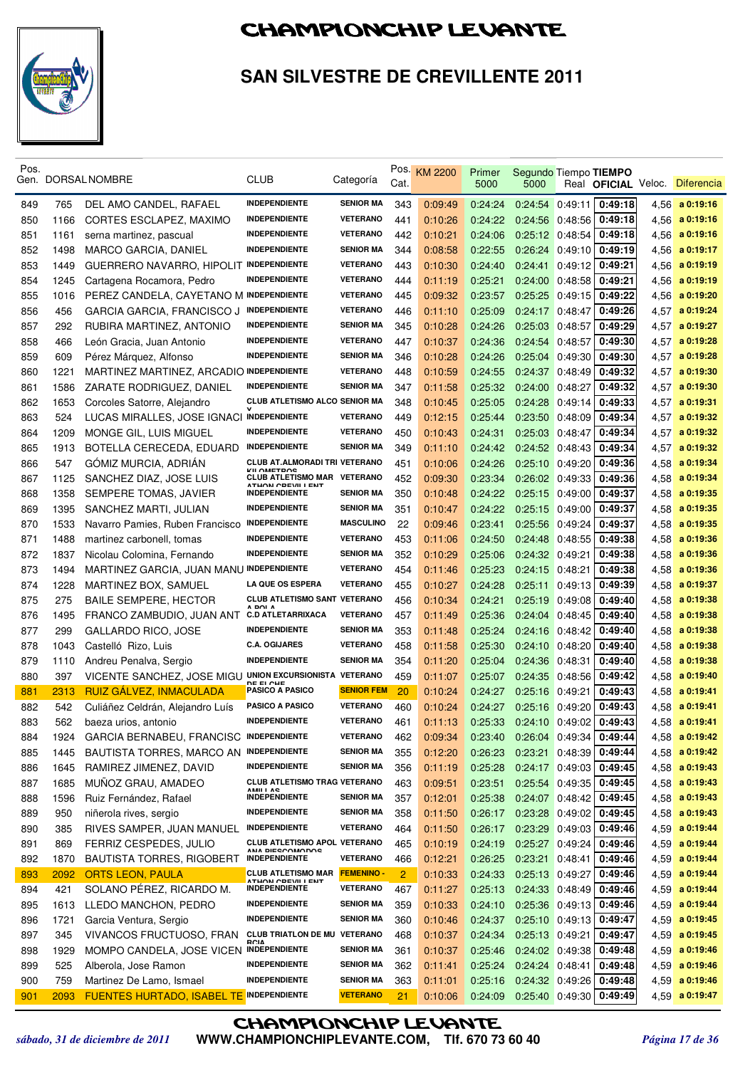

| Pos.<br>Gen. |      | <b>DORSAL NOMBRE</b>                                    | <b>CLUB</b>                                       | Categoría         | Cat.           | Pos. KM 2200 | Primer<br>5000 | Segundo Tiempo TIEMPO<br>5000 |         | Real <b>OFICIAL</b> Veloc. |      | Diferencia     |
|--------------|------|---------------------------------------------------------|---------------------------------------------------|-------------------|----------------|--------------|----------------|-------------------------------|---------|----------------------------|------|----------------|
| 849          | 765  | DEL AMO CANDEL, RAFAEL                                  | <b>INDEPENDIENTE</b>                              | <b>SENIOR MA</b>  | 343            | 0:09:49      | 0:24:24        | 0:24:54 0:49:11               |         | 0:49:18                    |      | 4,56 a 0:19:16 |
| 850          | 1166 | CORTES ESCLAPEZ, MAXIMO                                 | <b>INDEPENDIENTE</b>                              | <b>VETERANO</b>   | 441            | 0:10:26      | 0:24:22        | 0:24:56 0:48:56               |         | 0:49:18                    |      | 4,56 a 0:19:16 |
| 851          | 1161 | serna martinez, pascual                                 | <b>INDEPENDIENTE</b>                              | <b>VETERANO</b>   | 442            | 0:10:21      | 0:24:06        | 0:25:12 0:48:54               |         | 0:49:18                    |      | 4,56 a 0:19:16 |
| 852          | 1498 | MARCO GARCIA, DANIEL                                    | <b>INDEPENDIENTE</b>                              | <b>SENIOR MA</b>  | 344            | 0:08:58      | 0:22:55        | $0:26:24$ $0:49:10$           |         | 0:49:19                    |      | 4,56 a 0:19:17 |
| 853          | 1449 | GUERRERO NAVARRO, HIPOLIT INDEPENDIENTE                 |                                                   | <b>VETERANO</b>   | 443            | 0:10:30      | 0:24:40        | 0:24:41                       | 0:49:12 | 0:49:21                    |      | 4,56 a 0:19:19 |
| 854          | 1245 | Cartagena Rocamora, Pedro                               | <b>INDEPENDIENTE</b>                              | <b>VETERANO</b>   | 444            | 0:11:19      | 0:25:21        | $0:24:00$ $0:48:58$           |         | 0:49:21                    |      | 4,56 a 0:19:19 |
| 855          | 1016 | PEREZ CANDELA, CAYETANO M                               | <b>INDEPENDIENTE</b>                              | <b>VETERANO</b>   | 445            | 0:09:32      | 0:23:57        | 0:25:25                       | 0:49:15 | 0:49:22                    |      | 4,56 a 0:19:20 |
| 856          | 456  | GARCIA GARCIA, FRANCISCO J                              | <b>INDEPENDIENTE</b>                              | <b>VETERANO</b>   | 446            | 0:11:10      | 0:25:09        | 0:24:17 0:48:47               |         | 0:49:26                    |      | 4,57 a 0:19:24 |
| 857          | 292  | RUBIRA MARTINEZ, ANTONIO                                | <b>INDEPENDIENTE</b>                              | <b>SENIOR MA</b>  | 345            | 0:10:28      | 0:24:26        | 0:25:03                       | 0:48:57 | 0:49:29                    |      | 4,57 a 0:19:27 |
| 858          | 466  | León Gracia, Juan Antonio                               | <b>INDEPENDIENTE</b>                              | <b>VETERANO</b>   | 447            | 0:10:37      | 0:24:36        | 0:24:54 0:48:57               |         | 0:49:30                    |      | 4,57 a 0:19:28 |
| 859          | 609  | Pérez Márquez, Alfonso                                  | <b>INDEPENDIENTE</b>                              | <b>SENIOR MA</b>  | 346            | 0:10:28      | 0:24:26        | 0:25:04 0:49:30               |         | 0:49:30                    |      | 4,57 a 0:19:28 |
| 860          | 1221 | MARTINEZ MARTINEZ, ARCADIO INDEPENDIENTE                |                                                   | <b>VETERANO</b>   | 448            | 0:10:59      | 0:24:55        | 0:24:37 0:48:49               |         | 0:49:32                    | 4,57 | a 0:19:30      |
| 861          | 1586 | ZARATE RODRIGUEZ, DANIEL                                | <b>INDEPENDIENTE</b>                              | <b>SENIOR MA</b>  | 347            | 0:11:58      | 0:25:32        | 0:24:00 0:48:27               |         | 0:49:32                    | 4,57 | a 0:19:30      |
| 862          | 1653 | Corcoles Satorre, Alejandro                             | <b>CLUB ATLETISMO ALCO SENIOR MA</b>              |                   | 348            | 0:10:45      | 0:25:05        | 0:24:28 0:49:14               |         | 0:49:33                    |      | 4,57 a 0:19:31 |
| 863          | 524  | LUCAS MIRALLES, JOSE IGNACI                             | <b>INDEPENDIENTE</b>                              | <b>VETERANO</b>   | 449            | 0:12:15      | 0:25:44        | 0:23:50 0:48:09               |         | 0:49:34                    |      | 4,57 a 0:19:32 |
| 864          | 1209 | MONGE GIL, LUIS MIGUEL                                  | <b>INDEPENDIENTE</b>                              | <b>VETERANO</b>   | 450            | 0:10:43      | 0:24:31        | 0:25:03 0:48:47               |         | 0:49:34                    | 4,57 | a 0:19:32      |
| 865          | 1913 | BOTELLA CERECEDA, EDUARD                                | <b>INDEPENDIENTE</b>                              | <b>SENIOR MA</b>  | 349            | 0:11:10      | 0:24:42        | 0:24:52 0:48:43               |         | 0:49:34                    |      | 4,57 a 0:19:32 |
| 866          | 547  | GÓMIZ MURCIA, ADRIÁN                                    | CLUB AT.ALMORADI TRI VETERANO                     |                   | 451            | 0:10:06      | 0:24:26        | 0:25:10 0:49:20               |         | 0:49:36                    |      | 4,58 a 0:19:34 |
| 867          | 1125 | SANCHEZ DIAZ, JOSE LUIS                                 | <b>VII OMETROS</b><br>CLUB ATLETISMO MAR VETERANO |                   | 452            | 0:09:30      | 0:23:34        | 0:26:02 0:49:33               |         | 0:49:36                    |      | 4,58 a 0:19:34 |
| 868          | 1358 | SEMPERE TOMAS, JAVIER                                   | ATHON COEVIL LENT<br><b>INDEPENDIENTE</b>         | <b>SENIOR MA</b>  | 350            | 0:10:48      | 0:24:22        | 0:25:15 0:49:00               |         | 0:49:37                    |      | 4,58 a 0:19:35 |
| 869          | 1395 | SANCHEZ MARTI, JULIAN                                   | <b>INDEPENDIENTE</b>                              | <b>SENIOR MA</b>  | 351            | 0:10:47      | 0:24:22        | 0:25:15 0:49:00               |         | 0:49:37                    |      | 4,58 a 0:19:35 |
| 870          | 1533 | Navarro Pamies, Ruben Francisco                         | <b>INDEPENDIENTE</b>                              | <b>MASCULINO</b>  | 22             | 0:09:46      | 0:23:41        | 0:25:56 0:49:24               |         | 0:49:37                    |      | 4,58 a 0:19:35 |
| 871          | 1488 | martinez carbonell, tomas                               | <b>INDEPENDIENTE</b>                              | <b>VETERANO</b>   | 453            | 0:11:06      | 0:24:50        | 0:24:48                       | 0:48:55 | 0:49:38                    |      | 4,58 a 0:19:36 |
| 872          | 1837 | Nicolau Colomina, Fernando                              | <b>INDEPENDIENTE</b>                              | <b>SENIOR MA</b>  | 352            | 0:10:29      | 0:25:06        | 0:24:32 0:49:21               |         | 0:49:38                    |      | 4,58 a 0:19:36 |
| 873          | 1494 | MARTINEZ GARCIA, JUAN MANU INDEPENDIENTE                |                                                   | <b>VETERANO</b>   | 454            | 0:11:46      | 0:25:23        | 0:24:15 0:48:21               |         | 0:49:38                    |      | 4,58 a 0:19:36 |
| 874          | 1228 | MARTINEZ BOX, SAMUEL                                    | <b>LA QUE OS ESPERA</b>                           | VETERANO          | 455            | 0:10:27      | 0:24:28        | 0:25:11                       | 0:49:13 | 0:49:39                    |      | 4,58 a 0:19:37 |
| 875          | 275  | <b>BAILE SEMPERE, HECTOR</b>                            | <b>CLUB ATLETISMO SANT VETERANO</b>               |                   | 456            | 0:10:34      | 0:24:21        | 0:25:19                       | 0.49:08 | 0:49:40                    |      | 4,58 a 0:19:38 |
| 876          | 1495 | FRANCO ZAMBUDIO, JUAN ANT                               | A DOI A<br><b>C.D ATLETARRIXACA</b>               | VETERANO          | 457            | 0:11:49      | 0:25:36        | 0:24:04 0:48:45               |         | 0:49:40                    |      | 4,58 a 0:19:38 |
| 877          | 299  | GALLARDO RICO, JOSE                                     | <b>INDEPENDIENTE</b>                              | <b>SENIOR MA</b>  | 353            | 0:11:48      | 0:25:24        | 0:24:16 0:48:42               |         | 0:49:40                    |      | 4,58 a 0:19:38 |
| 878          | 1043 | Castelló Rizo, Luis                                     | <b>C.A. OGIJARES</b>                              | <b>VETERANO</b>   | 458            | 0:11:58      | 0:25:30        | 0:24:10 0:48:20               |         | 0:49:40                    |      | 4,58 a 0:19:38 |
| 879          | 1110 | Andreu Penalva, Sergio                                  | <b>INDEPENDIENTE</b>                              | <b>SENIOR MA</b>  | 354            | 0:11:20      | 0:25:04        | 0:24:36                       | 0:48:31 | 0:49:40                    | 4,58 | a 0:19:38      |
| 880          | 397  | VICENTE SANCHEZ, JOSE MIGU UNION EXCURSIONISTA VETERANO |                                                   |                   | 459            | 0:11:07      | 0:25:07        | 0:24:35                       | 0:48:56 | 0:49:42                    | 4,58 | a 0:19:40      |
| 881          | 2313 | RUIZ GÁLVEZ, INMACULADA                                 | NE EI CUE<br><b>PASICO A PASICO</b>               | <b>SENIOR FEM</b> | 20             | 0:10:24      | 0:24:27        | 0:25:16                       | 0.49:21 | 0:49:43                    | 4,58 | a 0:19:41      |
| 882          | 542  | Culiáñez Celdrán, Alejandro Luís                        | <b>PASICO A PASICO</b>                            | <b>VETERANO</b>   | 460            | 0:10:24      | 0:24:27        | 0:25:16                       | 0:49:20 | 0:49:43                    | 4,58 | a 0:19:41      |
| 883          | 562  | baeza urios, antonio                                    | <b>INDEPENDIENTE</b>                              | <b>VETERANO</b>   | 461            | 0:11:13      | 0:25:33        | $0:24:10$ $0:49:02$           |         | 0:49:43                    |      | 4,58 a 0:19:41 |
| 884          | 1924 | GARCIA BERNABEU, FRANCISC                               | <b>INDEPENDIENTE</b>                              | VETERANO          | 462            | 0:09:34      | 0:23:40        | $0:26:04$ 0:49:34             |         | 0:49:44                    |      | 4,58 a 0:19:42 |
| 885          | 1445 | BAUTISTA TORRES, MARCO AN                               | <b>INDEPENDIENTE</b>                              | <b>SENIOR MA</b>  | 355            | 0:12:20      | 0:26:23        | 0:23:21                       | 0:48:39 | 0:49:44                    |      | 4,58 a 0:19:42 |
| 886          | 1645 | RAMIREZ JIMENEZ, DAVID                                  | <b>INDEPENDIENTE</b>                              | SENIOR MA         | 356            | 0:11:19      | 0:25:28        | 0:24:17 0:49:03               |         | 0:49:45                    |      | 4,58 a 0:19:43 |
| 887          | 1685 | MUÑOZ GRAU, AMADEO                                      | <b>CLUB ATLETISMO TRAG VETERANO</b>               |                   | 463            | 0:09:51      | 0:23:51        | 0:25:54 0:49:35               |         | 0:49:45                    |      | 4,58 a 0:19:43 |
| 888          | 1596 | Ruiz Fernández, Rafael                                  | AMILIAC<br><b>INDEPENDIENTE</b>                   | <b>SENIOR MA</b>  | 357            | 0:12:01      | 0:25:38        | 0:24:07 0:48:42               |         | 0:49:45                    |      | 4,58 a 0:19:43 |
| 889          | 950  | niñerola rives, sergio                                  | <b>INDEPENDIENTE</b>                              | SENIOR MA         | 358            | 0:11:50      | 0:26:17        | 0:23:28 0:49:02               |         | 0:49:45                    |      | 4,58 a 0:19:43 |
| 890          | 385  | RIVES SAMPER, JUAN MANUEL                               | <b>INDEPENDIENTE</b>                              | VETERANO          | 464            | 0:11:50      | 0:26:17        | 0:23:29                       | 0:49:03 | 0:49:46                    |      | 4,59 a 0:19:44 |
| 891          | 869  | FERRIZ CESPEDES, JULIO                                  | CLUB ATLETISMO APOL VETERANO                      |                   | 465            | 0:10:19      | 0:24:19        | 0:25:27 0:49:24               |         | 0:49:46                    |      | 4,59 a 0:19:44 |
| 892          | 1870 | <b>BAUTISTA TORRES, RIGOBERT</b>                        | ANA DIECOOMODOC<br><b>INDEPENDIENTE</b>           | <b>VETERANO</b>   | 466            | 0:12:21      | 0:26:25        | 0:23:21                       | 0:48:41 | 0:49:46                    |      | 4,59 a 0:19:44 |
| 893          | 2092 | <b>ORTS LEON, PAULA</b>                                 | <b>CLUB ATLETISMO MAR</b>                         | <b>FEMENINO -</b> | $\overline{c}$ | 0:10:33      | 0:24:33        | 0:25:13 0:49:27               |         | 0:49:46                    |      | 4,59 a 0:19:44 |
| 894          | 421  | SOLANO PÉREZ, RICARDO M.                                | ATHON CREVILL ENT<br><b>INDEPENDIENTE</b>         | <b>VETERANO</b>   | 467            | 0:11:27      | 0:25:13        | 0:24:33 0:48:49               |         | 0:49:46                    |      | 4,59 a 0:19:44 |
| 895          | 1613 | LLEDO MANCHON, PEDRO                                    | <b>INDEPENDIENTE</b>                              | <b>SENIOR MA</b>  | 359            | 0:10:33      | 0:24:10        | 0:25:36 0:49:13               |         | 0:49:46                    |      | 4,59 a 0:19:44 |
| 896          | 1721 | Garcia Ventura, Sergio                                  | <b>INDEPENDIENTE</b>                              | <b>SENIOR MA</b>  | 360            | 0:10:46      | 0:24:37        | 0:25:10 0:49:13               |         | 0:49:47                    |      | 4,59 a 0:19:45 |
| 897          | 345  | VIVANCOS FRUCTUOSO, FRAN                                | <b>CLUB TRIATLON DE MU</b>                        | <b>VETERANO</b>   | 468            | 0:10:37      | 0:24:34        | 0:25:13 0:49:21               |         | 0:49:47                    |      | 4,59 a 0:19:45 |
| 898          | 1929 | MOMPO CANDELA, JOSE VICEN                               | <b>DCIA</b><br><b>INDEPENDIENTE</b>               | <b>SENIOR MA</b>  | 361            | 0:10:37      | 0:25:46        | 0:24:02 0:49:38               |         | 0:49:48                    |      | 4,59 a 0:19:46 |
| 899          | 525  | Alberola, Jose Ramon                                    | <b>INDEPENDIENTE</b>                              | <b>SENIOR MA</b>  | 362            | 0.11.41      | 0:25:24        | 0:24:24 0:48:41               |         | 0:49:48                    |      | 4,59 a 0:19:46 |
| 900          | 759  | Martinez De Lamo, Ismael                                | <b>INDEPENDIENTE</b>                              | <b>SENIOR MA</b>  | 363            | 0:11:01      | 0:25:16        | 0:24:32 0:49:26               |         | 0:49:48                    |      | 4,59 a 0:19:46 |
| 901          | 2093 | <b>FUENTES HURTADO, ISABEL TE</b>                       | <b>INDEPENDIENTE</b>                              | <b>VETERANO</b>   | 21             | 0:10:06      | 0:24:09        | 0:25:40 0:49:30               |         | 0:49:49                    |      | 4,59 a 0:19:47 |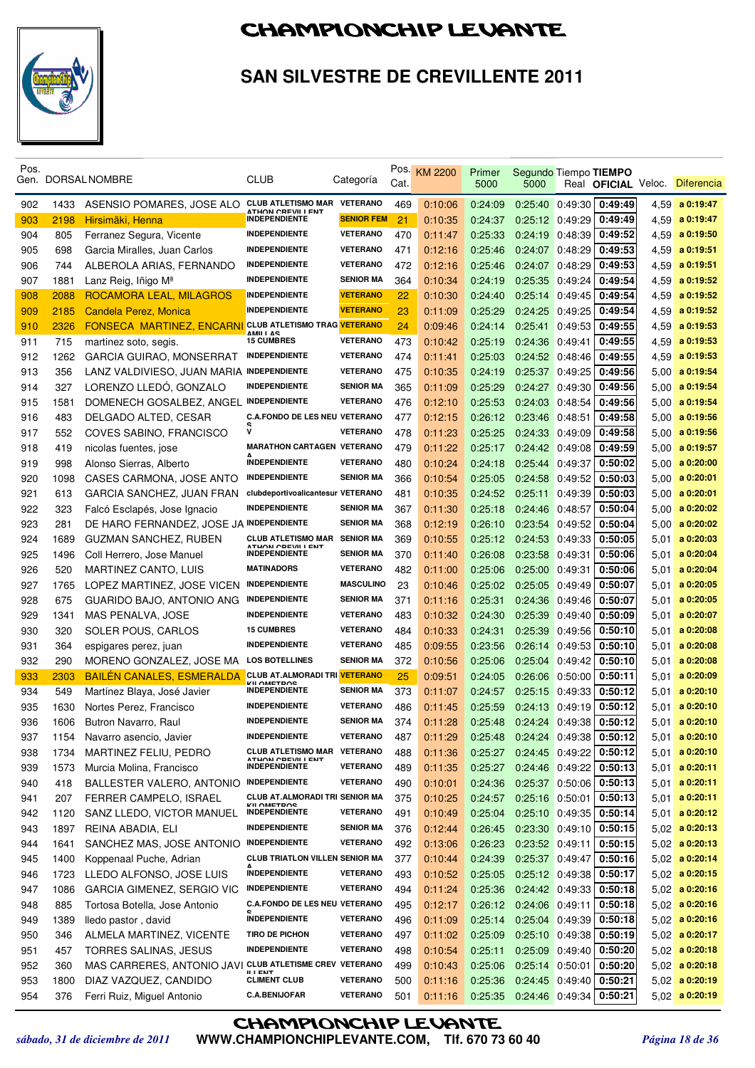

| Pos.<br>Gen. |              | <b>DORSAL NOMBRE</b>                                    | CLUB                                                       | Categoría                          | Cat.       | Pos. KM 2200       | Primer<br>5000     | Segundo Tiempo TIEMPO<br>5000      |         | Real <b>OFICIAL</b> Veloc. |              | Diferencia             |
|--------------|--------------|---------------------------------------------------------|------------------------------------------------------------|------------------------------------|------------|--------------------|--------------------|------------------------------------|---------|----------------------------|--------------|------------------------|
| 902          | 1433         | ASENSIO POMARES, JOSE ALO                               | CLUB ATLETISMO MAR VETERANO<br><b>ATHON CDEVILL ENT</b>    |                                    | 469        | 0:10:06            | 0:24:09            | 0:25:40                            | 0:49:30 | 0:49:49                    |              | 4,59 a 0:19:47         |
| 903          | 2198         | Hirsimäki, Henna                                        | <b>INDEPENDIENTE</b>                                       | <b>SENIOR FEM</b>                  | 21         | 0:10:35            | 0:24:37            | 0:25:12 0:49:29                    |         | 0:49:49                    | 4,59         | a 0:19:47              |
| 904          | 805          | Ferranez Segura, Vicente                                | <b>INDEPENDIENTE</b>                                       | <b>VETERANO</b>                    | 470        | 0:11:47            | 0:25:33            | 0:24:19                            | 0.48:39 | 0:49:52                    | 4,59         | a 0:19:50              |
| 905          | 698          | Garcia Miralles, Juan Carlos                            | <b>INDEPENDIENTE</b>                                       | <b>VETERANO</b>                    | 471        | 0:12:16            | 0:25:46            | 0:24:07 0:48:29                    |         | 0:49:53                    | 4,59         | a 0:19:51              |
| 906          | 744          | ALBEROLA ARIAS, FERNANDO                                | <b>INDEPENDIENTE</b>                                       | <b>VETERANO</b>                    | 472        | 0:12:16            | 0:25:46            | 0:24:07 0:48:29                    |         | 0:49:53                    | 4,59         | a 0:19:51              |
| 907          | 1881         | Lanz Reig, Iñigo M <sup>a</sup>                         | <b>INDEPENDIENTE</b>                                       | <b>SENIOR MA</b>                   | 364        | 0:10:34            | 0:24:19            | 0:25:35                            | 0:49:24 | 0:49:54                    | 4,59         | a 0:19:52              |
| 908          | 2088         | ROCAMORA LEAL, MILAGROS                                 | <b>INDEPENDIENTE</b>                                       | <b>VETERANO</b>                    | 22         | 0:10:30            | 0:24:40            | 0:25:14                            | 0:49:45 | 0:49:54                    | 4,59         | a 0:19:52              |
| 909          | 2185         | <b>Candela Perez, Monica</b>                            | <b>INDEPENDIENTE</b>                                       | <b>VETERANO</b>                    | 23         | 0:11:09            | 0:25:29            | 0:24:25                            | 0:49:25 | 0:49:54                    | 4,59         | a 0:19:52              |
| 910          | 2326         | FONSECA MARTINEZ, ENCARNI CLUB ATLETISMO TRAG VETERANO  | AMILIAC                                                    |                                    | 24         | 0:09:46            | 0:24:14            | 0:25:41                            | 0:49:53 | 0:49:55                    | 4,59         | a 0:19:53              |
| 911          | 715          | martinez soto, segis.                                   | <b>15 CUMBRES</b>                                          | <b>VETERANO</b>                    | 473        | 0:10:42            | 0:25:19            | 0:24:36                            | 0:49:41 | 0:49:55                    | 4,59         | a 0:19:53              |
| 912          | 1262         | <b>GARCIA GUIRAO, MONSERRAT</b>                         | <b>INDEPENDIENTE</b><br><b>INDEPENDIENTE</b>               | <b>VETERANO</b><br><b>VETERANO</b> | 474        | 0:11:41            | 0:25:03            | 0:24:52 0:48:46                    |         | 0:49:55                    | 4,59         | a 0:19:53              |
| 913<br>914   | 356<br>327   | LANZ VALDIVIESO, JUAN MARIA<br>LORENZO LLEDO, GONZALO   | <b>INDEPENDIENTE</b>                                       | <b>SENIOR MA</b>                   | 475<br>365 | 0:10:35            | 0:24:19<br>0:25:29 | 0:25:37 0:49:25<br>0:24:27 0:49:30 |         | 0:49:56<br>0:49:56         | 5,00         | a 0:19:54<br>a 0:19:54 |
| 915          | 1581         | DOMENECH GOSALBEZ, ANGEL                                | <b>INDEPENDIENTE</b>                                       | <b>VETERANO</b>                    | 476        | 0:11:09<br>0:12:10 | 0:25:53            | 0:24:03                            | 0:48:54 | 0:49:56                    | 5,00<br>5,00 | a 0:19:54              |
| 916          | 483          | DELGADO ALTED, CESAR                                    | <b>C.A.FONDO DE LES NEU VETERANO</b>                       |                                    | 477        | 0:12:15            | 0:26:12            | 0:23:46                            | 0:48:51 | 0:49:58                    | 5,00         | a 0:19:56              |
| 917          | 552          | COVES SABINO, FRANCISCO                                 | ٧                                                          | <b>VETERANO</b>                    | 478        | 0:11:23            | 0:25:25            | 0:24:33                            | 0:49:09 | 0:49:58                    | 5,00         | a 0:19:56              |
| 918          | 419          | nicolas fuentes, jose                                   | <b>MARATHON CARTAGEN VETERANO</b>                          |                                    | 479        | 0:11:22            | 0:25:17            | 0:24:42                            | 0:49:08 | 0:49:59                    | 5,00         | a 0:19:57              |
| 919          | 998          | Alonso Sierras, Alberto                                 | <b>INDEPENDIENTE</b>                                       | <b>VETERANO</b>                    | 480        | 0:10:24            | 0:24:18            | 0:25:44                            | 0:49:37 | 0:50:02                    | 5,00         | a 0:20:00              |
| 920          | 1098         | CASES CARMONA, JOSE ANTO                                | <b>INDEPENDIENTE</b>                                       | <b>SENIOR MA</b>                   | 366        | 0:10:54            | 0:25:05            | 0:24:58                            | 0:49:52 | 0:50:03                    | 5,00         | a 0:20:01              |
| 921          | 613          | GARCIA SANCHEZ, JUAN FRAN                               | clubdeportivoalicantesur VETERANO                          |                                    | 481        | 0:10:35            | 0:24:52            | 0:25:11                            | 0:49:39 | 0:50:03                    | 5,00         | a 0:20:01              |
| 922          | 323          | Falcó Esclapés, Jose Ignacio                            | <b>INDEPENDIENTE</b>                                       | <b>SENIOR MA</b>                   | 367        | 0:11:30            | 0:25:18            | 0:24:46                            | 0:48:57 | 0:50:04                    | 5,00         | a 0:20:02              |
| 923          | 281          | DE HARO FERNANDEZ, JOSE JA INDEPENDIENTE                |                                                            | <b>SENIOR MA</b>                   | 368        | 0:12:19            | 0:26:10            | 0:23:54                            | 0:49:52 | 0:50:04                    | 5.00         | a 0:20:02              |
| 924          | 1689         | GUZMAN SANCHEZ, RUBEN                                   | <b>CLUB ATLETISMO MAR</b>                                  | <b>SENIOR MA</b>                   | 369        | 0:10:55            | 0:25:12            | 0:24:53                            | 0:49:33 | 0:50:05                    | 5,01         | a 0:20:03              |
| 925          | 1496         | Coll Herrero, Jose Manuel                               | ATHON CREVILL ENT<br><b>INDEPENDIENTE</b>                  | <b>SENIOR MA</b>                   | 370        | 0:11:40            | 0:26:08            | 0:23:58                            | 0:49:31 | 0:50:06                    | 5,01         | a 0:20:04              |
| 926          | 520          | MARTINEZ CANTO, LUIS                                    | <b>MATINADORS</b>                                          | <b>VETERANO</b>                    | 482        | 0:11:00            | 0:25:06            | 0:25:00                            | 0:49:31 | 0:50:06                    | 5,01         | a 0:20:04              |
| 927          | 1765         | LOPEZ MARTINEZ, JOSE VICEN                              | <b>INDEPENDIENTE</b>                                       | <b>MASCULINO</b>                   | 23         | 0:10:46            | 0:25:02            | 0:25:05                            | 0:49:49 | 0:50:07                    | 5,01         | a 0:20:05              |
| 928          | 675          | GUARIDO BAJO, ANTONIO ANG                               | <b>INDEPENDIENTE</b>                                       | <b>SENIOR MA</b>                   | 371        | 0:11:16            | 0:25:31            | 0:24:36                            | 0:49:46 | 0:50:07                    | 5,01         | a 0:20:05              |
| 929          | 1341         | MAS PENALVA, JOSE                                       | <b>INDEPENDIENTE</b>                                       | <b>VETERANO</b>                    | 483        | 0:10:32            | 0:24:30            | 0:25:39                            | 0:49:40 | 0:50:09                    | 5.01         | a 0:20:07              |
| 930          | 320          | SOLER POUS, CARLOS                                      | <b>15 CUMBRES</b>                                          | <b>VETERANO</b>                    | 484        | 0:10:33            | 0:24:31            | 0:25:39                            | 0:49:56 | 0:50:10                    | 5.01         | a 0:20:08              |
| 931          | 364          | espigares perez, juan                                   | <b>INDEPENDIENTE</b>                                       | <b>VETERANO</b>                    | 485        | 0:09:55            | 0:23:56            | 0:26:14                            | 0:49:53 | 0:50:10                    | 5,01         | a 0:20:08              |
| 932          | 290          | MORENO GONZALEZ, JOSE MA                                | <b>LOS BOTELLINES</b>                                      | <b>SENIOR MA</b>                   | 372        | 0:10:56            | 0:25:06            | 0:25:04                            | 0:49:42 | 0:50:10                    | 5,01         | a 0:20:08              |
| 933          | 2303         | <b>BAILÉN CANALES, ESMERALDA</b>                        | <b>CLUB AT.ALMORADI TRI VETERANO</b><br><b>VII OMETDOS</b> |                                    | 25         | 0:09:51            | 0:24:05            | 0:26:06                            | 0:50:00 | 0:50:11                    | 5,01         | a 0:20:09              |
| 934          | 549          | Martínez Blaya, José Javier                             | <b>INDEPENDIENTE</b>                                       | <b>SENIOR MA</b>                   | 373        | 0:11:07            | 0:24:57            | 0:25:15                            | 0:49:33 | 0:50:12                    | 5,01         | a 0:20:10              |
| 935          | 1630         | Nortes Perez, Francisco                                 | <b>INDEPENDIENTE</b>                                       | <b>VETERANO</b>                    | 486        | 0:11:45            | 0:25:59            | 0:24:13                            | 0:49:19 | 0:50:12                    | 5.01         | a 0:20:10              |
| 936          | 1606         | Butron Navarro, Raul                                    | <b>INDEPENDIENTE</b>                                       | <b>SENIOR MA</b>                   | 374        | 0:11:28            | 0:25:48            | 0:24:24 0:49:38                    |         | 0:50:12                    | 5.01         | a 0:20:10              |
| 937          | 1154         | Navarro asencio, Javier                                 | <b>INDEPENDIENTE</b>                                       | <b>VETERANO</b>                    | 487        | 0:11:29            | 0:25:48            | 0:24:24 0:49:38                    |         | 0:50:12                    | 5,01         | a 0:20:10              |
| 938          | 1734         | MARTINEZ FELIU, PEDRO                                   | <b>CLUB ATLETISMO MAR</b><br>ATHON CREVILL ENT             | <b>VETERANO</b>                    | 488        | 0:11:36            | 0:25:27            | 0:24:45 0:49:22                    |         | 0:50:12                    | 5,01         | a 0:20:10              |
| 939          | 1573         | Murcia Molina, Francisco                                | <b>INDEPENDIENTE</b><br><b>INDEPENDIENTE</b>               | <b>VETERANO</b><br><b>VETERANO</b> | 489        | 0:11:35            | 0:25:27            | 0:24:46 0:49:22                    |         | 0:50:13                    | 5,01         | a 0:20:11              |
| 940          | 418          | BALLESTER VALERO, ANTONIO                               | CLUB AT.ALMORADI TRI SENIOR MA                             |                                    | 490        | 0:10:01            | 0:24:36            | 0:25:37 0:50:06<br>0:25:16 0:50:01 |         | 0:50:13                    | 5,01         | a 0:20:11<br>a 0:20:11 |
| 941          | 207          | FERRER CAMPELO, ISRAEL<br>SANZ LLEDO, VICTOR MANUEL     | <b>VII OMETDOS</b><br><b>INDEPENDIENTE</b>                 | <b>VETERANO</b>                    | 375        | 0:10:25            | 0:24:57            |                                    |         | 0:50:13<br>0:50:14         | 5,01         | a 0:20:12              |
| 942<br>943   | 1120<br>1897 | REINA ABADIA, ELI                                       | <b>INDEPENDIENTE</b>                                       | <b>SENIOR MA</b>                   | 491<br>376 | 0:10:49<br>0:12:44 | 0:25:04<br>0:26:45 | 0:25:10 0:49:35<br>0:23:30 0:49:10 |         | 0:50:15                    | 5,01         | 5,02 a 0:20:13         |
| 944          | 1641         | SANCHEZ MAS, JOSE ANTONIO                               | <b>INDEPENDIENTE</b>                                       | <b>VETERANO</b>                    | 492        | 0:13:06            | 0:26:23            | 0:23:52 0:49:11                    |         | 0:50:15                    |              | 5,02 a 0:20:13         |
| 945          | 1400         | Koppenaal Puche, Adrian                                 | <b>CLUB TRIATLON VILLEN SENIOR MA</b>                      |                                    | 377        | 0:10:44            | 0:24:39            | 0:25:37 0:49:47                    |         | 0:50:16                    |              | 5,02 a 0:20:14         |
| 946          | 1723         | LLEDO ALFONSO, JOSE LUIS                                | <b>INDEPENDIENTE</b>                                       | <b>VETERANO</b>                    | 493        | 0:10:52            | 0:25:05            | 0:25:12 0:49:38                    |         | 0:50:17                    |              | 5,02 a 0:20:15         |
| 947          | 1086         | GARCIA GIMENEZ, SERGIO VIC                              | <b>INDEPENDIENTE</b>                                       | <b>VETERANO</b>                    | 494        | 0:11:24            | 0:25:36            | 0:24:42 0:49:33                    |         | 0:50:18                    |              | $5,02$ a 0:20:16       |
| 948          | 885          | Tortosa Botella, Jose Antonio                           | <b>C.A.FONDO DE LES NEU VETERANO</b>                       |                                    | 495        | 0:12:17            | 0:26:12            | 0:24:06 0:49:11                    |         | 0:50:18                    |              | $5,02$ a 0:20:16       |
| 949          | 1389         | lledo pastor, david                                     | <b>INDEPENDIENTE</b>                                       | <b>VETERANO</b>                    | 496        | 0:11:09            | 0:25:14            | 0:25:04 0:49:39                    |         | 0:50:18                    |              | $5,02$ a 0:20:16       |
| 950          | 346          | ALMELA MARTINEZ, VICENTE                                | TIRO DE PICHON                                             | <b>VETERANO</b>                    | 497        | 0:11:02            | 0:25:09            | 0:25:10 0:49:38                    |         | 0:50:19                    |              | 5,02 a 0:20:17         |
| 951          | 457          | TORRES SALINAS, JESUS                                   | <b>INDEPENDIENTE</b>                                       | <b>VETERANO</b>                    | 498        | 0:10:54            | 0:25:11            | 0:25:09                            | 0:49:40 | 0:50:20                    |              | 5,02 a 0:20:18         |
| 952          | 360          | MAS CARRERES, ANTONIO JAVI CLUB ATLETISME CREV VETERANO |                                                            |                                    | 499        | 0:10:43            | 0:25:06            | 0:25:14 0:50:01                    |         | 0:50:20                    |              | 5,02 a 0:20:18         |
| 953          | 1800         | DIAZ VAZQUEZ, CANDIDO                                   | <b>II I CNT</b><br><b>CLIMENT CLUB</b>                     | <b>VETERANO</b>                    | 500        | 0:11:16            | 0:25:36            | 0:24:45 0:49:40                    |         | 0:50:21                    |              | 5,02 a 0:20:19         |
| 954          | 376          | Ferri Ruiz, Miguel Antonio                              | <b>C.A.BENIJOFAR</b>                                       | <b>VETERANO</b>                    | 501        | 0:11:16            | 0:25:35            | 0:24:46 0:49:34                    |         | 0:50:21                    |              | 5,02 a 0:20:19         |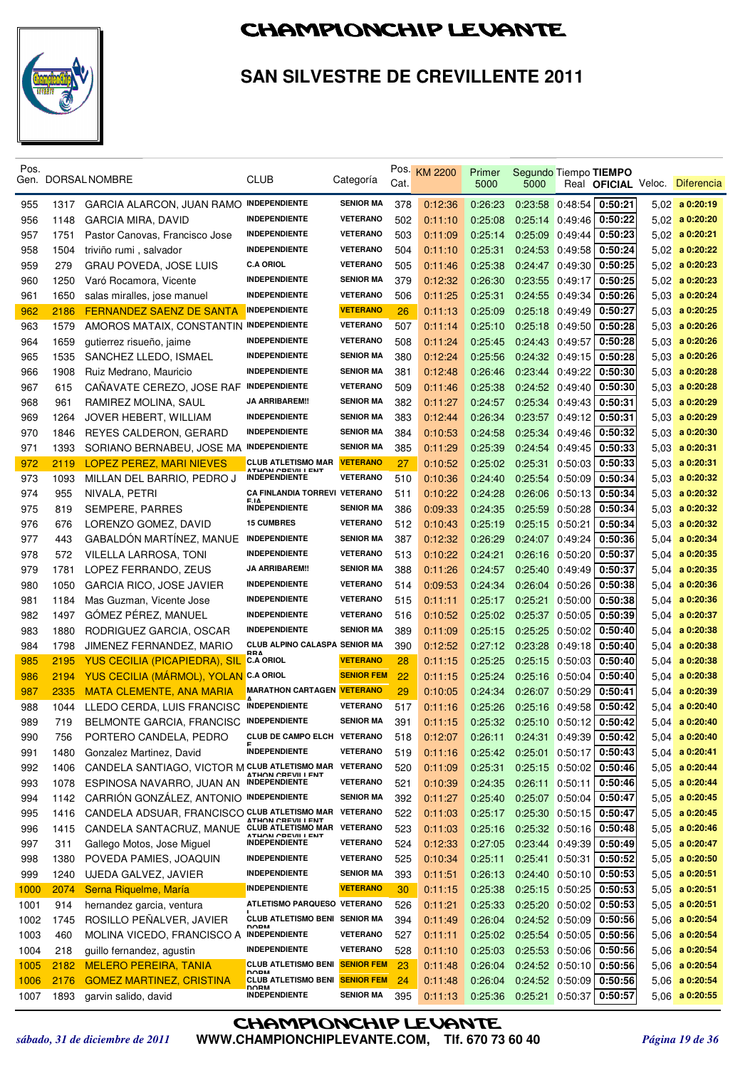

| Pos<br>Gen. |              | <b>DORSALNOMBRE</b>                                     | <b>CLUB</b>                                         | Categoría         | Cat.       | Pos. KM 2200       | Primer<br>5000     | Segundo Tiempo TIEMPO<br>5000 |         | Real <b>OFICIAL</b> Veloc.         |      | Diferencia                       |
|-------------|--------------|---------------------------------------------------------|-----------------------------------------------------|-------------------|------------|--------------------|--------------------|-------------------------------|---------|------------------------------------|------|----------------------------------|
| 955         | 1317         | GARCIA ALARCON, JUAN RAMO                               | INDEPENDIENTE                                       | <b>SENIOR MA</b>  | 378        | 0:12:36            | 0:26:23            | 0:23:58                       | 0:48:54 | 0:50:21                            |      | 5,02 a 0:20:19                   |
| 956         | 1148         | GARCIA MIRA, DAVID                                      | <b>INDEPENDIENTE</b>                                | <b>VETERANO</b>   | 502        | 0:11:10            | 0:25:08            | 0:25:14 0:49:46               |         | 0:50:22                            |      | $5,02$ a 0:20:20                 |
| 957         | 1751         | Pastor Canovas, Francisco Jose                          | <b>INDEPENDIENTE</b>                                | <b>VETERANO</b>   | 503        | 0:11:09            | 0:25:14            | 0:25:09                       | 0:49:44 | 0:50:23                            |      | $5,02$ a 0:20:21                 |
| 958         | 1504         | triviño rumi, salvador                                  | <b>INDEPENDIENTE</b>                                | <b>VETERANO</b>   | 504        | 0:11:10            | 0:25:31            | 0:24:53                       | 0:49:58 | 0:50:24                            |      | 5,02 a 0:20:22                   |
| 959         | 279          | GRAU POVEDA, JOSE LUIS                                  | <b>C.A ORIOL</b>                                    | <b>VETERANO</b>   | 505        | 0:11:46            | 0:25:38            | 0:24:47 0:49:30               |         | 0:50:25                            |      | $5,02$ a 0:20:23                 |
| 960         | 1250         | Varó Rocamora, Vicente                                  | <b>INDEPENDIENTE</b>                                | <b>SENIOR MA</b>  | 379        | 0:12:32            | 0:26:30            | 0:23:55                       | 0:49:17 | 0:50:25                            | 5.02 | a 0:20:23                        |
| 961         | 1650         | salas miralles, jose manuel                             | <b>INDEPENDIENTE</b>                                | <b>VETERANO</b>   | 506        | 0:11:25            | 0:25:31            | 0:24:55                       | 0:49:34 | 0:50:26                            | 5.03 | a 0:20:24                        |
| 962         | 2186         | <b>FERNANDEZ SAENZ DE SANTA</b>                         | <b>INDEPENDIENTE</b>                                | <b>VETERANO</b>   | 26         | 0:11:13            | 0:25:09            | 0:25:18                       | 0:49:49 | 0:50:27                            | 5.03 | a 0:20:25                        |
| 963         | 1579         | AMOROS MATAIX, CONSTANTIN INDEPENDIENTE                 |                                                     | <b>VETERANO</b>   | 507        | 0:11:14            | 0:25:10            | 0:25:18                       | 0:49:50 | 0:50:28                            | 5.03 | a 0:20:26                        |
| 964         | 1659         | gutierrez risueño, jaime                                | <b>INDEPENDIENTE</b>                                | <b>VETERANO</b>   | 508        | 0:11:24            | 0:25:45            | 0:24:43 0:49:57               |         | 0:50:28                            | 5,03 | a 0:20:26                        |
| 965         | 1535         | SANCHEZ LLEDO, ISMAEL                                   | <b>INDEPENDIENTE</b>                                | <b>SENIOR MA</b>  | 380        | 0:12:24            | 0:25:56            | 0:24:32 0:49:15               |         | 0:50:28                            | 5,03 | a 0:20:26                        |
| 966         | 1908         | Ruiz Medrano, Mauricio                                  | <b>INDEPENDIENTE</b>                                | <b>SENIOR MA</b>  | 381        | 0:12:48            | 0:26:46            | 0:23:44                       | 0:49:22 | 0:50:30                            | 5,03 | a 0:20:28                        |
| 967         | 615          | CAÑAVATE CEREZO, JOSE RAF                               | <b>INDEPENDIENTE</b>                                | <b>VETERANO</b>   | 509        | 0:11:46            | 0:25:38            | 0:24:52 0:49:40               |         | 0:50:30                            | 5,03 | a 0:20:28                        |
| 968         | 961          | RAMIREZ MOLINA, SAUL                                    | <b>JA ARRIBAREM!!</b>                               | <b>SENIOR MA</b>  | 382        | 0:11:27            | 0:24:57            | 0:25:34 0:49:43               |         | 0:50:31                            | 5.03 | a 0:20:29                        |
| 969         | 1264         | JOVER HEBERT, WILLIAM                                   | <b>INDEPENDIENTE</b>                                | <b>SENIOR MA</b>  | 383        | 0:12:44            | 0:26:34            | 0:23:57 0:49:12               |         | 0:50:31                            | 5.03 | a 0:20:29                        |
| 970         | 1846         | REYES CALDERON, GERARD                                  | <b>INDEPENDIENTE</b>                                | <b>SENIOR MA</b>  | 384        | 0:10:53            | 0:24:58            | 0:25:34                       | 0:49:46 | 0:50:32                            | 5,03 | a 0:20:30                        |
| 971         | 1393         | SORIANO BERNABEU, JOSE MA                               | <b>INDEPENDIENTE</b>                                | <b>SENIOR MA</b>  | 385        | 0:11:29            | 0:25:39            | 0:24:54                       | 0:49:45 | 0:50:33                            | 5,03 | a 0:20:31                        |
| 972         | 2119         | LOPEZ PEREZ, MARI NIEVES                                | <b>CLUB ATLETISMO MAR</b><br>ATHON ODEVILL ENT      | <b>VETERANO</b>   | 27         | 0:10:52            | 0:25:02            | 0:25:31                       | 0:50:03 | 0:50:33                            | 5.03 | a 0:20:31                        |
| 973         | 1093         | MILLAN DEL BARRIO, PEDRO J                              | <b>INDEPENDIENTE</b>                                | <b>VETERANO</b>   | 510        | 0:10:36            | 0:24:40            | 0:25:54                       | 0:50:09 | 0:50:34                            | 5,03 | a 0:20:32                        |
| 974         | 955          | NIVALA, PETRI                                           | CA FINLANDIA TORREVI VETERANO<br><b>EIA</b>         |                   | 511        | 0:10:22            | 0:24:28            | 0:26:06                       | 0:50:13 | 0:50:34                            | 5,03 | a 0:20:32                        |
| 975         | 819          | <b>SEMPERE, PARRES</b>                                  | <b>INDEPENDIENTE</b>                                | <b>SENIOR MA</b>  | 386        | 0:09:33            | 0:24:35            | 0:25:59                       | 0:50:28 | 0:50:34                            | 5.03 | a 0:20:32                        |
| 976         | 676          | LORENZO GOMEZ, DAVID                                    | <b>15 CUMBRES</b>                                   | <b>VETERANO</b>   | 512        | 0:10:43            | 0:25:19            | 0:25:15                       | 0:50:21 | 0:50:34                            | 5,03 | a 0:20:32                        |
| 977         | 443          | GABALDÓN MARTÍNEZ, MANUE                                | <b>INDEPENDIENTE</b>                                | <b>SENIOR MA</b>  | 387        | 0:12:32            | 0:26:29            | 0:24:07 0:49:24               |         | 0:50:36                            | 5,04 | a 0:20:34                        |
| 978         | 572          | VILELLA LARROSA, TONI                                   | <b>INDEPENDIENTE</b>                                | <b>VETERANO</b>   | 513        | 0:10:22            | 0:24:21            | 0:26:16                       | 0:50:20 | 0:50:37                            | 5.04 | a 0:20:35                        |
| 979         | 1781         | LOPEZ FERRANDO, ZEUS                                    | <b>JA ARRIBAREM!!</b>                               | <b>SENIOR MA</b>  | 388        | 0:11:26            | 0:24:57            | 0:25:40                       | 0:49:49 | 0:50:37                            | 5,04 | a 0:20:35                        |
| 980         | 1050         | GARCIA RICO, JOSE JAVIER                                | <b>INDEPENDIENTE</b>                                | <b>VETERANO</b>   | 514        | 0:09:53            | 0:24:34            | 0:26:04                       | 0:50:26 | 0:50:38                            | 5.04 | a 0:20:36                        |
| 981         | 1184         | Mas Guzman, Vicente Jose                                | <b>INDEPENDIENTE</b>                                | <b>VETERANO</b>   | 515        | 0:11:11            | 0:25:17            | 0:25:21                       | 0:50:00 | 0:50:38                            | 5.04 | a 0:20:36                        |
| 982         | 1497         | GÓMEZ PÉREZ, MANUEL                                     | <b>INDEPENDIENTE</b>                                | <b>VETERANO</b>   | 516        | 0:10:52            | 0:25:02            | 0:25:37                       | 0:50:05 | 0:50:39                            | 5.04 | a 0:20:37                        |
| 983         | 1880         | RODRIGUEZ GARCIA, OSCAR                                 | <b>INDEPENDIENTE</b>                                | <b>SENIOR MA</b>  | 389        | 0:11:09            | 0:25:15            | 0:25:25                       | 0:50:02 | 0:50:40                            | 5.04 | a 0:20:38                        |
| 984         | 1798         | JIMENEZ FERNANDEZ, MARIO                                | CLUB ALPINO CALASPA SENIOR MA                       |                   | 390        | 0:12:52            | 0:27:12            | 0:23:28                       | 0:49:18 | 0:50:40                            | 5.04 | a 0:20:38                        |
| 985         | 2195         | <b>YUS CECILIA (PICAPIEDRA), SIL</b>                    | <b>C.A ORIOL</b>                                    | <b>VETERANO</b>   | 28         | 0:11:15            | 0:25:25            | 0:25:15                       | 0:50:03 | 0:50:40                            | 5,04 | a 0:20:38                        |
| 986         | 2194         | YUS CECILIA (MÁRMOL), YOLAN                             | <b>C.A ORIOL</b>                                    | <b>SENIOR FEM</b> | 22         | 0:11:15            | 0:25:24            | 0:25:16                       | 0:50:04 | 0:50:40                            | 5.04 | a 0:20:38                        |
| 987         | 2335         | <b>MATA CLEMENTE, ANA MARIA</b>                         | <b>MARATHON CARTAGEN VETERANO</b>                   |                   | 29         | 0:10:05            | 0:24:34            | 0:26:07                       | 0:50:29 | 0:50:41                            |      | 5,04 a 0:20:39                   |
| 988         | 1044         | LLEDO CERDA, LUIS FRANCISC                              | <b>INDEPENDIENTE</b>                                | <b>VETERANO</b>   | 517        | 0:11:16            | 0:25:26            | 0:25:16                       | 0:49:58 | 0:50:42                            |      | 5,04 a 0:20:40                   |
| 989         | 719          | <b>BELMONTE GARCIA, FRANCISC</b>                        | <b>INDEPENDIENTE</b><br>CLUB DE CAMPO ELCH VETERANO | <b>SENIOR MA</b>  | 391        | 0:11:15            | 0:25:32            | $0:25:10$ $0:50:12$           |         | 0:50:42                            |      | 5.04 a 0:20:40                   |
| 990         | 756          | PORTERO CANDELA, PEDRO                                  | <b>INDEPENDIENTE</b>                                | <b>VETERANO</b>   | 518        | 0:12:07            | 0:26:11            | 0:24:31 0:49:39               |         | 0:50:42                            |      | 5,04 a 0:20:40<br>5,04 a 0:20:41 |
| 991         | 1480         | Gonzalez Martinez, David                                | <b>CLUB ATLETISMO MAR</b>                           | <b>VETERANO</b>   | 519        | 0:11:16            | 0:25:42<br>0:25:31 | 0:25:01                       | 0:50:17 | 0:50:43<br>0:25:15 0:50:02 0:50:46 |      | 5,05 a 0:20:44                   |
| 992         | 1406<br>1078 | CANDELA SANTIAGO, VICTOR M<br>ESPINOSA NAVARRO, JUAN AN | ATHON COEVILL ENT<br><b>INDEPENDIENTE</b>           | VETERANO          | 520        | 0:11:09            | 0:24:35            | 0:26:11 0:50:11               |         | 0:50:46                            |      | 5,05 a 0:20:44                   |
| 993<br>994  | 1142         | CARRIÓN GONZÁLEZ, ANTONIO                               | <b>INDEPENDIENTE</b>                                | <b>SENIOR MA</b>  | 521<br>392 | 0:10:39<br>0:11:27 | 0:25:40            | 0:25:07 0:50:04               |         | 0:50:47                            |      | 5,05 a 0:20:45                   |
| 995         | 1416         | CANDELA ADSUAR, FRANCISCO CLUB ATLETISMO MAR            |                                                     | <b>VETERANO</b>   | 522        | 0:11:03            | 0:25:17            | $0:25:30$ 0:50:15             |         | 0:50:47                            |      | 5,05 a 0:20:45                   |
| 996         | 1415         | CANDELA SANTACRUZ, MANUE                                | ATHON COEVILL ENT<br><b>CLUB ATLETISMO MAR</b>      | <b>VETERANO</b>   | 523        | 0:11:03            | 0:25:16            | 0:25:32 0:50:16               |         | 0:50:48                            |      | 5,05 a 0:20:46                   |
| 997         | 311          | Gallego Motos, Jose Miguel                              | ATHON ODEVILL ENT<br><b>INDEPENDIENTE</b>           | <b>VETERANO</b>   | 524        | 0:12:33            | 0:27:05            | 0:23:44 0:49:39               |         | 0:50:49                            |      | 5,05 a 0:20:47                   |
| 998         | 1380         | POVEDA PAMIES, JOAQUIN                                  | <b>INDEPENDIENTE</b>                                | <b>VETERANO</b>   | 525        | 0:10:34            | 0:25:11            | 0:25:41 0:50:31               |         | 0:50:52                            |      | 5,05 a 0:20:50                   |
| 999         | 1240         | UJEDA GALVEZ, JAVIER                                    | <b>INDEPENDIENTE</b>                                | <b>SENIOR MA</b>  | 393        | 0:11:51            | 0:26:13            | $0:24:40$ 0:50:10             |         | 0:50:53                            |      | 5,05 a 0:20:51                   |
| 1000        | 2074         | Serna Riquelme, María                                   | <b>INDEPENDIENTE</b>                                | <b>VETERANO</b>   | 30         | 0:11:15            | 0:25:38            | 0:25:15 0:50:25               |         | 0:50:53                            |      | 5,05 a 0:20:51                   |
| 1001        | 914          | hernandez garcia, ventura                               | ATLETISMO PARQUESO VETERANO                         |                   | 526        | 0:11:21            | 0:25:33            | $0:25:20$ 0:50:02             |         | 0:50:53                            |      | 5,05 a 0:20:51                   |
| 1002        | 1745         | ROSILLO PEÑALVER, JAVIER                                | <b>CLUB ATLETISMO BENI SENIOR MA</b>                |                   | 394        | 0:11:49            | 0:26:04            | 0:24:52 0:50:09               |         | 0:50:56                            |      | 5,06 a 0:20:54                   |
| 1003        | 460          | MOLINA VICEDO, FRANCISCO A                              | <b>DODM</b><br><b>INDEPENDIENTE</b>                 | VETERANO          | 527        | 0:11:11            | 0:25:02            | 0:25:54 0:50:05               |         | 0:50:56                            |      | 5,06 a 0:20:54                   |
| 1004        | 218          | guillo fernandez, agustin                               | <b>INDEPENDIENTE</b>                                | <b>VETERANO</b>   | 528        | 0:11:10            | 0:25:03            | 0:25:53 0:50:06               |         | 0:50:56                            |      | 5,06 a 0:20:54                   |
| 1005        | 2182         | <b>MELERO PEREIRA, TANIA</b>                            | <b>CLUB ATLETISMO BENI SENIOR FEM</b>               |                   | 23         | 0:11:48            | 0:26:04            | 0:24:52 0:50:10               |         | 0:50:56                            |      | 5,06 a 0:20:54                   |
| 1006        | 2176         | <b>GOMEZ MARTINEZ, CRISTINA</b>                         | <b>DODM</b><br><b>CLUB ATLETISMO BENI</b>           | <b>SENIOR FEM</b> | 24         | 0:11:48            | 0:26:04            | 0:24:52 0:50:09               |         | 0:50:56                            |      | 5,06 a 0:20:54                   |
| 1007        | 1893         | garvin salido, david                                    | <b>DODM</b><br><b>INDEPENDIENTE</b>                 | <b>SENIOR MA</b>  | 395        | 0:11:13            | 0:25:36            | 0:25:21 0:50:37               |         | 0:50:57                            |      | 5,06 a 0:20:55                   |
|             |              |                                                         |                                                     |                   |            |                    |                    |                               |         |                                    |      |                                  |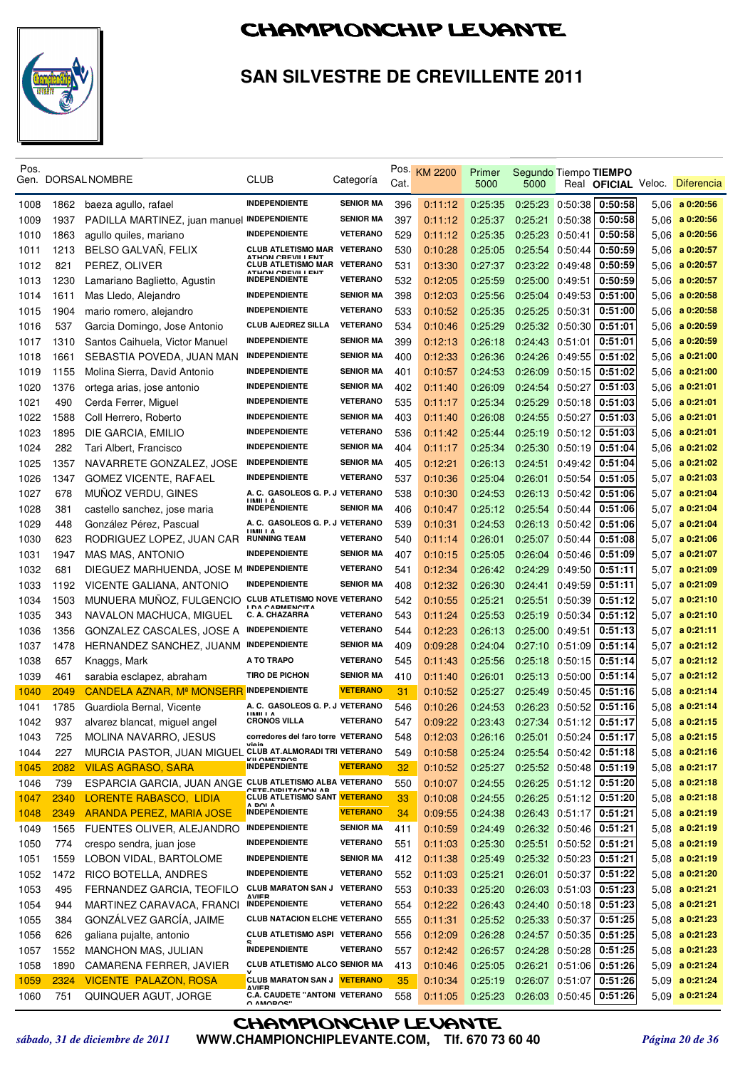

| Pos.         |            | Gen. DORSALNOMBRE                                       | <b>CLUB</b>                                                   | Categoría                           | Cat.       | Pos. KM 2200       | Primer<br>5000     | Segundo Tiempo TIEMPO<br>5000 |         | Real <b>OFICIAL</b> Veloc.  |      | Diferencia             |
|--------------|------------|---------------------------------------------------------|---------------------------------------------------------------|-------------------------------------|------------|--------------------|--------------------|-------------------------------|---------|-----------------------------|------|------------------------|
| 1008         | 1862       | baeza agullo, rafael                                    | <b>INDEPENDIENTE</b>                                          | <b>SENIOR MA</b>                    | 396        | 0:11:12            | 0:25:35            | 0:25:23                       | 0:50:38 | 0:50:58                     |      | 5,06 a 0:20:56         |
| 1009         | 1937       | PADILLA MARTINEZ, juan manuel                           | <b>INDEPENDIENTE</b>                                          | <b>SENIOR MA</b>                    | 397        | 0:11:12            | 0:25:37            | 0:25:21                       | 0:50:38 | 0:50:58                     |      | 5,06 a 0:20:56         |
| 1010         | 1863       | agullo quiles, mariano                                  | <b>INDEPENDIENTE</b>                                          | <b>VETERANO</b>                     | 529        | 0:11:12            | 0:25:35            | 0:25:23                       | 0:50:41 | 0:50:58                     | 5.06 | a 0:20:56              |
| 1011         | 1213       | BELSO GALVAÑ, FELIX                                     | <b>CLUB ATLETISMO MAR</b><br>ATHON CREWLL ENT                 | <b>VETERANO</b>                     | 530        | 0:10:28            | 0:25:05            | 0:25:54                       | 0:50:44 | 0:50:59                     | 5,06 | a 0:20:57              |
| 1012         | 821        | PEREZ, OLIVER                                           | <b>CLUB ATLETISMO MAR</b><br>ATHON CREWLL ENT                 | <b>VETERANO</b>                     | 531        | 0:13:30            | 0:27:37            | 0:23:22                       | 0:49:48 | 0:50:59                     | 5,06 | a 0:20:57              |
| 1013         | 1230       | Lamariano Baglietto, Agustin                            | <b>INDEPENDIENTE</b>                                          | <b>VETERANO</b>                     | 532        | 0:12:05            | 0:25:59            | 0:25:00                       | 0:49:51 | 0:50:59                     | 5,06 | a 0:20:57              |
| 1014         | 1611       | Mas Lledo, Alejandro                                    | <b>INDEPENDIENTE</b>                                          | <b>SENIOR MA</b>                    | 398        | 0:12:03            | 0:25:56            | 0:25:04                       | 0:49:53 | 0:51:00                     | 5,06 | a 0:20:58              |
| 1015         | 1904       | mario romero, alejandro                                 | <b>INDEPENDIENTE</b>                                          | <b>VETERANO</b>                     | 533        | 0:10:52            | 0:25:35            | 0:25:25                       | 0:50:31 | 0:51:00                     | 5,06 | a 0:20:58              |
| 1016         | 537        | Garcia Domingo, Jose Antonio                            | <b>CLUB AJEDREZ SILLA</b>                                     | <b>VETERANO</b>                     | 534        | 0:10:46            | 0:25:29            | 0:25:32                       | 0:50:30 | 0:51:01                     | 5,06 | a 0:20:59              |
| 1017         | 1310       | Santos Caihuela, Victor Manuel                          | <b>INDEPENDIENTE</b>                                          | <b>SENIOR MA</b>                    | 399        | 0:12:13            | 0:26:18            | 0:24:43                       | 0:51:01 | 0:51:01                     | 5,06 | a 0:20:59              |
| 1018         | 1661       | SEBASTIA POVEDA, JUAN MAN                               | <b>INDEPENDIENTE</b>                                          | <b>SENIOR MA</b>                    | 400        | 0:12:33            | 0:26:36            | 0:24:26                       | 0:49:55 | 0:51:02                     | 5,06 | a 0:21:00              |
| 1019         | 1155       | Molina Sierra, David Antonio                            | <b>INDEPENDIENTE</b>                                          | <b>SENIOR MA</b>                    | 401        | 0:10:57            | 0:24:53            | 0:26:09                       | 0:50:15 | 0:51:02                     | 5,06 | a 0:21:00              |
| 1020         | 1376       | ortega arias, jose antonio                              | <b>INDEPENDIENTE</b>                                          | <b>SENIOR MA</b>                    | 402        | 0:11:40            | 0:26:09            | 0:24:54                       | 0:50:27 | 0:51:03                     | 5,06 | a 0:21:01              |
| 1021         | 490        | Cerda Ferrer, Miguel                                    | <b>INDEPENDIENTE</b>                                          | <b>VETERANO</b>                     | 535        | 0:11:17            | 0:25:34            | 0:25:29                       | 0:50:18 | 0:51:03                     | 5,06 | a 0:21:01              |
| 1022         | 1588       | Coll Herrero, Roberto                                   | <b>INDEPENDIENTE</b>                                          | <b>SENIOR MA</b>                    | 403        | 0:11:40            | 0:26:08            | 0:24:55                       | 0:50:27 | 0:51:03                     | 5,06 | a 0:21:01              |
| 1023         | 1895       | DIE GARCIA, EMILIO                                      | <b>INDEPENDIENTE</b>                                          | <b>VETERANO</b>                     | 536        | 0:11:42            | 0:25:44            | 0:25:19                       | 0:50:12 | 0:51:03                     | 5.06 | a 0:21:01              |
| 1024         | 282        | Tari Albert, Francisco                                  | <b>INDEPENDIENTE</b>                                          | <b>SENIOR MA</b>                    | 404        | 0:11:17            | 0:25:34            | 0:25:30                       | 0:50:19 | 0:51:04                     | 5,06 | a 0:21:02              |
| 1025         | 1357       | NAVARRETE GONZALEZ, JOSE                                | <b>INDEPENDIENTE</b>                                          | <b>SENIOR MA</b>                    | 405        | 0:12:21            | 0:26:13            | 0:24:51                       | 0:49:42 | 0:51:04                     | 5,06 | a 0:21:02              |
| 1026         | 1347       | <b>GOMEZ VICENTE, RAFAEL</b>                            | <b>INDEPENDIENTE</b>                                          | <b>VETERANO</b>                     | 537        | 0:10:36            | 0:25:04            | 0:26:01                       | 0:50:54 | 0:51:05                     | 5,07 | a 0:21:03              |
| 1027         | 678        | MUÑOZ VERDU, GINES                                      | A. C. GASOLEOS G. P. J VETERANO<br><b>LIMBEL A</b>            |                                     | 538        | 0:10:30            | 0:24:53            | 0:26:13                       | 0:50:42 | 0:51:06                     | 5.07 | a 0:21:04              |
| 1028         | 381        | castello sanchez, jose maria                            | <b>INDEPENDIENTE</b>                                          | <b>SENIOR MA</b>                    | 406        | 0:10:47            | 0:25:12            | 0:25:54                       | 0:50:44 | 0:51:06                     | 5.07 | a 0:21:04              |
| 1029         | 448        | González Pérez, Pascual                                 | A. C. GASOLEOS G. P. J VETERANO<br><b>TIMILLA</b>             |                                     | 539        | 0:10:31            | 0:24:53            | 0:26:13                       | 0:50:42 | 0:51:06                     | 5.07 | a 0:21:04              |
| 1030         | 623        | RODRIGUEZ LOPEZ, JUAN CAR                               | <b>RUNNING TEAM</b>                                           | <b>VETERANO</b>                     | 540        | 0:11:14            | 0:26:01            | 0:25:07                       | 0:50:44 | 0:51:08                     | 5,07 | a 0:21:06              |
| 1031         | 1947       | MAS MAS, ANTONIO                                        | <b>INDEPENDIENTE</b>                                          | <b>SENIOR MA</b>                    | 407        | 0:10:15            | 0:25:05            | 0:26:04                       | 0:50:46 | 0:51:09                     | 5.07 | a 0:21:07              |
| 1032         | 681        | DIEGUEZ MARHUENDA, JOSE M                               | <b>INDEPENDIENTE</b>                                          | <b>VETERANO</b>                     | 541        | 0:12:34            | 0:26:42            | 0:24:29                       | 0:49:50 | 0:51:11                     | 5.07 | a 0:21:09              |
| 1033         | 1192       | VICENTE GALIANA, ANTONIO                                | <b>INDEPENDIENTE</b>                                          | <b>SENIOR MA</b>                    | 408        | 0:12:32            | 0:26:30            | 0:24:41                       | 0:49:59 | 0:51:11                     | 5.07 | a 0:21:09              |
| 1034         | 1503       | MUNUERA MUÑOZ, FULGENCIO                                | <b>CLUB ATLETISMO NOVE VETERANO</b><br><b>I DA CARMENCITA</b> |                                     | 542        | 0:10:55            | 0:25:21            | 0:25:51                       | 0:50:39 | 0:51:12                     | 5.07 | a 0:21:10              |
| 1035         | 343        | NAVALON MACHUCA, MIGUEL                                 | <b>C. A. CHAZARRA</b>                                         | <b>VETERANO</b>                     | 543        | 0:11:24            | 0:25:53            | 0:25:19                       | 0:50:34 | 0:51:12                     | 5.07 | a 0:21:10              |
| 1036         | 1356       | GONZALEZ CASCALES, JOSE A                               | <b>INDEPENDIENTE</b>                                          | <b>VETERANO</b>                     | 544        | 0:12:23            | 0:26:13            | 0:25:00                       | 0:49:51 | 0:51:13                     | 5.07 | a 0:21:11              |
| 1037         | 1478       | HERNANDEZ SANCHEZ, JUANM                                | <b>INDEPENDIENTE</b><br>A TO TRAPO                            | <b>SENIOR MA</b><br><b>VETERANO</b> | 409        | 0:09:28            | 0:24:04            | 0:27:10                       | 0:51:09 | 0:51:14                     | 5.07 | a 0:21:12              |
| 1038         | 657        | Knaggs, Mark                                            | TIRO DE PICHON                                                | <b>SENIOR MA</b>                    | 545        | 0:11:43            | 0:25:56            | 0:25:18                       | 0:50:15 | 0:51:14                     | 5.07 | a 0:21:12              |
| 1039         | 461        | sarabia esclapez, abraham                               | <b>INDEPENDIENTE</b>                                          | <b>VETERANO</b>                     | 410        | 0:11:40            | 0:26:01            | 0:25:13                       | 0:50:00 | 0:51:14                     | 5.07 | a 0:21:12<br>a 0:21:14 |
| 1040         | 2049       | <b>CANDELA AZNAR, Mª MONSERR</b>                        | A. C. GASOLEOS G. P. J VETERANO                               |                                     | 31         | 0:10:52            | 0:25:27<br>0:24:53 | 0:25:49                       | 0:50:45 | 0:51:16<br>0:51:16          | 5,08 | a 0:21:14              |
| 1041         | 1785       | Guardiola Bernal, Vicente                               | <b>TIMILLA</b><br><b>CRONOS VILLA</b>                         | <b>VETERANO</b>                     | 546<br>547 | 0:10:26<br>0:09:22 | 0:23:43            | 0:26:23                       | 0:50:52 | 0:51:17                     | 5.08 | $5,08$ a 0:21:15       |
| 1042         | 937        | alvarez blancat, miguel angel<br>MOLINA NAVARRO, JESUS  | corredores del faro torre VETERANO                            |                                     | 548        |                    | 0:26:16            | 0:27:34                       | 0.51:12 | $0:25:01$ 0:50:24 0:51:17   |      | $5,08$ a 0:21:15       |
| 1043<br>1044 | 725<br>227 | MURCIA PASTOR, JUAN MIGUEL                              | viola<br>CLUB AT.ALMORADI TRI VETERANO                        |                                     | 549        | 0:12:03<br>0:10:58 | 0:25:24            |                               |         | $0:25:54$ 0:50:42 0:51:18   |      | $5,08$ a 0:21:16       |
| 1045         | 2082       | <b>VILAS AGRASO, SARA</b>                               | <b>VII OMETDOS</b><br><b>INDEPENDIENTE</b>                    | <b>VETERANO</b>                     | 32         | 0:10:52            | 0:25:27            |                               |         | $0:25:52$ $0:50:48$ 0:51:19 |      | $5,08$ a 0:21:17       |
| 1046         | 739        | ESPARCIA GARCIA, JUAN ANGE CLUB ATLETISMO ALBA VETERANO |                                                               |                                     | 550        | 0:10:07            | 0:24:55            |                               |         | $0:26:25$ $0:51:12$ 0:51:20 |      | $5,08$ a 0:21:18       |
| 1047         | 2340       | <b>LORENTE RABASCO, LIDIA</b>                           | CETE DIDITACION AD<br><b>CLUB ATLETISMO SANT VETERANO</b>     |                                     | 33         | 0:10:08            | 0:24:55            |                               |         | $0:26:25$ $0:51:12$ 0:51:20 |      | $5,08$ a 0:21:18       |
| 1048         | 2349       | <b>ARANDA PEREZ, MARIA JOSE</b>                         | $A$ DOI A<br><b>INDEPENDIENTE</b>                             | <b>VETERANO</b>                     | 34         | 0:09:55            | 0:24:38            | 0:26:43 0:51:17               |         | 0:51:21                     |      | 5,08 a 0:21:19         |
| 1049         | 1565       | FUENTES OLIVER, ALEJANDRO                               | <b>INDEPENDIENTE</b>                                          | <b>SENIOR MA</b>                    | 411        | 0:10:59            | 0:24:49            | 0:26:32 0:50:46               |         | 0:51:21                     |      | 5,08 a 0:21:19         |
| 1050         | 774        | crespo sendra, juan jose                                | <b>INDEPENDIENTE</b>                                          | <b>VETERANO</b>                     | 551        | 0:11:03            | 0:25:30            |                               |         | $0:25:51$ $0:50:52$ 0:51:21 |      | 5,08 a 0:21:19         |
| 1051         | 1559       | LOBON VIDAL, BARTOLOME                                  | <b>INDEPENDIENTE</b>                                          | <b>SENIOR MA</b>                    | 412        | 0:11:38            | 0:25:49            | 0:25:32 0:50:23               |         | 0:51:21                     |      | 5,08 a 0:21:19         |
| 1052         | 1472       | RICO BOTELLA, ANDRES                                    | <b>INDEPENDIENTE</b>                                          | <b>VETERANO</b>                     | 552        | 0:11:03            | 0:25:21            | 0:26:01                       | 0:50:37 | 0:51:22                     |      | 5,08 a 0:21:20         |
| 1053         | 495        | FERNANDEZ GARCIA, TEOFILO                               | <b>CLUB MARATON SAN J</b>                                     | <b>VETERANO</b>                     | 553        | 0:10:33            | 0:25:20            | 0:26:03 0:51:03               |         | 0:51:23                     |      | 5,08 a 0:21:21         |
| 1054         | 944        | MARTINEZ CARAVACA, FRANCI                               | <b>AVIED</b><br><b>INDEPENDIENTE</b>                          | <b>VETERANO</b>                     | 554        | 0:12:22            | 0:26:43            | 0:24:40 0:50:18               |         | 0:51:23                     |      | 5,08 a 0:21:21         |
| 1055         | 384        | GONZÁLVEZ GARCÍA, JAIME                                 | <b>CLUB NATACION ELCHE VETERANO</b>                           |                                     | 555        | 0:11:31            | 0:25:52            | 0:25:33 0:50:37               |         | 0:51:25                     |      | 5,08 a 0:21:23         |
| 1056         | 626        | galiana pujalte, antonio                                | CLUB ATLETISMO ASPI VETERANO                                  |                                     | 556        | 0:12:09            | 0:26:28            | $0:24:57$ $0:50:35$           |         | 0:51:25                     |      | 5,08 a 0:21:23         |
| 1057         | 1552       | MANCHON MAS, JULIAN                                     | <b>INDEPENDIENTE</b>                                          | <b>VETERANO</b>                     | 557        | 0:12:42            | 0:26:57            | 0:24:28 0:50:28               |         | 0:51:25                     |      | 5,08 a 0:21:23         |
| 1058         | 1890       | CAMARENA FERRER, JAVIER                                 | CLUB ATLETISMO ALCO SENIOR MA                                 |                                     | 413        | 0:10:46            | 0:25:05            | 0:26:21 0:51:06               |         | 0:51:26                     |      | 5,09 a 0:21:24         |
| 1059         | 2324       | <b>VICENTE PALAZON, ROSA</b>                            | CLUB MARATON SAN J VETERANO                                   |                                     | 35         | 0:10:34            | 0:25:19            | 0:26:07 0:51:07               |         | 0:51:26                     |      | 5,09 a 0:21:24         |
| 1060         | 751        | QUINQUER AGUT, JORGE                                    | <b>AVICD</b><br>C.A. CAUDETE "ANTONI VETERANO<br>n AMODOC"    |                                     | 558        | 0:11:05            | 0:25:23            |                               |         | $0:26:03$ $0:50:45$ 0:51:26 |      | 5,09 a 0:21:24         |
|              |            |                                                         |                                                               |                                     |            |                    |                    |                               |         |                             |      |                        |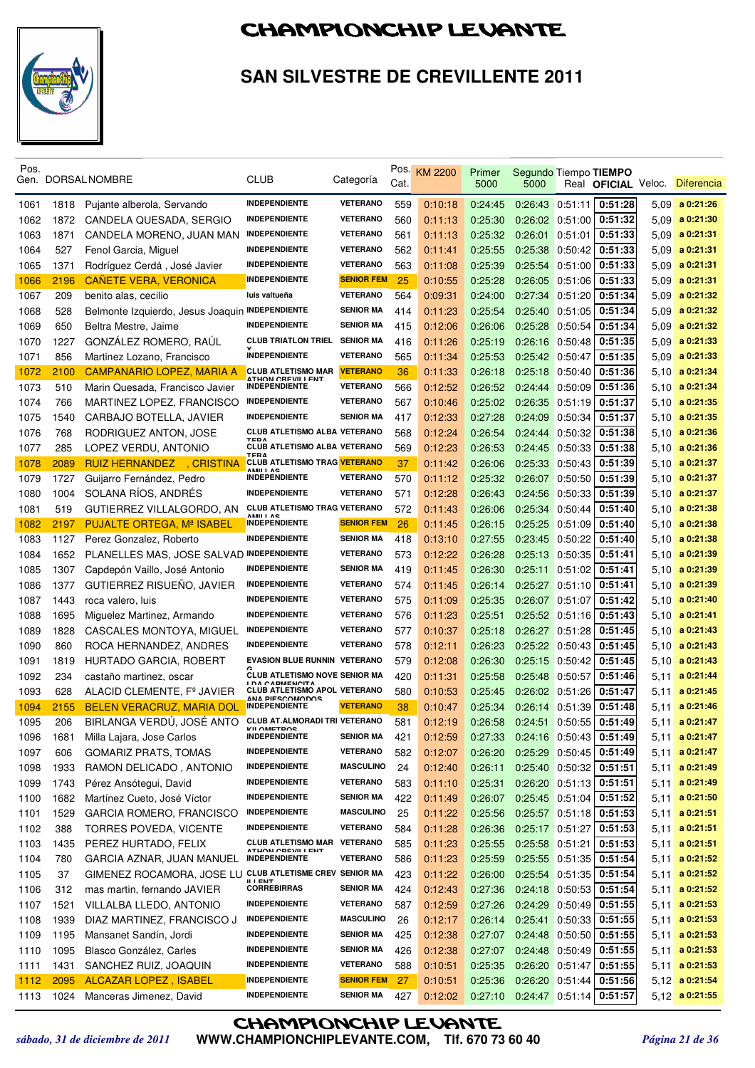

### **SAN SILVESTRE DE CREVILLENTE 2011**

| Pos.<br>Gen. |              | <b>DORSALNOMBRE</b>                                                 | <b>CLUB</b>                                                                   | Categoría                          | Cat.       | Pos. KM 2200       | Primer<br>5000     | Segundo Tiempo TIEMPO<br>5000 |                    | Real <b>OFICIAL</b> Veloc.  |              | Diferencia             |
|--------------|--------------|---------------------------------------------------------------------|-------------------------------------------------------------------------------|------------------------------------|------------|--------------------|--------------------|-------------------------------|--------------------|-----------------------------|--------------|------------------------|
| 1061         | 1818         | Pujante alberola, Servando                                          | <b>INDEPENDIENTE</b>                                                          | <b>VETERANO</b>                    | 559        | 0:10:18            | 0:24:45            | 0:26:43 0:51:11               |                    | 0:51:28                     |              | $5,09$ a 0:21:26       |
| 1062         | 1872         | CANDELA QUESADA, SERGIO                                             | <b>INDEPENDIENTE</b>                                                          | <b>VETERANO</b>                    | 560        | 0:11:13            | 0:25:30            | 0:26:02 0:51:00               |                    | 0:51:32                     | 5.09         | a 0:21:30              |
| 1063         | 1871         | CANDELA MORENO, JUAN MAN                                            | <b>INDEPENDIENTE</b>                                                          | <b>VETERANO</b>                    | 561        | 0:11:13            | 0:25:32            | 0:26:01                       | 0:51:01            | 0:51:33                     | 5.09         | a 0:21:31              |
| 1064         | 527          | Fenol Garcia, Miguel                                                | <b>INDEPENDIENTE</b>                                                          | <b>VETERANO</b>                    | 562        | 0:11:41            | 0:25:55            | 0:25:38                       | 0:50:42            | 0:51:33                     | 5.09         | a 0:21:31              |
| 1065         | 1371         | Rodríguez Cerdá, José Javier                                        | <b>INDEPENDIENTE</b>                                                          | <b>VETERANO</b>                    | 563        | 0:11:08            | 0:25:39            | 0:25:54                       | 0:51:00            | 0:51:33                     | 5.09         | a 0:21:31              |
| 1066         | 2196         | <b>CAÑETE VERA, VERONICA</b>                                        | <b>INDEPENDIENTE</b>                                                          | <b>SENIOR FEM</b>                  | 25         | 0:10:55            | 0:25:28            | 0:26:05                       | 0:51:06            | 0:51:33                     | 5.09         | a 0:21:31              |
| 1067         | 209          | benito alas, cecilio                                                | luis valtueña                                                                 | VETERANO                           | 564        | 0:09:31            | 0:24:00            | 0:27:34                       | 0:51:20            | 0:51:34                     | 5.09         | a 0:21:32              |
| 1068         | 528          | Belmonte Izquierdo, Jesus Joaquin                                   | <b>INDEPENDIENTE</b>                                                          | <b>SENIOR MA</b>                   | 414        | 0:11:23            | 0:25:54            | 0:25:40                       | 0:51:05            | 0:51:34                     | 5.09         | a 0:21:32              |
| 1069         | 650          | Beltra Mestre, Jaime                                                | <b>INDEPENDIENTE</b>                                                          | SENIOR MA                          | 415        | 0:12:06            | 0:26:06            | 0:25:28                       | 0:50:54            | 0:51:34                     | 5.09         | a 0:21:32              |
| 1070         | 1227         | GONZÁLEZ ROMERO, RAÚL                                               | <b>CLUB TRIATLON TRIEL</b>                                                    | <b>SENIOR MA</b>                   | 416        | 0:11:26            | 0:25:19            | 0:26:16                       | 0:50:48            | 0:51:35                     | 5.09         | a 0:21:33              |
| 1071         | 856          | Martinez Lozano, Francisco                                          | <b>INDEPENDIENTE</b>                                                          | <b>VETERANO</b>                    | 565        | 0:11:34            | 0:25:53            | 0:25:42                       | 0:50:47            | 0:51:35                     | 5.09         | a 0:21:33              |
| 1072         | 2100         | <b>CAMPANARIO LOPEZ, MARIA A</b>                                    | <b>CLUB ATLETISMO MAR</b><br>ATUON ODEVILLENT                                 | <b>VETERANO</b>                    | 36         | 0:11:33            | 0:26:18            | 0:25:18                       | 0:50:40            | 0:51:36                     | 5,10         | a 0:21:34              |
| 1073         | 510          | Marin Quesada, Francisco Javier                                     | <b>INDEPENDIENTE</b>                                                          | VETERANO                           | 566        | 0:12:52            | 0:26:52            | 0:24:44                       | 0:50:09            | 0:51:36                     | 5,10         | a 0:21:34              |
| 1074         | 766          | MARTINEZ LOPEZ, FRANCISCO                                           | <b>INDEPENDIENTE</b>                                                          | <b>VETERANO</b>                    | 567        | 0:10:46            | 0:25:02            | 0:26:35                       | 0:51:19            | 0:51:37                     | 5,10         | a 0:21:35              |
| 1075         | 1540         | CARBAJO BOTELLA, JAVIER                                             | <b>INDEPENDIENTE</b>                                                          | SENIOR MA                          | 417        | 0:12:33            | 0:27:28            | 0:24:09                       | 0:50:34            | 0:51:37                     | 5,10         | a 0:21:35              |
| 1076         | 768          | RODRIGUEZ ANTON, JOSE                                               | <b>CLUB ATLETISMO ALBA VETERANO</b><br><b>TEDA</b>                            |                                    | 568        | 0:12:24            | 0:26:54            | 0:24:44                       | 0:50:32            | 0:51:38                     | 5,10         | a 0:21:36              |
| 1077         | 285          | LOPEZ VERDU, ANTONIO                                                | CLUB ATLETISMO ALBA VETERANO<br>TCD/                                          |                                    | 569        | 0:12:23            | 0:26:53            | 0:24:45                       | 0:50:33            | 0:51:38                     | 5,10         | a 0:21:36              |
| 1078         | 2089         | RUIZ HERNANDEZ , CRISTINA                                           | <b>CLUB ATLETISMO TRAG VETERANO</b><br><b>AMILIAC</b><br><b>INDEPENDIENTE</b> |                                    | 37         | 0:11:42            | 0:26:06            | 0:25:33                       | 0:50:43            | 0:51:39                     | 5,10         | a 0:21:37              |
| 1079         | 1727         | Guijarro Fernández, Pedro                                           | <b>INDEPENDIENTE</b>                                                          | <b>VETERANO</b><br><b>VETERANO</b> | 570        | 0:11:12            | 0:25:32            | 0:26:07                       | 0:50:50            | 0:51:39                     | 5,10         | a 0:21:37              |
| 1080         | 1004         | SOLANA RÍOS, ANDRÉS                                                 | <b>CLUB ATLETISMO TRAG VETERANO</b>                                           |                                    | 571        | 0:12:28            | 0:26:43            | 0:24:56                       | 0:50:33            | 0:51:39                     | 5,10         | a 0:21:37              |
| 1081         | 519          | GUTIERREZ VILLALGORDO, AN<br><b>PUJALTE ORTEGA, Mª ISABEL</b>       | <b>AMILIAS</b><br><b>INDEPENDIENTE</b>                                        | <b>SENIOR FEM</b>                  | 572<br>26  | 0:11:43            | 0:26:06            | 0:25:34                       | 0:50:44            | 0:51:40                     | 5,10         | a 0:21:38              |
| 1082         | 2197         |                                                                     | <b>INDEPENDIENTE</b>                                                          | <b>SENIOR MA</b>                   |            | 0:11:45            | 0:26:15            | 0:25:25                       | 0:51:09            | 0:51:40                     | 5,10         | a 0:21:38              |
| 1083         | 1127         | Perez Gonzalez, Roberto<br>PLANELLES MAS, JOSE SALVAD INDEPENDIENTE |                                                                               | <b>VETERANO</b>                    | 418<br>573 | 0:13:10            | 0:27:55<br>0:26:28 | 0:23:45<br>0:25:13            | 0:50:22            | 0:51:40<br>0:51:41          | 5,10         | a 0:21:38<br>a 0:21:39 |
| 1084<br>1085 | 1652<br>1307 |                                                                     | <b>INDEPENDIENTE</b>                                                          | <b>SENIOR MA</b>                   | 419        | 0:12:22<br>0:11:45 | 0:26:30            | 0:25:11                       | 0:50:35<br>0:51:02 | 0:51:41                     | 5,10<br>5,10 | a 0:21:39              |
| 1086         | 1377         | Capdepón Vaillo, José Antonio<br>GUTIERREZ RISUEÑO, JAVIER          | <b>INDEPENDIENTE</b>                                                          | <b>VETERANO</b>                    | 574        | 0:11:45            | 0:26:14            | 0:25:27                       | 0:51:10            | 0:51:41                     | 5,10         | a 0:21:39              |
| 1087         | 1443         | roca valero, luis                                                   | <b>INDEPENDIENTE</b>                                                          | <b>VETERANO</b>                    | 575        | 0:11:09            | 0:25:35            | 0:26:07 0:51:07               |                    | 0:51:42                     | 5,10         | a 0:21:40              |
| 1088         | 1695         | Miguelez Martinez, Armando                                          | <b>INDEPENDIENTE</b>                                                          | <b>VETERANO</b>                    | 576        | 0:11:23            | 0:25:51            | 0:25:52 0:51:16               |                    | 0:51:43                     | 5,10         | a 0:21:41              |
| 1089         | 1828         | CASCALES MONTOYA, MIGUEL                                            | <b>INDEPENDIENTE</b>                                                          | <b>VETERANO</b>                    | 577        | 0:10:37            | 0:25:18            | 0:26:27                       | 0:51:28            | 0:51:45                     | 5,10         | a 0:21:43              |
| 1090         | 860          | ROCA HERNANDEZ, ANDRES                                              | <b>INDEPENDIENTE</b>                                                          | <b>VETERANO</b>                    | 578        | 0:12:11            | 0:26:23            | 0:25:22                       | 0:50:43            | 0:51:45                     | 5,10         | a 0:21:43              |
| 1091         | 1819         | HURTADO GARCIA, ROBERT                                              | EVASION BLUE RUNNIN VETERANO                                                  |                                    | 579        | 0:12:08            | 0:26:30            | 0:25:15                       | 0:50:42            | 0:51:45                     | 5,10         | a 0:21:43              |
| 1092         | 234          | castaño martinez, oscar                                             | CLUB ATLETISMO NOVE SENIOR MA                                                 |                                    | 420        | 0:11:31            | 0:25:58            | 0:25:48                       | 0:50:57            | 0:51:46                     | 5,11         | a 0:21:44              |
| 1093         | 628          | ALACID CLEMENTE, Fº JAVIER                                          | <b>I DA CADMENCITA</b><br><b>CLUB ATLETISMO APOL VETERANO</b>                 |                                    | 580        | 0:10:53            | 0:25:45            | 0:26:02                       | 0:51:26            | 0:51:47                     | 5,11         | a 0:21:45              |
| 1094         | 2155         | <b>BELEN VERACRUZ, MARIA DOL</b>                                    | ANA DIESCOMODOS<br><b>INDEPENDIENTE</b>                                       | <u>VETERANO</u>                    | 38         | 0:10:47            | 0:25:34            | 0:26:14                       | 0:51:39            | 0:51:48                     | 5.11         | a 0:21:46              |
| 1095         | 206          | BIRLANGA VERDÚ, JOSÉ ANTO                                           | <b>CLUB AT.ALMORADI TRI VETERANO</b>                                          |                                    | 581        | 0:12:19            | 0:26:58            | 0:24:51 0:50:55               |                    | 0:51:49                     |              | 5,11 a 0:21:47         |
| 1096         | 1681         | Milla Lajara, Jose Carlos                                           | <b>KII UNETDUC</b><br><b>INDEPENDIENTE</b>                                    | SENIOR MA                          | 421        | 0:12:59            | 0:27:33            |                               |                    | 0:24:16 0:50:43 0:51:49     | 5,11         | a 0:21:47              |
| 1097         | 606          | <b>GOMARIZ PRATS, TOMAS</b>                                         | <b>INDEPENDIENTE</b>                                                          | <b>VETERANO</b>                    | 582        | 0:12:07            | 0:26:20            | 0:25:29                       | 0.50:45            | 0:51:49                     | 5,11         | a 0:21:47              |
| 1098         | 1933         | RAMON DELICADO, ANTONIO                                             | <b>INDEPENDIENTE</b>                                                          | <b>MASCULINO</b>                   | 24         | 0:12:40            | 0:26:11            |                               |                    | $0:25:40$ $0:50:32$ 0:51:51 |              | 5,11 a 0:21:49         |
| 1099         | 1743         | Pérez Ansótegui, David                                              | <b>INDEPENDIENTE</b>                                                          | <b>VETERANO</b>                    | 583        | 0:11:10            | 0:25:31            |                               |                    | $0:26:20$ $0:51:13$ 0:51:51 |              | 5,11 a 0:21:49         |
| 1100         | 1682         | Martínez Cueto, José Víctor                                         | <b>INDEPENDIENTE</b>                                                          | <b>SENIOR MA</b>                   | 422        | 0:11:49            | 0:26:07            | 0:25:45 0:51:04               |                    | 0:51:52                     |              | 5,11 a 0:21:50         |
| 1101         | 1529         | GARCIA ROMERO, FRANCISCO                                            | <b>INDEPENDIENTE</b>                                                          | <b>MASCULINO</b>                   | 25         | 0:11:22            | 0:25:56            | 0:25:57 0:51:18               |                    | 0:51:53                     |              | 5,11 a 0:21:51         |
| 1102         | 388          | <b>TORRES POVEDA, VICENTE</b>                                       | <b>INDEPENDIENTE</b>                                                          | <b>VETERANO</b>                    | 584        | 0:11:28            | 0:26:36            | 0:25:17 0:51:27               |                    | 0:51:53                     |              | 5,11 a 0:21:51         |
| 1103         | 1435         | PEREZ HURTADO, FELIX                                                | <b>CLUB ATLETISMO MAR</b><br>ATHON COEVIL LENT                                | <b>VETERANO</b>                    | 585        | 0:11:23            | 0:25:55            | 0:25:58 0:51:21               |                    | 0:51:53                     |              | $5,11$ a 0:21:51       |
| 1104         | 780          | GARCIA AZNAR, JUAN MANUEL                                           | <b>INDEPENDIENTE</b>                                                          | <b>VETERANO</b>                    | 586        | 0:11:23            | 0:25:59            | 0:25:55 0:51:35               |                    | 0:51:54                     |              | 5,11 a 0:21:52         |
| 1105         | 37           | GIMENEZ ROCAMORA, JOSE LU                                           | CLUB ATLETISME CREV SENIOR MA<br>$H$ $I$ CMT                                  |                                    | 423        | 0:11:22            | 0:26:00            | 0:25:54 0:51:35               |                    | 0:51:54                     |              | 5,11 a 0:21:52         |
| 1106         | 312          | mas martin, fernando JAVIER                                         | <b>CORREBIRRAS</b>                                                            | <b>SENIOR MA</b>                   | 424        | 0:12:43            | 0:27:36            | $0:24:18$ $0:50:53$           |                    | 0:51:54                     |              | 5,11 a 0:21:52         |
| 1107         | 1521         | VILLALBA LLEDO, ANTONIO                                             | <b>INDEPENDIENTE</b>                                                          | <b>VETERANO</b>                    | 587        | 0:12:59            | 0:27:26            | 0:24:29 0:50:49               |                    | 0:51:55                     |              | 5,11 a 0:21:53         |
| 1108         | 1939         | DIAZ MARTINEZ, FRANCISCO J                                          | <b>INDEPENDIENTE</b>                                                          | <b>MASCULINO</b>                   | 26         | 0:12:17            | 0:26:14            | 0:25:41 0:50:33               |                    | 0:51:55                     |              | 5,11 a 0:21:53         |
| 1109         | 1195         | Mansanet Sandín, Jordi                                              | <b>INDEPENDIENTE</b>                                                          | <b>SENIOR MA</b>                   | 425        | 0:12:38            | 0:27:07            | 0:24:48 0:50:50               |                    | 0:51:55                     |              | 5,11 a 0:21:53         |
| 1110         | 1095         | Blasco González, Carles                                             | <b>INDEPENDIENTE</b>                                                          | SENIOR MA                          | 426        | 0:12:38            | 0:27:07            | 0:24:48 0:50:49               |                    | 0:51:55                     |              | 5,11 a 0:21:53         |
| 1111         | 1431         | SANCHEZ RUIZ, JOAQUIN                                               | <b>INDEPENDIENTE</b>                                                          | VETERANO                           | 588        | 0:10:51            | 0:25:35            | 0:26:20 0:51:47               |                    | 0:51:55                     |              | $5,11$ a 0:21:53       |
| 1112         | 2095         | <b>ALCAZAR LOPEZ, ISABEL</b>                                        | <b>INDEPENDIENTE</b>                                                          | <b>SENIOR FEM</b>                  | 27         | 0:10:51            | 0:25:36            | 0:26:20 0:51:44               |                    | 0:51:56                     |              | 5,12 a 0:21:54         |
| 1113         | 1024         | Manceras Jimenez, David                                             | <b>INDEPENDIENTE</b>                                                          | SENIOR MA                          | 427        | 0:12:02            | 0:27:10            | 0:24:47 0:51:14               |                    | 0:51:57                     |              | 5,12 a 0:21:55         |

#### CHAMPIONCHIP LEVANTE *sábado, 31 de diciembre de 2011* **WWW.CHAMPIONCHIPLEVANTE.COM, Tlf. 670 73 60 40** *Página 21 de 36*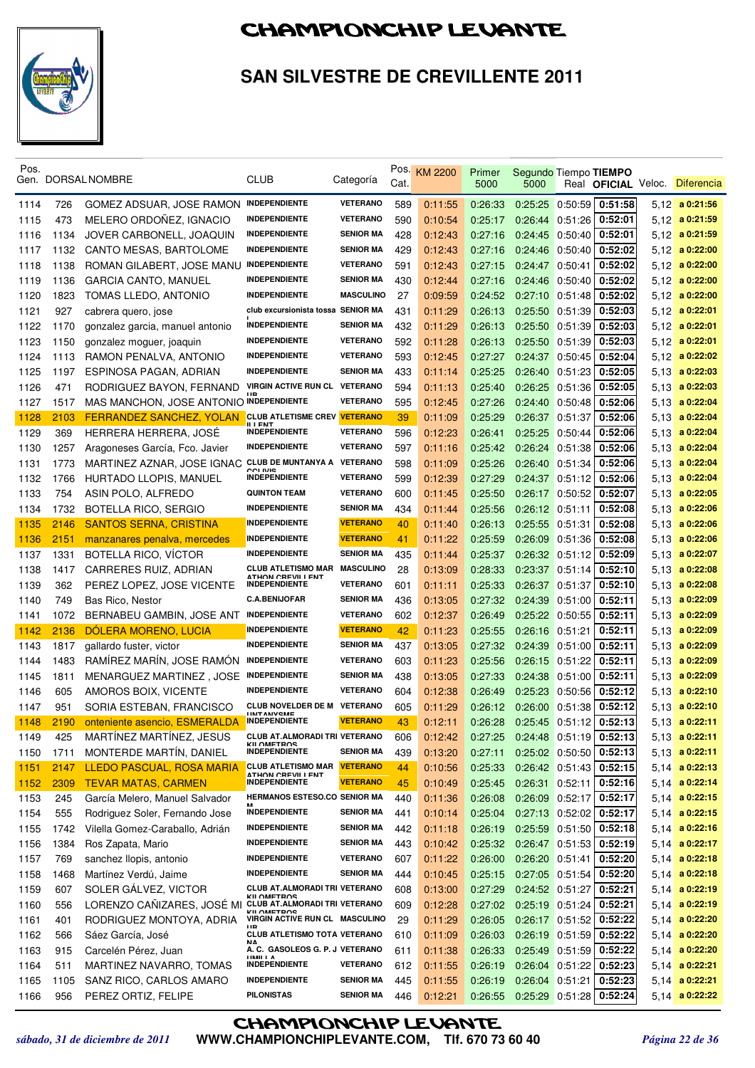

| Pos.<br>Gen. |            | <b>DORSAL NOMBRE</b>                                 | <b>CLUB</b>                                          | Categoría                            | Cat.       | Pos. KM 2200       | Primer<br>5000     | Segundo Tiempo TIEMPO<br>5000 |                    | Real <b>OFICIAL</b> Veloc. |              | Diferencia             |
|--------------|------------|------------------------------------------------------|------------------------------------------------------|--------------------------------------|------------|--------------------|--------------------|-------------------------------|--------------------|----------------------------|--------------|------------------------|
| 1114         | 726        | GOMEZ ADSUAR, JOSE RAMON INDEPENDIENTE               |                                                      | <b>VETERANO</b>                      | 589        | 0:11:55            | 0:26:33            | 0:25:25                       | 0:50:59            | 0:51:58                    |              | 5,12 a 0:21:56         |
| 1115         | 473        | MELERO ORDOÑEZ, IGNACIO                              | <b>INDEPENDIENTE</b>                                 | VETERANO                             | 590        | 0:10:54            | 0:25:17            | 0:26:44 0:51:26               |                    | 0:52:01                    |              | 5,12 a 0:21:59         |
| 1116         | 1134       | JOVER CARBONELL, JOAQUIN                             | <b>INDEPENDIENTE</b>                                 | <b>SENIOR MA</b>                     | 428        | 0:12:43            | 0:27:16            | 0:24:45                       | 0:50:40            | 0:52:01                    |              | $5,12$ a 0:21:59       |
| 1117         | 1132       | CANTO MESAS, BARTOLOME                               | <b>INDEPENDIENTE</b>                                 | <b>SENIOR MA</b>                     | 429        | 0:12:43            | 0:27:16            | 0:24:46                       | 0:50:40            | 0:52:02                    |              | 5,12 a 0:22:00         |
| 1118         | 1138       | ROMAN GILABERT, JOSE MANU                            | <b>INDEPENDIENTE</b>                                 | VETERANO                             | 591        | 0:12:43            | 0:27:15            | 0:24:47                       | 0:50:41            | 0:52:02                    |              | 5,12 a 0:22:00         |
| 1119         | 1136       | <b>GARCIA CANTO, MANUEL</b>                          | <b>INDEPENDIENTE</b>                                 | <b>SENIOR MA</b>                     | 430        | 0:12:44            | 0:27:16            | 0:24:46                       | 0:50:40            | 0:52:02                    |              | 5,12 a 0:22:00         |
| 1120         | 1823       | TOMAS LLEDO, ANTONIO                                 | <b>INDEPENDIENTE</b>                                 | <b>MASCULINO</b>                     | 27         | 0:09:59            | 0:24:52            | 0:27:10 0:51:48               |                    | 0:52:02                    | 5,12         | a 0:22:00              |
| 1121         | 927        | cabrera quero, jose                                  | club excursionista tossa SENIOR MA                   |                                      | 431        | 0:11:29            | 0:26:13            | 0:25:50                       | 0:51:39            | 0:52:03                    |              | $5,12$ a 0:22:01       |
| 1122         | 1170       | gonzalez garcia, manuel antonio                      | <b>INDEPENDIENTE</b>                                 | <b>SENIOR MA</b>                     | 432        | 0:11:29            | 0:26:13            | 0:25:50                       | 0:51:39            | 0:52:03                    |              | $5,12$ a 0:22:01       |
| 1123         | 1150       | gonzalez moguer, joaquin                             | <b>INDEPENDIENTE</b>                                 | VETERANO                             | 592        | 0:11:28            | 0:26:13            | 0:25:50                       | 0:51:39            | 0:52:03                    | 5,12         | a 0:22:01              |
| 1124         | 1113       | RAMON PENALVA, ANTONIO                               | <b>INDEPENDIENTE</b>                                 | VETERANO                             | 593        | 0:12:45            | 0:27:27            | 0:24:37                       | 0:50:45            | 0:52:04                    |              | $5,12$ a 0:22:02       |
| 1125         | 1197       | ESPINOSA PAGAN, ADRIAN                               | <b>INDEPENDIENTE</b>                                 | <b>SENIOR MA</b>                     | 433        | 0:11:14            | 0:25:25            | 0:26:40                       | 0:51:23            | 0:52:05                    | 5.13         | a 0:22:03              |
| 1126         | 471        | RODRIGUEZ BAYON, FERNAND                             | VIRGIN ACTIVE RUN CL VETERANO<br>11D                 |                                      | 594        | 0:11:13            | 0:25:40            | 0:26:25                       | 0:51:36            | 0:52:05                    | 5.13         | a 0:22:03              |
| 1127         | 1517       | MAS MANCHON, JOSE ANTONIO INDEPENDIENTE              |                                                      | VETERANO                             | 595        | 0:12:45            | 0:27:26            | 0:24:40                       | 0:50:48            | 0:52:06                    | 5.13         | a 0:22:04              |
| 1128         | 2103       | <b>FERRANDEZ SANCHEZ, YOLAN</b>                      | <b>CLUB ATLETISME CREV VETERANO</b><br><b>ILLENT</b> |                                      | 39         | 0:11:09            | 0:25:29            | 0:26:37                       | 0:51:37            | 0:52:06                    | 5.13         | a 0:22:04              |
| 1129         | 369        | HERRERA HERRERA, JOSÉ                                | <b>INDEPENDIENTE</b>                                 | VETERANO                             | 596        | 0:12:23            | 0:26:41            | 0:25:25                       | 0:50:44            | 0:52:06                    | 5.13         | a 0:22:04              |
| 1130         | 1257       | Aragoneses García, Fco. Javier                       | <b>INDEPENDIENTE</b>                                 | VETERANO                             | 597        | 0:11:16            | 0:25:42            | 0:26:24 0:51:38               |                    | 0:52:06                    | 5.13         | a 0:22:04              |
| 1131         | 1773       | MARTINEZ AZNAR, JOSE IGNAC                           | <b>CLUB DE MUNTANYA A</b><br>COL IVIC                | <b>VETERANO</b>                      | 598        | 0:11:09            | 0:25:26            | 0:26:40                       | 0:51:34            | 0:52:06                    | 5.13         | a 0:22:04              |
| 1132         | 1766       | HURTADO LLOPIS, MANUEL                               | <b>INDEPENDIENTE</b>                                 | VETERANO                             | 599        | 0:12:39            | 0:27:29            | 0:24:37                       | 0:51:12            | 0:52:06                    | 5.13         | a 0:22:04              |
| 1133         | 754        | ASIN POLO, ALFREDO                                   | <b>QUINTON TEAM</b>                                  | VETERANO                             | 600        | 0:11:45            | 0:25:50            | 0:26:17 0:50:52               |                    | 0:52:07                    | 5.13         | a 0:22:05              |
| 1134         | 1732       | <b>BOTELLA RICO, SERGIO</b>                          | <b>INDEPENDIENTE</b>                                 | <b>SENIOR MA</b>                     | 434        | 0:11:44            | 0:25:56            | 0:26:12 0:51:11               |                    | 0:52:08                    | 5.13         | a 0:22:06              |
| 1135         | 2146       | <b>SANTOS SERNA, CRISTINA</b>                        | <b>INDEPENDIENTE</b>                                 | <b>VETERANO</b>                      | 40         | 0:11:40            | 0:26:13            | 0:25:55                       | 0:51:31            | 0:52:08                    | 5.13         | a 0:22:06              |
| 1136         | 2151       | manzanares penalva, mercedes                         | <b>INDEPENDIENTE</b>                                 | <b>VETERANO</b>                      | 41         | 0:11:22            | 0:25:59            | 0:26:09                       | 0:51:36            | 0:52:08                    | 5.13         | a 0:22:06              |
| 1137         | 1331       | BOTELLA RICO, VÍCTOR                                 | <b>INDEPENDIENTE</b><br><b>CLUB ATLETISMO MAR</b>    | <b>SENIOR MA</b><br><b>MASCULINO</b> | 435        | 0:11:44            | 0:25:37            | 0:26:32                       | 0.51:12            | 0:52:09                    | 5.13         | a 0:22:07              |
| 1138         | 1417       | CARRERES RUIZ, ADRIAN                                | ATHON CREVILL ENT<br><b>INDEPENDIENTE</b>            | VETERANO                             | 28         | 0:13:09            | 0:28:33            | 0:23:37 0:51:14               |                    | 0:52:10<br>0:52:10         | 5.13         | a 0:22:08<br>a 0:22:08 |
| 1139<br>1140 | 362<br>749 | PEREZ LOPEZ, JOSE VICENTE<br><b>Bas Rico, Nestor</b> | <b>C.A.BENIJOFAR</b>                                 | <b>SENIOR MA</b>                     | 601<br>436 | 0:11:11<br>0:13:05 | 0:25:33<br>0:27:32 | 0:26:37<br>0:24:39            | 0:51:37<br>0:51:00 | 0:52:11                    | 5.13<br>5.13 | a 0:22:09              |
| 1141         | 1072       | BERNABEU GAMBIN, JOSE ANT                            | <b>INDEPENDIENTE</b>                                 | VETERANO                             | 602        | 0:12:37            | 0:26:49            | 0:25:22 0:50:55               |                    | 0:52:11                    | 5.13         | a 0:22:09              |
| 1142         | 2136       | DÓLERA MORENO, LUCIA                                 | <b>INDEPENDIENTE</b>                                 | <b>VETERANO</b>                      | 42         | 0:11:23            | 0:25:55            | 0:26:16 0:51:21               |                    | 0:52:11                    | 5.13         | a 0:22:09              |
| 1143         | 1817       | gallardo fuster, victor                              | <b>INDEPENDIENTE</b>                                 | <b>SENIOR MA</b>                     | 437        | 0:13:05            | 0:27:32            | 0:24:39                       | 0:51:00            | 0:52:11                    | 5.13         | a 0:22:09              |
| 1144         | 1483       | RAMÍREZ MARÍN, JOSE RAMÓN                            | <b>INDEPENDIENTE</b>                                 | VETERANO                             | 603        | 0:11:23            | 0:25:56            | 0:26:15                       | 0:51:22            | 0:52:11                    | 5.13         | a 0:22:09              |
| 1145         | 1811       | MENARGUEZ MARTINEZ, JOSE                             | <b>INDEPENDIENTE</b>                                 | <b>SENIOR MA</b>                     | 438        | 0:13:05            | 0:27:33            | 0:24:38                       | 0:51:00            | 0:52:11                    | 5.13         | a 0:22:09              |
| 1146         | 605        | AMOROS BOIX, VICENTE                                 | <b>INDEPENDIENTE</b>                                 | VETERANO                             | 604        | 0:12:38            | 0:26:49            | 0:25:23                       | 0:50:56            | 0:52:12                    | 5.13         | a 0:22:10              |
| 1147         | 951        | SORIA ESTEBAN, FRANCISCO                             | <b>CLUB NOVELDER DE M</b>                            | VETERANO                             | 605        | 0:11:29            | 0:26:12            | 0:26:00                       | 0:51:38            | 0:52:12                    | 5.13         | a 0:22:10              |
| 1148         | 2190       | onteniente asencio, ESMERALDA                        | <b>IINITANVOME</b><br><b>INDEPENDIENTE</b>           | <b>VETERANO</b>                      | 43         | 0:12:11            | 0:26:28            | 0:25:45                       | 0:51:12            | 0:52:13                    |              | 5,13 a 0:22:11         |
| 1149         | 425        | MARTÍNEZ MARTÍNEZ, JESUS                             | CLUB AT.ALMORADI TRI VETERANO                        |                                      | 606        | 0:12:42            | 0:27:25            | $0:24:48$ 0:51:19             |                    | 0:52:13                    |              | 5,13 a 0:22:11         |
| 1150         | 1711       | MONTERDE MARTÍN, DANIEL                              | <b>VII OMETDOS</b><br><b>INDEPENDIENTE</b>           | <b>SENIOR MA</b>                     | 439        | 0:13:20            | 0:27:11            | 0:25:02 0:50:50               |                    | 0:52:13                    |              | 5,13 a 0:22:11         |
| 1151         | 2147       | <b>LLEDO PASCUAL, ROSA MARIA</b>                     | <b>CLUB ATLETISMO MAR</b><br>ATHON COEVILL ENT       | <b>VETERANO</b>                      | 44         | 0:10:56            | 0:25:33            | 0:26:42 0:51:43               |                    | 0:52:15                    |              | 5,14 a 0:22:13         |
| 1152         | 2309       | <b>TEVAR MATAS, CARMEN</b>                           | <b>INDEPENDIENTE</b>                                 | <b>VETERANO</b>                      | 45         | 0:10:49            | 0:25:45            | 0:26:31 0:52:11               |                    | 0:52:16                    |              | 5,14 a 0:22:14         |
| 1153         | 245        | García Melero, Manuel Salvador                       | HERMANOS ESTESO.CO SENIOR MA<br>M                    |                                      | 440        | 0:11:36            | 0:26:08            | 0:26:09 0:52:17               |                    | 0:52:17                    |              | 5,14 a 0:22:15         |
| 1154         | 555        | Rodriguez Soler, Fernando Jose                       | <b>INDEPENDIENTE</b>                                 | <b>SENIOR MA</b>                     | 441        | 0:10:14            | 0:25:04            | 0:27:13 0:52:02               |                    | 0:52:17                    |              | $5,14$ a 0:22:15       |
| 1155         | 1742       | Vilella Gomez-Caraballo, Adrián                      | <b>INDEPENDIENTE</b>                                 | <b>SENIOR MA</b>                     | 442        | 0:11:18            | 0:26:19            | 0:25:59 0:51:50               |                    | 0:52:18                    |              | $5,14$ a 0:22:16       |
| 1156         | 1384       | Ros Zapata, Mario                                    | <b>INDEPENDIENTE</b>                                 | <b>SENIOR MA</b>                     | 443        | 0:10:42            | 0:25:32            | 0:26:47 0:51:53               |                    | 0:52:19                    |              | 5,14 a 0:22:17         |
| 1157         | 769        | sanchez llopis, antonio                              | <b>INDEPENDIENTE</b>                                 | <b>VETERANO</b>                      | 607        | 0:11:22            | 0:26:00            | 0:26:20 0:51:41               |                    | 0:52:20                    |              | $5,14$ a 0:22:18       |
| 1158         | 1468       | Martínez Verdú, Jaime                                | <b>INDEPENDIENTE</b>                                 | <b>SENIOR MA</b>                     | 444        | 0:10:45            | 0:25:15            | 0:27:05 0:51:54               |                    | 0:52:20                    |              | $5,14$ a 0:22:18       |
| 1159         | 607        | SOLER GÁLVEZ, VICTOR                                 | CLUB AT.ALMORADI TRI VETERANO<br><b>KII UNETDUG</b>  |                                      | 608        | 0:13:00            | 0:27:29            | 0:24:52 0:51:27               |                    | 0:52:21                    |              | 5,14 a 0:22:19         |
| 1160         | 556        | LORENZO CAÑIZARES, JOSÉ MI                           | CLUB AT.ALMORADI TRI VETERANO<br><b>VII OMETDOS</b>  |                                      | 609        | 0:12:28            | 0:27:02            | 0:25:19 0:51:24               |                    | 0:52:21                    |              | 5,14 a 0:22:19         |
| 1161         | 401        | RODRIGUEZ MONTOYA, ADRIA                             | VIRGIN ACTIVE RUN CL MASCULINO<br><b>IID</b>         |                                      | 29         | 0:11:29            | 0:26:05            | 0:26:17 0:51:52               |                    | 0:52:22                    |              | 5,14 a 0:22:20         |
| 1162         | 566        | Sáez García, José                                    | <b>CLUB ATLETISMO TOTA VETERANO</b><br><b>MA</b>     |                                      | 610        | 0:11:09            | 0:26:03            | 0:26:19 0:51:59               |                    | 0:52:22                    |              | 5,14 a 0:22:20         |
| 1163         | 915        | Carcelén Pérez, Juan                                 | A. C. GASOLEOS G. P. J VETERANO<br><b>ITMILLA</b>    |                                      | 611        | 0:11:38            | 0:26:33            | 0:25:49 0:51:59               |                    | 0:52:22                    |              | 5,14 a 0:22:20         |
| 1164         | 511        | MARTINEZ NAVARRO, TOMAS                              | <b>INDEPENDIENTE</b>                                 | VETERANO                             | 612        | 0:11:55            | 0:26:19            | 0:26:04 0:51:22               |                    | 0:52:23                    |              | 5,14 a 0:22:21         |
| 1165         | 1105       | SANZ RICO, CARLOS AMARO                              | <b>INDEPENDIENTE</b>                                 | <b>SENIOR MA</b>                     | 445        | 0:11:55            | 0:26:19            | 0:26:04 0:51:21               |                    | 0:52:23                    |              | 5,14 a 0:22:21         |
| 1166         | 956        | PEREZ ORTIZ, FELIPE                                  | <b>PILONISTAS</b>                                    | <b>SENIOR MA</b>                     | 446        | 0:12:21            | 0:26:55            | 0:25:29 0:51:28               |                    | 0:52:24                    |              | 5,14 a 0:22:22         |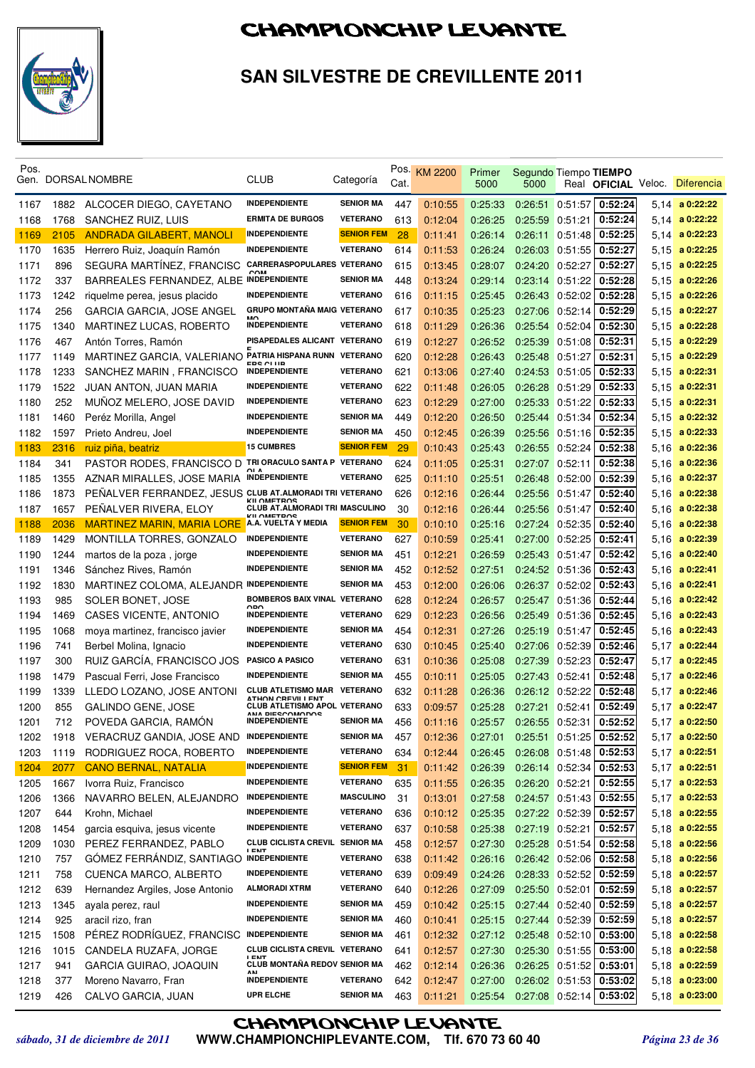

| Pos.<br>Gen. |              | <b>DORSALNOMBRE</b>                                     | <b>CLUB</b>                                          | Categoría                          | Cat.       | Pos. KM 2200       | Primer<br>5000     | Segundo Tiempo TIEMPO<br>5000      |                    | Real <b>OFICIAL</b> Veloc. |              | Diferencia                  |
|--------------|--------------|---------------------------------------------------------|------------------------------------------------------|------------------------------------|------------|--------------------|--------------------|------------------------------------|--------------------|----------------------------|--------------|-----------------------------|
| 1167         | 1882         | ALCOCER DIEGO, CAYETANO                                 | <b>INDEPENDIENTE</b>                                 | <b>SENIOR MA</b>                   | 447        | 0:10:55            | 0:25:33            | 0:26:51                            | 0:51:57            | 0:52:24                    |              | 5,14 a 0:22:22              |
| 1168         | 1768         | SANCHEZ RUIZ, LUIS                                      | <b>ERMITA DE BURGOS</b>                              | <b>VETERANO</b>                    | 613        | 0:12:04            | 0:26:25            | 0:25:59                            | 0:51:21            | 0:52:24                    | 5,14         | a 0:22:22                   |
| 1169         | 2105         | <b>ANDRADA GILABERT, MANOLI</b>                         | <b>INDEPENDIENTE</b>                                 | <b>SENIOR FEM</b>                  | 28         | 0:11:41            | 0:26:14            | 0:26:11                            | 0:51:48            | 0:52:25                    | 5,14         | a 0:22:23                   |
| 1170         | 1635         | Herrero Ruiz, Joaquín Ramón                             | <b>INDEPENDIENTE</b>                                 | VETERANO                           | 614        | 0:11:53            | 0:26:24            | 0:26:03                            | 0:51:55            | 0:52:27                    | 5.15         | $a$ 0:22:25                 |
| 1171         | 896          | SEGURA MARTÍNEZ, FRANCISC                               | <b>CARRERASPOPULARES VETERANO</b><br>ິ               |                                    | 615        | 0:13:45            | 0:28:07            | 0:24:20                            | 0:52:27            | 0:52:27                    | 5,15         | $a$ 0:22:25                 |
| 1172         | 337          | BARREALES FERNANDEZ, ALBE                               | INDEPENDIENTE                                        | <b>SENIOR MA</b>                   | 448        | 0:13:24            | 0:29:14            | 0:23:14                            | 0:51:22            | 0:52:28                    | 5,15         | a 0:22:26                   |
| 1173         | 1242         | riquelme perea, jesus placido                           | <b>INDEPENDIENTE</b>                                 | <b>VETERANO</b>                    | 616        | 0:11:15            | 0:25:45            | 0:26:43                            | 0:52:02            | 0:52:28                    | 5,15         | a 0:22:26                   |
| 1174         | 256          | GARCIA GARCIA, JOSE ANGEL                               | <b>GRUPO MONTAÑA MAIG VETERANO</b><br>M <sub>O</sub> |                                    | 617        | 0:10:35            | 0:25:23            | 0:27:06                            | 0:52:14            | 0:52:29                    | 5,15         | a 0:22:27                   |
| 1175         | 1340         | MARTINEZ LUCAS, ROBERTO                                 | <b>INDEPENDIENTE</b>                                 | <b>VETERANO</b>                    | 618        | 0:11:29            | 0:26:36            | 0:25:54                            | 0:52:04            | 0:52:30                    | 5,15         | a 0:22:28                   |
| 1176         | 467          | Antón Torres, Ramón                                     | PISAPEDALES ALICANT VETERANO                         |                                    | 619        | 0:12:27            | 0:26:52            | 0:25:39                            | 0:51:08            | 0:52:31                    | 5,15         | a 0:22:29                   |
| 1177         | 1149         | MARTINEZ GARCIA, VALERIANO PATRIA HISPANA RUNN VETERANO | <b>CDC ALIID</b>                                     |                                    | 620        | 0:12:28            | 0:26:43            | 0:25:48                            | 0:51:27            | 0:52:31                    | 5,15         | a 0:22:29                   |
| 1178         | 1233         | SANCHEZ MARIN, FRANCISCO                                | <b>INDEPENDIENTE</b>                                 | <b>VETERANO</b>                    | 621        | 0:13:06            | 0:27:40            | 0:24:53                            | 0:51:05            | 0:52:33                    | 5,15         | a 0:22:31                   |
| 1179         | 1522         | JUAN ANTON, JUAN MARIA                                  | <b>INDEPENDIENTE</b><br><b>INDEPENDIENTE</b>         | <b>VETERANO</b><br><b>VETERANO</b> | 622        | 0:11:48            | 0:26:05            | 0:26:28                            | 0:51:29            | 0:52:33                    | 5,15         | a 0:22:31                   |
| 1180         | 252          | MUÑOZ MELERO, JOSE DAVID                                | <b>INDEPENDIENTE</b>                                 | <b>SENIOR MA</b>                   | 623        | 0:12:29<br>0:12:20 | 0:27:00            | 0:25:33                            | 0:51:22<br>0:51:34 | 0:52:33                    | 5,15         | a 0:22:31                   |
| 1181<br>1182 | 1460<br>1597 | Peréz Morilla, Angel<br>Prieto Andreu, Joel             | <b>INDEPENDIENTE</b>                                 | <b>SENIOR MA</b>                   | 449<br>450 | 0:12:45            | 0:26:50<br>0:26:39 | 0:25:44                            | 0:51:16            | 0:52:34<br>0:52:35         | 5,15<br>5.15 | a 0:22:32<br>a 0:22:33      |
| 1183         | 2316         | ruiz piña, beatriz                                      | <b>15 CUMBRES</b>                                    | <b>SENIOR FEM</b>                  | 29         | 0:10:43            | 0:25:43            | 0:25:56<br>0:26:55                 | 0:52:24            | 0:52:38                    | 5,16         | a 0:22:36                   |
| 1184         | 341          | PASTOR RODES, FRANCISCO D                               | TRI ORACULO SANTA P VETERANO                         |                                    | 624        | 0:11:05            | 0:25:31            | 0:27:07                            | 0:52:11            | 0:52:38                    | 5,16         | a 0:22:36                   |
| 1185         | 1355         | AZNAR MIRALLES, JOSE MARIA                              | י י<br><b>INDEPENDIENTE</b>                          | <b>VETERANO</b>                    | 625        | 0:11:10            | 0:25:51            | 0:26:48                            | 0:52:00            | 0:52:39                    | 5,16         | a 0:22:37                   |
| 1186         | 1873         | PEÑALVER FERRANDEZ, JESUS                               | <b>CLUB AT.ALMORADI TRI VETERANO</b>                 |                                    | 626        | 0:12:16            | 0:26:44            | 0:25:56                            | 0:51:47            | 0:52:40                    | 5,16         | a 0:22:38                   |
| 1187         | 1657         | PEÑALVER RIVERA, ELOY                                   | <b>VII OMETROS</b><br>CLUB AT.ALMORADI TRI MASCULINO |                                    | 30         | 0:12:16            | 0:26:44            | 0:25:56                            | 0:51:47            | 0:52:40                    | 5,16         | a 0:22:38                   |
| 1188         | 2036         | <b>MARTINEZ MARIN, MARIA LORE</b>                       | KILOMETROS<br>A.A. VUELTA Y MEDIA                    | <b>SENIOR FEM</b>                  | 30         | 0:10:10            | 0:25:16            | 0:27:24                            | 0:52:35            | 0:52:40                    | 5,16         | a 0:22:38                   |
| 1189         | 1429         | MONTILLA TORRES, GONZALO                                | <b>INDEPENDIENTE</b>                                 | <b>VETERANO</b>                    | 627        | 0:10:59            | 0:25:41            | 0:27:00                            | 0:52:25            | 0:52:41                    | 5,16         | a 0:22:39                   |
| 1190         | 1244         | martos de la poza, jorge                                | <b>INDEPENDIENTE</b>                                 | <b>SENIOR MA</b>                   | 451        | 0:12:21            | 0:26:59            | 0:25:43                            | 0:51:47            | 0:52:42                    | 5,16         | a 0:22:40                   |
| 1191         | 1346         | Sánchez Rives, Ramón                                    | <b>INDEPENDIENTE</b>                                 | <b>SENIOR MA</b>                   | 452        | 0:12:52            | 0:27:51            | 0:24:52                            | 0:51:36            | 0:52:43                    | 5.16         | a 0:22:41                   |
| 1192         | 1830         | MARTINEZ COLOMA, ALEJANDR                               | <b>INDEPENDIENTE</b>                                 | <b>SENIOR MA</b>                   | 453        | 0:12:00            | 0:26:06            | 0:26:37                            | 0:52:02            | 0:52:43                    | 5,16         | a 0:22:41                   |
| 1193         | 985          | SOLER BONET, JOSE                                       | BOMBEROS BAIX VINAL VETERANO                         |                                    | 628        | 0:12:24            | 0:26:57            | 0:25:47                            | 0:51:36            | 0:52:44                    | 5,16         | a 0:22:42                   |
| 1194         | 1469         | CASES VICENTE, ANTONIO                                  | <b>ODO</b><br><b>INDEPENDIENTE</b>                   | <b>VETERANO</b>                    | 629        | 0:12:23            | 0:26:56            | 0:25:49                            | 0:51:36            | 0:52:45                    | 5.16         | a 0:22:43                   |
| 1195         | 1068         | moya martinez, francisco javier                         | <b>INDEPENDIENTE</b>                                 | <b>SENIOR MA</b>                   | 454        | 0:12:31            | 0:27:26            | 0:25:19                            | 0:51:47            | 0:52:45                    | 5,16         | a 0:22:43                   |
| 1196         | 741          | Berbel Molina, Ignacio                                  | <b>INDEPENDIENTE</b>                                 | <b>VETERANO</b>                    | 630        | 0:10:45            | 0:25:40            | 0:27:06                            | 0:52:39            | 0:52:46                    | 5,17         | a 0:22:44                   |
| 1197         | 300          | RUIZ GARCÍA, FRANCISCO JOS                              | PASICO A PASICO                                      | <b>VETERANO</b>                    | 631        | 0:10:36            | 0:25:08            | 0:27:39                            | 0:52:23            | 0:52:47                    | 5,17         | a 0:22:45                   |
| 1198         | 1479         | Pascual Ferri, Jose Francisco                           | <b>INDEPENDIENTE</b>                                 | <b>SENIOR MA</b>                   | 455        | 0:10:11            | 0:25:05            | 0:27:43                            | 0:52:41            | 0:52:48                    | 5.17         | a 0:22:46                   |
| 1199         | 1339         | LLEDO LOZANO, JOSE ANTONI                               | <b>CLUB ATLETISMO MAR</b><br>ATHON COEVILL ENT       | <b>VETERANO</b>                    | 632        | 0:11:28            | 0:26:36            | 0:26:12                            | 0:52:22            | 0:52:48                    | 5,17         | a 0:22:46                   |
| 1200         | 855          | <b>GALINDO GENE, JOSE</b>                               | CLUB ATLETISMO APOL VETERANO<br>ANA DIECOOMODOC      |                                    | 633        | 0:09:57            | 0:25:28            | 0:27:21                            | 0:52:41            | 0:52:49                    | 5.17         | a 0:22:47                   |
| 1201         | 712          | POVEDA GARCIA, RAMÓN                                    | <b>INDEPENDIENTE</b>                                 | <b>SENIOR MA</b>                   | 456        | 0:11:16            | 0:25:57            | 0:26:55                            | 0:52:31            | 0:52:52                    |              | 5,17 a 0:22:50              |
| 1202         |              | 1918 VERACRUZ GANDIA, JOSE AND                          | <b>INDEPENDIENTE</b>                                 | SENIOR MA                          | 457        | 0:12:36            | 0:27:01            | 0:25:51 0:51:25                    |                    | 0:52:52                    | 5,17         | a 0:22:50                   |
| 1203         | 1119         | RODRIGUEZ ROCA, ROBERTO                                 | <b>INDEPENDIENTE</b>                                 | <b>VETERANO</b>                    | 634        | 0:12:44            | 0:26:45            | 0:26:08 0:51:48                    |                    | 0:52:53                    | 5,17         | a 0:22:51                   |
| 1204         | 2077         | <b>CANO BERNAL, NATALIA</b>                             | <b>INDEPENDIENTE</b>                                 | <b>SENIOR FEM</b>                  | 31         | 0:11.42            | 0:26:39            | 0:26:14 0:52:34                    |                    | 0:52:53                    | 5,17         | a 0:22:51                   |
| 1205         | 1667         | Ivorra Ruiz, Francisco                                  | <b>INDEPENDIENTE</b><br><b>INDEPENDIENTE</b>         | VETERANO<br><b>MASCULINO</b>       | 635        | 0:11:55            | 0:26:35            | 0:26:20 0:52:21                    |                    | 0:52:55                    | 5,17         | a 0:22:53                   |
| 1206         | 1366         | NAVARRO BELEN, ALEJANDRO                                | <b>INDEPENDIENTE</b>                                 | VETERANO                           | 31         | 0:13:01            | 0:27:58<br>0:25:35 | 0:24:57 0:51:43<br>0:27:22 0:52:39 |                    | 0:52:55                    | 5,17         | a 0:22:53<br>5,18 a 0:22:55 |
| 1207<br>1208 | 644<br>1454  | Krohn, Michael                                          | <b>INDEPENDIENTE</b>                                 | <b>VETERANO</b>                    | 636        | 0:10:12<br>0:10:58 |                    | 0:27:19 0:52:21                    |                    | 0:52:57<br>0:52:57         |              | 5,18 a 0:22:55              |
| 1209         | 1030         | garcia esquiva, jesus vicente<br>PEREZ FERRANDEZ, PABLO | CLUB CICLISTA CREVIL SENIOR MA                       |                                    | 637<br>458 | 0:12:57            | 0:25:38<br>0:27:30 | 0:25:28 0:51:54                    |                    | 0:52:58                    |              | 5,18 a 0:22:56              |
| 1210         | 757          | GÓMEZ FERRÁNDIZ, SANTIAGO                               | <b>LENT</b><br><b>INDEPENDIENTE</b>                  | <b>VETERANO</b>                    | 638        | 0:11:42            | 0:26:16            | 0:26:42 0:52:06                    |                    | 0:52:58                    |              | 5,18 a 0:22:56              |
| 1211         | 758          | <b>CUENCA MARCO, ALBERTO</b>                            | <b>INDEPENDIENTE</b>                                 | <b>VETERANO</b>                    | 639        | 0:09:49            | 0:24:26            | 0:28:33 0:52:52                    |                    | 0:52:59                    |              | 5,18 a 0:22:57              |
| 1212         | 639          | Hernandez Argiles, Jose Antonio                         | <b>ALMORADI XTRM</b>                                 | <b>VETERANO</b>                    | 640        | 0:12:26            | 0:27:09            | 0:25:50 0:52:01                    |                    | 0:52:59                    |              | 5,18 a 0:22:57              |
| 1213         | 1345         | ayala perez, raul                                       | <b>INDEPENDIENTE</b>                                 | <b>SENIOR MA</b>                   | 459        | 0:10:42            | 0:25:15            | 0:27:44 0:52:40                    |                    | 0:52:59                    |              | 5,18 a 0:22:57              |
| 1214         | 925          | aracil rizo, fran                                       | <b>INDEPENDIENTE</b>                                 | <b>SENIOR MA</b>                   | 460        | 0:10:41            | 0:25:15            | 0:27:44 0:52:39                    |                    | 0:52:59                    |              | 5,18 a 0:22:57              |
| 1215         | 1508         | PÉREZ RODRÍGUEZ, FRANCISC                               | <b>INDEPENDIENTE</b>                                 | <b>SENIOR MA</b>                   | 461        | 0:12:32            | 0:27:12            | 0:25:48 0:52:10                    |                    | 0:53:00                    |              | 5,18 a 0:22:58              |
| 1216         | 1015         | CANDELA RUZAFA, JORGE                                   | CLUB CICLISTA CREVIL VETERANO                        |                                    | 641        | 0:12:57            | 0:27:30            | 0:25:30 0:51:55                    |                    | 0:53:00                    |              | 5,18 a 0:22:58              |
| 1217         | 941          | GARCIA GUIRAO, JOAQUIN                                  | <b>I CMT</b><br><b>CLUB MONTAÑA REDOV SENIOR MA</b>  |                                    | 462        | 0:12:14            | 0:26:36            | 0:26:25 0:51:52                    |                    | 0:53:01                    |              | 5,18 a 0:22:59              |
| 1218         | 377          | Moreno Navarro, Fran                                    | <b>AN</b><br><b>INDEPENDIENTE</b>                    | <b>VETERANO</b>                    | 642        | 0:12:47            | 0:27:00            | 0:26:02 0:51:53                    |                    | 0:53:02                    |              | 5,18 a 0:23:00              |
| 1219         | 426          | CALVO GARCIA, JUAN                                      | UPR ELCHE                                            | <b>SENIOR MA</b>                   | 463        | 0:11:21            | 0:25:54            |                                    |                    | $0:27:08$ 0:52:14 0:53:02  |              | 5,18 a 0:23:00              |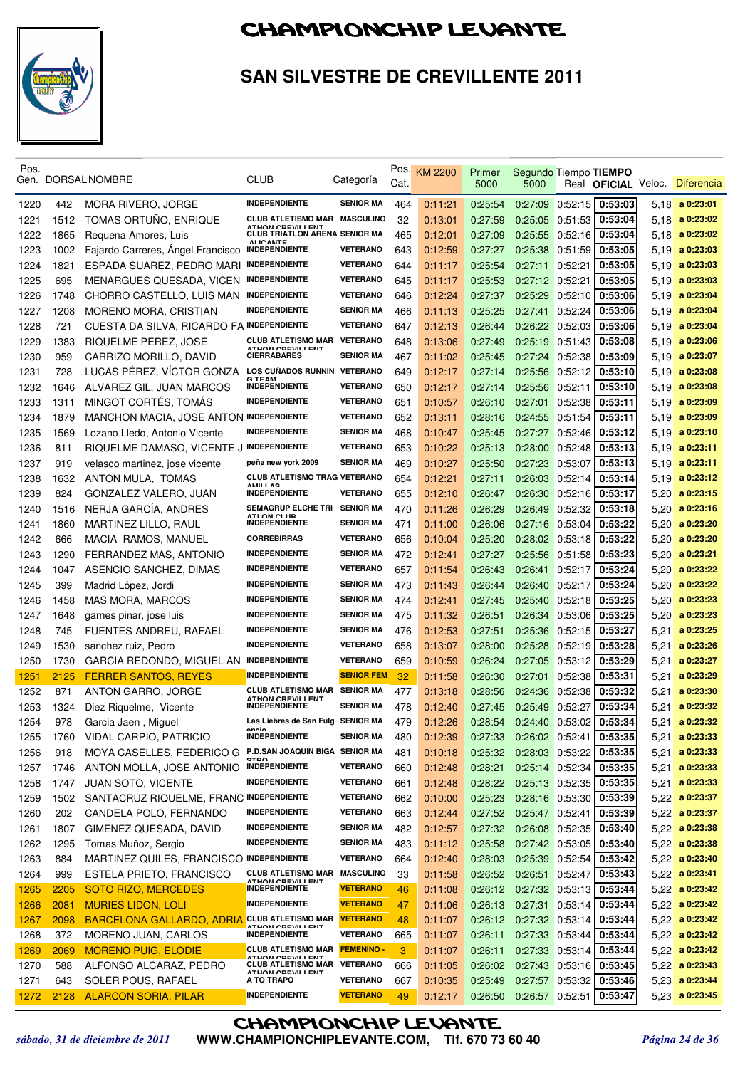

### **SAN SILVESTRE DE CREVILLENTE 2011**

| Pos.<br>Gen. |             | <b>DORSAL NOMBRE</b>                                    | <b>CLUB</b>                                      | Categoría                          | Cat.       | Pos. KM 2200       | Primer<br>5000     | Segundo Tiempo TIEMPO<br>5000      |                    | Real <b>OFICIAL</b> Veloc. |              | Diferencia                       |
|--------------|-------------|---------------------------------------------------------|--------------------------------------------------|------------------------------------|------------|--------------------|--------------------|------------------------------------|--------------------|----------------------------|--------------|----------------------------------|
| 1220         | 442         | MORA RIVERO, JORGE                                      | <b>INDEPENDIENTE</b>                             | <b>SENIOR MA</b>                   | 464        | 0:11:21            | 0:25:54            | 0:27:09                            | 0:52:15            | 0:53:03                    |              | 5,18 a 0:23:01                   |
| 1221         | 1512        | TOMAS ORTUÑO, ENRIQUE                                   | CLUB ATLETISMO MAR MASCULINO<br>ATHON CREWLL ENT |                                    | 32         | 0:13:01            | 0:27:59            | 0:25:05                            | 0:51:53            | 0:53:04                    | 5.18         | a 0:23:02                        |
| 1222         | 1865        | Reguena Amores, Luis                                    | <b>CLUB TRIATLON ARENA SENIOR MA</b><br>ALICANTE |                                    | 465        | 0:12:01            | 0:27:09            | 0:25:55                            | 0:52:16            | 0:53:04                    | 5.18         | a 0:23:02                        |
| 1223         | 1002        | Fajardo Carreres, Angel Francisco                       | <b>INDEPENDIENTE</b>                             | VETERANO                           | 643        | 0:12:59            | 0:27:27            | 0:25:38                            | 0:51:59            | 0:53:05                    | 5.19         | a 0:23:03                        |
| 1224         | 1821        | ESPADA SUAREZ, PEDRO MARI                               | <b>INDEPENDIENTE</b>                             | VETERANO                           | 644        | 0:11:17            | 0:25:54            | 0:27:11                            | 0:52:21            | 0:53:05                    | 5.19         | a 0:23:03                        |
| 1225         | 695         | MENARGUES QUESADA, VICEN                                | <b>INDEPENDIENTE</b>                             | VETERANO                           | 645        | 0:11:17            | 0:25:53            | 0:27:12 0:52:21                    |                    | 0:53:05                    | 5.19         | a 0:23:03                        |
| 1226         | 1748        | CHORRO CASTELLO, LUIS MAN                               | <b>INDEPENDIENTE</b>                             | VETERANO                           | 646        | 0:12:24            | 0:27:37            | 0:25:29                            | 0:52:10            | 0:53:06                    | 5.19         | a 0:23:04                        |
| 1227         | 1208        | MORENO MORA, CRISTIAN                                   | <b>INDEPENDIENTE</b>                             | <b>SENIOR MA</b>                   | 466        | 0:11:13            | 0:25:25            | 0:27:41                            | 0:52:24            | 0:53:06                    | 5.19         | a 0:23:04                        |
| 1228         | 721         | CUESTA DA SILVA, RICARDO FA INDEPENDIENTE               |                                                  | <b>VETERANO</b>                    | 647        | 0:12:13            | 0:26:44            | 0:26:22 0:52:03                    |                    | 0:53:06                    | 5.19         | a 0:23:04                        |
| 1229         | 1383        | RIQUELME PEREZ, JOSE                                    | <b>CLUB ATLETISMO MAR</b><br>ATHON CREWLL ENT    | <b>VETERANO</b>                    | 648        | 0:13:06            | 0:27:49            | 0:25:19                            | 0:51:43            | 0:53:08                    | 5.19         | a 0:23:06                        |
| 1230         | 959         | CARRIZO MORILLO, DAVID                                  | <b>CIERRABARES</b>                               | <b>SENIOR MA</b>                   | 467        | 0:11:02            | 0:25:45            | 0:27:24 0:52:38                    |                    | 0:53:09                    | 5.19         | a 0:23:07                        |
| 1231         | 728         | LUCAS PÉREZ, VÍCTOR GONZA                               | LOS CUÑADOS RUNNIN VETERANO<br><b>CTEAM</b>      |                                    | 649        | 0:12:17            | 0:27:14            | 0:25:56                            | 0:52:12            | 0:53:10                    | 5.19         | a 0:23:08                        |
| 1232         | 1646        | ALVAREZ GIL, JUAN MARCOS                                | <b>INDEPENDIENTE</b>                             | VETERANO                           | 650        | 0:12:17            | 0:27:14            | 0:25:56                            | 0:52:11            | 0:53:10                    | 5.19         | a 0:23:08                        |
| 1233         | 1311        | MINGOT CORTÉS, TOMÁS                                    | <b>INDEPENDIENTE</b>                             | VETERANO                           | 651        | 0:10:57            | 0:26:10            | 0:27:01                            | 0:52:38            | 0:53:11                    | 5.19         | a 0:23:09                        |
| 1234         | 1879        | MANCHON MACIA, JOSE ANTON INDEPENDIENTE                 |                                                  | VETERANO                           | 652        | 0:13:11            | 0:28:16            | 0:24:55                            | 0:51:54            | 0:53:11                    | 5.19         | a 0:23:09                        |
| 1235         | 1569        | Lozano Lledo, Antonio Vicente                           | <b>INDEPENDIENTE</b>                             | <b>SENIOR MA</b>                   | 468        | 0:10:47            | 0:25:45            | 0:27:27                            | 0:52:46            | 0:53:12                    | 5.19         | a 0:23:10                        |
| 1236         | 811         | RIQUELME DAMASO, VICENTE J INDEPENDIENTE                |                                                  | VETERANO                           | 653        | 0:10:22            | 0:25:13            | 0:28:00                            | 0:52:48            | 0:53:13                    | 5.19         | a 0:23:11                        |
| 1237         | 919         | velasco martinez, jose vicente                          | peña new york 2009                               | <b>SENIOR MA</b>                   | 469        | 0:10:27            | 0:25:50            | 0:27:23                            | 0:53:07            | 0:53:13                    | 5.19         | a 0:23:11                        |
| 1238         | 1632        | ANTON MULA, TOMAS                                       | <b>CLUB ATLETISMO TRAG VETERANO</b><br>AMILIAC   |                                    | 654        | 0:12:21            | 0:27:11            | 0:26:03                            | 0:52:14            | 0:53:14                    | 5.19         | a 0:23:12                        |
| 1239         | 824         | GONZALEZ VALERO, JUAN                                   | <b>INDEPENDIENTE</b>                             | VETERANO                           | 655        | 0:12:10            | 0:26:47            | 0:26:30                            | 0:52:16            | 0:53:17                    | 5,20         | a 0:23:15                        |
| 1240         | 1516        | NERJA GARCÍA, ANDRES                                    | <b>SEMAGRUP ELCHE TRI</b><br>ATI ON CLUB         | <b>SENIOR MA</b>                   | 470        | 0:11:26            | 0:26:29            | 0:26:49                            | 0:52:32            | 0:53:18                    | 5,20         | a 0:23:16                        |
| 1241         | 1860        | MARTINEZ LILLO, RAUL                                    | <b>INDEPENDIENTE</b>                             | <b>SENIOR MA</b>                   | 471        | 0:11:00            | 0:26:06            | 0:27:16                            | 0:53:04            | 0:53:22                    | 5,20         | a 0:23:20                        |
| 1242         | 666         | MACIA RAMOS, MANUEL                                     | <b>CORREBIRRAS</b><br><b>INDEPENDIENTE</b>       | VETERANO<br><b>SENIOR MA</b>       | 656        | 0:10:04            | 0:25:20            | 0:28:02 0:53:18                    |                    | 0:53:22                    | 5,20         | a 0:23:20                        |
| 1243<br>1244 | 1290        | FERRANDEZ MAS, ANTONIO<br>ASENCIO SANCHEZ, DIMAS        | <b>INDEPENDIENTE</b>                             | VETERANO                           | 472<br>657 | 0:12:41            | 0:27:27<br>0:26:43 | 0:25:56<br>0:26:41                 | 0:51:58<br>0:52:17 | 0:53:23<br>0:53:24         | 5,20         | a 0:23:21<br>a 0:23:22           |
| 1245         | 1047<br>399 | Madrid López, Jordi                                     | <b>INDEPENDIENTE</b>                             | <b>SENIOR MA</b>                   | 473        | 0:11:54<br>0:11:43 | 0:26:44            | 0:26:40                            | 0:52:17            | 0:53:24                    | 5,20<br>5,20 | a 0:23:22                        |
| 1246         | 1458        | <b>MAS MORA, MARCOS</b>                                 | <b>INDEPENDIENTE</b>                             | <b>SENIOR MA</b>                   | 474        | 0:12:41            | 0:27:45            | 0:25:40                            | 0:52:18            | 0:53:25                    | 5,20         | a 0:23:23                        |
| 1247         | 1648        | garnes pinar, jose luis                                 | <b>INDEPENDIENTE</b>                             | <b>SENIOR MA</b>                   | 475        | 0:11:32            | 0:26:51            | 0:26:34                            | 0:53:06            | 0:53:25                    | 5,20         | a 0:23:23                        |
| 1248         | 745         | FUENTES ANDREU, RAFAEL                                  | <b>INDEPENDIENTE</b>                             | <b>SENIOR MA</b>                   | 476        | 0:12:53            | 0:27:51            | 0:25:36                            | 0:52:15            | 0:53:27                    | 5,21         | a 0:23:25                        |
| 1249         | 1530        | sanchez ruiz, Pedro                                     | <b>INDEPENDIENTE</b>                             | VETERANO                           | 658        | 0:13:07            | 0:28:00            | 0:25:28                            | 0:52:19            | 0:53:28                    | 5,21         | a 0:23:26                        |
| 1250         | 1730        | GARCIA REDONDO, MIGUEL AN                               | <b>INDEPENDIENTE</b>                             | VETERANO                           | 659        | 0:10:59            | 0:26:24            | 0:27:05                            | 0:53:12            | 0:53:29                    | 5,21         | a 0:23:27                        |
| 1251         | 2125        | <b>FERRER SANTOS, REYES</b>                             | <b>INDEPENDIENTE</b>                             | <b>SENIOR FEM</b>                  | 32         | 0:11:58            | 0:26:30            | 0:27:01                            | 0:52:38            | 0:53:31                    | 5,21         | a 0:23:29                        |
| 1252         | 871         | ANTON GARRO, JORGE                                      | <b>CLUB ATLETISMO MAR</b>                        | <b>SENIOR MA</b>                   | 477        | 0:13:18            | 0:28:56            | 0:24:36                            | 0:52:38            | 0:53:32                    | 5,21         | a 0:23:30                        |
| 1253         | 1324        | Diez Riquelme, Vicente                                  | ATUON ODEVILLENT<br><b>INDEPENDIENTE</b>         | <b>SENIOR MA</b>                   | 478        | 0:12:40            | 0:27:45            | 0:25:49                            | 0:52:27            | 0:53:34                    | 5,21         | a 0:23:32                        |
| 1254         | 978         | Garcia Jaen, Miguel                                     | Las Liebres de San Fulg SENIOR MA                |                                    | 479        | 0:12:26            | 0:28:54            | 0:24:40                            | 0:53:02            | 0:53:34                    | 5,21         | a 0:23:32                        |
| 1255         | 1760        | <b>VIDAL CARPIO, PATRICIO</b>                           | <b>INDEPENDIENTE</b>                             | <b>SENIOR MA</b>                   | 480        | 0:12:39            | 0:27:33            | $0:26:02$ 0:52:41                  |                    | 0:53:35                    | 5,21         | a 0:23:33                        |
| 1256         | 918         | MOYA CASELLES, FEDERICO G                               | P.D.SAN JOAQUIN BIGA SENIOR MA<br><b>CTDO</b>    |                                    | 481        | 0:10:18            | 0:25:32            | 0:28:03 0:53:22                    |                    | 0:53:35                    | 5,21         | a 0:23:33                        |
| 1257         | 1746        | ANTON MOLLA, JOSE ANTONIO                               | <b>INDEPENDIENTE</b>                             | <b>VETERANO</b>                    | 660        | 0:12:48            | 0:28:21            | 0:25:14 0:52:34                    |                    | 0:53:35                    | 5,21         | a 0:23:33                        |
| 1258         | 1747        | <b>JUAN SOTO, VICENTE</b>                               | <b>INDEPENDIENTE</b>                             | <b>VETERANO</b>                    | 661        | 0:12:48            | 0:28:22            | 0:25:13 0:52:35                    |                    | 0:53:35                    | 5,21         | a 0:23:33                        |
| 1259         | 1502        | SANTACRUZ RIQUELME, FRANC INDEPENDIENTE                 |                                                  | <b>VETERANO</b>                    | 662        | 0:10:00            | 0:25:23            | 0:28:16 0:53:30                    |                    | 0:53:39                    | 5,22         | a 0:23:37                        |
| 1260         | 202         | CANDELA POLO, FERNANDO                                  | <b>INDEPENDIENTE</b>                             | <b>VETERANO</b>                    | 663        | 0:12:44            | 0:27:52            | 0:25:47 0:52:41                    |                    | 0:53:39                    |              | 5,22 a 0:23:37                   |
| 1261         | 1807        | GIMENEZ QUESADA, DAVID                                  | <b>INDEPENDIENTE</b>                             | <b>SENIOR MA</b>                   | 482        | 0:12:57            | 0:27:32            | 0:26:08 0:52:35                    |                    | 0:53:40                    |              | 5,22 a 0:23:38                   |
| 1262         | 1295        | Tomas Muñoz, Sergio                                     | <b>INDEPENDIENTE</b>                             | <b>SENIOR MA</b>                   | 483        | 0:11:12            | 0:25:58            | 0:27:42 0:53:05                    |                    | 0:53:40                    |              | 5,22 a 0:23:38                   |
| 1263         | 884         | MARTINEZ QUILES, FRANCISCO INDEPENDIENTE                |                                                  | <b>VETERANO</b>                    | 664        | 0:12:40            | 0:28:03            | 0:25:39 0:52:54                    |                    | 0:53:42                    |              | 5,22 a 0:23:40                   |
| 1264         | 999         | ESTELA PRIETO, FRANCISCO                                | <b>CLUB ATLETISMO MAR</b><br>ATHON COEVIL LENT   | <b>MASCULINO</b>                   | 33         | 0:11:58            | 0:26:52            | 0:26:51 0:52:47                    |                    | 0:53:43                    |              | 5,22 a 0:23:41                   |
| 1265         | 2205        | <b>SOTO RIZO, MERCEDES</b>                              | <b>INDEPENDIENTE</b><br><b>INDEPENDIENTE</b>     | <b>VETERANO</b><br><b>VETERANO</b> | 46         | 0:11:08            | 0:26:12            | 0:27:32 0:53:13                    |                    | 0:53:44                    |              | 5,22 a 0:23:42                   |
| 1266         | 2081        | <b>MURIES LIDON, LOLI</b>                               | <b>CLUB ATLETISMO MAR</b>                        | <b>VETERANO</b>                    | 47         | 0:11:06            | 0:26:13            | 0:27:31 0:53:14                    |                    | 0:53:44<br>0:53:44         |              | 5,22 a 0:23:42<br>5,22 a 0:23:42 |
| 1267<br>1268 | 2098<br>372 | <b>BARCELONA GALLARDO, ADRIA</b><br>MORENO JUAN, CARLOS | ATUON ODEVILLENT<br><b>INDEPENDIENTE</b>         | VETERANO                           | 48<br>665  | 0:11:07<br>0:11:07 | 0:26:12<br>0:26:11 | 0:27:32 0:53:14<br>0:27:33 0:53:44 |                    | 0:53:44                    |              | 5,22 a 0:23:42                   |
| 1269         | 2069        | <b>MORENO PUIG, ELODIE</b>                              | <b>CLUB ATLETISMO MAR</b>                        | <b>FEMENINO -</b>                  | 3          | 0:11:07            | 0:26:11            | 0:27:33 0:53:14                    |                    | 0:53:44                    |              | 5,22 a 0:23:42                   |
| 1270         | 588         | ALFONSO ALCARAZ, PEDRO                                  | ATHON CREVILL ENT<br><b>CLUB ATLETISMO MAR</b>   | VETERANO                           | 666        | 0:11:05            | 0:26:02            | 0:27:43 0:53:16                    |                    | 0:53:45                    |              | 5,22 a 0:23:43                   |
| 1271         | 643         | SOLER POUS, RAFAEL                                      | ATHON ODEVILL ENT<br>A TO TRAPO                  | VETERANO                           | 667        | 0:10:35            | 0:25:49            | 0:27:57 0:53:32                    |                    | 0:53:46                    | 5,23         | a 0:23:44                        |
| 1272         | 2128        | <b>ALARCON SORIA, PILAR</b>                             | <b>INDEPENDIENTE</b>                             | <b>VETERANO</b>                    | 49         | 0:12:17            | 0:26:50            | 0:26:57 0:52:51                    |                    | 0:53:47                    |              | 5,23 a 0:23:45                   |
|              |             |                                                         |                                                  |                                    |            |                    |                    |                                    |                    |                            |              |                                  |

#### CHAMPIONCHIP LEVANTE *sábado, 31 de diciembre de 2011* **WWW.CHAMPIONCHIPLEVANTE.COM, Tlf. 670 73 60 40** *Página 24 de 36*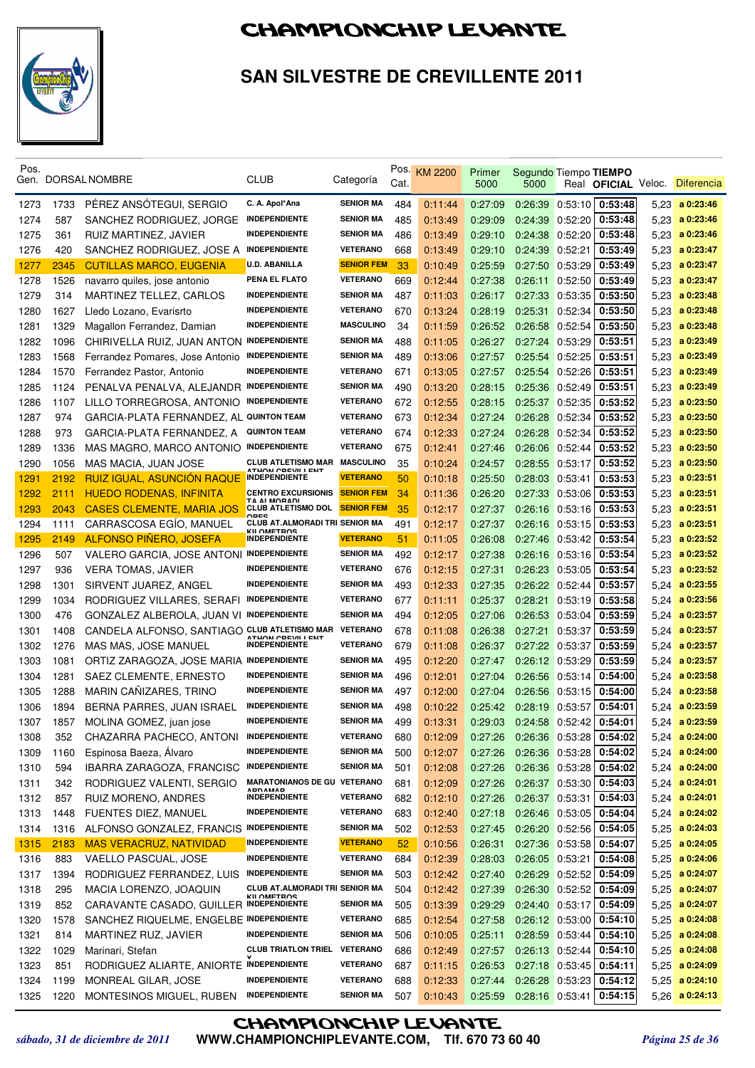

| Pos.<br>Gen. |              | <b>DORSALNOMBRE</b>                                                | <b>CLUB</b>                                            | Categoría                              | Cat.       | Pos. KM 2200       | Primer<br>5000     | Segundo Tiempo TIEMPO<br>5000      |                    | Real <b>OFICIAL</b> Veloc. |              | Diferencia                       |
|--------------|--------------|--------------------------------------------------------------------|--------------------------------------------------------|----------------------------------------|------------|--------------------|--------------------|------------------------------------|--------------------|----------------------------|--------------|----------------------------------|
| 1273         | 1733         | PÉREZ ANSÓTEGUI, SERGIO                                            | C. A. Apol*Ana                                         | <b>SENIOR MA</b>                       | 484        | 0:11:44            | 0:27:09            | 0:26:39                            | 0:53:10            | 0:53:48                    |              | $5,23$ a 0:23:46                 |
| 1274         | 587          | SANCHEZ RODRIGUEZ, JORGE                                           | <b>INDEPENDIENTE</b>                                   | <b>SENIOR MA</b>                       | 485        | 0:13:49            | 0:29:09            | 0:24:39                            | 0:52:20            | 0:53:48                    | 5,23         | a 0:23:46                        |
| 1275         | 361          | RUIZ MARTINEZ, JAVIER                                              | <b>INDEPENDIENTE</b>                                   | <b>SENIOR MA</b>                       | 486        | 0:13:49            | 0:29:10            | 0:24:38                            | 0:52:20            | 0:53:48                    | 5,23         | a 0:23:46                        |
| 1276         | 420          | SANCHEZ RODRIGUEZ, JOSE A                                          | <b>INDEPENDIENTE</b>                                   | VETERANO                               | 668        | 0:13:49            | 0:29:10            | 0:24:39                            | 0:52:21            | 0:53:49                    | 5,23         | a 0:23:47                        |
| 1277         | 2345         | <b>CUTILLAS MARCO, EUGENIA</b>                                     | <b>U.D. ABANILLA</b>                                   | <b>SENIOR FEM</b>                      | 33         | 0:10:49            | 0:25:59            | 0:27:50                            | 0:53:29            | 0:53:49                    | 5,23         | a 0:23:47                        |
| 1278         | 1526         | navarro quiles, jose antonio                                       | PENA EL FLATO                                          | VETERANO                               | 669        | 0:12:44            | 0:27:38            | 0:26:11                            | 0:52:50            | 0:53:49                    | 5,23         | a 0:23:47                        |
| 1279         | 314          | MARTINEZ TELLEZ, CARLOS                                            | <b>INDEPENDIENTE</b>                                   | <b>SENIOR MA</b>                       | 487        | 0:11:03            | 0:26:17            | 0:27:33                            | 0:53:35            | 0:53:50                    | 5,23         | a 0:23:48                        |
| 1280         | 1627         | Lledo Lozano, Evarisrto                                            | <b>INDEPENDIENTE</b>                                   | <b>VETERANO</b>                        | 670        | 0:13:24            | 0:28:19            | 0:25:31                            | 0:52:34            | 0:53:50                    | 5,23         | a 0:23:48                        |
| 1281         | 1329         | Magallon Ferrandez, Damian                                         | <b>INDEPENDIENTE</b>                                   | <b>MASCULINO</b>                       | 34         | 0:11:59            | 0:26:52            | 0:26:58                            | 0:52:54            | 0:53:50                    | 5,23         | a 0:23:48                        |
| 1282         | 1096         | CHIRIVELLA RUIZ, JUAN ANTON                                        | <b>INDEPENDIENTE</b>                                   | <b>SENIOR MA</b>                       | 488        | 0:11:05            | 0:26:27            | 0:27:24                            | 0:53:29            | 0:53:51                    | 5,23         | a 0:23:49                        |
| 1283         | 1568         | Ferrandez Pomares, Jose Antonio                                    | <b>INDEPENDIENTE</b>                                   | <b>SENIOR MA</b>                       | 489        | 0:13:06            | 0:27:57            | 0:25:54                            | 0:52:25            | 0:53:51                    | 5,23         | a 0:23:49                        |
| 1284         | 1570         | Ferrandez Pastor, Antonio                                          | <b>INDEPENDIENTE</b>                                   | VETERANO                               | 671        | 0:13:05            | 0:27:57            | 0:25:54                            | 0:52:26            | 0:53:51                    | 5,23         | a 0:23:49                        |
| 1285         | 1124         | PENALVA PENALVA, ALEJANDR                                          | <b>INDEPENDIENTE</b>                                   | <b>SENIOR MA</b>                       | 490        | 0:13:20            | 0:28:15            | 0:25:36                            | 0:52:49            | 0:53:51                    | 5,23         | a 0:23:49                        |
| 1286         | 1107         | LILLO TORREGROSA, ANTONIO                                          | <b>INDEPENDIENTE</b>                                   | VETERANO                               | 672        | 0:12:55            | 0:28:15            | 0:25:37                            | 0:52:35            | 0:53:52                    | 5,23         | a 0:23:50                        |
| 1287         | 974          | GARCIA-PLATA FERNANDEZ, AL                                         | <b>QUINTON TEAM</b>                                    | VETERANO                               | 673        | 0:12:34            | 0:27:24            | 0:26:28                            | 0:52:34            | 0:53:52                    | 5,23         | a 0:23:50                        |
| 1288         | 973          | GARCIA-PLATA FERNANDEZ, A                                          | <b>QUINTON TEAM</b>                                    | <b>VETERANO</b>                        | 674        | 0:12:33            | 0:27:24            | 0:26:28                            | 0:52:34            | 0:53:52                    | 5,23         | a 0:23:50                        |
| 1289         | 1336         | MAS MAGRO, MARCO ANTONIO                                           | <b>INDEPENDIENTE</b>                                   | <b>VETERANO</b>                        | 675        | 0:12:41            | 0:27:46            | 0:26:06                            | 0:52:44            | 0:53:52                    | 5,23         | a 0:23:50                        |
| 1290         | 1056         | MAS MACIA, JUAN JOSE                                               | <b>CLUB ATLETISMO MAR</b><br><b>ATHON CDEVILL ENT</b>  | <b>MASCULINO</b>                       | 35         | 0:10:24            | 0:24:57            | 0:28:55                            | 0:53:17            | 0:53:52                    | 5,23         | a 0:23:50                        |
| 1291         | 2192         | <b>RUIZ IGUAL, ASUNCION RAQUE</b>                                  | <b>INDEPENDIENTE</b><br><b>CENTRO EXCURSIONIS</b>      | <b>VETERANO</b>                        | 50         | 0:10:18            | 0:25:50            | 0:28:03                            | 0:53:41            | 0:53:53                    | 5,23         | a 0:23:51                        |
| 1292<br>1293 | 2111         | <b>HUEDO RODENAS, INFINITA</b><br><b>CASES CLEMENTE, MARIA JOS</b> | <b>TA AI MODADI</b><br><b>CLUB ATLETISMO DOL</b>       | <b>SENIOR FEM</b><br><b>SENIOR FEM</b> | 34<br>35   | 0:11:36            | 0:26:20            | 0:27:33                            | 0:53:06            | 0:53:53<br>0:53:53         | 5,23         | a 0:23:51<br>a 0:23:51           |
| 1294         | 2043<br>1111 | CARRASCOSA EGÍO, MANUEL                                            | ORES<br>CLUB AT.ALMORADI TRI SENIOR MA                 |                                        | 491        | 0:12:17<br>0:12:17 | 0:27:37<br>0:27:37 | 0:26:16<br>0:26:16                 | 0:53:16<br>0:53:15 | 0:53:53                    | 5,23<br>5,23 | a 0:23:51                        |
| 1295         | 2149         | <b>ALFONSO PIÑERO, JOSEFA</b>                                      | <b>KII UMETRUS</b><br><b>INDEPENDIENTE</b>             | <b>VETERANO</b>                        | 51         | 0:11:05            | 0:26:08            | 0:27:46                            | 0:53:42            | 0:53:54                    | 5,23         | a 0:23:52                        |
| 1296         | 507          | VALERO GARCIA, JOSE ANTONI                                         | <b>INDEPENDIENTE</b>                                   | <b>SENIOR MA</b>                       | 492        | 0:12:17            | 0:27:38            | 0:26:16                            | 0:53:16            | 0:53:54                    | 5,23         | a 0:23:52                        |
| 1297         | 936          | <b>VERA TOMAS, JAVIER</b>                                          | <b>INDEPENDIENTE</b>                                   | VETERANO                               | 676        | 0:12:15            | 0:27:31            | 0:26:23                            | 0:53:05            | 0:53:54                    | 5,23         | a 0:23:52                        |
| 1298         | 1301         | SIRVENT JUAREZ, ANGEL                                              | <b>INDEPENDIENTE</b>                                   | <b>SENIOR MA</b>                       | 493        | 0:12:33            | 0:27:35            | 0:26:22                            | 0:52:44            | 0:53:57                    | 5,24         | a 0:23:55                        |
| 1299         | 1034         | RODRIGUEZ VILLARES, SERAFI                                         | <b>INDEPENDIENTE</b>                                   | <b>VETERANO</b>                        | 677        | 0:11:11            | 0:25:37            | 0:28:21                            | 0:53:19            | 0:53:58                    | 5,24         | a 0:23:56                        |
| 1300         | 476          | GONZALEZ ALBEROLA, JUAN VI                                         | <b>INDEPENDIENTE</b>                                   | <b>SENIOR MA</b>                       | 494        | 0:12:05            | 0:27:06            | 0:26:53                            | 0:53:04            | 0:53:59                    | 5,24         | a 0:23:57                        |
| 1301         | 1408         | CANDELA ALFONSO, SANTIAGO                                          | <b>CLUB ATLETISMO MAR</b>                              | <b>VETERANO</b>                        | 678        | 0:11:08            | 0:26:38            | 0:27:21                            | 0:53:37            | 0:53:59                    | 5,24         | a 0:23:57                        |
| 1302         | 1276         | MAS MAS, JOSE MANUEL                                               | ATHON CREVILL ENT<br><b>INDEPENDIENTE</b>              | VETERANO                               | 679        | 0:11:08            | 0:26:37            | 0:27:22                            | 0:53:37            | 0:53:59                    | 5,24         | a 0:23:57                        |
| 1303         | 1081         | ORTIZ ZARAGOZA, JOSE MARIA                                         | <b>INDEPENDIENTE</b>                                   | <b>SENIOR MA</b>                       | 495        | 0:12:20            | 0:27:47            | 0:26:12 0:53:29                    |                    | 0:53:59                    | 5,24         | a 0:23:57                        |
| 1304         | 1281         | SAEZ CLEMENTE, ERNESTO                                             | <b>INDEPENDIENTE</b>                                   | <b>SENIOR MA</b>                       | 496        | 0:12:01            | 0:27:04            | 0:26:56                            | 0:53:14            | 0:54:00                    | 5,24         | a 0:23:58                        |
| 1305         | 1288         | MARIN CAÑIZARES, TRINO                                             | <b>INDEPENDIENTE</b>                                   | <b>SENIOR MA</b>                       | 497        | 0:12:00            | 0:27:04            | 0:26:56                            | 0:53:15            | 0:54:00                    | 5,24         | a 0:23:58                        |
| 1306         | 1894         | BERNA PARRES, JUAN ISRAEL                                          | <b>INDEPENDIENTE</b>                                   | <b>SENIOR MA</b>                       | 498        | 0:10:22            | 0:25:42            | 0:28:19                            | 0:53:57            | 0:54:01                    | 5,24         | a 0:23:59                        |
| 1307         | 1857         | MOLINA GOMEZ, juan jose                                            | <b>INDEPENDIENTE</b>                                   | <b>SENIOR MA</b>                       | 499        | 0:13:31            | 0:29:03            | 0:24:58                            | 0:52:42            | 0:54:01                    |              | 5,24 a 0:23:59                   |
| 1308         | 352          | CHAZARRA PACHECO, ANTONI                                           | <b>INDEPENDIENTE</b>                                   | VETERANO                               | 680        | 0:12:09            | 0:27:26            | 0:26:36 0:53:28                    |                    | 0:54:02                    |              | 5,24 a 0:24:00                   |
| 1309         | 1160         | Espinosa Baeza, Alvaro                                             | <b>INDEPENDIENTE</b>                                   | <b>SENIOR MA</b>                       | 500        | 0:12:07            | 0:27:26            | 0:26:36 0:53:28                    |                    | 0:54:02                    |              | 5,24 a 0:24:00                   |
| 1310         | 594          | IBARRA ZARAGOZA, FRANCISC                                          | <b>INDEPENDIENTE</b>                                   | <b>SENIOR MA</b>                       | 501        | 0:12:08            | 0:27:26            | 0:26:36 0:53:28                    |                    | 0:54:02                    |              | 5,24 a 0:24:00                   |
| 1311         | 342          | RODRIGUEZ VALENTI, SERGIO                                          | <b>MARATONIANOS DE GU VETERANO</b><br><b>ADDAMAD</b>   |                                        | 681        | 0:12:09            | 0:27:26            | 0:26:37 0:53:30                    |                    | 0:54:03                    |              | 5,24 a 0:24:01                   |
| 1312         | 857          | RUIZ MORENO, ANDRES                                                | <b>INDEPENDIENTE</b>                                   | <b>VETERANO</b>                        | 682        | 0:12:10            | 0:27:26            | 0:26:37 0:53:31                    |                    | 0:54:03                    |              | 5,24 a 0:24:01                   |
| 1313         | 1448         | FUENTES DIEZ, MANUEL                                               | <b>INDEPENDIENTE</b>                                   | <b>VETERANO</b>                        | 683        | 0:12:40            | 0:27:18            | 0:26:46 0:53:05                    |                    | 0:54:04                    |              | 5,24 a 0:24:02                   |
| 1314         | 1316         | ALFONSO GONZALEZ, FRANCIS                                          | <b>INDEPENDIENTE</b>                                   | <b>SENIOR MA</b>                       | 502        | 0:12:53            | 0:27:45            | 0:26:20 0:52:56                    |                    | 0:54:05                    |              | 5,25 a 0:24:03                   |
| 1315         | 2183         | <b>MAS VERACRUZ, NATIVIDAD</b>                                     | <b>INDEPENDIENTE</b>                                   | <b>VETERANO</b>                        | 52         | 0:10:56            | 0:26:31            | 0:27:36 0:53:58                    |                    | 0:54:07                    |              | 5,25 a 0:24:05                   |
| 1316         | 883          | VAELLO PASCUAL, JOSE                                               | <b>INDEPENDIENTE</b>                                   | <b>VETERANO</b><br><b>SENIOR MA</b>    | 684        | 0:12:39            | 0:28:03            | 0:26:05 0:53:21                    |                    | 0:54:08                    |              | 5,25 a 0:24:06                   |
| 1317         | 1394         | RODRIGUEZ FERRANDEZ, LUIS                                          | <b>INDEPENDIENTE</b><br>CLUB AT.ALMORADI TRI SENIOR MA |                                        | 503        | 0:12:42            | 0:27:40<br>0:27:39 | 0:26:29 0:52:52                    |                    | 0:54:09<br>0:54:09         |              | 5,25 a 0:24:07<br>5,25 a 0:24:07 |
| 1318<br>1319 | 295          | MACIA LORENZO, JOAQUIN<br>CARAVANTE CASADO, GUILLER                | <b>VII OMETDOS</b><br><b>INDEPENDIENTE</b>             | <b>SENIOR MA</b>                       | 504<br>505 | 0:12:42            | 0:29:29            | 0:26:30 0:52:52<br>0:24:40 0:53:17 |                    | 0:54:09                    |              | 5,25 a 0:24:07                   |
| 1320         | 852<br>1578  | SANCHEZ RIQUELME, ENGELBE INDEPENDIENTE                            |                                                        | VETERANO                               | 685        | 0:13:39<br>0:12:54 | 0:27:58            | 0:26:12 0:53:00                    |                    | 0:54:10                    |              | 5,25 a 0:24:08                   |
| 1321         | 814          | MARTINEZ RUZ, JAVIER                                               | <b>INDEPENDIENTE</b>                                   | <b>SENIOR MA</b>                       | 506        | 0:10:05            | 0:25:11            | 0:28:59 0:53:44                    |                    | 0:54:10                    |              | 5,25 a 0:24:08                   |
| 1322         | 1029         | Marinari, Stefan                                                   | CLUB TRIATLON TRIEL VETERANO                           |                                        | 686        | 0:12:49            | 0:27:57            | 0:26:13 0:52:44                    |                    | 0:54:10                    |              | 5,25 a 0:24:08                   |
| 1323         | 851          | RODRIGUEZ ALIARTE, ANIORTE INDEPENDIENTE                           |                                                        | VETERANO                               | 687        | 0:11:15            | 0:26:53            | 0:27:18 0:53:45                    |                    | 0:54:11                    |              | 5,25 a 0:24:09                   |
| 1324         | 1199         | MONREAL GILAR, JOSE                                                | <b>INDEPENDIENTE</b>                                   | VETERANO                               | 688        | 0:12:33            | 0:27:44            | 0:26:28 0:53:23                    |                    | 0:54:12                    |              | 5,25 a 0:24:10                   |
| 1325         | 1220         | MONTESINOS MIGUEL, RUBEN                                           | <b>INDEPENDIENTE</b>                                   | <b>SENIOR MA</b>                       | 507        | 0:10:43            | 0:25:59            | 0:28:16 0:53:41                    |                    | 0:54:15                    |              | 5,26 a 0:24:13                   |
|              |              |                                                                    |                                                        |                                        |            |                    |                    |                                    |                    |                            |              |                                  |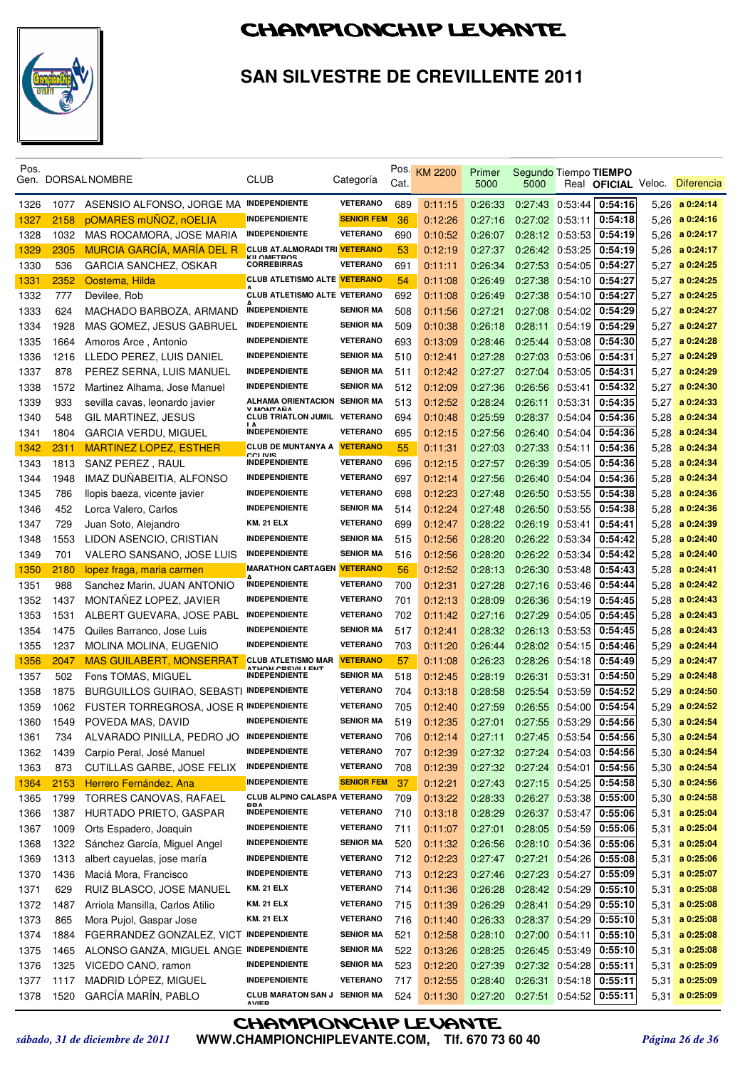

| Pos.<br>Gen. |      | <b>DORSAL NOMBRE</b>                    | <b>CLUB</b>                                      | Categoría         | Cat. | Pos. KM 2200 | Primer<br>5000 | Segundo Tiempo TIEMPO<br>5000 |         |         |      | Real <b>OFICIAL</b> Veloc. Diferencia |
|--------------|------|-----------------------------------------|--------------------------------------------------|-------------------|------|--------------|----------------|-------------------------------|---------|---------|------|---------------------------------------|
| 1326         | 1077 | ASENSIO ALFONSO, JORGE MA               | <b>INDEPENDIENTE</b>                             | <b>VETERANO</b>   | 689  | 0:11:15      | 0:26:33        | 0:27:43 0:53:44               |         | 0:54:16 |      | 5,26 a 0:24:14                        |
| 1327         | 2158 | pOMARES mUÑOZ, nOELIA                   | <b>INDEPENDIENTE</b>                             | <b>SENIOR FEM</b> | 36   | 0:12:26      | 0:27:16        | 0:27:02 0:53:11               |         | 0:54:18 | 5,26 | a 0:24:16                             |
| 1328         | 1032 | MAS ROCAMORA, JOSE MARIA                | <b>INDEPENDIENTE</b>                             | VETERANO          | 690  | 0:10:52      | 0:26:07        | 0:28:12 0:53:53               |         | 0:54:19 | 5,26 | a 0:24:17                             |
| 1329         | 2305 | <b>MURCIA GARCÍA, MARÍA DEL R</b>       | <b>CLUB AT.ALMORADI TRI VETERANO</b>             |                   | 53   | 0:12:19      | 0:27:37        | 0:26:42 0:53:25               |         | 0:54:19 | 5,26 | a 0:24:17                             |
| 1330         | 536  | <b>GARCIA SANCHEZ, OSKAR</b>            | <b>KII UNETDUC</b><br><b>CORREBIRRAS</b>         | VETERANO          | 691  | 0:11:11      | 0:26:34        | 0:27:53 0:54:05               |         | 0:54:27 | 5,27 | a 0:24:25                             |
| 1331         | 2352 | Oostema, Hilda                          | <b>CLUB ATLETISMO ALTE VETERANO</b>              |                   | 54   | 0:11:08      | 0:26:49        | 0:27:38                       | 0:54:10 | 0:54:27 | 5,27 | a 0:24:25                             |
| 1332         | 777  | Devilee, Rob                            | $\mathbf{A}$<br>CLUB ATLETISMO ALTE VETERANO     |                   | 692  | 0:11:08      | 0:26:49        | 0:27:38                       | 0:54:10 | 0:54:27 | 5,27 | a 0:24:25                             |
| 1333         | 624  | MACHADO BARBOZA, ARMAND                 | <b>INDEPENDIENTE</b>                             | <b>SENIOR MA</b>  | 508  | 0:11:56      | 0:27:21        | 0:27:08                       | 0:54:02 | 0:54:29 | 5,27 | a 0:24:27                             |
| 1334         | 1928 | MAS GOMEZ, JESUS GABRUEL                | <b>INDEPENDIENTE</b>                             | <b>SENIOR MA</b>  | 509  | 0:10:38      | 0:26:18        | 0:28:11                       | 0:54:19 | 0:54:29 | 5,27 | a 0:24:27                             |
| 1335         | 1664 | Amoros Arce, Antonio                    | <b>INDEPENDIENTE</b>                             | <b>VETERANO</b>   | 693  | 0:13:09      | 0:28:46        | 0:25:44                       | 0:53:08 | 0:54:30 | 5,27 | a 0:24:28                             |
| 1336         | 1216 | LLEDO PEREZ, LUIS DANIEL                | <b>INDEPENDIENTE</b>                             | <b>SENIOR MA</b>  | 510  | 0:12:41      | 0:27:28        | 0:27:03                       | 0:53:06 | 0:54:31 | 5,27 | a 0:24:29                             |
| 1337         | 878  | PEREZ SERNA, LUIS MANUEL                | <b>INDEPENDIENTE</b>                             | <b>SENIOR MA</b>  | 511  | 0:12:42      | 0:27:27        | 0:27:04                       | 0:53:05 | 0:54:31 | 5,27 | a 0:24:29                             |
| 1338         | 1572 | Martinez Alhama, Jose Manuel            | <b>INDEPENDIENTE</b>                             | <b>SENIOR MA</b>  | 512  | 0:12:09      | 0:27:36        | 0:26:56                       | 0:53:41 | 0:54:32 | 5,27 | a 0:24:30                             |
| 1339         | 933  | sevilla cavas, leonardo javier          | ALHAMA ORIENTACION SENIOR MA                     |                   | 513  | 0:12:52      | 0:28:24        | 0:26:11                       | 0:53:31 | 0:54:35 | 5,27 | a 0:24:33                             |
| 1340         | 548  | GIL MARTINEZ, JESUS                     | V MONITAÑA<br>CLUB TRIATLON JUMIL VETERANO       |                   | 694  | 0:10:48      | 0:25:59        | 0:28:37                       | 0:54:04 | 0:54:36 | 5,28 | a 0:24:34                             |
| 1341         | 1804 | <b>GARCIA VERDU, MIGUEL</b>             | $\overline{1}$<br><b>INDEPENDIENTE</b>           | VETERANO          | 695  | 0:12:15      | 0:27:56        | 0:26:40                       | 0:54:04 | 0:54:36 | 5,28 | a 0:24:34                             |
| 1342         | 2311 | <b>MARTINEZ LOPEZ, ESTHER</b>           | <b>CLUB DE MUNTANYA A</b>                        | <b>VETERANO</b>   | 55   | 0:11:31      | 0:27:03        | 0:27:33                       | 0.54:11 | 0:54:36 | 5,28 | a 0:24:34                             |
| 1343         | 1813 | SANZ PEREZ, RAUL                        | CCLIVIC<br><b>INDEPENDIENTE</b>                  | VETERANO          | 696  | 0:12:15      | 0:27:57        | 0:26:39                       | 0:54:05 | 0:54:36 | 5,28 | a 0:24:34                             |
| 1344         | 1948 | IMAZ DUÑABEITIA, ALFONSO                | <b>INDEPENDIENTE</b>                             | VETERANO          | 697  | 0:12:14      | 0:27:56        | 0:26:40                       | 0:54:04 | 0:54:36 | 5,28 | a 0:24:34                             |
| 1345         | 786  | Ilopis baeza, vicente javier            | <b>INDEPENDIENTE</b>                             | VETERANO          | 698  | 0:12:23      | 0:27:48        | 0:26:50                       | 0:53:55 | 0:54:38 | 5,28 | a 0:24:36                             |
| 1346         | 452  | Lorca Valero, Carlos                    | <b>INDEPENDIENTE</b>                             | <b>SENIOR MA</b>  | 514  | 0:12:24      | 0:27:48        | 0:26:50                       | 0:53:55 | 0:54:38 | 5,28 | a 0:24:36                             |
| 1347         | 729  | Juan Soto, Alejandro                    | <b>KM. 21 ELX</b>                                | VETERANO          | 699  | 0:12:47      | 0:28:22        | 0:26:19                       | 0:53:41 | 0:54:41 | 5,28 | a 0:24:39                             |
| 1348         | 1553 | LIDON ASENCIO, CRISTIAN                 | <b>INDEPENDIENTE</b>                             | <b>SENIOR MA</b>  | 515  | 0:12:56      | 0:28:20        | 0:26:22                       | 0:53:34 | 0:54:42 | 5,28 | a 0:24:40                             |
| 1349         | 701  | VALERO SANSANO, JOSE LUIS               | <b>INDEPENDIENTE</b>                             | <b>SENIOR MA</b>  | 516  | 0:12:56      | 0:28:20        | 0:26:22                       | 0:53:34 | 0:54:42 | 5,28 | a 0:24:40                             |
| 1350         | 2180 | lopez fraga, maria carmen               | <b>MARATHON CARTAGEN VETERANO</b>                |                   | 56   | 0:12:52      | 0:28:13        | 0:26:30                       | 0:53:48 | 0:54:43 | 5,28 | a 0:24:41                             |
| 1351         | 988  | Sanchez Marin, JUAN ANTONIO             | <b>INDEPENDIENTE</b>                             | VETERANO          | 700  | 0:12:31      | 0:27:28        | 0:27:16                       | 0:53:46 | 0:54:44 | 5,28 | a 0:24:42                             |
| 1352         | 1437 | MONTAÑEZ LOPEZ, JAVIER                  | <b>INDEPENDIENTE</b>                             | VETERANO          | 701  | 0:12:13      | 0:28:09        | 0:26:36                       | 0:54:19 | 0:54:45 | 5,28 | a 0:24:43                             |
| 1353         | 1531 | ALBERT GUEVARA, JOSE PABL               | <b>INDEPENDIENTE</b>                             | VETERANO          | 702  | 0:11:42      | 0:27:16        | 0:27:29                       | 0:54:05 | 0:54:45 | 5,28 | a 0:24:43                             |
| 1354         | 1475 | Quiles Barranco, Jose Luis              | <b>INDEPENDIENTE</b>                             | <b>SENIOR MA</b>  | 517  | 0:12:41      | 0:28:32        | 0:26:13 0:53:53               |         | 0:54:45 | 5,28 | a 0:24:43                             |
| 1355         | 1237 | MOLINA MOLINA, EUGENIO                  | <b>INDEPENDIENTE</b>                             | VETERANO          | 703  | 0:11:20      | 0:26:44        | 0:28:02                       | 0:54:15 | 0:54:46 | 5,29 | a 0:24:44                             |
| 1356         | 2047 | <b>MAS GUILABERT, MONSERRAT</b>         | <b>CLUB ATLETISMO MAR</b>                        | <b>VETERANO</b>   | 57   | 0:11:08      | 0:26:23        | 0:28:26                       | 0:54:18 | 0:54:49 | 5,29 | a 0:24:47                             |
| 1357         | 502  | Fons TOMAS, MIGUEL                      | <b>ATHON ODEVILL ENT</b><br><b>INDEPENDIENTE</b> | <b>SENIOR MA</b>  | 518  | 0:12:45      | 0:28:19        | 0:26:31                       | 0:53:31 | 0:54:50 | 5,29 | a 0:24:48                             |
| 1358         | 1875 | <b>BURGUILLOS GUIRAO, SEBASTI</b>       | <b>INDEPENDIENTE</b>                             | <b>VETERANO</b>   | 704  | 0:13:18      | 0:28:58        | 0:25:54                       | 0:53:59 | 0:54:52 | 5,29 | a 0:24:50                             |
| 1359         | 1062 | FUSTER TORREGROSA, JOSE R INDEPENDIENTE |                                                  | VETERANO          | 705  | 0:12:40      | 0:27:59        | 0:26:55                       | 0:54:00 | 0:54:54 | 5,29 | a 0:24:52                             |
| 1360         | 1549 | POVEDA MAS, DAVID                       | <b>INDEPENDIENTE</b>                             | <b>SENIOR MA</b>  | 519  | 0:12:35      | 0:27:01        | 0:27:55                       | 0:53:29 | 0:54:56 |      | 5,30 a 0:24:54                        |
| 1361         | 734  | ALVARADO PINILLA, PEDRO JO              | <b>INDEPENDIENTE</b>                             | VETERANO          | 706  | 0:12:14      | 0:27:11        | $0:27:45$ 0:53:54             |         | 0:54:56 | 5,30 | a 0:24:54                             |
| 1362         | 1439 | Carpio Peral, José Manuel               | <b>INDEPENDIENTE</b>                             | <b>VETERANO</b>   | 707  | 0:12:39      | 0:27:32        | 0:27:24 0:54:03               |         | 0:54:56 | 5,30 | a 0:24:54                             |
| 1363         | 873  | <b>CUTILLAS GARBE, JOSE FELIX</b>       | <b>INDEPENDIENTE</b>                             | <b>VETERANO</b>   | 708  | 0:12:39      | 0:27:32        | 0:27:24 0:54:01               |         | 0:54:56 | 5,30 | a 0:24:54                             |
| 1364         | 2153 | Herrero Fernández, Ana                  | <b>INDEPENDIENTE</b>                             | <b>SENIOR FEM</b> | 37   | 0:12:21      | 0:27:43        | 0:27:15 0:54:25               |         | 0:54:58 | 5,30 | a 0:24:56                             |
| 1365         | 1799 | TORRES CANOVAS, RAFAEL                  | CLUB ALPINO CALASPA VETERANO                     |                   | 709  | 0:13:22      | 0:28:33        | 0:26:27 0:53:38               |         | 0:55:00 | 5,30 | a 0:24:58                             |
| 1366         | 1387 | HURTADO PRIETO, GASPAR                  | <b>DDA</b><br><b>INDEPENDIENTE</b>               | <b>VETERANO</b>   | 710  | 0:13:18      | 0:28:29        | 0:26:37 0:53:47               |         | 0:55:06 | 5,31 | a 0:25:04                             |
| 1367         | 1009 | Orts Espadero, Joaquin                  | <b>INDEPENDIENTE</b>                             | VETERANO          | 711  | 0:11:07      | 0:27:01        | 0:28:05 0:54:59               |         | 0:55:06 | 5,31 | a 0:25:04                             |
| 1368         | 1322 | Sánchez García, Miguel Angel            | <b>INDEPENDIENTE</b>                             | <b>SENIOR MA</b>  | 520  | 0:11:32      | 0:26:56        | 0:28:10 0:54:36               |         | 0:55:06 | 5,31 | a 0:25:04                             |
| 1369         | 1313 | albert cayuelas, jose maría             | <b>INDEPENDIENTE</b>                             | <b>VETERANO</b>   | 712  | 0:12:23      | 0:27:47        | 0:27:21                       | 0:54:26 | 0:55:08 | 5,31 | a 0:25:06                             |
| 1370         | 1436 | Maciá Mora, Francisco                   | <b>INDEPENDIENTE</b>                             | VETERANO          | 713  | 0:12:23      | 0:27:46        | 0:27:23                       | 0:54:27 | 0:55:09 | 5,31 | a 0:25:07                             |
| 1371         | 629  | RUIZ BLASCO, JOSE MANUEL                | <b>KM. 21 ELX</b>                                | <b>VETERANO</b>   | 714  | 0:11:36      | 0:26:28        | 0:28:42 0:54:29               |         | 0:55:10 | 5,31 | a 0:25:08                             |
| 1372         | 1487 | Arriola Mansilla, Carlos Atilio         | <b>KM. 21 ELX</b>                                | VETERANO          | 715  | 0:11:39      | 0:26:29        | 0:28:41                       | 0:54:29 | 0:55:10 | 5,31 | a 0:25:08                             |
| 1373         | 865  | Mora Pujol, Gaspar Jose                 | <b>KM. 21 ELX</b>                                | <b>VETERANO</b>   | 716  | 0:11:40      | 0:26:33        | 0:28:37 0:54:29               |         | 0:55:10 | 5,31 | a 0:25:08                             |
| 1374         | 1884 | FGERRANDEZ GONZALEZ, VICT               | <b>INDEPENDIENTE</b>                             | <b>SENIOR MA</b>  | 521  | 0:12:58      | 0:28:10        | 0:27:00 0:54:11               |         | 0:55:10 | 5,31 | a 0:25:08                             |
| 1375         | 1465 | ALONSO GANZA, MIGUEL ANGE               | <b>INDEPENDIENTE</b>                             | <b>SENIOR MA</b>  | 522  | 0:13:26      | 0:28:25        | 0:26:45 0:53:49               |         | 0:55:10 | 5,31 | a 0:25:08                             |
| 1376         | 1325 | VICEDO CANO, ramon                      | <b>INDEPENDIENTE</b>                             | <b>SENIOR MA</b>  | 523  | 0:12:20      | 0:27:39        | 0:27:32 0:54:28               |         | 0:55:11 | 5,31 | a 0:25:09                             |
| 1377         | 1117 | MADRID LÓPEZ, MIGUEL                    | <b>INDEPENDIENTE</b>                             | <b>VETERANO</b>   | 717  | 0:12:55      | 0:28:40        | 0:26:31                       | 0:54:18 | 0:55:11 | 5,31 | a 0:25:09                             |
| 1378         | 1520 | GARCÍA MARÍN, PABLO                     | <b>CLUB MARATON SAN J</b>                        | <b>SENIOR MA</b>  | 524  | 0:11:30      | 0:27:20        | $0:27:51$ $0:54:52$           |         | 0:55:11 | 5,31 | a 0:25:09                             |
|              |      |                                         | <b>AVICD</b>                                     |                   |      |              |                |                               |         |         |      |                                       |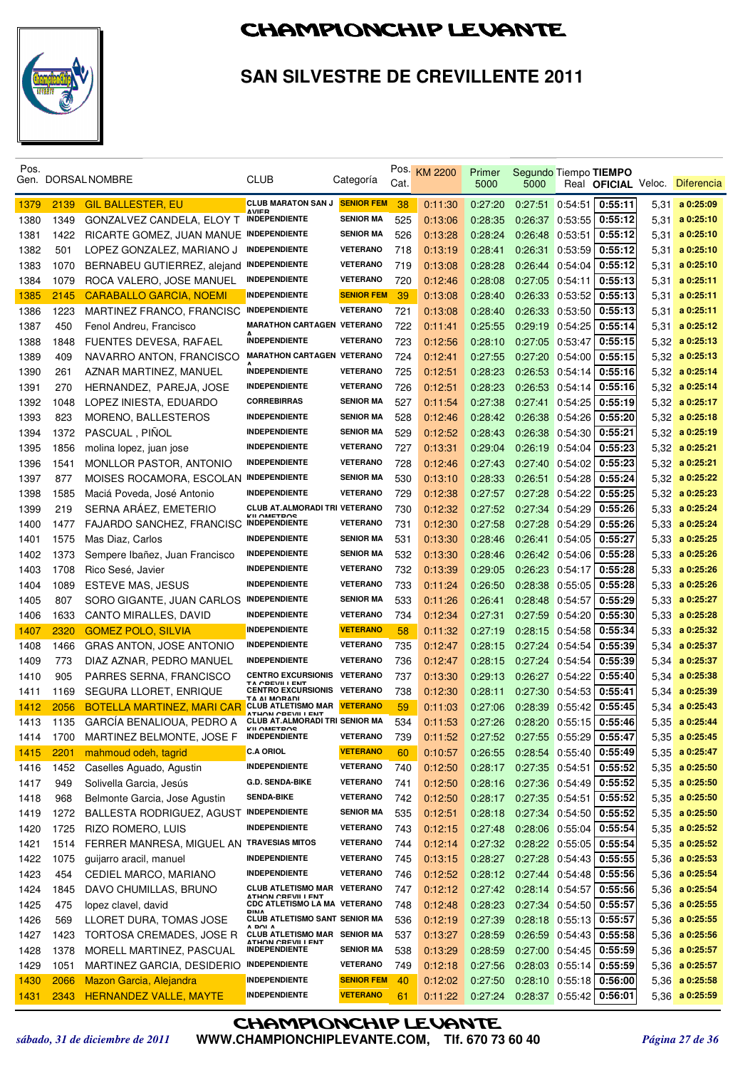

| Pos<br>Gen.  |             | <b>DORSALNOMBRE</b>                                | CLUB                                                      | Categoría                           | Cat.       | Pos. KM 2200       | Primer<br>5000     | Segundo Tiempo TIEMPO<br>5000 |                    | Real <b>OFICIAL</b> Veloc. |              | Diferencia             |
|--------------|-------------|----------------------------------------------------|-----------------------------------------------------------|-------------------------------------|------------|--------------------|--------------------|-------------------------------|--------------------|----------------------------|--------------|------------------------|
| 1379         | 2139        | <b>GIL BALLESTER, EU</b>                           | <b>CLUB MARATON SAN J</b><br><b>AVICD</b>                 | <b>SENIOR FEM</b>                   | 38         | 0:11:30            | 0:27:20            | 0:27:51                       | 0:54:51            | 0:55:11                    | 5,31         | a 0:25:09              |
| 1380         | 1349        | GONZALVEZ CANDELA, ELOY T                          | <b>INDEPENDIENTE</b>                                      | <b>SENIOR MA</b>                    | 525        | 0:13:06            | 0:28:35            | 0:26:37 0:53:55               |                    | 0:55:12                    | 5,31         | a 0:25:10              |
| 1381         | 1422        | RICARTE GOMEZ, JUAN MANUE INDEPENDIENTE            |                                                           | <b>SENIOR MA</b>                    | 526        | 0:13:28            | 0:28:24            | 0:26:48                       | 0:53:51            | 0:55:12                    | 5.31         | a 0:25:10              |
| 1382         | 501         | LOPEZ GONZALEZ, MARIANO J                          | <b>INDEPENDIENTE</b>                                      | <b>VETERANO</b>                     | 718        | 0:13:19            | 0:28:41            | 0:26:31                       | 0:53:59            | 0:55:12                    | 5,31         | a 0:25:10              |
| 1383         | 1070        | BERNABEU GUTIERREZ, alejand                        | <b>INDEPENDIENTE</b>                                      | <b>VETERANO</b>                     | 719        | 0:13:08            | 0:28:28            | 0:26:44                       | 0:54:04            | 0:55:12                    | 5.31         | a 0:25:10              |
| 1384         | 1079        | ROCA VALERO, JOSE MANUEL                           | <b>INDEPENDIENTE</b>                                      | <b>VETERANO</b>                     | 720        | 0:12:46            | 0:28:08            | 0:27:05                       | 0:54:11            | 0:55:13                    | 5.31         | a 0:25:11              |
| 1385         | 2145        | <b>CARABALLO GARCIA, NOEMI</b>                     | <b>INDEPENDIENTE</b>                                      | <b>SENIOR FEM</b>                   | 39         | 0:13:08            | 0:28:40            | 0:26:33                       | 0:53:52            | 0:55:13                    | 5,31         | a 0:25:11              |
| 1386         | 1223        | MARTINEZ FRANCO, FRANCISC                          | <b>INDEPENDIENTE</b>                                      | <b>VETERANO</b>                     | 721        | 0:13:08            | 0:28:40            | 0:26:33                       | 0:53:50            | 0:55:13                    | 5,31         | a 0:25:11              |
| 1387         | 450         | Fenol Andreu, Francisco                            | <b>MARATHON CARTAGEN VETERANO</b>                         |                                     | 722        | 0:11:41            | 0:25:55            | 0:29:19                       | 0:54:25            | 0:55:14                    | 5.31         | a 0:25:12              |
| 1388         | 1848        | FUENTES DEVESA, RAFAEL                             | <b>INDEPENDIENTE</b>                                      | VETERANO                            | 723        | 0:12:56            | 0:28:10            | 0:27:05                       | 0:53:47            | 0:55:15                    | 5.32         | a 0:25:13              |
| 1389         | 409         | NAVARRO ANTON, FRANCISCO                           | <b>MARATHON CARTAGEN VETERANO</b>                         |                                     | 724        | 0:12:41            | 0:27:55            | 0:27:20                       | 0:54:00            | 0:55:15                    | 5.32         | a 0:25:13              |
| 1390         | 261         | AZNAR MARTINEZ, MANUEL                             | <b>INDEPENDIENTE</b>                                      | <b>VETERANO</b>                     | 725        | 0:12:51            | 0:28:23            | 0:26:53                       | 0:54:14            | 0:55:16                    | 5.32         | a 0:25:14              |
| 1391         | 270         | HERNANDEZ, PAREJA, JOSE                            | <b>INDEPENDIENTE</b>                                      | <b>VETERANO</b>                     | 726        | 0:12:51            | 0:28:23            | 0:26:53                       | 0:54:14            | 0:55:16                    | 5.32         | a 0:25:14              |
| 1392         | 1048        | LOPEZ INIESTA, EDUARDO                             | <b>CORREBIRRAS</b>                                        | <b>SENIOR MA</b>                    | 527        | 0:11:54            | 0:27:38            | 0:27:41                       | 0:54:25            | 0:55:19                    | 5,32         | a 0:25:17              |
| 1393         | 823         | MORENO, BALLESTEROS                                | <b>INDEPENDIENTE</b>                                      | <b>SENIOR MA</b>                    | 528        | 0:12:46            | 0:28:42            | 0:26:38                       | 0:54:26            | 0:55:20                    | 5,32         | a 0:25:18              |
| 1394         | 1372        | PASCUAL, PIÑOL                                     | <b>INDEPENDIENTE</b>                                      | <b>SENIOR MA</b>                    | 529        | 0:12:52            | 0:28:43            | 0:26:38                       | 0:54:30            | 0:55:21                    | 5,32         | a 0:25:19              |
| 1395         | 1856        | molina lopez, juan jose                            | <b>INDEPENDIENTE</b>                                      | <b>VETERANO</b>                     | 727        | 0:13:31            | 0:29:04            | 0:26:19                       | 0:54:04            | 0:55:23                    | 5,32         | a 0:25:21              |
| 1396         | 1541        | MONLLOR PASTOR, ANTONIO                            | <b>INDEPENDIENTE</b>                                      | <b>VETERANO</b>                     | 728        | 0:12:46            | 0:27:43            | 0:27:40                       | 0:54:02            | 0:55:23                    | 5.32         | a 0:25:21              |
| 1397         | 877         | MOISES ROCAMORA, ESCOLAN                           | <b>INDEPENDIENTE</b>                                      | <b>SENIOR MA</b>                    | 530        | 0:13:10            | 0:28:33            | 0:26:51                       | 0:54:28            | 0:55:24                    | 5.32         | a 0:25:22              |
| 1398         | 1585        | Maciá Poveda, José Antonio                         | <b>INDEPENDIENTE</b>                                      | <b>VETERANO</b>                     | 729        | 0:12:38            | 0:27:57            | 0:27:28                       | 0:54:22            | 0:55:25                    | 5.32         | a 0:25:23              |
| 1399         | 219         | SERNA ARÁEZ, EMETERIO                              | CLUB AT.ALMORADI TRI VETERANO<br>KII UWETBUS              |                                     | 730        | 0:12:32            | 0:27:52            | 0:27:34                       | 0:54:29            | 0:55:26                    | 5,33         | a 0:25:24              |
| 1400         | 1477        | FAJARDO SANCHEZ, FRANCISC                          | <b>INDEPENDIENTE</b>                                      | <b>VETERANO</b>                     | 731        | 0:12:30            | 0:27:58            | 0:27:28                       | 0:54:29            | 0:55:26                    | 5,33         | a 0:25:24              |
| 1401         | 1575        | Mas Diaz, Carlos                                   | <b>INDEPENDIENTE</b>                                      | <b>SENIOR MA</b>                    | 531        | 0:13:30            | 0:28:46            | 0:26:41                       | 0:54:05            | 0:55:27                    | 5.33         | a 0:25:25              |
| 1402         | 1373        | Sempere Ibañez, Juan Francisco                     | <b>INDEPENDIENTE</b>                                      | <b>SENIOR MA</b>                    | 532        | 0:13:30            | 0:28:46            | 0:26:42 0:54:06               |                    | 0:55:28                    | 5,33         | a 0:25:26              |
| 1403         | 1708        | Rico Sesé, Javier                                  | <b>INDEPENDIENTE</b><br><b>INDEPENDIENTE</b>              | <b>VETERANO</b>                     | 732        | 0:13:39            | 0:29:05            | 0:26:23                       | 0:54:17            | 0:55:28                    | 5.33         | a 0:25:26              |
| 1404         | 1089        | <b>ESTEVE MAS, JESUS</b>                           | <b>INDEPENDIENTE</b>                                      | <b>VETERANO</b><br><b>SENIOR MA</b> | 733        | 0:11:24            | 0:26:50            | 0:28:38                       | 0:55:05            | 0:55:28                    | 5.33         | a 0:25:26              |
| 1405         | 807<br>1633 | SORO GIGANTE, JUAN CARLOS                          | <b>INDEPENDIENTE</b>                                      | <b>VETERANO</b>                     | 533<br>734 | 0:11:26            | 0:26:41<br>0:27:31 | 0:28:48<br>0:27:59            | 0:54:57            | 0:55:29<br>0:55:30         | 5,33         | a 0:25:27<br>a 0:25:28 |
| 1406<br>1407 | 2320        | CANTO MIRALLES, DAVID<br><b>GOMEZ POLO, SILVIA</b> | <b>INDEPENDIENTE</b>                                      | <b>VETERANO</b>                     | 58         | 0:12:34<br>0:11:32 | 0:27:19            | 0:28:15                       | 0:54:20<br>0:54:58 | 0:55:34                    | 5,33<br>5,33 | a 0:25:32              |
| 1408         | 1466        | <b>GRAS ANTON, JOSE ANTONIO</b>                    | <b>INDEPENDIENTE</b>                                      | <b>VETERANO</b>                     | 735        | 0:12:47            | 0:28:15            | 0:27:24 0:54:54               |                    | 0:55:39                    | 5,34         | a 0:25:37              |
| 1409         | 773         | DIAZ AZNAR, PEDRO MANUEL                           | <b>INDEPENDIENTE</b>                                      | <b>VETERANO</b>                     | 736        | 0:12:47            | 0:28:15            | 0:27:24 0:54:54               |                    | 0:55:39                    | 5,34         | a 0:25:37              |
| 1410         | 905         | PARRES SERNA, FRANCISCO                            | CENTRO EXCURSIONIS VETERANO                               |                                     | 737        | 0:13:30            | 0:29:13            | 0:26:27 0:54:22               |                    | 0:55:40                    | 5,34         | a 0:25:38              |
| 1411         | 1169        | SEGURA LLORET, ENRIQUE                             | TA COEVILI ENT<br><b>CENTRO EXCURSIONIS VETERANO</b>      |                                     | 738        | 0:12:30            | 0:28:11            | 0:27:30                       | 0:54:53            | 0:55:41                    | 5,34         | a 0:25:39              |
| 1412         | 2056        | <b>BOTELLA MARTINEZ, MARI CAR</b>                  | TA AI MODADI<br><b>CLUB ATLETISMO MAR</b>                 | <b>VETERANO</b>                     | 59         | 0:11:03            | 0:27:06            | 0:28:39                       | 0:55:42            | 0:55:45                    | 5,34         | a 0:25:43              |
| 1413         | 1135        | GARCÍA BENALIOUA, PEDRO A                          | ATHON CREWLL ENT<br><b>CLUB AT.ALMORADI TRI SENIOR MA</b> |                                     | 534        | 0:11:53            | 0:27:26            | 0:28:20                       | 0:55:15            | 0:55:46                    |              | 5,35 a 0:25:44         |
| 1414         | 1700        | MARTINEZ BELMONTE, JOSE F                          | <b>VII OMETDOS</b><br><b>INDEPENDIENTE</b>                | <b>VETERANO</b>                     | 739        | 0:11:52            | 0:27:52            | 0:27:55 0:55:29               |                    | 0:55:47                    | 5,35         | a 0:25:45              |
| 1415         | 2201        | mahmoud odeh, tagrid                               | <b>C.A ORIOL</b>                                          | <b>VETERANO</b>                     | 60         | 0:10:57            | 0:26:55            | 0:28:54 0:55:40               |                    | 0:55:49                    | 5,35         | a 0:25:47              |
| 1416         | 1452        | Caselles Aguado, Agustin                           | <b>INDEPENDIENTE</b>                                      | <b>VETERANO</b>                     | 740        | 0:12:50            | 0:28:17            | 0:27:35 0:54:51               |                    | 0:55:52                    | 5,35         | a 0:25:50              |
| 1417         | 949         | Solivella Garcia, Jesús                            | <b>G.D. SENDA-BIKE</b>                                    | <b>VETERANO</b>                     | 741        | 0:12:50            | 0:28:16            | 0:27:36 0:54:49               |                    | 0:55:52                    | 5,35         | a 0:25:50              |
| 1418         | 968         | Belmonte Garcia, Jose Agustin                      | <b>SENDA-BIKE</b>                                         | <b>VETERANO</b>                     | 742        | 0:12:50            | 0:28:17            | 0:27:35 0:54:51               |                    | 0:55:52                    | 5,35         | a 0:25:50              |
| 1419         | 1272        | BALLESTA RODRIGUEZ, AGUST                          | <b>INDEPENDIENTE</b>                                      | <b>SENIOR MA</b>                    | 535        | 0:12:51            | 0:28:18            | 0:27:34 0:54:50               |                    | 0:55:52                    | 5,35         | a 0:25:50              |
| 1420         | 1725        | RIZO ROMERO, LUIS                                  | <b>INDEPENDIENTE</b>                                      | <b>VETERANO</b>                     | 743        | 0:12:15            | 0:27:48            | $0:28:06$ 0:55:04             |                    | 0:55:54                    | 5,35         | a 0:25:52              |
| 1421         | 1514        | FERRER MANRESA, MIGUEL AN                          | <b>TRAVESIAS MITOS</b>                                    | <b>VETERANO</b>                     | 744        | 0:12:14            | 0:27:32            | 0:28:22 0:55:05               |                    | 0:55:54                    | 5,35         | a 0:25:52              |
| 1422         | 1075        | guijarro aracil, manuel                            | <b>INDEPENDIENTE</b>                                      | <b>VETERANO</b>                     | 745        | 0:13:15            | 0:28:27            | $0:27:28$ 0:54:43             |                    | 0:55:55                    |              | 5,36 a 0:25:53         |
| 1423         | 454         | CEDIEL MARCO, MARIANO                              | <b>INDEPENDIENTE</b>                                      | <b>VETERANO</b>                     | 746        | 0:12:52            | 0:28:12            | 0:27:44 0:54:48               |                    | 0:55:56                    |              | 5,36 a 0:25:54         |
| 1424         | 1845        | DAVO CHUMILLAS, BRUNO                              | CLUB ATLETISMO MAR VETERANO<br>ATHON CREVILL ENT          |                                     | 747        | 0:12:12            | 0:27:42            | 0:28:14 0:54:57               |                    | 0:55:56                    |              | 5,36 a 0:25:54         |
| 1425         | 475         | lopez clavel, david                                | CDC ATLETISMO LA MA VETERANO<br>DINA                      |                                     | 748        | 0:12:48            | 0:28:23            | 0:27:34 0:54:50               |                    | 0:55:57                    |              | 5,36 a 0:25:55         |
| 1426         | 569         | LLORET DURA, TOMAS JOSE                            | CLUB ATLETISMO SANT SENIOR MA<br>A DOI A                  |                                     | 536        | 0:12:19            | 0:27:39            | $0:28:18$ 0:55:13             |                    | 0:55:57                    |              | 5,36 a 0:25:55         |
| 1427         | 1423        | TORTOSA CREMADES, JOSE R                           | <b>CLUB ATLETISMO MAR</b><br>ATHON ODEVILL ENT            | <b>SENIOR MA</b>                    | 537        | 0:13:27            | 0:28:59            | 0:26:59 0:54:43               |                    | 0:55:58                    |              | 5,36 a 0:25:56         |
| 1428         | 1378        | MORELL MARTINEZ, PASCUAL                           | <b>INDEPENDIENTE</b>                                      | SENIOR MA                           | 538        | 0:13:29            | 0:28:59            | $0:27:00$ $0:54:45$           |                    | 0:55:59                    |              | 5,36 a 0:25:57         |
| 1429         | 1051        | MARTINEZ GARCIA, DESIDERIO                         | <b>INDEPENDIENTE</b>                                      | <b>VETERANO</b>                     | 749        | 0:12:18            | 0:27:56            | $0:28:03$ $0:55:14$           |                    | 0:55:59                    |              | 5,36 a 0:25:57         |
| 1430         | 2066        | Mazon Garcia, Alejandra                            | <b>INDEPENDIENTE</b>                                      | <b>SENIOR FEM</b>                   | 40         | 0:12:02            | 0:27:50            | $0:28:10$ $0:55:18$           |                    | 0:56:00                    |              | 5,36 a 0:25:58         |
| 1431         | 2343        | <b>HERNANDEZ VALLE, MAYTE</b>                      | INDEPENDIENTE                                             | <b>VETERANO</b>                     | 61         | 0:11:22            | 0:27:24            | 0:28:37 0:55:42               |                    | 0:56:01                    |              | 5,36 a 0:25:59         |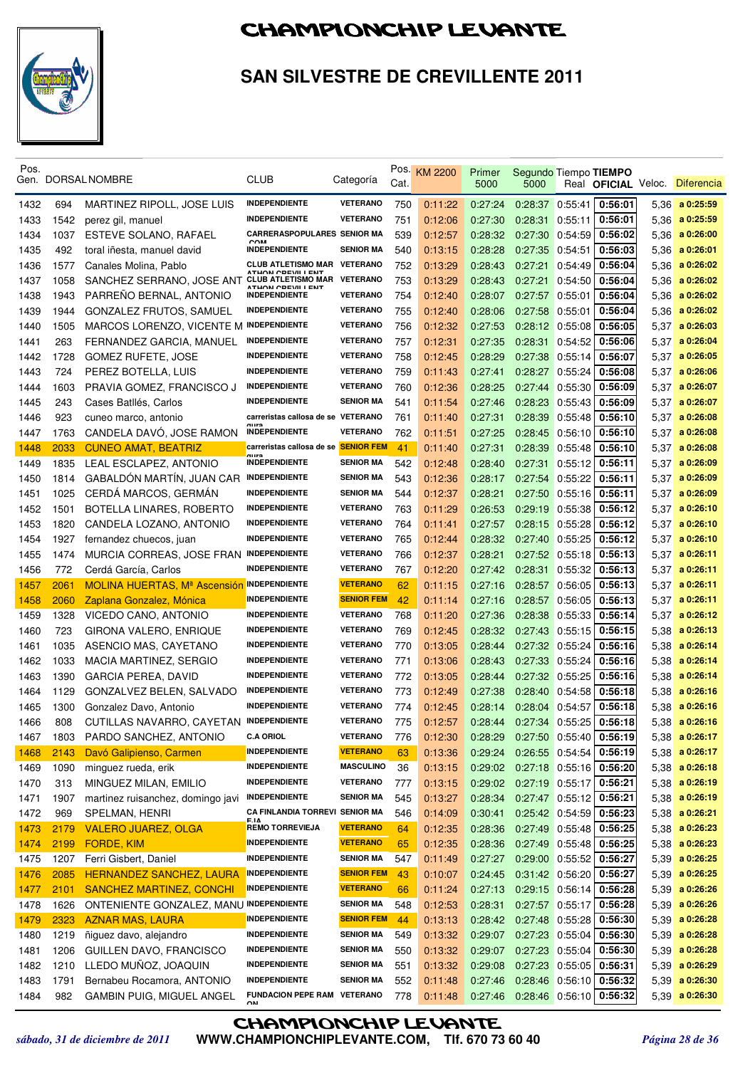

| Pos.<br>Gen. |              | <b>DORSALNOMBRE</b>                               | <b>CLUB</b>                                           | Categoría                          | Cat.     | Pos. KM 2200       | Primer<br>5000     | Segundo Tiempo TIEMPO<br>5000      |         | Real <b>OFICIAL</b> Veloc. |              | Diferencia             |
|--------------|--------------|---------------------------------------------------|-------------------------------------------------------|------------------------------------|----------|--------------------|--------------------|------------------------------------|---------|----------------------------|--------------|------------------------|
| 1432         | 694          | MARTINEZ RIPOLL, JOSE LUIS                        | <b>INDEPENDIENTE</b>                                  | <b>VETERANO</b>                    | 750      | 0:11:22            | 0:27:24            | 0:28:37 0:55:41                    |         | 0:56:01                    |              | 5,36 a 0:25:59         |
| 1433         | 1542         | perez gil, manuel                                 | <b>INDEPENDIENTE</b>                                  | VETERANO                           | 751      | 0:12:06            | 0:27:30            | 0:28:31                            | 0:55:11 | 0:56:01                    | 5.36         | a 0:25:59              |
| 1434         | 1037         | ESTEVE SOLANO, RAFAEL                             | CARRERASPOPULARES SENIOR MA<br>COM                    |                                    | 539      | 0:12:57            | 0:28:32            | 0:27:30                            | 0:54:59 | 0:56:02                    | 5,36         | a 0:26:00              |
| 1435         | 492          | toral iñesta, manuel david                        | <b>INDEPENDIENTE</b>                                  | <b>SENIOR MA</b>                   | 540      | 0:13:15            | 0:28:28            | 0:27:35                            | 0:54:51 | 0:56:03                    | 5,36         | a 0:26:01              |
| 1436         | 1577         | Canales Molina, Pablo                             | <b>CLUB ATLETISMO MAR</b><br>ATHON COEWI I ENT        | <b>VETERANO</b>                    | 752      | 0:13:29            | 0:28:43            | 0:27:21                            | 0:54:49 | 0:56:04                    | 5,36         | a 0:26:02              |
| 1437         | 1058         | SANCHEZ SERRANO, JOSE ANT                         | <b>CLUB ATLETISMO MAR</b><br><b>ATHON CDEVILL ENT</b> | <b>VETERANO</b>                    | 753      | 0:13:29            | 0:28:43            | 0:27:21                            | 0:54:50 | 0:56:04                    | 5,36         | a 0:26:02              |
| 1438         | 1943         | PARREÑO BERNAL, ANTONIO                           | <b>INDEPENDIENTE</b>                                  | VETERANO                           | 754      | 0:12:40            | 0:28:07            | 0:27:57                            | 0:55:01 | 0:56:04                    | 5,36         | a 0:26:02              |
| 1439         | 1944         | <b>GONZALEZ FRUTOS, SAMUEL</b>                    | <b>INDEPENDIENTE</b>                                  | <b>VETERANO</b>                    | 755      | 0:12:40            | 0:28:06            | 0:27:58                            | 0:55:01 | 0:56:04                    | 5,36         | a 0:26:02              |
| 1440         | 1505         | MARCOS LORENZO, VICENTE M                         | <b>INDEPENDIENTE</b>                                  | VETERANO                           | 756      | 0:12:32            | 0:27:53            | 0:28:12 0:55:08                    |         | 0:56:05                    | 5,37         | a 0:26:03              |
| 1441         | 263          | FERNANDEZ GARCIA, MANUEL                          | <b>INDEPENDIENTE</b>                                  | VETERANO                           | 757      | 0:12:31            | 0:27:35            | 0:28:31                            | 0:54:52 | 0:56:06                    | 5,37         | a 0:26:04              |
| 1442         | 1728         | <b>GOMEZ RUFETE, JOSE</b>                         | <b>INDEPENDIENTE</b>                                  | VETERANO                           | 758      | 0:12:45            | 0:28:29            | 0:27:38                            | 0:55:14 | 0:56:07                    | 5,37         | a 0:26:05              |
| 1443         | 724          | PEREZ BOTELLA, LUIS                               | <b>INDEPENDIENTE</b>                                  | VETERANO                           | 759      | 0:11:43            | 0:27:41            | 0:28:27                            | 0:55:24 | 0:56:08                    | 5,37         | a 0:26:06              |
| 1444         | 1603         | PRAVIA GOMEZ, FRANCISCO J                         | <b>INDEPENDIENTE</b>                                  | VETERANO                           | 760      | 0:12:36            | 0:28:25            | 0:27:44                            | 0:55:30 | 0:56:09                    | 5,37         | a 0:26:07              |
| 1445         | 243          | Cases Batllés, Carlos                             | <b>INDEPENDIENTE</b>                                  | <b>SENIOR MA</b>                   | 541      | 0:11:54            | 0:27:46            | 0:28:23                            | 0:55:43 | 0:56:09                    | 5,37         | a 0:26:07              |
| 1446         | 923          | cuneo marco, antonio                              | carreristas callosa de se VETERANO<br>aura            |                                    | 761      | 0:11:40            | 0:27:31            | 0:28:39                            | 0:55:48 | 0:56:10                    | 5,37         | a 0:26:08              |
| 1447         | 1763         | CANDELA DAVO, JOSE RAMON                          | <b>INDEPENDIENTE</b>                                  | VETERANO                           | 762      | 0:11:51            | 0:27:25            | 0:28:45                            | 0:56:10 | 0:56:10                    | 5,37         | a 0:26:08              |
| 1448         | 2033         | <b>CUNEO AMAT, BEATRIZ</b>                        | carreristas callosa de se<br>aura                     | <b>SENIOR FEM</b>                  | 41       | 0:11:40            | 0:27:31            | 0:28:39                            | 0:55:48 | 0:56:10                    | 5,37         | a 0:26:08              |
| 1449         | 1835         | LEAL ESCLAPEZ, ANTONIO                            | <b>INDEPENDIENTE</b>                                  | <b>SENIOR MA</b>                   | 542      | 0:12:48            | 0:28:40            | 0:27:31                            | 0:55:12 | 0:56:11                    | 5,37         | a 0:26:09              |
| 1450         | 1814         | GABALDÓN MARTÍN, JUAN CAR                         | <b>INDEPENDIENTE</b>                                  | <b>SENIOR MA</b>                   | 543      | 0:12:36            | 0:28:17            | 0:27:54                            | 0:55:22 | 0:56:11                    | 5,37         | a 0:26:09              |
| 1451         | 1025         | CERDÁ MARCOS, GERMÁN                              | <b>INDEPENDIENTE</b>                                  | <b>SENIOR MA</b>                   | 544      | 0:12:37            | 0:28:21            | 0:27:50                            | 0:55:16 | 0:56:11                    | 5,37         | a 0:26:09              |
| 1452         | 1501         | BOTELLA LINARES, ROBERTO                          | <b>INDEPENDIENTE</b>                                  | VETERANO                           | 763      | 0:11:29            | 0:26:53            | 0:29:19                            | 0:55:38 | 0:56:12                    | 5,37         | a 0:26:10              |
| 1453         | 1820         | CANDELA LOZANO, ANTONIO                           | <b>INDEPENDIENTE</b>                                  | VETERANO                           | 764      | 0:11:41            | 0:27:57            | 0:28:15                            | 0:55:28 | 0:56:12                    | 5,37         | a 0:26:10              |
| 1454         | 1927         | fernandez chuecos, juan                           | <b>INDEPENDIENTE</b>                                  | VETERANO                           | 765      | 0:12:44            | 0:28:32            | 0:27:40                            | 0:55:25 | 0:56:12                    | 5,37         | a 0:26:10              |
| 1455         | 1474         | MURCIA CORREAS, JOSE FRAN                         | <b>INDEPENDIENTE</b>                                  | VETERANO                           | 766      | 0:12:37            | 0:28:21            | 0:27:52                            | 0.55:18 | 0:56:13                    | 5,37         | a 0:26:11              |
| 1456         | 772          | Cerdá García, Carlos                              | <b>INDEPENDIENTE</b>                                  | VETERANO                           | 767      | 0:12:20            | 0:27:42            | 0:28:31                            | 0:55:32 | 0:56:13                    | 5,37         | a 0:26:11              |
| 1457         | 2061         | MOLINA HUERTAS, Mª Ascensión                      | <b>INDEPENDIENTE</b>                                  | <b>VETERANO</b>                    | 62       | 0:11:15            | 0:27:16            | 0:28:57                            | 0:56:05 | 0:56:13                    | 5,37         | a 0:26:11              |
| 1458         | 2060         | Zaplana Gonzalez, Mónica                          | <b>INDEPENDIENTE</b>                                  | <b>SENIOR FEM</b>                  | 42       | 0:11:14            | 0:27:16            | 0:28:57                            | 0:56:05 | 0:56:13                    | 5,37         | a 0:26:11              |
| 1459         | 1328         | VICEDO CANO, ANTONIO                              | <b>INDEPENDIENTE</b>                                  | VETERANO                           | 768      | 0:11:20            | 0:27:36            | 0:28:38                            | 0:55:33 | 0:56:14                    | 5,37         | a 0:26:12              |
| 1460         | 723          | GIRONA VALERO, ENRIQUE                            | <b>INDEPENDIENTE</b>                                  | VETERANO                           | 769      | 0:12:45            | 0:28:32            | 0:27:43                            | 0:55:15 | 0:56:15                    | 5,38         | a 0:26:13              |
| 1461         | 1035         | ASENCIO MAS, CAYETANO                             | <b>INDEPENDIENTE</b>                                  | VETERANO                           | 770      | 0:13:05            | 0:28:44            | 0:27:32                            | 0:55:24 | 0:56:16                    | 5,38         | a 0:26:14              |
| 1462         | 1033         | MACIA MARTINEZ, SERGIO                            | <b>INDEPENDIENTE</b>                                  | VETERANO                           | 771      | 0:13:06            | 0:28:43            | 0:27:33                            | 0:55:24 | 0:56:16                    | 5,38         | a 0:26:14              |
| 1463         | 1390         | GARCIA PEREA, DAVID                               | <b>INDEPENDIENTE</b>                                  | VETERANO                           | 772      | 0:13:05            | 0:28:44            | 0:27:32                            | 0:55:25 | 0:56:16                    | 5,38         | a 0:26:14              |
| 1464         | 1129         | GONZALVEZ BELEN, SALVADO                          | <b>INDEPENDIENTE</b>                                  | VETERANO                           | 773      | 0:12:49            | 0:27:38            | 0:28:40                            | 0:54:58 | 0:56:18                    | 5,38         | a 0:26:16              |
| 1465         | 1300         | Gonzalez Davo, Antonio                            | <b>INDEPENDIENTE</b><br><b>INDEPENDIENTE</b>          | VETERANO                           | 774      | 0:12:45            | 0:28:14            | 0:28:04                            | 0:54:57 | 0:56:18                    | 5,38         | a 0:26:16              |
| 1466         | 808          | CUTILLAS NAVARRO, CAYETAN                         | <b>C.A ORIOL</b>                                      | <b>VETERANO</b><br><b>VETERANO</b> | 775      | 0:12:57            | 0:28:44            | 0:27:34                            | 0:55:25 | 0:56:18                    |              | $5,38$ a 0:26:16       |
| 1467         | 1803         | PARDO SANCHEZ, ANTONIO<br>Davó Galipienso, Carmen | <b>INDEPENDIENTE</b>                                  | <b>VETERANO</b>                    | 776      | 0:12:30            | 0:28:29            | 0:27:50 0:55:40                    |         | 0:56:19<br>0:56:19         | 5,38         | a 0:26:17<br>a 0:26:17 |
| 1468         | 2143<br>1090 |                                                   | <b>INDEPENDIENTE</b>                                  | <b>MASCULINO</b>                   | 63<br>36 | 0:13:36            | 0:29:24            | 0:26:55 0:54:54                    |         | 0:56:20                    | 5,38         | a 0:26:18              |
| 1469<br>1470 | 313          | minguez rueda, erik<br>MINGUEZ MILAN, EMILIO      | <b>INDEPENDIENTE</b>                                  | VETERANO                           | 777      | 0:13:15<br>0:13:15 | 0:29:02<br>0:29:02 | 0:27:18 0:55:16<br>0:27:19 0:55:17 |         | 0:56:21                    | 5,38<br>5,38 | a 0:26:19              |
| 1471         | 1907         | martinez ruisanchez, domingo javi                 | <b>INDEPENDIENTE</b>                                  | <b>SENIOR MA</b>                   | 545      | 0:13:27            | 0:28:34            | 0:27:47 0:55:12                    |         | 0:56:21                    | 5,38         | a 0:26:19              |
| 1472         | 969          | SPELMAN, HENRI                                    | CA FINLANDIA TORREVI SENIOR MA                        |                                    | 546      | 0:14:09            | 0:30:41            | 0:25:42 0:54:59                    |         | 0:56:23                    | 5,38         | a 0:26:21              |
| 1473         | 2179         | <b>VALERO JUAREZ, OLGA</b>                        | ᄃᅠᅠ<br><b>REMO TORREVIEJA</b>                         | <b>VETERANO</b>                    | 64       | 0:12:35            | 0:28:36            | 0:27:49 0:55:48                    |         | 0:56:25                    | 5,38         | a 0:26:23              |
| 1474         | 2199         | <b>FORDE, KIM</b>                                 | <b>INDEPENDIENTE</b>                                  | <b>VETERANO</b>                    | 65       | 0:12:35            | 0:28:36            | 0:27:49 0:55:48                    |         | 0:56:25                    | 5,38         | a 0:26:23              |
| 1475         | 1207         | Ferri Gisbert, Daniel                             | <b>INDEPENDIENTE</b>                                  | <b>SENIOR MA</b>                   | 547      | 0:11:49            | 0:27:27            | 0:29:00 0:55:52                    |         | 0:56:27                    | 5,39         | a 0:26:25              |
| 1476         | 2085         | <b>HERNANDEZ SANCHEZ, LAURA</b>                   | <b>INDEPENDIENTE</b>                                  | <b>SENIOR FEM</b>                  | 43       | 0:10:07            | 0:24:45            | 0:31:42 0:56:20                    |         | 0:56:27                    | 5,39         | a 0:26:25              |
| 1477         | 2101         | <b>SANCHEZ MARTINEZ, CONCHI</b>                   | <b>INDEPENDIENTE</b>                                  | <b>VETERANO</b>                    | 66       | 0:11:24            | 0:27:13            | 0:29:15 0:56:14                    |         | 0:56:28                    | 5,39         | a 0:26:26              |
| 1478         | 1626         | ONTENIENTE GONZALEZ, MANU                         | <b>INDEPENDIENTE</b>                                  | <b>SENIOR MA</b>                   | 548      | 0:12:53            | 0:28:31            | 0:27:57 0:55:17                    |         | 0:56:28                    | 5,39         | a 0:26:26              |
| 1479         | 2323         | <b>AZNAR MAS, LAURA</b>                           | <b>INDEPENDIENTE</b>                                  | <b>SENIOR FEM</b>                  | 44       | 0:13:13            | 0:28:42            | 0:27:48                            | 0:55:28 | 0:56:30                    | 5,39         | a 0:26:28              |
| 1480         | 1219         | ñiguez davo, alejandro                            | <b>INDEPENDIENTE</b>                                  | <b>SENIOR MA</b>                   | 549      | 0:13:32            | 0:29:07            | 0:27:23 0:55:04                    |         | 0:56:30                    | 5,39         | a 0:26:28              |
| 1481         | 1206         | GUILLEN DAVO, FRANCISCO                           | <b>INDEPENDIENTE</b>                                  | <b>SENIOR MA</b>                   | 550      | 0:13:32            | 0:29:07            | 0:27:23                            | 0:55:04 | 0:56:30                    | 5,39         | a 0:26:28              |
| 1482         | 1210         | LLEDO MUÑOZ, JOAQUIN                              | <b>INDEPENDIENTE</b>                                  | <b>SENIOR MA</b>                   | 551      | 0:13:32            | 0:29:08            | 0:27:23                            | 0:55:05 | 0:56:31                    | 5,39         | a 0:26:29              |
| 1483         | 1791         | Bernabeu Rocamora, ANTONIO                        | <b>INDEPENDIENTE</b>                                  | <b>SENIOR MA</b>                   | 552      | 0:11:48            | 0:27:46            | 0:28:46 0:56:10                    |         | 0:56:32                    | 5,39         | a 0:26:30              |
| 1484         | 982          | GAMBIN PUIG, MIGUEL ANGEL                         | <b>FUNDACION PEPE RAM</b>                             | <b>VETERANO</b>                    | 778      | 0:11:48            | 0:27:46            | 0:28:46 0:56:10                    |         | 0:56:32                    | 5,39         | a 0:26:30              |
|              |              |                                                   |                                                       |                                    |          |                    |                    |                                    |         |                            |              |                        |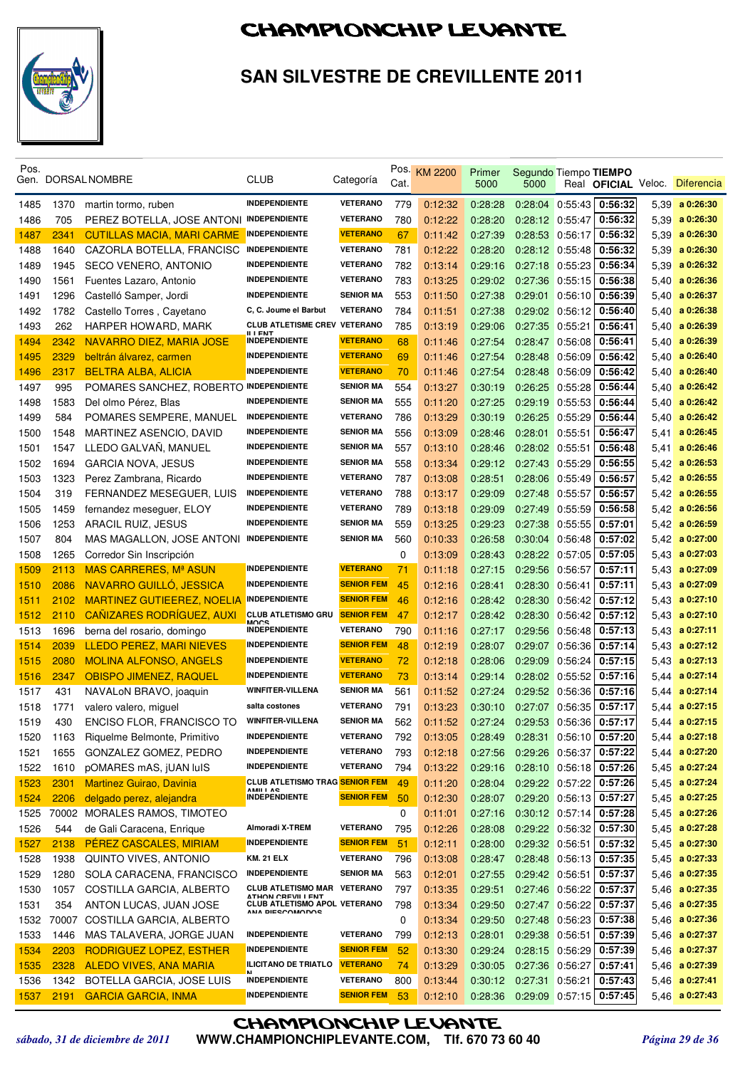

| Pos.<br>Gen. |       | <b>DORSAL NOMBRE</b>                     | <b>CLUB</b>                                             | Categoría         | Cat. | Pos. KM 2200 | Primer<br>5000 | Segundo Tiempo TIEMPO<br>5000 |         | Real <b>OFICIAL</b> Veloc. |      | Diferencia       |
|--------------|-------|------------------------------------------|---------------------------------------------------------|-------------------|------|--------------|----------------|-------------------------------|---------|----------------------------|------|------------------|
| 1485         | 1370  | martin tormo, ruben                      | <b>INDEPENDIENTE</b>                                    | <b>VETERANO</b>   | 779  | 0:12:32      | 0:28:28        | 0:28:04 0:55:43               |         | 0:56:32                    |      | 5,39 a 0:26:30   |
| 1486         | 705   | PEREZ BOTELLA, JOSE ANTONI INDEPENDIENTE |                                                         | VETERANO          | 780  | 0:12:22      | 0:28:20        | 0:28:12 0:55:47               |         | 0:56:32                    | 5,39 | a 0:26:30        |
| 1487         | 2341  | <b>CUTILLAS MACIA, MARI CARME</b>        | INDEPENDIENTE                                           | <b>VETERANO</b>   | 67   | 0:11:42      | 0:27:39        | 0:28:53 0:56:17               |         | 0:56:32                    | 5,39 | a 0:26:30        |
| 1488         | 1640  | CAZORLA BOTELLA, FRANCISC                | <b>INDEPENDIENTE</b>                                    | VETERANO          | 781  | 0:12:22      | 0:28:20        | 0:28:12 0:55:48               |         | 0:56:32                    | 5,39 | a 0:26:30        |
| 1489         | 1945  | SECO VENERO, ANTONIO                     | <b>INDEPENDIENTE</b>                                    | VETERANO          | 782  | 0:13:14      | 0:29:16        | 0:27:18 0:55:23               |         | 0:56:34                    | 5,39 | a 0:26:32        |
| 1490         | 1561  | Fuentes Lazaro, Antonio                  | <b>INDEPENDIENTE</b>                                    | VETERANO          | 783  | 0:13:25      | 0:29:02        | 0:27:36 0:55:15               |         | 0:56:38                    | 5,40 | a 0:26:36        |
| 1491         | 1296  | Castelló Samper, Jordi                   | <b>INDEPENDIENTE</b>                                    | <b>SENIOR MA</b>  | 553  | 0:11:50      | 0:27:38        | 0:29:01                       | 0:56:10 | 0:56:39                    | 5,40 | a 0:26:37        |
| 1492         | 1782  | Castello Torres, Cayetano                | C, C. Joume el Barbut                                   | VETERANO          | 784  | 0:11:51      | 0:27:38        | 0:29:02 0:56:12               |         | 0:56:40                    | 5,40 | a 0:26:38        |
| 1493         | 262   | HARPER HOWARD, MARK                      | CLUB ATLETISME CREV VETERANO<br>$II$ LENT               |                   | 785  | 0:13:19      | 0:29:06        | 0:27:35 0:55:21               |         | 0:56:41                    | 5,40 | a 0:26:39        |
| 1494         | 2342  | <u>NAVARRO DIEZ, MARIA JOSE</u>          | <b>INDEPENDIENTE</b>                                    | <b>VETERANO</b>   | 68   | 0:11:46      | 0:27:54        | 0:28:47 0:56:08               |         | 0:56:41                    | 5,40 | a 0:26:39        |
| 1495         | 2329  | beltrán álvarez, carmen                  | <b>INDEPENDIENTE</b>                                    | <b>VETERANO</b>   | 69   | 0:11:46      | 0:27:54        | 0:28:48                       | 0:56:09 | 0:56:42                    | 5,40 | a 0:26:40        |
| 1496         | 2317  | <b>BELTRA ALBA, ALICIA</b>               | <b>INDEPENDIENTE</b>                                    | <b>VETERANO</b>   | 70   | 0:11:46      | 0:27:54        | 0:28:48                       | 0:56:09 | 0:56:42                    | 5,40 | a 0:26:40        |
| 1497         | 995   | POMARES SANCHEZ, ROBERTO INDEPENDIENTE   |                                                         | <b>SENIOR MA</b>  | 554  | 0:13:27      | 0:30:19        | 0:26:25 0:55:28               |         | 0:56:44                    | 5,40 | a 0:26:42        |
| 1498         | 1583  | Del olmo Pérez, Blas                     | <b>INDEPENDIENTE</b>                                    | <b>SENIOR MA</b>  | 555  | 0:11:20      | 0:27:25        | 0:29:19 0:55:53               |         | 0:56:44                    | 5,40 | a 0:26:42        |
| 1499         | 584   | POMARES SEMPERE, MANUEL                  | <b>INDEPENDIENTE</b>                                    | VETERANO          | 786  | 0:13:29      | 0:30:19        | 0:26:25 0:55:29               |         | 0:56:44                    | 5,40 | a 0:26:42        |
| 1500         | 1548  | MARTINEZ ASENCIO, DAVID                  | <b>INDEPENDIENTE</b>                                    | <b>SENIOR MA</b>  | 556  | 0:13:09      | 0:28:46        | 0:28:01                       | 0:55:51 | 0:56:47                    | 5.41 | a 0:26:45        |
| 1501         | 1547  | LLEDO GALVAÑ, MANUEL                     | <b>INDEPENDIENTE</b>                                    | <b>SENIOR MA</b>  | 557  | 0:13:10      | 0:28:46        | 0:28:02 0:55:51               |         | 0:56:48                    | 5,41 | a 0:26:46        |
| 1502         | 1694  | <b>GARCIA NOVA, JESUS</b>                | <b>INDEPENDIENTE</b>                                    | <b>SENIOR MA</b>  | 558  | 0:13:34      | 0:29:12        | 0:27:43 0:55:29               |         | 0:56:55                    |      | 5,42 a 0:26:53   |
| 1503         | 1323  | Perez Zambrana, Ricardo                  | <b>INDEPENDIENTE</b>                                    | VETERANO          | 787  | 0:13:08      | 0:28:51        | 0:28:06 0:55:49               |         | 0:56:57                    |      | $5,42$ a 0:26:55 |
| 1504         | 319   | FERNANDEZ MESEGUER, LUIS                 | <b>INDEPENDIENTE</b>                                    | VETERANO          | 788  | 0:13:17      | 0:29:09        | 0:27:48                       | 0.55:57 | 0:56:57                    |      | 5.42 a 0:26:55   |
| 1505         | 1459  | fernandez meseguer, ELOY                 | <b>INDEPENDIENTE</b>                                    | VETERANO          | 789  | 0:13:18      | 0:29:09        | 0:27:49                       | 0:55:59 | 0:56:58                    |      | 5,42 a 0:26:56   |
| 1506         | 1253  | ARACIL RUIZ, JESUS                       | <b>INDEPENDIENTE</b>                                    | <b>SENIOR MA</b>  | 559  | 0:13:25      | 0:29:23        | 0:27:38                       | 0:55:55 | 0:57:01                    |      | 5.42 a 0:26:59   |
| 1507         | 804   | MAS MAGALLON, JOSE ANTONI                | <b>INDEPENDIENTE</b>                                    | <b>SENIOR MA</b>  | 560  | 0:10:33      | 0:26:58        | 0:30:04 0:56:48               |         | 0:57:02                    |      | 5,42 a 0:27:00   |
| 1508         | 1265  | Corredor Sin Inscripción                 |                                                         |                   | 0    | 0:13:09      | 0:28:43        | 0:28:22 0:57:05               |         | 0:57:05                    |      | 5,43 a 0:27:03   |
| 1509         | 2113  | <b>MAS CARRERES, Mª ASUN</b>             | <b>INDEPENDIENTE</b>                                    | <b>VETERANO</b>   | 71   | 0:11:18      | 0:27:15        | 0:29:56 0:56:57               |         | 0:57:11                    | 5,43 | a 0:27:09        |
| 1510         | 2086  | NAVARRO GUILLO, JESSICA                  | <b>INDEPENDIENTE</b>                                    | <b>SENIOR FEM</b> | 45   | 0:12:16      | 0:28:41        | 0:28:30 0:56:41               |         | 0:57:11                    | 5,43 | a 0:27:09        |
| 1511         | 2102  | <b>MARTINEZ GUTIEEREZ, NOELIA</b>        | <b>INDEPENDIENTE</b>                                    | <b>SENIOR FEM</b> | 46   | 0:12:16      | 0:28:42        | 0:28:30 0:56:42               |         | 0:57:12                    | 5,43 | a 0:27:10        |
| 1512         | 2110  | <b>CAÑIZARES RODRÍGUEZ, AUXI</b>         | <b>CLUB ATLETISMO GRU</b><br><b>MOCS</b>                | <b>SENIOR FEM</b> | 47   | 0:12:17      | 0:28:42        | 0:28:30 0:56:42               |         | 0:57:12                    | 5,43 | a 0:27:10        |
| 1513         | 1696  | berna del rosario, domingo               | <b>INDEPENDIENTE</b>                                    | VETERANO          | 790  | 0:11:16      | 0:27:17        | 0:29:56                       | 0:56:48 | 0:57:13                    | 5,43 | a 0:27:11        |
| 1514         | 2039  | <b>LLEDO PEREZ, MARI NIEVES</b>          | <b>INDEPENDIENTE</b>                                    | <b>SENIOR FEM</b> | 48   | 0:12:19      | 0:28:07        | 0:29:07 0:56:36               |         | 0:57:14                    | 5.43 | a 0:27:12        |
| 1515         | 2080  | <b>MOLINA ALFONSO, ANGELS</b>            | <b>INDEPENDIENTE</b>                                    | <b>VETERANO</b>   | 72   | 0:12:18      | 0:28:06        | 0:29:09                       | 0:56:24 | 0:57:15                    | 5,43 | a 0:27:13        |
| 1516         | 2347  | <b>OBISPO JIMENEZ, RAQUEL</b>            | <b>INDEPENDIENTE</b>                                    | <b>VETERANO</b>   | 73   | 0:13:14      | 0:29:14        | 0:28:02 0:55:52               |         | 0:57:16                    |      | 5,44 a 0:27:14   |
| 1517         | 431   | NAVALON BRAVO, joaquin                   | <b>WINFITER-VILLENA</b>                                 | <b>SENIOR MA</b>  | 561  | 0:11:52      | 0:27:24        | 0:29:52 0:56:36               |         | 0:57:16                    |      | 5,44 a 0:27:14   |
| 1518         | 1771  | valero valero, miguel                    | salta costones                                          | <b>VETERANO</b>   | 791  | 0:13:23      | 0:30:10        | 0:27:07 0:56:35               |         | 0:57:17                    |      | $5.44$ a 0:27:15 |
| 1519         | 430   | ENCISO FLOR, FRANCISCO TO                | <b>WINFITER-VILLENA</b>                                 | <b>SENIOR MA</b>  | 562  | 0:11:52      | 0:27:24        | 0:29:53 0:56:36               |         | 0:57:17                    |      | $5.44$ a 0:27:15 |
| 1520         | 1163  | Riquelme Belmonte, Primitivo             | <b>INDEPENDIENTE</b>                                    | VETERANO          | 792  | 0:13:05      | 0:28:49        | 0:28:31 0:56:10               |         | 0:57:20                    |      | 5,44 a 0:27:18   |
| 1521         | 1655  | GONZALEZ GOMEZ, PEDRO                    | <b>INDEPENDIENTE</b>                                    | VETERANO          | 793  | 0:12:18      | 0:27:56        | 0:29:26 0:56:37               |         | 0:57:22                    |      | 5,44 a 0:27:20   |
| 1522         | 1610  | pOMARES mAS, jUAN luIS                   | <b>INDEPENDIENTE</b>                                    | VETERANO          | 794  | 0:13:22      | 0:29:16        | 0:28:10 0:56:18               |         | 0:57:26                    | 5,45 | a 0:27:24        |
| 1523         | 2301  | <b>Martinez Guirao, Davinia</b>          | <b>CLUB ATLETISMO TRAG SENIOR FEM</b><br><b>AMILIAC</b> |                   | 49   | 0:11:20      | 0:28:04        | 0:29:22 0:57:22               |         | 0:57:26                    | 5,45 | a 0:27:24        |
| 1524         | 2206  | delgado perez, alejandra                 | INDEPENDIENTE                                           | <b>SENIOR FEM</b> | 50   | 0:12:30      | 0:28:07        | 0:29:20 0:56:13               |         | 0:57:27                    | 5,45 | a 0:27:25        |
| 1525         |       | 70002 MORALES RAMOS, TIMOTEO             |                                                         |                   | 0    | 0:11:01      | 0:27:16        | 0:30:12 0:57:14               |         | 0:57:28                    | 5,45 | a 0:27:26        |
| 1526         | 544   | de Gali Caracena, Enrique                | Almoradi X-TREM                                         | VETERANO          | 795  | 0:12:26      | 0:28:08        | 0:29:22 0:56:32               |         | 0:57:30                    | 5,45 | a 0:27:28        |
| 1527         | 2138  | PEREZ CASCALES, MIRIAM                   | INDEPENDIENTE                                           | <b>SENIOR FEM</b> | 51   | 0:12:11      | 0:28:00        | 0:29:32 0:56:51               |         | 0:57:32                    | 5,45 | a 0:27:30        |
| 1528         | 1938  | QUINTO VIVES, ANTONIO                    | <b>KM. 21 ELX</b>                                       | VETERANO          | 796  | 0:13:08      | 0:28:47        | 0:28:48 0:56:13               |         | 0:57:35                    | 5,45 | a 0:27:33        |
| 1529         | 1280  | SOLA CARACENA, FRANCISCO                 | <b>INDEPENDIENTE</b>                                    | SENIOR MA         | 563  | 0:12:01      | 0:27:55        | 0:29:42 0:56:51               |         | 0:57:37                    | 5,46 | a 0:27:35        |
| 1530         | 1057  | COSTILLA GARCIA, ALBERTO                 | CLUB ATLETISMO MAR VETERANO<br>ATHON ODEVILL ENT        |                   | 797  | 0:13:35      | 0:29:51        | 0:27:46 0:56:22               |         | 0:57:37                    |      | 5,46 a 0:27:35   |
| 1531         | 354   | ANTON LUCAS, JUAN JOSE                   | <b>CLUB ATLETISMO APOL VETERANO</b><br>ANA DIECOOMODOC  |                   | 798  | 0:13:34      | 0:29:50        | 0:27:47 0:56:22               |         | 0:57:37                    |      | 5,46 a 0:27:35   |
| 1532         | 70007 | COSTILLA GARCIA, ALBERTO                 |                                                         |                   | 0    | 0:13:34      | 0:29:50        | 0:27:48 0:56:23               |         | 0:57:38                    |      | 5,46 a 0:27:36   |
| 1533         | 1446  | MAS TALAVERA, JORGE JUAN                 | <b>INDEPENDIENTE</b><br><b>INDEPENDIENTE</b>            | VETERANO          | 799  | 0:12:13      | 0:28:01        | 0:29:38 0:56:51               |         | 0:57:39                    |      | 5,46 a 0:27:37   |
| 1534         | 2203  | RODRIGUEZ LOPEZ, ESTHER                  |                                                         | <b>SENIOR FEM</b> | 52   | 0:13:30      | 0:29:24        | 0:28:15 0:56:29               |         | 0:57:39                    |      | 5,46 a 0:27:37   |
| 1535         | 2328  | <b>ALEDO VIVES, ANA MARIA</b>            | <b>ILICITANO DE TRIATLO</b>                             | <b>VETERANO</b>   | 74   | 0:13:29      | 0:30:05        | 0:27:36 0:56:27               |         | 0:57:41                    |      | 5,46 a 0:27:39   |
| 1536         | 1342  | BOTELLA GARCIA, JOSE LUIS                | <b>INDEPENDIENTE</b>                                    | VETERANO          | 800  | 0:13:44      | 0:30:12        | 0:27:31                       | 0:56:21 | 0:57:43                    |      | 5,46 a 0:27:41   |
| 1537         | 2191  | <b>GARCIA GARCIA, INMA</b>               | INDEPENDIENTE                                           | <b>SENIOR FEM</b> | 53   | 0:12:10      | 0:28:36        | 0:29:09 0:57:15               |         | 0:57:45                    |      | 5,46 a 0:27:43   |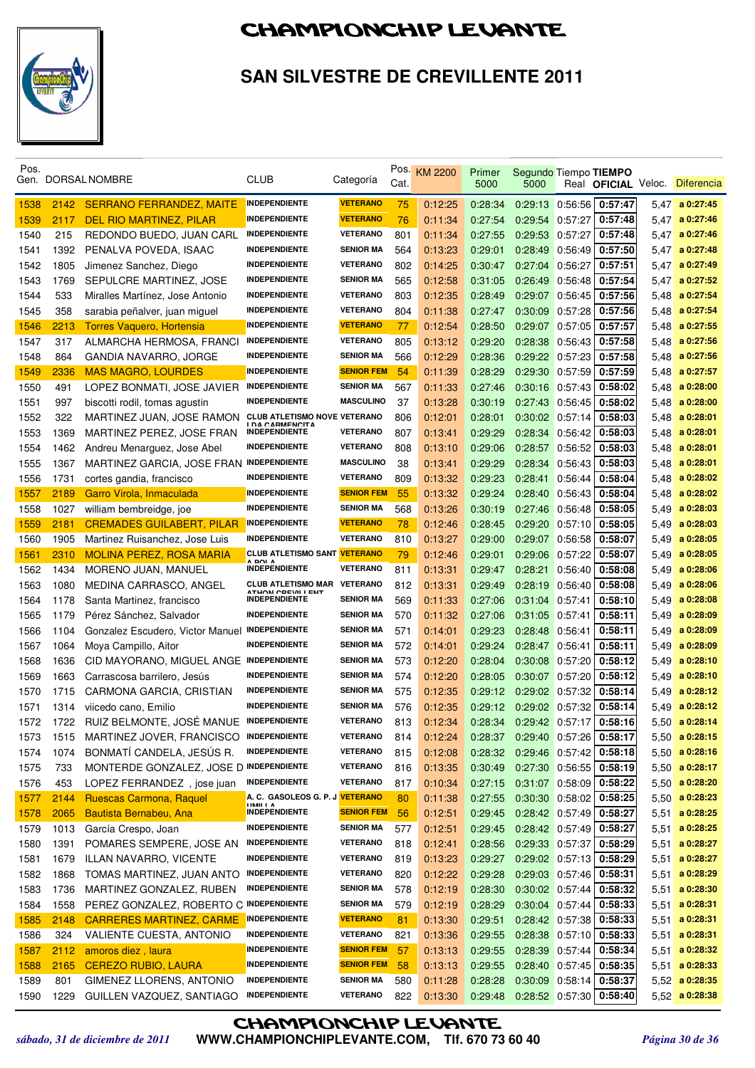

| Pos.<br>Gen. |              | <b>DORSAL NOMBRE</b>                                       | <b>CLUB</b>                                    | Categoría                             | Cat.      | Pos. KM 2200       | Primer<br>5000     | Segundo Tiempo TIEMPO<br>5000      |                    | Real <b>OFICIAL</b> Veloc. |              | Diferencia             |
|--------------|--------------|------------------------------------------------------------|------------------------------------------------|---------------------------------------|-----------|--------------------|--------------------|------------------------------------|--------------------|----------------------------|--------------|------------------------|
| 1538         | 2142         | <b>SERRANO FERRANDEZ, MAITE</b>                            | <b>INDEPENDIENTE</b>                           | <b>VETERANO</b>                       | 75        | 0:12:25            | 0:28:34            | 0:29:13 0:56:56                    |                    | 0:57:47                    |              | 5,47 a 0:27:45         |
| 1539         | 2117         | <b>DEL RIO MARTINEZ, PILAR</b>                             | <b>INDEPENDIENTE</b>                           | <b>VETERANO</b>                       | 76        | 0:11:34            | 0:27:54            | 0:29:54                            | 0:57:27            | 0:57:48                    | 5,47         | a 0:27:46              |
| 1540         | 215          | REDONDO BUEDO, JUAN CARL                                   | <b>INDEPENDIENTE</b>                           | <b>VETERANO</b>                       | 801       | 0:11:34            | 0:27:55            | 0:29:53                            | 0:57:27            | 0:57:48                    | 5,47         | a 0:27:46              |
| 1541         | 1392         | PENALVA POVEDA, ISAAC                                      | <b>INDEPENDIENTE</b>                           | <b>SENIOR MA</b>                      | 564       | 0:13:23            | 0:29:01            | 0:28:49                            | 0:56:49            | 0:57:50                    | 5,47         | a 0:27:48              |
| 1542         | 1805         | Jimenez Sanchez, Diego                                     | <b>INDEPENDIENTE</b>                           | VETERANO                              | 802       | 0:14:25            | 0:30:47            | 0:27:04                            | 0:56:27            | 0:57:51                    | 5,47         | a 0:27:49              |
| 1543         | 1769         | SEPULCRE MARTINEZ, JOSE                                    | <b>INDEPENDIENTE</b>                           | <b>SENIOR MA</b>                      | 565       | 0:12:58            | 0:31:05            | 0:26:49                            | 0:56:48            | 0:57:54                    | 5,47         | a 0:27:52              |
| 1544         | 533          | Miralles Martínez, Jose Antonio                            | <b>INDEPENDIENTE</b>                           | <b>VETERANO</b>                       | 803       | 0:12:35            | 0:28:49            | 0:29:07                            | 0:56:45            | 0:57:56                    | 5,48         | a 0:27:54              |
| 1545         | 358          | sarabia peñalver, juan miguel                              | <b>INDEPENDIENTE</b>                           | VETERANO                              | 804       | 0:11:38            | 0:27:47            | 0:30:09                            | 0:57:28            | 0:57:56                    | 5,48         | a 0:27:54              |
| 1546         | 2213         | <b>Torres Vaguero, Hortensia</b>                           | <b>INDEPENDIENTE</b>                           | <b>VETERANO</b>                       | 77        | 0:12:54            | 0:28:50            | 0:29:07                            | 0:57:05            | 0:57:57                    | 5,48         | a 0:27:55              |
| 1547         | 317          | ALMARCHA HERMOSA, FRANCI                                   | <b>INDEPENDIENTE</b>                           | VETERANO                              | 805       | 0:13:12            | 0:29:20            | 0:28:38                            | 0:56:43            | 0:57:58                    | 5,48         | a 0:27:56              |
| 1548         | 864          | GANDIA NAVARRO, JORGE                                      | <b>INDEPENDIENTE</b>                           | <b>SENIOR MA</b><br><b>SENIOR FEM</b> | 566       | 0:12:29            | 0:28:36            | 0:29:22                            | 0:57:23            | 0:57:58                    | 5,48         | a 0:27:56              |
| 1549         | 2336         | <b>MAS MAGRO, LOURDES</b>                                  | <b>INDEPENDIENTE</b><br><b>INDEPENDIENTE</b>   | <b>SENIOR MA</b>                      | 54        | 0:11:39            | 0:28:29            | 0:29:30                            | 0:57:59            | 0:57:59                    | 5,48         | a 0:27:57              |
| 1550<br>1551 | 491          | LOPEZ BONMATI, JOSE JAVIER                                 | <b>INDEPENDIENTE</b>                           | <b>MASCULINO</b>                      | 567<br>37 | 0:11:33            | 0:27:46<br>0:30:19 | 0:30:16<br>0:27:43                 | 0:57:43            | 0:58:02<br>0:58:02         | 5,48         | a 0:28:00<br>a 0:28:00 |
| 1552         | 997<br>322   | biscotti rodil, tomas agustin<br>MARTINEZ JUAN, JOSE RAMON | <b>CLUB ATLETISMO NOVE VETERANO</b>            |                                       | 806       | 0:13:28<br>0:12:01 | 0:28:01            | 0:30:02                            | 0:56:45<br>0:57:14 | 0:58:03                    | 5,48<br>5,48 | a 0:28:01              |
| 1553         | 1369         | MARTINEZ PEREZ, JOSE FRAN                                  | I DA CADMENCITA<br><b>INDEPENDIENTE</b>        | VETERANO                              | 807       | 0:13:41            | 0:29:29            | 0:28:34                            | 0:56:42            | 0:58:03                    | 5,48         | a 0:28:01              |
| 1554         | 1462         | Andreu Menarguez, Jose Abel                                | <b>INDEPENDIENTE</b>                           | VETERANO                              | 808       | 0:13:10            | 0:29:06            | 0:28:57                            | 0:56:52            | 0:58:03                    | 5,48         | a 0:28:01              |
| 1555         | 1367         | MARTINEZ GARCIA, JOSE FRAN                                 | <b>INDEPENDIENTE</b>                           | <b>MASCULINO</b>                      | 38        | 0:13:41            | 0:29:29            | 0:28:34                            | 0:56:43            | 0:58:03                    | 5,48         | a 0:28:01              |
| 1556         | 1731         | cortes gandia, francisco                                   | <b>INDEPENDIENTE</b>                           | VETERANO                              | 809       | 0:13:32            | 0:29:23            | 0:28:41                            | 0:56:44            | 0:58:04                    | 5,48         | a 0:28:02              |
| 1557         | 2189         | Garro Virola, Inmaculada                                   | <b>INDEPENDIENTE</b>                           | <b>SENIOR FEM</b>                     | 55        | 0:13:32            | 0:29:24            | 0:28:40                            | 0:56:43            | 0:58:04                    | 5,48         | a 0:28:02              |
| 1558         | 1027         | william bembreidge, joe                                    | <b>INDEPENDIENTE</b>                           | <b>SENIOR MA</b>                      | 568       | 0:13:26            | 0:30:19            | 0:27:46                            | 0:56:48            | 0:58:05                    | 5,49         | a 0:28:03              |
| 1559         | 2181         | <b>CREMADES GUILABERT, PILAR</b>                           | <b>INDEPENDIENTE</b>                           | <b>VETERANO</b>                       | 78        | 0:12:46            | 0:28:45            | 0:29:20                            | 0:57:10            | 0:58:05                    | 5,49         | a 0:28:03              |
| 1560         | 1905         | Martinez Ruisanchez, Jose Luis                             | <b>INDEPENDIENTE</b>                           | VETERANO                              | 810       | 0:13:27            | 0:29:00            | 0:29:07                            | 0:56:58            | 0:58:07                    | 5,49         | a 0:28:05              |
| 1561         | 2310         | <b>MOLINA PEREZ, ROSA MARIA</b>                            | <b>CLUB ATLETISMO SANT VETERANO</b>            |                                       | 79        | 0:12:46            | 0:29:01            | 0:29:06                            | 0:57:22            | 0:58:07                    | 5,49         | a 0:28:05              |
| 1562         | 1434         | MORENO JUAN, MANUEL                                        | A DOI A<br><b>INDEPENDIENTE</b>                | VETERANO                              | 811       | 0:13:31            | 0:29:47            | 0:28:21                            | 0:56:40            | 0:58:08                    | 5,49         | a 0:28:06              |
| 1563         | 1080         | MEDINA CARRASCO, ANGEL                                     | <b>CLUB ATLETISMO MAR</b><br>ATHON CREVILL ENT | <b>VETERANO</b>                       | 812       | 0:13:31            | 0:29:49            | 0:28:19                            | 0:56:40            | 0:58:08                    | 5,49         | a 0:28:06              |
| 1564         | 1178         | Santa Martinez, francisco                                  | <b>INDEPENDIENTE</b>                           | <b>SENIOR MA</b>                      | 569       | 0:11:33            | 0:27:06            | 0:31:04                            | 0:57:41            | 0:58:10                    | 5,49         | a 0:28:08              |
| 1565         | 1179         | Pérez Sánchez, Salvador                                    | <b>INDEPENDIENTE</b>                           | <b>SENIOR MA</b>                      | 570       | 0:11:32            | 0:27:06            | 0:31:05                            | 0:57:41            | 0:58:11                    | 5,49         | a 0:28:09              |
| 1566         | 1104         | Gonzalez Escudero, Victor Manuel                           | <b>INDEPENDIENTE</b>                           | <b>SENIOR MA</b>                      | 571       | 0:14:01            | 0:29:23            | 0:28:48                            | 0:56:41            | 0:58:11                    | 5,49         | a 0:28:09              |
| 1567         | 1064         | Moya Campillo, Aitor                                       | <b>INDEPENDIENTE</b>                           | <b>SENIOR MA</b>                      | 572       | 0:14:01            | 0:29:24            | 0:28:47                            | 0:56:41            | 0:58:11                    | 5,49         | a 0:28:09              |
| 1568         | 1636         | CID MAYORANO, MIGUEL ANGE                                  | <b>INDEPENDIENTE</b>                           | <b>SENIOR MA</b>                      | 573       | 0:12:20            | 0:28:04            | 0:30:08                            | 0:57:20            | 0:58:12                    | 5,49         | a 0:28:10              |
| 1569         | 1663         | Carrascosa barrilero, Jesús                                | <b>INDEPENDIENTE</b>                           | <b>SENIOR MA</b>                      | 574       | 0:12:20            | 0:28:05            | 0:30:07                            | 0:57:20            | 0:58:12                    | 5,49         | a 0:28:10              |
| 1570         | 1715         | CARMONA GARCIA, CRISTIAN                                   | <b>INDEPENDIENTE</b>                           | <b>SENIOR MA</b>                      | 575       | 0:12:35            | 0:29:12            | 0:29:02                            | 0:57:32            | 0:58:14                    | 5,49         | a 0:28:12              |
| 1571         | 1314         | viicedo cano, Emilio                                       | <b>INDEPENDIENTE</b>                           | <b>SENIOR MA</b>                      | 576       | 0:12:35            | 0:29:12            | 0:29:02                            | 0:57:32            | 0:58:14                    | 5,49         | a 0:28:12              |
| 1572         | 1722         | RUIZ BELMONTE, JOSÉ MANUE                                  | <b>INDEPENDIENTE</b>                           | <b>VETERANO</b>                       | 813       | 0:12:34            | 0:28:34            | 0:29:42 0:57:17                    |                    | 0:58:16                    |              | 5,50 a 0:28:14         |
| 1573         | 1515         | MARTINEZ JOVER, FRANCISCO                                  | <b>INDEPENDIENTE</b>                           | VETERANO                              | 814       | 0:12:24            | 0:28:37            | 0:29:40 0:57:26                    |                    | 0:58:17                    |              | 5,50 a 0:28:15         |
| 1574         | 1074         | BONMATÍ CANDELA, JESÚS R.                                  | <b>INDEPENDIENTE</b>                           | <b>VETERANO</b>                       | 815       | 0:12:08            | 0:28:32            | 0:29:46 0:57:42                    |                    | 0:58:18                    | 5,50         | a 0:28:16              |
| 1575         | 733          | MONTERDE GONZALEZ, JOSE D INDEPENDIENTE                    | <b>INDEPENDIENTE</b>                           | VETERANO<br>VETERANO                  | 816       | 0:13:35            | 0:30:49            | 0:27:30 0:56:55                    |                    | 0:58:19                    | 5,50         | a 0:28:17              |
| 1576         | 453          | LOPEZ FERRANDEZ, jose juan                                 | A. C. GASOLEOS G. P. J VETERANO                |                                       | 817       | 0:10:34            | 0:27:15            | 0:31:07 0:58:09                    |                    | 0:58:22                    | 5,50         | a 0:28:20<br>a 0:28:23 |
| 1577<br>1578 | 2144         | Ruescas Carmona, Raquel<br>Bautista Bernabeu, Ana          | IIMILI A<br><b>INDEPENDIENTE</b>               | <b>SENIOR FEM</b>                     | 80        | 0:11:38            | 0:27:55            | 0:30:30 0:58:02<br>0:28:42 0:57:49 |                    | 0:58:25<br>0:58:27         | 5,50         | a 0:28:25              |
| 1579         | 2065<br>1013 | García Crespo, Joan                                        | <b>INDEPENDIENTE</b>                           | <b>SENIOR MA</b>                      | 56<br>577 | 0:12:51<br>0:12:51 | 0:29:45<br>0:29:45 | 0:28:42 0:57:49                    |                    | 0:58:27                    | 5,51<br>5,51 | a 0:28:25              |
| 1580         | 1391         | POMARES SEMPERE, JOSE AN                                   | <b>INDEPENDIENTE</b>                           | VETERANO                              | 818       | 0:12:41            | 0:28:56            | 0:29:33 0:57:37                    |                    | 0:58:29                    | 5,51         | a 0:28:27              |
| 1581         | 1679         | ILLAN NAVARRO, VICENTE                                     | <b>INDEPENDIENTE</b>                           | VETERANO                              | 819       | 0:13:23            | 0:29:27            | $0:29:02$ 0:57:13                  |                    | 0:58:29                    | 5,51         | a 0:28:27              |
| 1582         | 1868         | TOMAS MARTINEZ, JUAN ANTO                                  | <b>INDEPENDIENTE</b>                           | VETERANO                              | 820       | 0:12:22            | 0:29:28            | 0:29:03 0:57:46                    |                    | 0:58:31                    | 5,51         | a 0:28:29              |
| 1583         | 1736         | MARTINEZ GONZALEZ, RUBEN                                   | <b>INDEPENDIENTE</b>                           | <b>SENIOR MA</b>                      | 578       | 0:12:19            | 0:28:30            | 0:30:02 0:57:44                    |                    | 0:58:32                    | 5,51         | a 0:28:30              |
| 1584         | 1558         | PEREZ GONZALEZ, ROBERTO C                                  | <b>INDEPENDIENTE</b>                           | <b>SENIOR MA</b>                      | 579       | 0:12:19            | 0:28:29            | 0:30:04 0:57:44                    |                    | 0:58:33                    | 5,51         | a 0:28:31              |
| 1585         | 2148         | <b>CARRERES MARTINEZ, CARME</b>                            | <b>INDEPENDIENTE</b>                           | <b>VETERANO</b>                       | 81        | 0:13:30            | 0:29:51            | 0:28:42 0:57:38                    |                    | 0:58:33                    | 5,51         | a 0:28:31              |
| 1586         | 324          | VALIENTE CUESTA, ANTONIO                                   | <b>INDEPENDIENTE</b>                           | VETERANO                              | 821       | 0:13:36            | 0:29:55            | 0:28:38 0:57:10                    |                    | 0:58:33                    | 5,51         | a 0:28:31              |
| 1587         | 2112         | amoros diez, laura                                         | <b>INDEPENDIENTE</b>                           | <b>SENIOR FEM</b>                     | 57        | 0:13:13            | 0:29:55            | 0:28:39 0:57:44                    |                    | 0:58:34                    | 5,51         | a 0:28:32              |
| 1588         | 2165         | <b>CEREZO RUBIO, LAURA</b>                                 | <b>INDEPENDIENTE</b>                           | <b>SENIOR FEM</b>                     | 58        | 0:13:13            | 0:29:55            | 0:28:40 0:57:45                    |                    | 0:58:35                    | 5,51         | a 0:28:33              |
| 1589         | 801          | GIMENEZ LLORENS, ANTONIO                                   | <b>INDEPENDIENTE</b>                           | <b>SENIOR MA</b>                      | 580       | 0:11:28            | 0:28:28            | 0:30:09                            | 0:58:14            | 0:58:37                    | 5,52         | a 0:28:35              |
| 1590         | 1229         | GUILLEN VAZQUEZ, SANTIAGO                                  | <b>INDEPENDIENTE</b>                           | VETERANO                              | 822       | 0:13:30            | 0:29:48            | 0:28:52 0:57:30                    |                    | 0:58:40                    |              | 5,52 a 0:28:38         |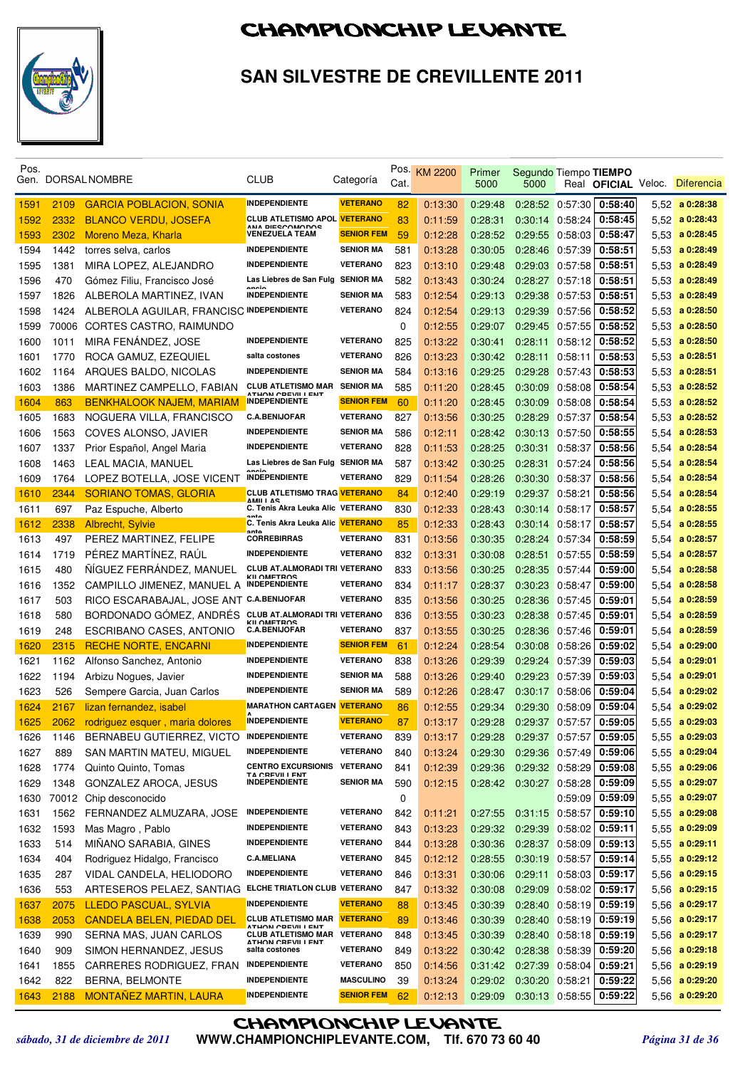

### **SAN SILVESTRE DE CREVILLENTE 2011**

| Pos.<br>Gen. |            | <b>DORSALNOMBRE</b>                                   | <b>CLUB</b>                                      | Categoría         | Cat.       | Pos. KM 2200       | Primer<br>5000     | Segundo Tiempo TIEMPO<br>5000 |                    | Real <b>OFICIAL</b> Veloc. |      | Diferencia     |
|--------------|------------|-------------------------------------------------------|--------------------------------------------------|-------------------|------------|--------------------|--------------------|-------------------------------|--------------------|----------------------------|------|----------------|
| 1591         | 2109       | <b>GARCIA POBLACION, SONIA</b>                        | <b>INDEPENDIENTE</b>                             | <b>VETERANO</b>   | 82         | 0:13:30            | 0:29:48            | 0:28:52 0:57:30               |                    | 0:58:40                    |      | 5,52 a 0:28:38 |
| 1592         | 2332       | <b>BLANCO VERDU, JOSEFA</b>                           | <b>CLUB ATLETISMO APOL VETERANO</b>              |                   | 83         | 0:11:59            | 0:28:31            | 0:30:14 0:58:24               |                    | 0:58:45                    | 5,52 | a 0:28:43      |
| 1593         | 2302       | Moreno Meza, Kharla                                   | ANA DIESCOMODOS<br><b>VENEZUELA TEAM</b>         | <b>SENIOR FEM</b> | 59         | 0:12:28            | 0:28:52            | 0:29:55                       | 0:58:03            | 0:58:47                    | 5,53 | a 0:28:45      |
| 1594         | 1442       | torres selva, carlos                                  | <b>INDEPENDIENTE</b>                             | <b>SENIOR MA</b>  | 581        | 0:13:28            | 0:30:05            | 0:28:46                       | 0:57:39            | 0:58:51                    | 5,53 | a 0:28:49      |
| 1595         | 1381       | MIRA LOPEZ, ALEJANDRO                                 | <b>INDEPENDIENTE</b>                             | VETERANO          | 823        | 0:13:10            | 0:29:48            | 0:29:03                       | 0:57:58            | 0:58:51                    | 5,53 | a 0:28:49      |
| 1596         | 470        | Gómez Filiu, Francisco José                           | Las Liebres de San Fulg                          | <b>SENIOR MA</b>  | 582        | 0:13:43            | 0:30:24            | 0:28:27                       | 0:57:18            | 0:58:51                    | 5,53 | a 0:28:49      |
| 1597         | 1826       | ALBEROLA MARTINEZ, IVAN                               | anaia<br><b>INDEPENDIENTE</b>                    | <b>SENIOR MA</b>  | 583        | 0:12:54            | 0:29:13            | 0:29:38                       | 0:57:53            | 0:58:51                    | 5,53 | a 0:28:49      |
| 1598         | 1424       | ALBEROLA AGUILAR, FRANCISC INDEPENDIENTE              |                                                  | VETERANO          | 824        | 0:12:54            | 0:29:13            | 0:29:39                       | 0:57:56            | 0:58:52                    | 5,53 | a 0:28:50      |
| 1599         | 70006      | CORTES CASTRO, RAIMUNDO                               |                                                  |                   | 0          | 0:12:55            | 0:29:07            | 0:29:45                       | 0:57:55            | 0:58:52                    | 5,53 | a 0:28:50      |
| 1600         | 1011       | MIRA FENÁNDEZ, JOSE                                   | <b>INDEPENDIENTE</b>                             | VETERANO          | 825        | 0:13:22            | 0:30:41            | 0:28:11                       | 0:58:12            | 0:58:52                    | 5,53 | a 0:28:50      |
| 1601         | 1770       | ROCA GAMUZ, EZEQUIEL                                  | salta costones                                   | VETERANO          | 826        | 0:13:23            | 0:30:42            | 0:28:11                       | 0:58:11            | 0:58:53                    | 5,53 | a 0:28:51      |
| 1602         | 1164       | ARQUES BALDO, NICOLAS                                 | <b>INDEPENDIENTE</b>                             | <b>SENIOR MA</b>  | 584        | 0:13:16            | 0:29:25            | 0:29:28                       | 0:57:43            | 0:58:53                    | 5,53 | a 0:28:51      |
| 1603         | 1386       | MARTINEZ CAMPELLO, FABIAN                             | <b>CLUB ATLETISMO MAR</b>                        | <b>SENIOR MA</b>  | 585        | 0:11:20            | 0:28:45            | 0:30:09                       | 0:58:08            | 0:58:54                    | 5,53 | a 0:28:52      |
| 1604         | 863        | <b>BENKHALOOK NAJEM, MARIAM</b>                       | <b>ATHON CDEVILL ENT</b><br><b>INDEPENDIENTE</b> | <b>SENIOR FEM</b> | 60         | 0:11:20            | 0:28:45            | 0:30:09                       | 0:58:08            | 0:58:54                    | 5,53 | a 0:28:52      |
| 1605         | 1683       | NOGUERA VILLA, FRANCISCO                              | <b>C.A.BENIJOFAR</b>                             | VETERANO          | 827        | 0:13:56            | 0:30:25            | 0:28:29                       | 0:57:37            | 0:58:54                    | 5,53 | a 0:28:52      |
| 1606         | 1563       | COVES ALONSO, JAVIER                                  | <b>INDEPENDIENTE</b>                             | <b>SENIOR MA</b>  | 586        | 0:12:11            | 0:28:42            | 0:30:13                       | 0:57:50            | 0:58:55                    | 5,54 | a 0:28:53      |
| 1607         | 1337       | Prior Español, Angel Maria                            | <b>INDEPENDIENTE</b>                             | <b>VETERANO</b>   | 828        | 0:11:53            | 0:28:25            | 0:30:31                       | 0:58:37            | 0:58:56                    | 5,54 | a 0:28:54      |
| 1608         | 1463       | LEAL MACIA, MANUEL                                    | Las Liebres de San Fulg                          | <b>SENIOR MA</b>  | 587        | 0:13:42            | 0:30:25            | 0:28:31                       | 0:57:24            | 0:58:56                    | 5,54 | a 0:28:54      |
| 1609         | 1764       | LOPEZ BOTELLA, JOSE VICENT                            | anaia<br><b>INDEPENDIENTE</b>                    | VETERANO          | 829        | 0:11:54            | 0:28:26            | 0:30:30                       | 0:58:37            | 0:58:56                    | 5,54 | a 0:28:54      |
| 1610         | 2344       | <b>SORIANO TOMAS, GLORIA</b>                          | <b>CLUB ATLETISMO TRAG VETERANO</b>              |                   | 84         | 0:12:40            | 0:29:19            | 0:29:37                       | 0:58:21            | 0:58:56                    | 5,54 | a 0:28:54      |
| 1611         | 697        | Paz Espuche, Alberto                                  | AMILIAC<br>C. Tenis Akra Leuka Alic VETERANO     |                   | 830        | 0:12:33            | 0:28:43            | 0:30:14                       | 0:58:17            | 0:58:57                    | 5,54 | a 0:28:55      |
| 1612         | 2338       | <b>Albrecht, Sylvie</b>                               | onto<br>C. Tenis Akra Leuka Alic VETERANO        |                   | 85         | 0:12:33            | 0:28:43            | 0:30:14                       | 0:58:17            | 0:58:57                    | 5,54 | a 0:28:55      |
| 1613         | 497        | PEREZ MARTINEZ, FELIPE                                | anto<br><b>CORREBIRRAS</b>                       | VETERANO          | 831        | 0:13:56            | 0:30:35            | 0:28:24                       | 0:57:34            | 0:58:59                    | 5,54 | a 0:28:57      |
| 1614         | 1719       | PÉREZ MARTÍNEZ, RAÚL                                  | <b>INDEPENDIENTE</b>                             | VETERANO          | 832        | 0:13:31            | 0:30:08            | 0:28:51                       | 0:57:55            | 0:58:59                    | 5,54 | a 0:28:57      |
| 1615         | 480        | ÑÍGUEZ FERRÁNDEZ, MANUEL                              | CLUB AT.ALMORADI TRI VETERANO                    |                   | 833        | 0:13:56            | 0:30:25            | 0:28:35                       | 0:57:44            | 0:59:00                    | 5,54 | a 0:28:58      |
| 1616         | 1352       | CAMPILLO JIMENEZ, MANUEL A                            | KII UWETRUS<br><b>INDEPENDIENTE</b>              | VETERANO          | 834        | 0:11:17            | 0:28:37            | 0:30:23                       | 0:58:47            | 0:59:00                    | 5,54 | a 0:28:58      |
| 1617         | 503        | RICO ESCARABAJAL, JOSE ANT                            | <b>C.A.BENIJOFAR</b>                             | VETERANO          | 835        | 0:13:56            | 0:30:25            | 0:28:36                       | 0:57:45            | 0:59:01                    | 5,54 | a 0:28:59      |
| 1618         | 580        | BORDONADO GÓMEZ, ANDRÉS                               | CLUB AT.ALMORADI TRI VETERANO                    |                   | 836        | 0:13:55            | 0:30:23            | 0:28:38                       | 0:57:45            | 0:59:01                    | 5,54 | a 0:28:59      |
| 1619         | 248        | ESCRIBANO CASES, ANTONIO                              | <b>VII OMETDOS</b><br><b>C.A.BENIJOFAR</b>       | VETERANO          | 837        | 0:13:55            | 0:30:25            | 0:28:36                       | 0:57:46            | 0:59:01                    | 5,54 | a 0:28:59      |
| 1620         | 2315       | <b>RECHE NORTE, ENCARNI</b>                           | <b>INDEPENDIENTE</b>                             | <b>SENIOR FEM</b> | 61         | 0:12:24            | 0:28:54            | 0:30:08                       | 0:58:26            | 0:59:02                    | 5,54 | a 0:29:00      |
| 1621         | 1162       | Alfonso Sanchez, Antonio                              | <b>INDEPENDIENTE</b>                             | VETERANO          | 838        | 0:13:26            | 0:29:39            | 0:29:24                       | 0:57:39            | 0:59:03                    | 5,54 | a 0:29:01      |
| 1622         | 1194       | Arbizu Nogues, Javier                                 | <b>INDEPENDIENTE</b>                             | <b>SENIOR MA</b>  | 588        | 0:13:26            | 0:29:40            | 0:29:23                       | 0:57:39            | 0:59:03                    | 5,54 | a 0:29:01      |
| 1623         | 526        | Sempere Garcia, Juan Carlos                           | <b>INDEPENDIENTE</b>                             | <b>SENIOR MA</b>  | 589        | 0:12:26            | 0:28:47            | 0:30:17                       | 0:58:06            | 0:59:04                    | 5,54 | a 0:29:02      |
| 1624         | 2167       | lizan fernandez, isabel                               | <b>MARATHON CARTAGEN</b>                         | <b>VETERANO</b>   | 86         | 0:12:55            | 0:29:34            | 0:29:30                       | 0:58:09            | 0:59:04                    | 5,54 | a 0:29:02      |
| 1625         | 2062       | rodriguez esquer, maria dolores                       | <b>INDEPENDIENTE</b>                             | <b>VETERANO</b>   | 87         | 0:13:17            | 0:29:28            | 0:29:37                       | 0:57:57            | 0:59:05                    |      | 5,55 a 0:29:03 |
| 1626         | 1146       | BERNABEU GUTIERREZ, VICTO                             | <b>INDEPENDIENTE</b>                             | VETERANO          | 839        | 0:13:17            | 0:29:28            | 0:29:37 0:57:57               |                    | 0:59:05                    | 5,55 | a 0:29:03      |
| 1627         | 889        | SAN MARTIN MATEU, MIGUEL                              | <b>INDEPENDIENTE</b>                             | VETERANO          | 840        | 0:13:24            | 0:29:30            | 0:29:36 0:57:49               |                    | 0:59:06                    | 5,55 | a 0:29:04      |
| 1628         | 1774       | Quinto Quinto, Tomas                                  | <b>CENTRO EXCURSIONIS</b>                        | <b>VETERANO</b>   | 841        | 0:12:39            | 0:29:36            | 0:29:32 0:58:29               |                    | 0:59:08                    | 5,55 | a 0:29:06      |
| 1629         | 1348       | <b>GONZALEZ AROCA, JESUS</b>                          | TA COEVILL ENT<br><b>INDEPENDIENTE</b>           | <b>SENIOR MA</b>  | 590        | 0:12:15            | 0:28:42            | 0:30:27 0:58:28               |                    | 0:59:09                    | 5,55 | a 0:29:07      |
| 1630         |            | 70012 Chip desconocido                                |                                                  |                   | 0          |                    |                    |                               | 0:59:09            | 0:59:09                    | 5,55 | a 0:29:07      |
| 1631         | 1562       | FERNANDEZ ALMUZARA, JOSE                              | <b>INDEPENDIENTE</b>                             | VETERANO          | 842        | 0:11:21            | 0:27:55            | 0:31:15 0:58:57               |                    | 0:59:10                    | 5,55 | a 0:29:08      |
| 1632         | 1593       | Mas Magro, Pablo                                      | <b>INDEPENDIENTE</b>                             | <b>VETERANO</b>   | 843        | 0:13:23            | 0:29:32            | 0:29:39                       | 0:58:02            | 0:59:11                    | 5,55 | a 0:29:09      |
| 1633         | 514        | MIÑANO SARABIA, GINES                                 | <b>INDEPENDIENTE</b>                             | <b>VETERANO</b>   | 844        | 0:13:28            | 0:30:36            | 0:28:37 0:58:09               |                    | 0:59:13                    | 5,55 | a 0:29:11      |
| 1634         | 404        | Rodriguez Hidalgo, Francisco                          | <b>C.A.MELIANA</b>                               | <b>VETERANO</b>   | 845        | 0:12:12            | 0:28:55            | 0:30:19 0:58:57               |                    | 0:59:14                    | 5,55 | a 0:29:12      |
|              |            |                                                       | <b>INDEPENDIENTE</b>                             | <b>VETERANO</b>   |            |                    |                    | 0:29:11                       |                    | 0:59:17                    |      | 5,56 a 0:29:15 |
| 1635<br>1636 | 287<br>553 | VIDAL CANDELA, HELIODORO<br>ARTESEROS PELAEZ, SANTIAG | ELCHE TRIATLON CLUB VETERANO                     |                   | 846<br>847 | 0:13:31<br>0:13:32 | 0:30:06<br>0:30:08 | 0:29:09                       | 0:58:03<br>0:58:02 | 0:59:17                    |      | 5,56 a 0:29:15 |
| 1637         | 2075       | <b>LLEDO PASCUAL, SYLVIA</b>                          | INDEPENDIENTE                                    | <b>VETERANO</b>   | 88         | 0:13:45            | 0:30:39            | 0:28:40 0:58:19               |                    | 0:59:19                    |      | 5,56 a 0:29:17 |
| 1638         | 2053       | <b>CANDELA BELEN, PIEDAD DEL</b>                      | <b>CLUB ATLETISMO MAR</b>                        | <b>VETERANO</b>   | 89         | 0:13:46            | 0:30:39            | 0:28:40 0:58:19               |                    | 0:59:19                    |      | 5,56 a 0:29:17 |
| 1639         | 990        | SERNA MAS, JUAN CARLOS                                | ATHON CREVILL ENT<br><b>CLUB ATLETISMO MAR</b>   | <b>VETERANO</b>   | 848        | 0:13:45            | 0:30:39            | 0:28:40 0:58:18               |                    | 0:59:19                    |      | 5,56 a 0:29:17 |
| 1640         | 909        | SIMON HERNANDEZ, JESUS                                | ATHON ODEVILL ENT<br>salta costones              | VETERANO          | 849        | 0:13:22            | 0:30:42            | 0:28:38 0:58:39               |                    | 0:59:20                    |      | 5,56 a 0:29:18 |
| 1641         | 1855       | CARRERES RODRIGUEZ, FRAN                              | <b>INDEPENDIENTE</b>                             | <b>VETERANO</b>   | 850        | 0:14:56            | 0:31:42            | 0:27:39 0:58:04               |                    | 0:59:21                    |      | 5,56 a 0:29:19 |
| 1642         | 822        | BERNA, BELMONTE                                       | <b>INDEPENDIENTE</b>                             | <b>MASCULINO</b>  | 39         |                    |                    |                               |                    | 0:59:22                    |      | 5,56 a 0:29:20 |
|              |            |                                                       | <b>INDEPENDIENTE</b>                             | <b>SENIOR FEM</b> |            | 0:13:24            | 0:29:02            | 0:30:20                       | 0:58:21            |                            |      | 5,56 a 0:29:20 |
| 1643         | 2188       | <b>MONTAÑEZ MARTIN, LAURA</b>                         |                                                  |                   | 62         | 0:12:13            | 0:29:09            | $0:30:13$ 0:58:55             |                    | 0:59:22                    |      |                |

#### CHAMPIONCHIP LEVANTE *sábado, 31 de diciembre de 2011* **WWW.CHAMPIONCHIPLEVANTE.COM, Tlf. 670 73 60 40** *Página 31 de 36*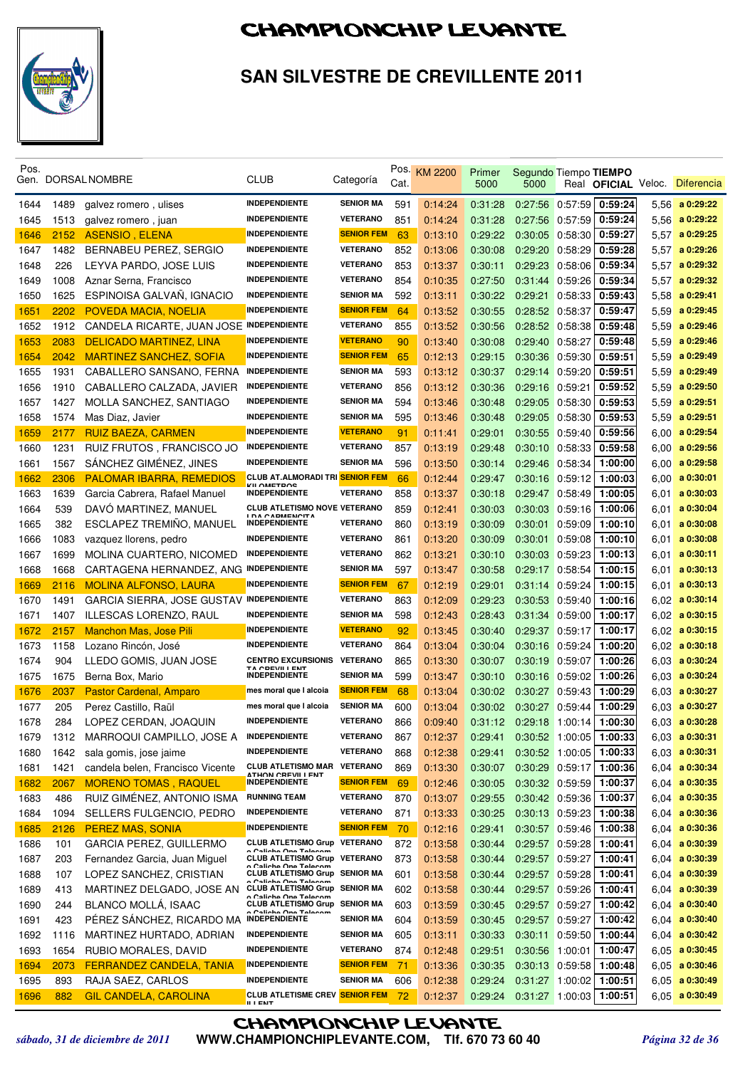

| Pos.<br>Gen. |              | <b>DORSALNOMBRE</b>                                             | <b>CLUB</b>                                                   | Categoría                             | Cat.      | Pos. KM 2200       | Primer<br>5000     | Segundo Tiempo TIEMPO<br>5000      |         | Real <b>OFICIAL</b> Veloc. |      | Diferencia                       |
|--------------|--------------|-----------------------------------------------------------------|---------------------------------------------------------------|---------------------------------------|-----------|--------------------|--------------------|------------------------------------|---------|----------------------------|------|----------------------------------|
| 1644         | 1489         | galvez romero, ulises                                           | <b>INDEPENDIENTE</b>                                          | <b>SENIOR MA</b>                      | 591       | 0:14:24            | 0:31:28            | 0:27:56                            | 0:57:59 | 0:59:24                    |      | 5,56 a 0:29:22                   |
| 1645         | 1513         | galvez romero, juan                                             | <b>INDEPENDIENTE</b>                                          | VETERANO                              | 851       | 0:14:24            | 0:31:28            | 0:27:56                            | 0.57:59 | 0:59:24                    |      | 5,56 a 0:29:22                   |
| 1646         | 2152         | <b>ASENSIO, ELENA</b>                                           | <b>INDEPENDIENTE</b>                                          | <b>SENIOR FEM</b>                     | 63        | 0:13:10            | 0:29:22            | 0:30:05                            | 0:58:30 | 0:59:27                    | 5.57 | a 0:29:25                        |
| 1647         | 1482         | BERNABEU PEREZ, SERGIO                                          | <b>INDEPENDIENTE</b>                                          | VETERANO                              | 852       | 0:13:06            | 0:30:08            | 0:29:20                            | 0:58:29 | 0:59:28                    | 5,57 | a 0:29:26                        |
| 1648         | 226          | LEYVA PARDO, JOSE LUIS                                          | <b>INDEPENDIENTE</b>                                          | VETERANO                              | 853       | 0:13:37            | 0:30:11            | 0:29:23                            | 0:58:06 | 0:59:34                    | 5,57 | a 0:29:32                        |
| 1649         | 1008         | Aznar Serna, Francisco                                          | <b>INDEPENDIENTE</b>                                          | VETERANO                              | 854       | 0:10:35            | 0:27:50            | 0:31:44                            | 0:59:26 | 0:59:34                    | 5,57 | a 0:29:32                        |
| 1650         | 1625         | ESPINOISA GALVAÑ, IGNACIO                                       | <b>INDEPENDIENTE</b>                                          | <b>SENIOR MA</b>                      | 592       | 0:13:11            | 0:30:22            | 0:29:21                            | 0:58:33 | 0:59:43                    | 5,58 | a 0:29:41                        |
| 1651         | 2202         | <b>POVEDA MACIA, NOELIA</b>                                     | <b>INDEPENDIENTE</b>                                          | <b>SENIOR FEM</b>                     | 64        | 0:13:52            | 0:30:55            | 0:28:52                            | 0:58:37 | 0:59:47                    | 5,59 | a 0:29:45                        |
| 1652         | 1912         | CANDELA RICARTE, JUAN JOSE INDEPENDIENTE                        |                                                               | VETERANO                              | 855       | 0:13:52            | 0:30:56            | 0:28:52 0:58:38                    |         | 0:59:48                    | 5,59 | a 0:29:46                        |
| 1653         | 2083         | <b>DELICADO MARTINEZ, LINA</b>                                  | <b>INDEPENDIENTE</b>                                          | <b>VETERANO</b>                       | 90        | 0:13:40            | 0:30:08            | 0:29:40                            | 0:58:27 | 0:59:48                    | 5,59 | a 0:29:46                        |
| 1654         | 2042         | <b>MARTINEZ SANCHEZ, SOFIA</b>                                  | <b>INDEPENDIENTE</b>                                          | <b>SENIOR FEM</b>                     | 65        | 0:12:13            | 0:29:15            | 0:30:36                            | 0:59:30 | 0:59:51                    | 5,59 | a 0:29:49                        |
| 1655         | 1931         | CABALLERO SANSANO, FERNA                                        | <b>INDEPENDIENTE</b>                                          | <b>SENIOR MA</b>                      | 593       | 0:13:12            | 0:30:37            | 0:29:14                            | 0:59:20 | 0:59:51                    | 5,59 | a 0:29:49                        |
| 1656         | 1910         | CABALLERO CALZADA, JAVIER                                       | <b>INDEPENDIENTE</b>                                          | VETERANO                              | 856       | 0:13:12            | 0:30:36            | 0:29:16                            | 0:59:21 | 0:59:52                    | 5,59 | a 0:29:50                        |
| 1657         | 1427         | MOLLA SANCHEZ, SANTIAGO                                         | <b>INDEPENDIENTE</b>                                          | <b>SENIOR MA</b>                      | 594       | 0:13:46            | 0:30:48            | 0:29:05                            | 0:58:30 | 0:59:53                    | 5,59 | a 0:29:51                        |
| 1658         | 1574         | Mas Diaz, Javier                                                | <b>INDEPENDIENTE</b>                                          | <b>SENIOR MA</b>                      | 595       | 0:13:46            | 0:30:48            | 0:29:05                            | 0:58:30 | 0:59:53                    | 5,59 | a 0:29:51                        |
| 1659         | 2177         | <b>RUIZ BAEZA, CARMEN</b>                                       | <b>INDEPENDIENTE</b>                                          | <b>VETERANO</b>                       | 91        | 0:11:41            | 0:29:01            | 0:30:55                            | 0:59:40 | 0:59:56                    | 6,00 | a 0:29:54                        |
| 1660         | 1231         | RUIZ FRUTOS, FRANCISCO JO                                       | <b>INDEPENDIENTE</b>                                          | VETERANO                              | 857       | 0:13:19            | 0:29:48            | 0:30:10                            | 0.58:33 | 0:59:58                    | 6,00 | a 0:29:56                        |
| 1661         | 1567         | SÁNCHEZ GIMÉNEZ, JINES                                          | <b>INDEPENDIENTE</b>                                          | <b>SENIOR MA</b>                      | 596       | 0:13:50            | 0:30:14            | 0:29:46                            | 0.58:34 | 1:00:00                    | 6,00 | a 0:29:58                        |
| 1662         | 2306         | <b>PALOMAR IBARRA, REMEDIOS</b>                                 | <b>CLUB AT.ALMORADI TRI SENIOR FEM</b><br><b>VII OMETDOS</b>  |                                       | 66        | 0:12:44            | 0:29:47            | 0:30:16 0:59:12                    |         | 1:00:03                    | 6,00 | a 0:30:01                        |
| 1663         | 1639         | Garcia Cabrera, Rafael Manuel                                   | <b>INDEPENDIENTE</b>                                          | VETERANO                              | 858       | 0:13:37            | 0:30:18            | 0:29:47 0:58:49                    |         | 1:00:05                    | 6.01 | a 0:30:03                        |
| 1664         | 539          | DAVÓ MARTINEZ, MANUEL                                           | <b>CLUB ATLETISMO NOVE VETERANO</b><br><b>I DA CARMENCITA</b> |                                       | 859       | 0:12:41            | 0:30:03            | 0:30:03                            | 0:59:16 | 1:00:06                    | 6.01 | a 0:30:04                        |
| 1665         | 382          | ESCLAPEZ TREMIÑO, MANUEL                                        | <b>INDEPENDIENTE</b>                                          | VETERANO                              | 860       | 0:13:19            | 0:30:09            | 0:30:01                            | 0:59:09 | 1:00:10                    | 6.01 | a 0:30:08                        |
| 1666         | 1083         | vazquez llorens, pedro                                          | <b>INDEPENDIENTE</b>                                          | VETERANO                              | 861       | 0:13:20            | 0:30:09            | 0:30:01                            | 0:59:08 | 1:00:10                    | 6.01 | a 0:30:08                        |
| 1667         | 1699         | MOLINA CUARTERO, NICOMED                                        | <b>INDEPENDIENTE</b>                                          | VETERANO                              | 862       | 0:13:21            | 0:30:10            | 0:30:03                            | 0:59:23 | 1:00:13                    | 6.01 | a 0:30:11                        |
| 1668         | 1668         | CARTAGENA HERNANDEZ, ANG INDEPENDIENTE                          |                                                               | <b>SENIOR MA</b>                      | 597       | 0:13:47            | 0:30:58            | 0:29:17 0:58:54                    |         | 1:00:15                    | 6.01 | a 0:30:13                        |
| 1669         | 2116         | <u>MOLINA ALFONSO, LAURA</u>                                    | <b>INDEPENDIENTE</b>                                          | <b>SENIOR FEM</b>                     | 67        | 0:12:19            | 0:29:01            | 0:31:14                            | 0:59:24 | 1:00:15                    | 6.01 | a 0:30:13                        |
| 1670         | 1491         | GARCIA SIERRA, JOSE GUSTAV                                      | <b>INDEPENDIENTE</b>                                          | VETERANO                              | 863       | 0:12:09            | 0:29:23            | 0:30:53                            | 0:59:40 | 1:00:16                    | 6,02 | a 0:30:14                        |
| 1671         | 1407         | ILLESCAS LORENZO, RAUL                                          | <b>INDEPENDIENTE</b>                                          | <b>SENIOR MA</b>                      | 598       | 0:12:43            | 0:28:43            | 0:31:34                            | 0:59:00 | 1:00:17                    | 6,02 | a 0:30:15                        |
| 1672         | 2157         | <b>Manchon Mas, Jose Pili</b>                                   | <b>INDEPENDIENTE</b>                                          | <b>VETERANO</b>                       | 92        | 0:13:45            | 0:30:40            | 0:29:37 0:59:17                    |         | 1:00:17                    | 6,02 | a 0:30:15                        |
| 1673         | 1158         | Lozano Rincón, José                                             | <b>INDEPENDIENTE</b>                                          | VETERANO                              | 864       | 0:13:04            | 0:30:04            | 0:30:16                            | 0:59:24 | 1:00:20                    | 6,02 | a 0:30:18                        |
| 1674         | 904          | LLEDO GOMIS, JUAN JOSE                                          | <b>CENTRO EXCURSIONIS</b><br>TA COEVILL ENT                   | <b>VETERANO</b>                       | 865       | 0:13:30            | 0:30:07            | 0:30:19                            | 0:59:07 | 1:00:26                    | 6,03 | a 0:30:24                        |
| 1675         | 1675         | Berna Box, Mario                                                | <b>INDEPENDIENTE</b>                                          | <b>SENIOR MA</b><br><b>SENIOR FEM</b> | 599       | 0:13:47            | 0:30:10            | 0:30:16                            | 0:59:02 | 1:00:26                    | 6.03 | a 0:30:24                        |
| 1676         | 2037         | <b>Pastor Cardenal, Amparo</b>                                  | mes moral que I alcoia                                        |                                       | 68        | 0:13:04            | 0:30:02            | 0:30:27                            | 0:59:43 | 1:00:29                    | 6.03 | a 0:30:27                        |
| 1677         | 205          | Perez Castillo, Raül                                            | mes moral que I alcoia<br><b>INDEPENDIENTE</b>                | <b>SENIOR MA</b><br><b>VETERANO</b>   | 600       | 0:13:04            | 0:30:02            | 0:30:27                            | 0:59:44 | 1:00:29                    | 6.03 | a 0:30:27                        |
| 1678         | 284          | LOPEZ CERDAN, JOAQUIN                                           | <b>INDEPENDIENTE</b>                                          | VETERANO                              | 866       | 0:09:40            | 0:31:12            | 0:29:18                            | 1:00:14 | 1:00:30                    |      | 6,03 a 0:30:28                   |
| 1679         | 1312         | MARROQUI CAMPILLO, JOSE A<br>sala gomis, jose jaime             | <b>INDEPENDIENTE</b>                                          | <b>VETERANO</b>                       | 867       | 0:12:37            | 0:29:41<br>0:29:41 | 0:30:52 1:00:05<br>0:30:52 1:00:05 |         | 1:00:33<br>1:00:33         |      | 6,03 a 0:30:31<br>6,03 a 0:30:31 |
| 1680         | 1642<br>1421 |                                                                 | <b>CLUB ATLETISMO MAR</b>                                     | <b>VETERANO</b>                       | 868       | 0:12:38            | 0:30:07            |                                    |         | 1:00:36                    |      | 6,04 a 0:30:34                   |
| 1681<br>1682 | 2067         | candela belen, Francisco Vicente<br><b>MORENO TOMAS, RAQUEL</b> | ATHON CREVILL ENT<br><b>INDEPENDIENTE</b>                     | <b>SENIOR FEM</b>                     | 869<br>69 | 0:13:30<br>0:12:46 | 0:30:05            | 0:30:29 0:59:17<br>0:30:32 0:59:59 |         | 1:00:37                    |      | 6,04 a 0:30:35                   |
| 1683         | 486          | RUIZ GIMÉNEZ, ANTONIO ISMA                                      | <b>RUNNING TEAM</b>                                           | VETERANO                              | 870       | 0:13:07            | 0:29:55            | 0:30:42 0:59:36                    |         | 1:00:37                    |      | 6,04 a 0:30:35                   |
| 1684         | 1094         | SELLERS FULGENCIO, PEDRO                                        | <b>INDEPENDIENTE</b>                                          | <b>VETERANO</b>                       | 871       | 0:13:33            | 0:30:25            | 0:30:13 0:59:23                    |         | 1:00:38                    |      | 6,04 a 0:30:36                   |
| 1685         | 2126         | <b>PEREZ MAS, SONIA</b>                                         | <b>INDEPENDIENTE</b>                                          | <b>SENIOR FEM</b>                     | 70        | 0:12:16            | 0:29:41            | 0:30:57 0:59:46                    |         | 1:00:38                    |      | 6,04 a 0:30:36                   |
| 1686         | 101          | GARCIA PEREZ, GUILLERMO                                         | <b>CLUB ATLETISMO Grup VETERANO</b>                           |                                       | 872       | 0:13:58            | 0:30:44            | 0:29:57 0:59:28                    |         | 1:00:41                    |      | 6,04 a 0:30:39                   |
| 1687         | 203          | Fernandez Garcia, Juan Miguel                                   | o Calicho Ono Tolocom<br><b>CLUB ATLETISMO Grup</b>           | <b>VETERANO</b>                       | 873       | 0:13:58            | 0:30:44            | 0:29:57 0:59:27                    |         | 1:00:41                    |      | 6,04 a 0:30:39                   |
| 1688         | 107          | LOPEZ SANCHEZ, CRISTIAN                                         | o Calicho Ono Tolonom<br><b>CLUB ATLETISMO Grup</b>           | <b>SENIOR MA</b>                      | 601       | 0:13:58            | 0:30:44            | 0:29:57 0:59:28                    |         | 1:00:41                    |      | 6,04 a 0:30:39                   |
| 1689         | 413          | MARTINEZ DELGADO, JOSE AN                                       | o Calicho Ono Tolocom<br><b>CLUB ATLETISMO Grup</b>           | <b>SENIOR MA</b>                      | 602       | 0:13:58            | 0:30:44            | 0:29:57 0:59:26                    |         | 1:00:41                    |      | 6,04 a 0:30:39                   |
| 1690         | 244          | <b>BLANCO MOLLÁ, ISAAC</b>                                      | o Calioho Ono Tolonom<br><b>CLUB ATLETISMO Grup</b>           | <b>SENIOR MA</b>                      | 603       | 0:13:59            | 0:30:45            | 0:29:57 0:59:27                    |         | 1:00:42                    |      | 6,04 a 0:30:40                   |
| 1691         | 423          | PÉREZ SÁNCHEZ, RICARDO MA                                       | o Calioho Ono Tolonom<br><b>INDEPENDIENTE</b>                 | <b>SENIOR MA</b>                      | 604       | 0:13:59            | 0:30:45            | 0:29:57 0:59:27                    |         | 1:00:42                    |      | 6,04 a 0:30:40                   |
| 1692         | 1116         | MARTINEZ HURTADO, ADRIAN                                        | <b>INDEPENDIENTE</b>                                          | <b>SENIOR MA</b>                      | 605       | 0:13:11            | 0:30:33            | 0:30:11                            | 0:59:50 | 1:00:44                    |      | 6,04 a 0:30:42                   |
| 1693         | 1654         | RUBIO MORALES, DAVID                                            | <b>INDEPENDIENTE</b>                                          | <b>VETERANO</b>                       | 874       | 0:12:48            | 0:29:51            | 0:30:56 1:00:01                    |         | 1:00:47                    |      | 6,05 a 0:30:45                   |
| 1694         | 2073         | <b>FERRANDEZ CANDELA, TANIA</b>                                 | <b>INDEPENDIENTE</b>                                          | <b>SENIOR FEM</b>                     | 71        | 0:13:36            | 0:30:35            | 0:30:13 0:59:58                    |         | 1:00:48                    |      | 6,05 a 0:30:46                   |
| 1695         | 893          | RAJA SAEZ, CARLOS                                               | <b>INDEPENDIENTE</b>                                          | <b>SENIOR MA</b>                      | 606       | 0:12:38            | 0:29:24            | 0:31:27 1:00:02                    |         | 1:00:51                    |      | 6,05 a 0:30:49                   |
| 1696         | 882          | <b>GIL CANDELA, CAROLINA</b>                                    | <b>CLUB ATLETISME CREV SENIOR FEM</b>                         |                                       | 72        | 0:12:37            | 0:29:24            |                                    |         | 0:31:27 1:00:03 1:00:51    |      | 6,05 a 0:30:49                   |
|              |              |                                                                 | <b>U LENT</b>                                                 |                                       |           |                    |                    |                                    |         |                            |      |                                  |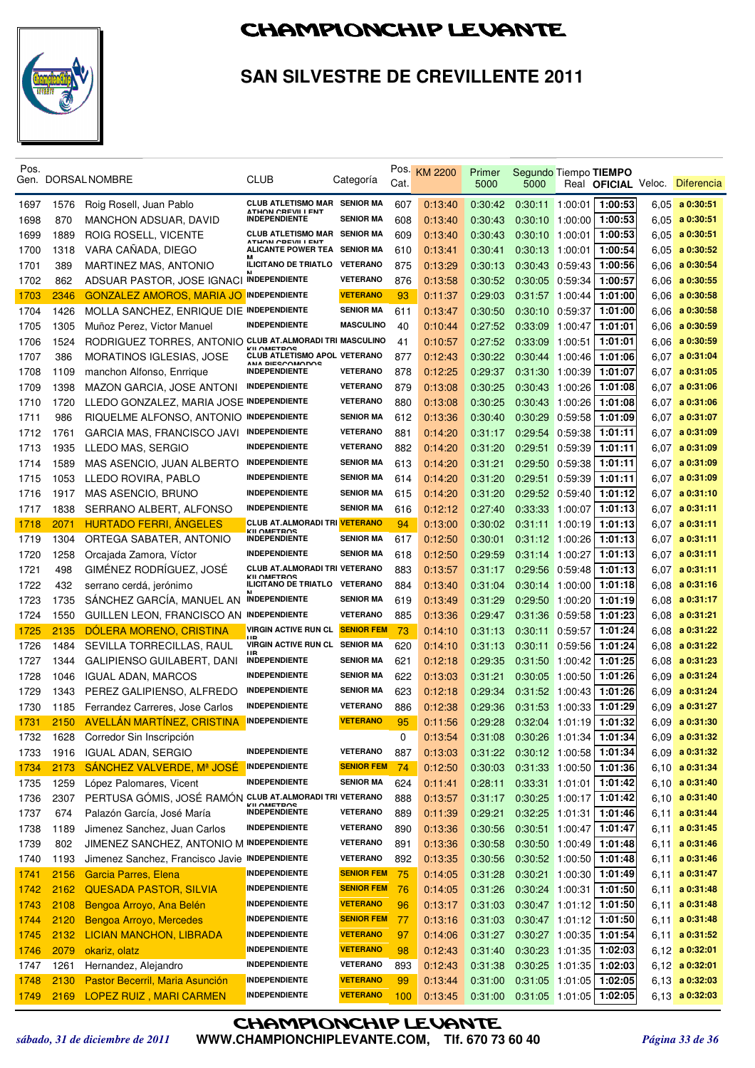

| Pos.<br>Gen. |              | <b>DORSALNOMBRE</b>                                                    | <b>CLUB</b>                                               | Categoría                              | Cat.      | Pos. KM 2200       | Primer<br>5000     | Segundo Tiempo TIEMPO<br>5000 |                    | Real <b>OFICIAL</b> Veloc.                         |              | Diferencia                       |
|--------------|--------------|------------------------------------------------------------------------|-----------------------------------------------------------|----------------------------------------|-----------|--------------------|--------------------|-------------------------------|--------------------|----------------------------------------------------|--------------|----------------------------------|
| 1697         | 1576         | Roig Rosell, Juan Pablo                                                | <b>CLUB ATLETISMO MAR</b><br>ATHON CREVILL ENT            | <b>SENIOR MA</b>                       | 607       | 0:13:40            | 0:30:42            | 0:30:11                       | 1:00:01            | 1:00:53                                            |              | $6.05$ a 0:30:51                 |
| 1698         | 870          | <b>MANCHON ADSUAR, DAVID</b>                                           | <b>INDEPENDIENTE</b>                                      | <b>SENIOR MA</b>                       | 608       | 0:13:40            | 0:30:43            | 0:30:10                       | 1:00:00            | 1:00:53                                            | 6,05         | a 0:30:51                        |
| 1699         | 1889         | ROIG ROSELL, VICENTE                                                   | <b>CLUB ATLETISMO MAR</b><br>ATHON COEVIL LENT            | <b>SENIOR MA</b>                       | 609       | 0:13:40            | 0:30:43            | 0:30:10                       | 1:00:01            | 1:00:53                                            | 6.05         | a 0:30:51                        |
| 1700         | 1318         | VARA CAÑADA, DIEGO                                                     | <b>ALICANTE POWER TEA</b><br>M                            | <b>SENIOR MA</b>                       | 610       | 0:13:41            | 0:30:41            | 0:30:13                       | 1:00:01            | 1:00:54                                            | 6.05         | a 0:30:52                        |
| 1701         | 389          | MARTINEZ MAS, ANTONIO                                                  | <b>ILICITANO DE TRIATLO</b>                               | <b>VETERANO</b>                        | 875       | 0:13:29            | 0:30:13            | 0:30:43                       | 0:59:43            | 1:00:56                                            | 6.06         | a 0:30:54                        |
| 1702         | 862          | ADSUAR PASTOR, JOSE IGNACI                                             | <b>INDEPENDIENTE</b>                                      | <b>VETERANO</b>                        | 876       | 0:13:58            | 0:30:52            | 0:30:05                       | 0:59:34            | 1:00:57                                            | 6.06         | a 0:30:55                        |
| 1703         | 2346         | <b>GONZALEZ AMOROS, MARIA JO</b>                                       | <b>INDEPENDIENTE</b>                                      | <b>VETERANO</b><br><b>SENIOR MA</b>    | 93        | 0:11:37            | 0:29:03            | 0:31:57                       | 1:00:44            | 1:01:00                                            | 6.06         | a 0:30:58                        |
| 1704<br>1705 | 1426<br>1305 | MOLLA SANCHEZ, ENRIQUE DIE INDEPENDIENTE<br>Muñoz Perez, Victor Manuel | <b>INDEPENDIENTE</b>                                      | <b>MASCULINO</b>                       | 611<br>40 | 0:13:47<br>0:10:44 | 0:30:50<br>0:27:52 | 0:30:10                       | 0:59:37<br>1:00:47 | 1:01:00<br>1:01:01                                 | 6.06         | a 0:30:58<br>a 0:30:59           |
| 1706         | 1524         | RODRIGUEZ TORRES, ANTONIO CLUB AT.ALMORADI TRI MASCULINO               |                                                           |                                        | 41        | 0:10:57            | 0:27:52            | 0:33:09<br>0:33:09            | 1:00:51            | 1:01:01                                            | 6.06<br>6.06 | a 0:30:59                        |
| 1707         | 386          | MORATINOS IGLESIAS, JOSE                                               | <b>VII OMETROS</b><br><b>CLUB ATLETISMO APOL VETERANO</b> |                                        | 877       | 0:12:43            | 0:30:22            | 0:30:44                       | 1:00:46            | 1:01:06                                            | 6.07         | a 0:31:04                        |
| 1708         | 1109         | manchon Alfonso, Enrrique                                              | ANA DIECOOMODOC<br><b>INDEPENDIENTE</b>                   | <b>VETERANO</b>                        | 878       | 0:12:25            | 0:29:37            | 0:31:30                       | 1:00:39            | 1:01:07                                            | 6.07         | a 0:31:05                        |
| 1709         | 1398         | <b>MAZON GARCIA, JOSE ANTONI</b>                                       | <b>INDEPENDIENTE</b>                                      | VETERANO                               | 879       | 0:13:08            | 0:30:25            | 0:30:43                       | 1:00:26            | 1:01:08                                            | 6.07         | a 0:31:06                        |
| 1710         | 1720         | LLEDO GONZALEZ, MARIA JOSE INDEPENDIENTE                               |                                                           | <b>VETERANO</b>                        | 880       | 0:13:08            | 0:30:25            | 0:30:43                       | 1:00:26            | 1:01:08                                            | 6.07         | a 0:31:06                        |
| 1711         | 986          | RIQUELME ALFONSO, ANTONIO                                              | <b>INDEPENDIENTE</b>                                      | <b>SENIOR MA</b>                       | 612       | 0:13:36            | 0:30:40            | 0:30:29                       | 0:59:58            | 1:01:09                                            | 6.07         | a 0:31:07                        |
| 1712         | 1761         | GARCIA MAS, FRANCISCO JAVI                                             | <b>INDEPENDIENTE</b>                                      | <b>VETERANO</b>                        | 881       | 0:14:20            | 0:31:17            | 0:29:54                       | 0:59:38            | 1:01:11                                            | 6.07         | a 0:31:09                        |
| 1713         | 1935         | LLEDO MAS, SERGIO                                                      | <b>INDEPENDIENTE</b>                                      | <b>VETERANO</b>                        | 882       | 0:14:20            | 0:31:20            | 0:29:51                       | 0:59:39            | 1:01:11                                            | 6.07         | a 0:31:09                        |
| 1714         | 1589         | MAS ASENCIO, JUAN ALBERTO                                              | <b>INDEPENDIENTE</b>                                      | <b>SENIOR MA</b>                       | 613       | 0:14:20            | 0:31:21            | 0:29:50                       | 0:59:38            | 1:01:11                                            | 6.07         | a 0:31:09                        |
| 1715         | 1053         | LLEDO ROVIRA, PABLO                                                    | <b>INDEPENDIENTE</b>                                      | <b>SENIOR MA</b>                       | 614       | 0:14:20            | 0:31:20            | 0:29:51                       | 0:59:39            | 1:01:11                                            | 6.07         | a 0:31:09                        |
| 1716         | 1917         | <b>MAS ASENCIO, BRUNO</b>                                              | <b>INDEPENDIENTE</b>                                      | <b>SENIOR MA</b>                       | 615       | 0:14:20            | 0:31:20            | 0:29:52                       | 0:59:40            | 1:01:12                                            | 6.07         | a 0:31:10                        |
| 1717         | 1838         | SERRANO ALBERT, ALFONSO                                                | <b>INDEPENDIENTE</b>                                      | <b>SENIOR MA</b>                       | 616       | 0:12:12            | 0:27:40            | 0:33:33                       | 1:00:07            | 1:01:13                                            | 6.07         | a 0:31:11                        |
| 1718         | 2071         | <b>HURTADO FERRI, ANGELES</b>                                          | <b>CLUB AT.ALMORADI TRI VETERANO</b><br>KII UWETBUS       |                                        | 94        | 0:13:00            | 0:30:02            | 0:31:11                       | 1:00:19            | 1:01:13                                            | 6.07         | a 0:31:11                        |
| 1719         | 1304         | ORTEGA SABATER, ANTONIO                                                | <b>INDEPENDIENTE</b>                                      | <b>SENIOR MA</b>                       | 617       | 0:12:50            | 0:30:01            | 0:31:12                       | 1:00:26            | 1:01:13                                            | 6.07         | a 0:31:11                        |
| 1720         | 1258         | Orcajada Zamora, Víctor                                                | <b>INDEPENDIENTE</b>                                      | SENIOR MA                              | 618       | 0:12:50            | 0:29:59            | 0:31:14                       | 1:00:27            | 1:01:13                                            | 6.07         | a 0:31:11                        |
| 1721         | 498          | GIMÉNEZ RODRÍGUEZ, JOSÉ                                                | <b>CLUB AT.ALMORADI TRI VETERANO</b><br>KII UWETBUS       |                                        | 883       | 0:13:57            | 0:31:17            | 0:29:56                       | 0:59:48            | 1:01:13                                            | 6.07         | a 0:31:11                        |
| 1722         | 432          | serrano cerdá, jerónimo                                                | <b>ILICITANO DE TRIATLO</b><br>N                          | <b>VETERANO</b>                        | 884       | 0:13:40            | 0:31:04            | 0:30:14                       | 1:00:00            | 1:01:18                                            | 6.08         | a 0:31:16                        |
| 1723         | 1735         | SÁNCHEZ GARCÍA, MANUEL AN                                              | <b>INDEPENDIENTE</b><br><b>INDEPENDIENTE</b>              | SENIOR MA<br><b>VETERANO</b>           | 619       | 0:13:49            | 0:31:29            | 0:29:50                       | 1:00:20            | 1:01:19                                            | 6,08         | $a$ 0:31:17                      |
| 1724<br>1725 | 1550<br>2135 | GUILLEN LEON, FRANCISCO AN<br>DÓLERA MORENO, CRISTINA                  | <b>VIRGIN ACTIVE RUN CL</b>                               | <b>SENIOR FEM</b>                      | 885<br>73 | 0:13:36<br>0:14:10 | 0:29:47<br>0:31:13 | 0:31:36<br>0:30:11            | 0:59:58<br>0:59:57 | 1:01:23<br>1:01:24                                 | 6,08<br>6,08 | a 0:31:21<br>a 0:31:22           |
| 1726         | 1484         | SEVILLA TORRECILLAS, RAUL                                              | ШR<br><b>VIRGIN ACTIVE RUN CL</b>                         | <b>SENIOR MA</b>                       | 620       | 0:14:10            | 0:31:13            | 0:30:11                       | 0:59:56            | 1:01:24                                            | 6,08         | a 0:31:22                        |
| 1727         | 1344         | GALIPIENSO GUILABERT, DANI                                             | 11D<br><b>INDEPENDIENTE</b>                               | SENIOR MA                              | 621       | 0:12:18            | 0:29:35            | 0:31:50                       | 1:00:42            | 1:01:25                                            | 6.08         | a 0:31:23                        |
| 1728         | 1046         | <b>IGUAL ADAN, MARCOS</b>                                              | <b>INDEPENDIENTE</b>                                      | <b>SENIOR MA</b>                       | 622       | 0:13:03            | 0:31:21            | 0:30:05                       | 1:00:50            | 1:01:26                                            | 6.09         | a 0:31:24                        |
| 1729         | 1343         | PEREZ GALIPIENSO, ALFREDO                                              | <b>INDEPENDIENTE</b>                                      | <b>SENIOR MA</b>                       | 623       | 0:12:18            | 0:29:34            | 0:31:52                       | 1:00:43            | 1:01:26                                            | 6.09         | a 0:31:24                        |
| 1730         | 1185         | Ferrandez Carreres, Jose Carlos                                        | <b>INDEPENDIENTE</b>                                      | <b>VETERANO</b>                        | 886       | 0:12:38            | 0:29:36            | 0:31:53                       | 1:00:33            | 1:01:29                                            | 6.09         | a 0:31:27                        |
| 1731         | 2150         | <b>AVELLAN MARTINEZ, CRISTINA</b>                                      | <b>INDEPENDIENTE</b>                                      | <b>VETERANO</b>                        | 95        | 0:11:56            | 0:29:28            | 0:32:04                       | 1:01:19            | 1:01:32                                            |              | $6.09$ a 0:31:30                 |
| 1732         | 1628         | Corredor Sin Inscripción                                               |                                                           |                                        | 0         | 0:13:54            | 0:31:08            |                               |                    | 0:30:26 1:01:34 1:01:34                            | 6,09         | a 0:31:32                        |
| 1733         | 1916         | <b>IGUAL ADAN, SERGIO</b>                                              | <b>INDEPENDIENTE</b>                                      | <b>VETERANO</b>                        | 887       | 0:13:03            | 0:31:22            |                               |                    | 0:30:12 1:00:58 1:01:34                            | 6.09         | a 0:31:32                        |
| 1734         | 2173         | SANCHEZ VALVERDE, Mª JOSÉ                                              | INDEPENDIENTE                                             | <b>SENIOR FEM</b>                      | 74        | 0:12:50            | 0:30:03            |                               |                    | 0:31:33 1:00:50 1:01:36                            |              | 6,10 a 0:31:34                   |
| 1735         | 1259         | López Palomares, Vicent                                                | <b>INDEPENDIENTE</b>                                      | <b>SENIOR MA</b>                       | 624       | 0:11:41            | 0:28:11            | 0:33:31 1:01:01               |                    | 1:01:42                                            |              | 6,10 a 0:31:40                   |
| 1736         | 2307         | PERTUSA GÓMIS, JOSÉ RAMÓN                                              | CLUB AT.ALMORADI TRI VETERANO<br><b>VII OMETOOS</b>       |                                        | 888       | 0:13:57            | 0:31:17            | 0:30:25                       | 1:00:17            | 1:01:42                                            |              | 6,10 a 0:31:40                   |
| 1737         | 674          | Palazón García, José María                                             | <b>INDEPENDIENTE</b>                                      | <b>VETERANO</b>                        | 889       | 0:11:39            | 0:29:21            | 0:32:25                       | 1:01:31            | 1:01:46                                            |              | 6,11 a 0:31:44                   |
| 1738         | 1189         | Jimenez Sanchez, Juan Carlos                                           | <b>INDEPENDIENTE</b>                                      | VETERANO                               | 890       | 0:13:36            | 0:30:56            | 0:30:51                       | 1:00:47            | 1:01:47                                            |              | 6,11 a 0:31:45                   |
| 1739         | 802          | JIMENEZ SANCHEZ, ANTONIO M INDEPENDIENTE                               |                                                           | <b>VETERANO</b>                        | 891       | 0:13:36            | 0:30:58            | 0:30:50 1:00:49               |                    | 1:01:48                                            |              | 6,11 a 0:31:46                   |
| 1740         | 1193         | Jimenez Sanchez, Francisco Javie                                       | <b>INDEPENDIENTE</b><br><b>INDEPENDIENTE</b>              | <b>VETERANO</b>                        | 892       | 0:13:35            | 0:30:56            | 0:30:52 1:00:50               |                    | 1:01:48                                            |              | 6,11 a 0:31:46                   |
| 1741         | 2156         | <b>Garcia Parres, Elena</b>                                            | INDEPENDIENTE                                             | <b>SENIOR FEM</b><br><b>SENIOR FEM</b> | 75        | 0:14:05            | 0:31:28            | 0:30:21                       | 1:00:30            | 1:01:49                                            |              | $6,11$ a 0:31:47                 |
| 1742<br>1743 | 2162<br>2108 | <b>QUESADA PASTOR, SILVIA</b>                                          | <b>INDEPENDIENTE</b>                                      | <b>VETERANO</b>                        | 76<br>96  | 0:14:05            | 0:31:26<br>0:31:03 |                               |                    | 0:30:24 1:00:31 1:01:50<br>0:30:47 1:01:12 1:01:50 |              | 6,11 a 0:31:48<br>6,11 a 0:31:48 |
| 1744         | 2120         | Bengoa Arroyo, Ana Belén<br><b>Bengoa Arroyo, Mercedes</b>             | <b>INDEPENDIENTE</b>                                      | <b>SENIOR FEM</b>                      | 77        | 0:13:17<br>0:13:16 | 0:31:03            |                               |                    | 0:30:47 1:01:12 1:01:50                            |              | 6,11 a 0:31:48                   |
| 1745         | 2132         | <b>LICIAN MANCHON, LIBRADA</b>                                         | INDEPENDIENTE                                             | <b>VETERANO</b>                        | 97        | 0:14:06            | 0:31:27            | 0:30:27 1:00:35               |                    | 1:01:54                                            |              | 6,11 a 0:31:52                   |
| 1746         | 2079         | okariz, olatz                                                          | <b>INDEPENDIENTE</b>                                      | <b>VETERANO</b>                        | 98        | 0:12:43            | 0:31:40            | 0:30:23                       | 1:01:35            | 1:02:03                                            |              | 6,12 a 0:32:01                   |
| 1747         | 1261         | Hernandez, Alejandro                                                   | <b>INDEPENDIENTE</b>                                      | VETERANO                               | 893       | 0:12:43            | 0:31:38            | 0:30:25                       | 1:01:35            | 1:02:03                                            |              | 6,12 a 0:32:01                   |
| 1748         | 2130         | Pastor Becerril, Maria Asunción                                        | <b>INDEPENDIENTE</b>                                      | <b>VETERANO</b>                        | 99        | 0:13:44            | 0:31:00            | 0:31:05                       | 1:01:05            | 1:02:05                                            |              | 6,13 a 0:32:03                   |
| 1749         | 2169         | LOPEZ RUIZ, MARI CARMEN                                                | INDEPENDIENTE                                             | <b>VETERANO</b>                        | 100       | 0:13:45            | 0:31:00            |                               |                    | 0:31:05 1:01:05 1:02:05                            |              | 6,13 a 0:32:03                   |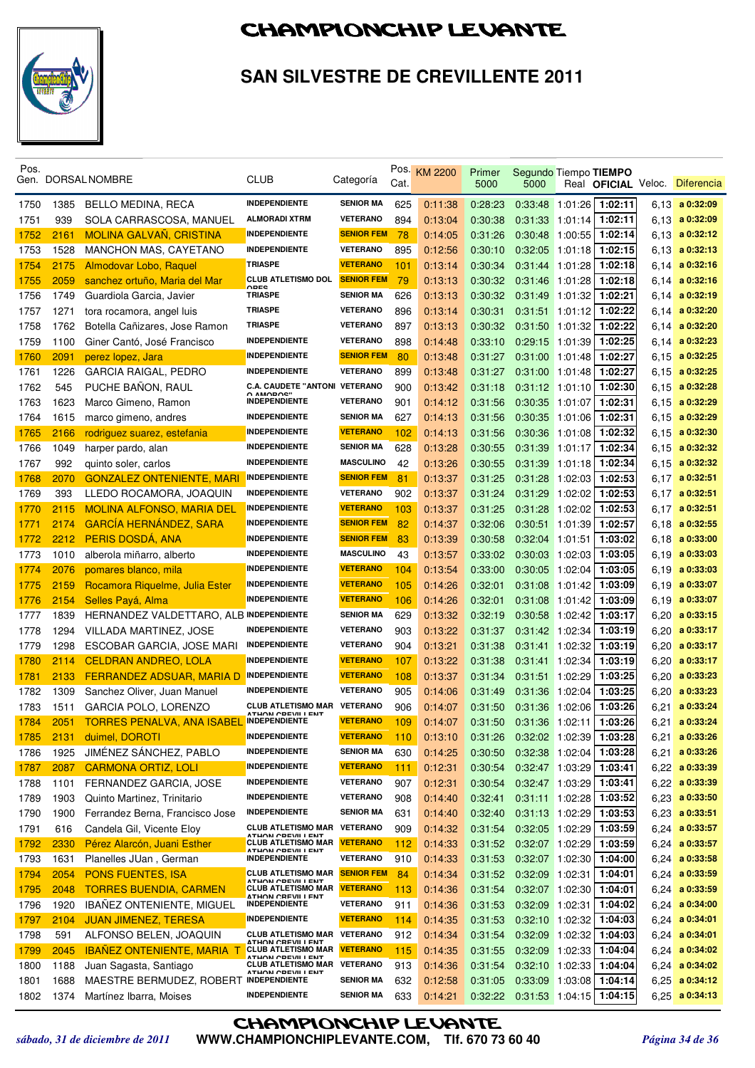

| Pos.<br>Gen. |              | <b>DORSALNOMBRE</b>                                             | <b>CLUB</b>                                                                 | Categoría                          | Cat.       | Pos. KM 2200       | Primer<br>5000     | Segundo Tiempo TIEMPO<br>5000      |         | Real <b>OFICIAL</b> Veloc. |      | Diferencia                       |
|--------------|--------------|-----------------------------------------------------------------|-----------------------------------------------------------------------------|------------------------------------|------------|--------------------|--------------------|------------------------------------|---------|----------------------------|------|----------------------------------|
| 1750         | 1385         | <b>BELLO MEDINA, RECA</b>                                       | <b>INDEPENDIENTE</b>                                                        | <b>SENIOR MA</b>                   | 625        | 0:11:38            | 0:28:23            | 0:33:48                            | 1:01:26 | 1:02:11                    |      | 6,13 a 0:32:09                   |
| 1751         | 939          | SOLA CARRASCOSA, MANUEL                                         | <b>ALMORADI XTRM</b>                                                        | VETERANO                           | 894        | 0:13:04            | 0:30:38            | 0:31:33                            | 1:01:14 | 1:02:11                    |      | 6,13 a 0:32:09                   |
| 1752         | 2161         | <b>MOLINA GALVAÑ, CRISTINA</b>                                  | <b>INDEPENDIENTE</b>                                                        | <b>SENIOR FEM</b>                  | 78         | 0:14:05            | 0:31:26            | 0:30:48                            | 1:00:55 | 1:02:14                    | 6.13 | a 0:32:12                        |
| 1753         | 1528         | MANCHON MAS, CAYETANO                                           | <b>INDEPENDIENTE</b>                                                        | VETERANO                           | 895        | 0:12:56            | 0:30:10            | 0:32:05                            | 1:01:18 | 1:02:15                    | 6.13 | a 0:32:13                        |
| 1754         | 2175         | Almodovar Lobo, Raquel                                          | <b>TRIASPE</b>                                                              | <b>VETERANO</b>                    | 101        | 0:13:14            | 0:30:34            | 0:31:44                            | 1:01:28 | 1:02:18                    | 6,14 | a 0:32:16                        |
| 1755         | 2059         | sanchez ortuño, Maria del Mar                                   | <b>CLUB ATLETISMO DOL</b><br>ODEC                                           | <b>SENIOR FEM</b>                  | 79         | 0:13:13            | 0:30:32            | 0:31:46                            | 1:01:28 | 1:02:18                    | 6,14 | a 0:32:16                        |
| 1756         | 1749         | Guardiola Garcia, Javier                                        | <b>TRIASPE</b>                                                              | <b>SENIOR MA</b>                   | 626        | 0:13:13            | 0:30:32            | 0:31:49                            | 1:01:32 | 1:02:21                    | 6,14 | a 0:32:19                        |
| 1757         | 1271         | tora rocamora, angel luis                                       | <b>TRIASPE</b>                                                              | VETERANO                           | 896        | 0:13:14            | 0:30:31            | 0:31:51                            | 1:01:12 | 1:02:22                    | 6,14 | a 0:32:20                        |
| 1758         | 1762         | Botella Cañizares, Jose Ramon                                   | <b>TRIASPE</b>                                                              | VETERANO                           | 897        | 0:13:13            | 0:30:32            | 0:31:50                            | 1:01:32 | 1:02:22                    | 6,14 | a 0:32:20                        |
| 1759         | 1100         | Giner Cantó, José Francisco                                     | <b>INDEPENDIENTE</b>                                                        | VETERANO                           | 898        | 0:14:48            | 0:33:10            | 0:29:15                            | 1:01:39 | 1:02:25                    | 6,14 | a 0:32:23                        |
| 1760         | 2091         | perez lopez, Jara                                               | <b>INDEPENDIENTE</b>                                                        | <b>SENIOR FEM</b>                  | 80         | 0:13:48            | 0:31:27            | 0:31:00                            | 1:01:48 | 1:02:27                    | 6,15 | a 0:32:25                        |
| 1761         | 1226         | <b>GARCIA RAIGAL, PEDRO</b>                                     | <b>INDEPENDIENTE</b>                                                        | <b>VETERANO</b>                    | 899        | 0:13:48            | 0:31:27            | 0:31:00                            | 1:01:48 | 1:02:27                    | 6,15 | a 0:32:25                        |
| 1762         | 545          | PUCHE BAÑON, RAUL                                               | <b>C.A. CAUDETE "ANTONI VETERANO</b><br><b>O AMODOC"</b>                    |                                    | 900        | 0:13:42            | 0:31:18            | 0:31:12                            | 1:01:10 | 1:02:30                    | 6,15 | a 0:32:28                        |
| 1763         | 1623         | Marco Gimeno, Ramon                                             | <b>INDEPENDIENTE</b>                                                        | VETERANO                           | 901        | 0:14:12            | 0:31:56            | 0:30:35                            | 1:01:07 | 1:02:31                    | 6,15 | a 0:32:29                        |
| 1764         | 1615         | marco gimeno, andres                                            | <b>INDEPENDIENTE</b>                                                        | <b>SENIOR MA</b>                   | 627        | 0:14:13            | 0:31:56            | 0:30:35                            | 1:01:06 | 1:02:31                    | 6,15 | a 0:32:29                        |
| 1765         | 2166         | rodriguez suarez, estefania                                     | <b>INDEPENDIENTE</b>                                                        | <b>VETERANO</b>                    | 102        | 0:14:13            | 0:31:56            | 0:30:36                            | 1:01:08 | 1:02:32                    | 6,15 | a 0:32:30                        |
| 1766         | 1049         | harper pardo, alan                                              | <b>INDEPENDIENTE</b>                                                        | <b>SENIOR MA</b>                   | 628        | 0:13:28            | 0:30:55            | 0:31:39                            | 1:01:17 | 1:02:34                    | 6,15 | a 0:32:32                        |
| 1767         | 992          | quinto soler, carlos                                            | <b>INDEPENDIENTE</b>                                                        | <b>MASCULINO</b>                   | 42         | 0:13:26            | 0:30:55            | 0:31:39                            | 1:01:18 | 1:02:34                    | 6,15 | a 0:32:32                        |
| 1768         | 2070         | <b>GONZALEZ ONTENIENTE, MARI</b>                                | <b>INDEPENDIENTE</b>                                                        | <b>SENIOR FEM</b>                  | 81         | 0:13:37            | 0:31:25            | 0:31:28                            | 1:02:03 | 1:02:53                    | 6,17 | a 0:32:51                        |
| 1769         | 393          | LLEDO ROCAMORA, JOAQUIN                                         | <b>INDEPENDIENTE</b>                                                        | <b>VETERANO</b>                    | 902        | 0:13:37            | 0:31:24            | 0:31:29                            | 1:02:02 | 1:02:53                    | 6,17 | a 0:32:51                        |
| 1770         | 2115         | <b>MOLINA ALFONSO, MARIA DEL</b>                                | <b>INDEPENDIENTE</b>                                                        | <b>VETERANO</b>                    | 103        | 0:13:37            | 0:31:25            | 0:31:28                            | 1:02:02 | 1:02:53                    | 6,17 | a 0:32:51                        |
| 1771         | 2174         | <b>GARCÍA HERNÁNDEZ, SARA</b>                                   | <b>INDEPENDIENTE</b>                                                        | <b>SENIOR FEM</b>                  | 82         | 0:14:37            | 0:32:06            | 0:30:51                            | 1:01:39 | 1:02:57                    | 6.18 | a 0:32:55                        |
| 1772         | 2212         | PERIS DOSDÁ, ANA                                                | <b>INDEPENDIENTE</b>                                                        | <b>SENIOR FEM</b>                  | 83         | 0:13:39            | 0:30:58            | 0:32:04                            | 1:01:51 | 1:03:02                    | 6,18 | a 0:33:00                        |
| 1773         | 1010         | alberola miñarro, alberto                                       | <b>INDEPENDIENTE</b>                                                        | <b>MASCULINO</b>                   | 43         | 0:13:57            | 0:33:02            | 0:30:03                            | 1:02:03 | 1:03:05                    | 6.19 | a 0:33:03                        |
| 1774         | 2076         | pomares blanco, mila                                            | <b>INDEPENDIENTE</b>                                                        | <b>VETERANO</b>                    | 104        | 0:13:54            | 0:33:00            | 0:30:05                            | 1:02:04 | 1:03:05                    | 6.19 | a 0:33:03                        |
| 1775         | 2159         | Rocamora Riquelme, Julia Ester                                  | <b>INDEPENDIENTE</b>                                                        | <b>VETERANO</b>                    | 105        | 0:14:26            | 0:32:01            | 0:31:08                            | 1:01:42 | 1:03:09                    | 6.19 | a 0:33:07                        |
| 1776         | 2154         | Selles Payá, Alma                                               | <b>INDEPENDIENTE</b>                                                        | <b>VETERANO</b>                    | 106        | 0:14:26            | 0:32:01            | 0:31:08                            | 1:01:42 | 1:03:09                    | 6.19 | a 0:33:07                        |
| 1777         | 1839         | HERNANDEZ VALDETTARO, ALB INDEPENDIENTE                         |                                                                             | <b>SENIOR MA</b>                   | 629        | 0:13:32            | 0:32:19            | 0:30:58                            | 1:02:42 | 1:03:17                    | 6,20 | a 0:33:15                        |
| 1778         | 1294         | VILLADA MARTINEZ, JOSE                                          | <b>INDEPENDIENTE</b>                                                        | VETERANO                           | 903        | 0:13:22            | 0:31:37            | 0:31:42                            | 1:02:34 | 1:03:19                    | 6,20 | a 0:33:17                        |
| 1779         | 1298         | ESCOBAR GARCIA, JOSE MARI                                       | <b>INDEPENDIENTE</b>                                                        | VETERANO                           | 904        | 0:13:21            | 0:31:38            | 0:31:41                            | 1:02:32 | 1:03:19                    | 6,20 | a 0:33:17                        |
| 1780         | 2114         | <b>CELDRAN ANDREO, LOLA</b>                                     | <b>INDEPENDIENTE</b>                                                        | <b>VETERANO</b>                    | 107        | 0:13:22            | 0:31:38            | 0:31:41                            | 1:02:34 | 1:03:19                    | 6,20 | a 0:33:17                        |
| 1781         | 2133         | FERRANDEZ ADSUAR, MARIA D                                       | <b>INDEPENDIENTE</b>                                                        | <b>VETERANO</b>                    | 108        | 0:13:37            | 0:31:34            | 0:31:51                            | 1:02:29 | 1:03:25                    | 6,20 | a 0:33:23                        |
| 1782         | 1309         | Sanchez Oliver, Juan Manuel                                     | <b>INDEPENDIENTE</b>                                                        | VETERANO                           | 905        | 0:14:06            | 0:31:49            | 0:31:36                            | 1:02:04 | 1:03:25                    | 6,20 | a 0:33:23                        |
| 1783         | 1511         | <b>GARCIA POLO, LORENZO</b>                                     | <b>CLUB ATLETISMO MAR</b><br>ATHON COEVILL ENT                              | <b>VETERANO</b>                    | 906        | 0:14:07            | 0:31:50            | 0:31:36                            | 1:02:06 | 1:03:26                    | 6.21 | a 0:33:24                        |
| 1784         | 2051         | <b>TORRES PENALVA, ANA ISABEL</b>                               | <b>INDEPENDIENTE</b>                                                        | <b>VETERANO</b>                    | 109        | 0:14:07            | 0:31:50            | 0:31:36                            | 1:02:11 | 1:03:26                    | 6,21 | a 0:33:24                        |
| 1785         | 2131         | duimel, DOROTI                                                  | <b>INDEPENDIENTE</b>                                                        | <b>VETERANO</b>                    | 110        | 0:13:10            | 0:31:26            | 0:32:02 1:02:39                    |         | 1:03:28                    | 6,21 | a 0:33:26                        |
| 1786         | 1925         | JIMÉNEZ SÁNCHEZ, PABLO                                          | <b>INDEPENDIENTE</b>                                                        | <b>SENIOR MA</b>                   | 630        | 0:14:25            | 0:30:50            |                                    |         | 0:32:38 1:02:04 1:03:28    |      | 6,21 a 0:33:26                   |
| 1787         | 2087         | <b>CARMONA ORTIZ, LOLI</b>                                      | <b>INDEPENDIENTE</b>                                                        | <b>VETERANO</b>                    | 111        | 0:12:31            | 0:30:54            | 0:32:47 1:03:29                    |         | 1:03:41                    |      | 6,22 a 0:33:39                   |
| 1788         |              | 1101 FERNANDEZ GARCIA, JOSE                                     | <b>INDEPENDIENTE</b>                                                        | <b>VETERANO</b>                    | 907        | 0:12:31            | 0:30:54            | 0:32:47 1:03:29                    |         | 1:03:41                    |      | 6,22 a 0:33:39                   |
| 1789         | 1903         | Quinto Martinez, Trinitario                                     | <b>INDEPENDIENTE</b><br><b>INDEPENDIENTE</b>                                | <b>VETERANO</b>                    | 908        | 0:14:40            | 0:32:41            | $0:31:11$ 1:02:28                  |         | 1:03:52                    |      | 6,23 a 0:33:50                   |
| 1790         | 1900         | Ferrandez Berna, Francisco Jose                                 |                                                                             | <b>SENIOR MA</b>                   | 631        | 0:14:40            | 0:32:40            | 0:31:13 1:02:29                    |         | 1:03:53                    |      | 6,23 a 0:33:51                   |
| 1791         | 616          | Candela Gil, Vicente Eloy                                       | <b>CLUB ATLETISMO MAR</b><br>ATHON COEVILL ENT<br><b>CLUB ATLETISMO MAR</b> | <b>VETERANO</b><br><b>VETERANO</b> | 909        | 0:14:32            | 0:31:54            | 0:32:05 1:02:29                    |         | 1:03:59                    |      | 6,24 a 0:33:57                   |
| 1792         | 2330         | Pérez Alarcón, Juani Esther                                     | ATHON ODEVILL ENT<br><b>INDEPENDIENTE</b>                                   | VETERANO                           | 112        | 0:14:33            | 0:31:52            | 0:32:07 1:02:29                    |         | 1:03:59                    |      | 6,24 a 0:33:57<br>6,24 a 0:33:58 |
| 1793         | 1631         | Planelles JUan, German                                          | <b>CLUB ATLETISMO MAR</b>                                                   | <b>SENIOR FEM</b>                  | 910        | 0:14:33            | 0:31:53            | 0:32:07 1:02:30                    |         | 1:04:00                    |      |                                  |
| 1794         | 2054         | <b>PONS FUENTES, ISA</b>                                        | ATHON ODEVILL ENT<br><b>CLUB ATLETISMO MAR</b>                              | <b>VETERANO</b>                    | 84         | 0:14:34            | 0:31:52            | 0:32:09 1:02:31                    |         | 1:04:01<br>1:04:01         |      | 6,24 a 0:33:59<br>6,24 a 0:33:59 |
| 1795         | 2048         | <b>TORRES BUENDIA, CARMEN</b>                                   | ATHON CREVILL ENT<br><b>INDEPENDIENTE</b>                                   | VETERANO                           | 113        | 0:14:36            | 0:31:54            | 0:32:07 1:02:30                    |         | 1:04:02                    |      | 6,24 a 0:34:00                   |
| 1796<br>1797 | 1920<br>2104 | <b>IBANEZ ONTENIENTE, MIGUEL</b><br><b>JUAN JIMENEZ, TERESA</b> | <b>INDEPENDIENTE</b>                                                        | <b>VETERANO</b>                    | 911<br>114 | 0:14:36            | 0:31:53<br>0:31:53 | 0:32:09 1:02:31                    |         | 1:04:03                    |      | 6,24 a 0:34:01                   |
| 1798         | 591          | ALFONSO BELEN, JOAQUIN                                          | <b>CLUB ATLETISMO MAR</b>                                                   | <b>VETERANO</b>                    |            | 0:14:35            | 0:31:54            | $0:32:10$ 1:02:32                  |         | 1:04:03                    |      | 6,24 a 0:34:01                   |
| 1799         | 2045         | <b>IBANEZ ONTENIENTE, MARIA T</b>                               | ATHON COEVILL ENT<br><b>CLUB ATLETISMO MAR</b>                              | <b>VETERANO</b>                    | 912<br>115 | 0:14:34<br>0:14:35 | 0:31:55            | 0:32:09 1:02:32<br>0:32:09 1:02:33 |         | 1:04:04                    |      | 6,24 a 0:34:02                   |
| 1800         | 1188         | Juan Sagasta, Santiago                                          | ATUON ODEVILL ENT<br><b>CLUB ATLETISMO MAR</b>                              | <b>VETERANO</b>                    | 913        | 0:14:36            | 0:31:54            | $0:32:10$ 1:02:33                  |         | 1:04:04                    |      | 6,24 a 0:34:02                   |
| 1801         | 1688         | MAESTRE BERMUDEZ, ROBERT INDEPENDIENTE                          | ATHON COEVIL LENT                                                           | <b>SENIOR MA</b>                   | 632        | 0:12:58            | 0:31:05            | 0:33:09 1:03:08                    |         | 1:04:14                    |      | 6,25 a 0:34:12                   |
| 1802         | 1374         | Martínez Ibarra, Moises                                         | <b>INDEPENDIENTE</b>                                                        | <b>SENIOR MA</b>                   | 633        | 0:14:21            | 0:32:22            |                                    |         | $0:31:53$ 1:04:15 1:04:15  |      | 6,25 a 0:34:13                   |
|              |              |                                                                 |                                                                             |                                    |            |                    |                    |                                    |         |                            |      |                                  |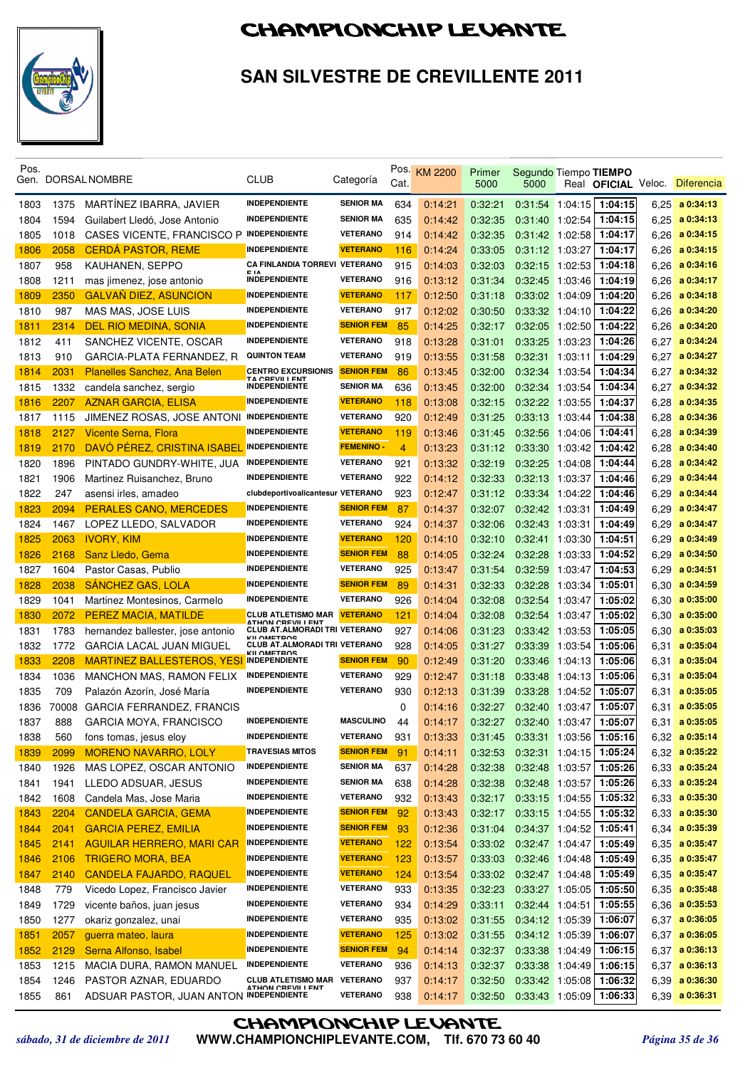

| Pos.<br>Gen. |       | <b>DORSALNOMBRE</b>                 | <b>CLUB</b>                                           | Categoría         | Cat. | Pos. KM 2200 | Primer<br>5000 | Segundo Tiempo TIEMPO<br>5000 |         | Real <b>OFICIAL</b> Veloc. |      | Diferencia       |
|--------------|-------|-------------------------------------|-------------------------------------------------------|-------------------|------|--------------|----------------|-------------------------------|---------|----------------------------|------|------------------|
| 1803         | 1375  | MARTÍNEZ IBARRA, JAVIER             | <b>INDEPENDIENTE</b>                                  | <b>SENIOR MA</b>  | 634  | 0:14:21      | 0:32:21        | 0:31:54                       | 1:04:15 | 1:04:15                    |      | $6,25$ a 0:34:13 |
| 1804         | 1594  | Guilabert Lledó, Jose Antonio       | <b>INDEPENDIENTE</b>                                  | <b>SENIOR MA</b>  | 635  | 0:14:42      | 0:32:35        | 0:31:40                       | 1:02:54 | 1:04:15                    | 6,25 | a 0:34:13        |
| 1805         | 1018  | CASES VICENTE, FRANCISCO P          | <b>INDEPENDIENTE</b>                                  | <b>VETERANO</b>   | 914  | 0:14:42      | 0:32:35        | 0:31:42                       | 1:02:58 | 1:04:17                    | 6,26 | a 0:34:15        |
| 1806         | 2058  | <b>CERDÁ PASTOR, REME</b>           | <b>INDEPENDIENTE</b>                                  | <b>VETERANO</b>   | 116  | 0:14:24      | 0:33:05        | 0:31:12 1:03:27               |         | 1:04:17                    | 6,26 | a 0:34:15        |
| 1807         | 958   | KAUHANEN, SEPPO                     | CA FINLANDIA TORREVI VETERANO                         |                   | 915  | 0:14:03      | 0:32:03        | 0:32:15                       | 1:02:53 | 1:04:18                    | 6,26 | a 0:34:16        |
| 1808         | 1211  | mas jimenez, jose antonio           | <b>EIA</b><br><b>INDEPENDIENTE</b>                    | VETERANO          | 916  | 0:13:12      | 0:31:34        | 0:32:45                       | 1:03:46 | 1:04:19                    | 6,26 | a 0:34:17        |
| 1809         | 2350  | <b>GALVAÑ DIEZ, ASUNCION</b>        | <b>INDEPENDIENTE</b>                                  | <b>VETERANO</b>   | 117  | 0:12:50      | 0:31:18        | 0:33:02                       | 1:04:09 | 1:04:20                    | 6,26 | a 0:34:18        |
| 1810         | 987   | MAS MAS, JOSE LUIS                  | <b>INDEPENDIENTE</b>                                  | VETERANO          | 917  | 0:12:02      | 0:30:50        | 0:33:32                       | 1:04:10 | 1:04:22                    | 6,26 | a 0:34:20        |
| 1811         | 2314  | <b>DEL RIO MEDINA, SONIA</b>        | <b>INDEPENDIENTE</b>                                  | <b>SENIOR FEM</b> | 85   | 0:14:25      | 0:32:17        | 0:32:05                       | 1:02:50 | 1:04:22                    | 6,26 | a 0:34:20        |
| 1812         | 411   | SANCHEZ VICENTE, OSCAR              | <b>INDEPENDIENTE</b>                                  | VETERANO          | 918  | 0:13:28      | 0:31:01        | 0:33:25                       | 1:03:23 | 1:04:26                    | 6,27 | a 0:34:24        |
| 1813         | 910   | GARCIA-PLATA FERNANDEZ, R           | <b>QUINTON TEAM</b>                                   | VETERANO          | 919  | 0:13:55      | 0:31:58        | 0:32:31                       | 1:03:11 | 1:04:29                    | 6,27 | a 0:34:27        |
| 1814         | 2031  | <b>Planelles Sanchez, Ana Belen</b> | <b>CENTRO EXCURSIONIS</b><br><b>TA CDEVILL ENT</b>    | <b>SENIOR FEM</b> | 86   | 0:13:45      | 0:32:00        | 0:32:34                       | 1:03:54 | 1:04:34                    | 6,27 | a 0:34:32        |
| 1815         | 1332  | candela sanchez, sergio             | <b>INDEPENDIENTE</b>                                  | <b>SENIOR MA</b>  | 636  | 0:13:45      | 0:32:00        | 0:32:34                       | 1:03:54 | 1:04:34                    | 6,27 | a 0:34:32        |
| 1816         | 2207  | <b>AZNAR GARCIA, ELISA</b>          | <b>INDEPENDIENTE</b>                                  | <b>VETERANO</b>   | 118  | 0:13:08      | 0:32:15        | 0:32:22                       | 1:03:55 | 1:04:37                    | 6,28 | a 0:34:35        |
| 1817         | 1115  | JIMENEZ ROSAS, JOSE ANTONI          | <b>INDEPENDIENTE</b>                                  | VETERANO          | 920  | 0:12:49      | 0:31:25        | 0:33:13                       | 1:03:44 | 1:04:38                    | 6,28 | a 0:34:36        |
| 1818         | 2127  | <b>Vicente Serna, Flora</b>         | <b>INDEPENDIENTE</b>                                  | <b>VETERANO</b>   | 119  | 0:13:46      | 0:31:45        | 0:32:56                       | 1:04:06 | 1:04:41                    | 6,28 | a 0:34:39        |
| 1819         | 2170  | DAVÓ PÉREZ, CRISTINA ISABEL         | <b>INDEPENDIENTE</b>                                  | <b>FEMENINO -</b> | 4    | 0:13:23      | 0:31:12        | 0:33:30                       | 1:03:42 | 1:04:42                    | 6,28 | a 0:34:40        |
| 1820         | 1896  | PINTADO GUNDRY-WHITE, JUA           | <b>INDEPENDIENTE</b>                                  | VETERANO          | 921  | 0:13:32      | 0:32:19        | 0:32:25                       | 1:04:08 | 1:04:44                    | 6,28 | a 0:34:42        |
| 1821         | 1906  | Martinez Ruisanchez, Bruno          | <b>INDEPENDIENTE</b>                                  | VETERANO          | 922  | 0:14:12      | 0:32:33        | 0:32:13                       | 1:03:37 | 1:04:46                    | 6,29 | a 0:34:44        |
| 1822         | 247   | asensi irles, amadeo                | clubdeportivoalicantesur VETERANO                     |                   | 923  | 0:12:47      | 0:31:12        | 0:33:34                       | 1:04:22 | 1:04:46                    | 6,29 | a 0:34:44        |
| 1823         | 2094  | <b>PERALES CANO, MERCEDES</b>       | <b>INDEPENDIENTE</b>                                  | <b>SENIOR FEM</b> | 87   | 0:14:37      | 0:32:07        | 0:32:42                       | 1:03:31 | 1:04:49                    | 6,29 | a 0:34:47        |
| 1824         | 1467  | LOPEZ LLEDO, SALVADOR               | <b>INDEPENDIENTE</b>                                  | VETERANO          | 924  | 0:14:37      | 0:32:06        | 0:32:43                       | 1:03:31 | 1:04:49                    | 6,29 | a 0:34:47        |
| 1825         | 2063  | <b>IVORY, KIM</b>                   | <b>INDEPENDIENTE</b>                                  | <b>VETERANO</b>   | 120  | 0:14:10      | 0:32:10        | 0:32:41                       | 1:03:30 | 1:04:51                    | 6,29 | a 0:34:49        |
| 1826         | 2168  | Sanz Lledo, Gema                    | <b>INDEPENDIENTE</b>                                  | <b>SENIOR FEM</b> | 88   | 0:14:05      | 0:32:24        | 0:32:28                       | 1:03:33 | 1:04:52                    | 6,29 | a 0:34:50        |
| 1827         | 1604  | Pastor Casas, Publio                | <b>INDEPENDIENTE</b>                                  | VETERANO          | 925  | 0:13:47      | 0:31:54        | 0:32:59                       | 1:03:47 | 1:04:53                    | 6,29 | a 0:34:51        |
| 1828         | 2038  | <b>SANCHEZ GAS, LOLA</b>            | <b>INDEPENDIENTE</b>                                  | <b>SENIOR FEM</b> | 89   | 0:14:31      | 0:32:33        | 0:32:28                       | 1:03:34 | 1:05:01                    | 6,30 | a 0:34:59        |
| 1829         | 1041  | Martinez Montesinos, Carmelo        | <b>INDEPENDIENTE</b>                                  | VETERANO          | 926  | 0:14:04      | 0:32:08        | 0:32:54                       | 1:03:47 | 1:05:02                    | 6,30 | a 0:35:00        |
| 1830         | 2072  | <b>PEREZ MACIA, MATILDE</b>         | <b>CLUB ATLETISMO MAR</b>                             | <b>VETERANO</b>   | 121  | 0:14:04      | 0:32:08        | 0:32:54                       | 1:03:47 | 1:05:02                    | 6,30 | a 0:35:00        |
| 1831         | 1783  | hernandez ballester, jose antonio   | ATHON COEVIL LENT<br>CLUB AT.ALMORADI TRI VETERANO    |                   | 927  | 0:14:06      | 0:31:23        | 0:33:42                       | 1:03:53 | 1:05:05                    | 6,30 | a 0:35:03        |
| 1832         | 1772  | <b>GARCIA LACAL JUAN MIGUEL</b>     | <b>VII OMETDOS</b><br>CLUB AT.ALMORADI TRI VETERANO   |                   | 928  | 0:14:05      | 0:31:27        | 0:33:39                       | 1:03:54 | 1:05:06                    | 6,31 | a 0:35:04        |
| 1833         | 2208  | <b>MARTINEZ BALLESTEROS, YESI</b>   | <b>VII OMETDOS</b><br><b>INDEPENDIENTE</b>            | <b>SENIOR FEM</b> | 90   | 0:12:49      | 0:31:20        | 0:33:46                       | 1:04:13 | 1:05:06                    | 6,31 | a 0:35:04        |
| 1834         | 1036  | MANCHON MAS, RAMON FELIX            | <b>INDEPENDIENTE</b>                                  | VETERANO          | 929  | 0:12:47      | 0:31:18        | 0:33:48                       | 1:04:13 | 1:05:06                    | 6,31 | a 0:35:04        |
| 1835         | 709   | Palazón Azorín, José María          | <b>INDEPENDIENTE</b>                                  | VETERANO          | 930  | 0:12:13      | 0:31:39        | 0:33:28                       | 1:04:52 | 1:05:07                    | 6,31 | a 0:35:05        |
| 1836         | 70008 | <b>GARCIA FERRANDEZ, FRANCIS</b>    |                                                       |                   | 0    | 0:14:16      | 0:32:27        | 0:32:40                       | 1:03:47 | 1:05:07                    | 6,31 | a 0:35:05        |
| 1837         | 888   | <b>GARCIA MOYA, FRANCISCO</b>       | <b>INDEPENDIENTE</b>                                  | <b>MASCULINO</b>  | 44   | 0:14:17      | 0:32:27        | 0:32:40                       | 1:03:47 | 1:05:07                    | 6,31 | a 0:35:05        |
| 1838         | 560   | fons tomas, jesus eloy              | <b>INDEPENDIENTE</b>                                  | VETERANO          | 931  | 0:13:33      | 0:31:45        |                               |         | 0:33:31 1:03:56 1:05:16    | 6,32 | a 0:35:14        |
| 1839         | 2099  | <b>MORENO NAVARRO, LOLY</b>         | <b>TRAVESIAS MITOS</b>                                | <b>SENIOR FEM</b> | 91   | 0:14:11      | 0:32:53        | 0:32:31                       | 1:04:15 | 1:05:24                    | 6,32 | a 0:35:22        |
| 1840         | 1926  | MAS LOPEZ, OSCAR ANTONIO            | <b>INDEPENDIENTE</b>                                  | <b>SENIOR MA</b>  | 637  | 0:14:28      | 0:32:38        | 0:32:48 1:03:57               |         | 1:05:26                    | 6,33 | a 0:35:24        |
| 1841         | 1941  | LLEDO ADSUAR, JESUS                 | <b>INDEPENDIENTE</b>                                  | <b>SENIOR MA</b>  | 638  | 0:14:28      | 0:32:38        | 0:32:48 1:03:57               |         | 1:05:26                    | 6,33 | a 0:35:24        |
| 1842         | 1608  | Candela Mas, Jose Maria             | <b>INDEPENDIENTE</b>                                  | <b>VETERANO</b>   | 932  | 0:13:43      | 0:32:17        | 0:33:15 1:04:55               |         | 1:05:32                    | 6,33 | a 0:35:30        |
| 1843         | 2204  | <b>CANDELA GARCIA, GEMA</b>         | <b>INDEPENDIENTE</b>                                  | <b>SENIOR FEM</b> | 92   | 0:13:43      | 0:32:17        | $0:33:15$ 1:04:55             |         | 1:05:32                    | 6,33 | a 0:35:30        |
| 1844         | 2041  | <b>GARCIA PEREZ, EMILIA</b>         | <b>INDEPENDIENTE</b>                                  | <b>SENIOR FEM</b> | 93   | 0:12:36      | 0:31:04        | 0:34:37 1:04:52               |         | 1:05:41                    | 6,34 | a 0:35:39        |
| 1845         | 2141  | <b>AGUILAR HERRERO, MARI CAR</b>    | <b>INDEPENDIENTE</b>                                  | <b>VETERANO</b>   | 122  | 0:13:54      | 0:33:02        | 0:32:47 1:04:47               |         | 1:05:49                    | 6,35 | a 0:35:47        |
| 1846         | 2106  | <b>TRIGERO MORA, BEA</b>            | <b>INDEPENDIENTE</b>                                  | <b>VETERANO</b>   | 123  | 0:13:57      | 0:33:03        | 0:32:46 1:04:48               |         | 1:05:49                    | 6,35 | a 0:35:47        |
| 1847         | 2140  | <b>CANDELA FAJARDO, RAQUEL</b>      | <b>INDEPENDIENTE</b>                                  | <b>VETERANO</b>   | 124  | 0:13:54      | 0:33:02        | 0:32:47 1:04:48               |         | 1:05:49                    | 6,35 | a 0:35:47        |
| 1848         | 779   | Vicedo Lopez, Francisco Javier      | <b>INDEPENDIENTE</b>                                  | <b>VETERANO</b>   | 933  | 0:13:35      | 0:32:23        | 0:33:27 1:05:05               |         | 1:05:50                    | 6,35 | a 0:35:48        |
| 1849         | 1729  | vicente baños, juan jesus           | <b>INDEPENDIENTE</b>                                  | VETERANO          | 934  | 0:14:29      | 0:33:11        | 0:32:44 1:04:51               |         | 1:05:55                    | 6,36 | a 0:35:53        |
| 1850         | 1277  | okariz gonzalez, unai               | <b>INDEPENDIENTE</b>                                  | VETERANO          | 935  | 0:13:02      | 0:31:55        | 0:34:12 1:05:39               |         | 1:06:07                    | 6,37 | a 0:36:05        |
| 1851         | 2057  | guerra mateo, laura                 | <b>INDEPENDIENTE</b>                                  | <b>VETERANO</b>   | 125  | 0:13:02      | 0:31:55        | 0:34:12 1:05:39               |         | 1:06:07                    | 6,37 | a 0:36:05        |
| 1852         | 2129  | Serna Alfonso, Isabel               | <b>INDEPENDIENTE</b>                                  | <b>SENIOR FEM</b> | 94   | 0:14:14      | 0:32:37        | 0:33:38                       | 1:04:49 | 1:06:15                    | 6,37 | a 0:36:13        |
| 1853         | 1215  | MACIA DURA, RAMON MANUEL            | <b>INDEPENDIENTE</b>                                  | VETERANO          | 936  | 0:14:13      | 0:32:37        | 0:33:38                       | 1:04:49 | 1:06:15                    | 6,37 | a 0:36:13        |
| 1854         | 1246  | PASTOR AZNAR, EDUARDO               | <b>CLUB ATLETISMO MAR</b><br><b>ATHON CDEVILL ENT</b> | <b>VETERANO</b>   | 937  | 0:14:17      | 0:32:50        | 0:33:42 1:05:08               |         | 1:06:32                    | 6,39 | a 0:36:30        |
| 1855         | 861   | ADSUAR PASTOR, JUAN ANTON           | <b>INDEPENDIENTE</b>                                  | VETERANO          | 938  | 0:14:17      | 0:32:50        | 0:33:43 1:05:09               |         | 1:06:33                    | 6,39 | a 0:36:31        |